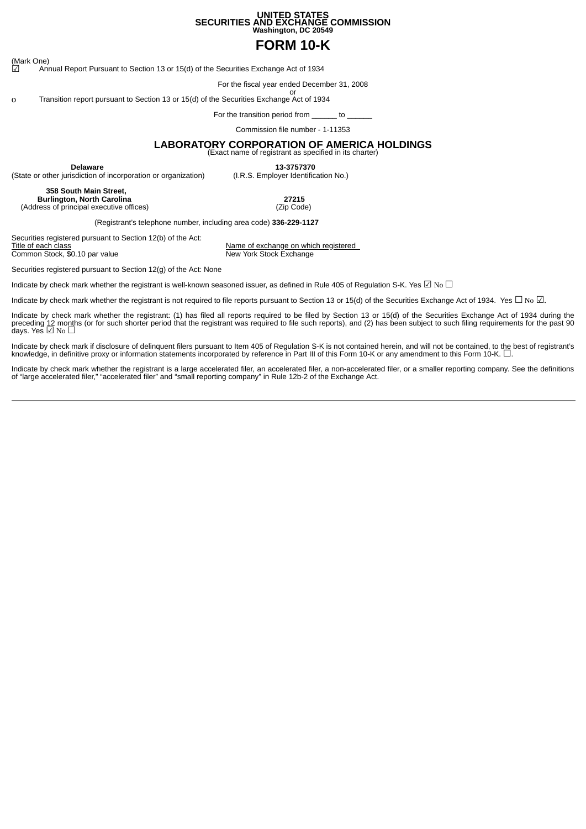# **UNITED STATES SECURITIES AND EXCHANGE COMMISSION Washington, DC 20549**

# **FORM 10-K**

(Mark One)<br>□ Annual Report Pursuant to Section 13 or 15(d) of the Securities Exchange Act of 1934

For the fiscal year ended December 31, 2008 or

o Transition report pursuant to Section 13 or 15(d) of the Securities Exchange Act of 1934

For the transition period from \_\_\_\_\_\_ to \_

Commission file number - 1-11353

# **LABORATORY CORPORATION OF AMERICA HOLDINGS**<br>(Exact name of registrant as specified in its charter)

**Delaware 13-3757370**<br> **13-3757370 13-3757370**<br> **(1.R.S. Employer Identification No.)** (State or other jurisdiction of incorporation or organization)

**358 South Main Street,**

**Burlington, North Carolina 27215**<br> **Participal executive offices 127215**<br> **27215**<br> **27215** (Address of principal executive offices)

(Registrant's telephone number, including area code) **336-229-1127**

Securities registered pursuant to Section 12(b) of the Act:<br>Title of each class Common Stock, \$0.10 par value

Name of exchange on which registered<br>New York Stock Exchange

Securities registered pursuant to Section 12(g) of the Act: None

Indicate by check mark whether the registrant is well-known seasoned issuer, as defined in Rule 405 of Regulation S-K. Yes  $\Box$  No  $\Box$ 

Indicate by check mark whether the registrant is not required to file reports pursuant to Section 13 or 15(d) of the Securities Exchange Act of 1934. Yes  $\Box$  No  $\Box$ .

Indicate by check mark whether the registrant: (1) has filed all reports required to be filed by Section 13 or 15(d) of the Securities Exchange Act of 1934 during the<br>preceding 12 months (or for such shorter period that th days. Yes ☑ No ☐

Indicate by check mark if disclosure of delinquent filers pursuant to Item 405 of Regulation S-K is not contained herein, and will not be contained, to the best of registrant's knowledge, in definitive proxy or information statements incorporated by reference in Part III of this Form 10-K or any amendment to this Form 10-K. □.

Indicate by check mark whether the registrant is a large accelerated filer, an accelerated filer, a non-accelerated filer, or a smaller reporting company. See the definitions<br>of "large accelerated filer," "accelerated file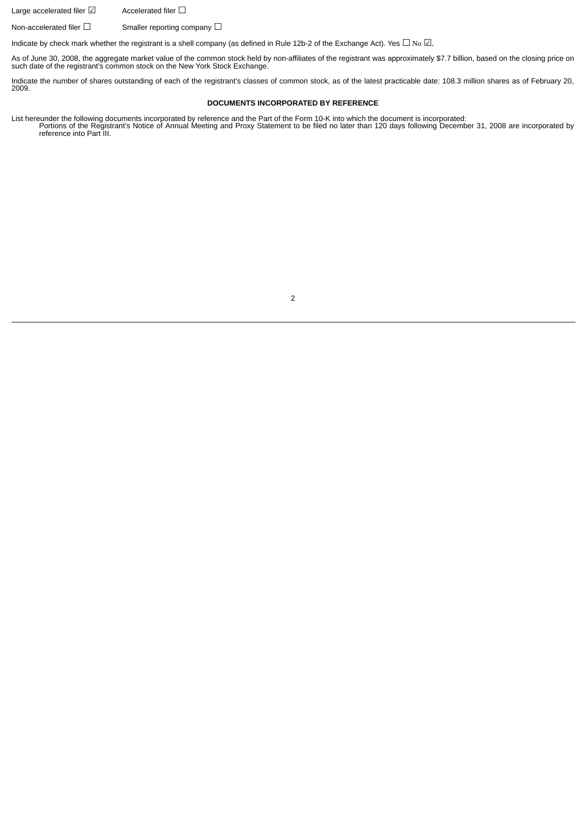Large accelerated filer 2 Accelerated filer □

Non-accelerated filer □ Smaller reporting company □

Indicate by check mark whether the registrant is a shell company (as defined in Rule 12b-2 of the Exchange Act). Yes  $\Box$  No  $\Box$ .

As of June 30, 2008, the aggregate market value of the common stock held by non-affiliates of the registrant was approximately \$7.7 billion, based on the closing price on<br>such date of the registrant's common stock on the N

Indicate the number of shares outstanding of each of the registrant's classes of common stock, as of the latest practicable date: 108.3 million shares as of February 20, 2009.

#### **DOCUMENTS INCORPORATED BY REFERENCE**

List hereunder the following documents incorporated by reference and the Part of the Form 10-K into which the document is incorporated:<br>Portions of the Registrant's Notice of Annual Meeting and Proxy Statement to be filed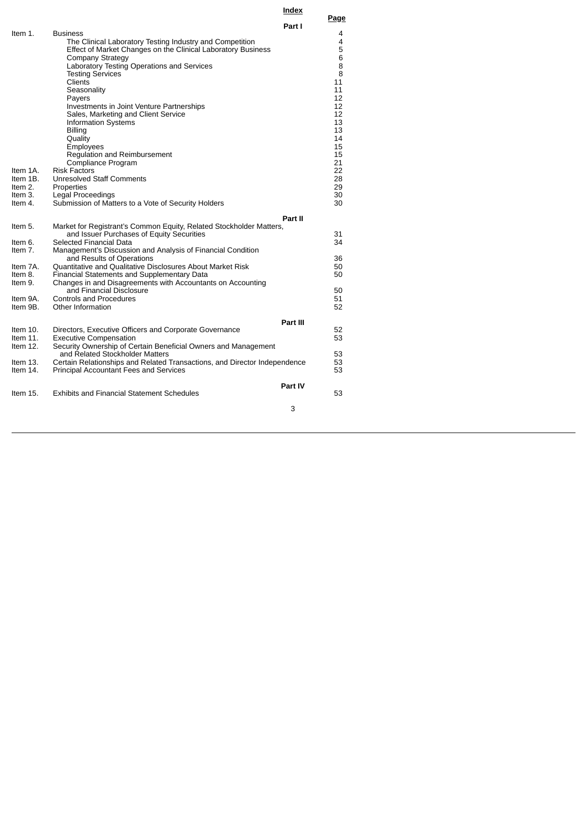|                                                         |                                                                                                                                                                                                                                                                                                                                                                                                                                                                                 | Index    |                                                                                                |
|---------------------------------------------------------|---------------------------------------------------------------------------------------------------------------------------------------------------------------------------------------------------------------------------------------------------------------------------------------------------------------------------------------------------------------------------------------------------------------------------------------------------------------------------------|----------|------------------------------------------------------------------------------------------------|
|                                                         |                                                                                                                                                                                                                                                                                                                                                                                                                                                                                 | Part I   |                                                                                                |
| Item 1.                                                 | <b>Business</b><br>The Clinical Laboratory Testing Industry and Competition<br>Effect of Market Changes on the Clinical Laboratory Business<br>Company Strategy<br><b>Laboratory Testing Operations and Services</b><br><b>Testing Services</b><br>Clients<br>Seasonality<br>Payers<br>Investments in Joint Venture Partnerships<br>Sales, Marketing and Client Service<br><b>Information Systems</b><br>Billing<br><b>Quality</b><br>Employees<br>Regulation and Reimbursement |          | Page<br>4<br>4<br>5<br>6<br>8<br>8<br>11<br>11<br>12<br>12<br>12<br>13<br>13<br>14<br>15<br>15 |
| Item 1A.<br>Item 1B.<br>Item $2.$<br>Item 3.<br>Item 4. | Compliance Program<br><b>Risk Factors</b><br><b>Unresolved Staff Comments</b><br>Properties<br><b>Legal Proceedings</b><br>Submission of Matters to a Vote of Security Holders                                                                                                                                                                                                                                                                                                  |          | 21<br>22<br>28<br>29<br>30<br>30                                                               |
|                                                         |                                                                                                                                                                                                                                                                                                                                                                                                                                                                                 | Part II  |                                                                                                |
| Item 5.<br>Item 6.<br>Item 7.                           | Market for Registrant's Common Equity, Related Stockholder Matters,<br>and Issuer Purchases of Equity Securities<br>Selected Financial Data<br>Management's Discussion and Analysis of Financial Condition                                                                                                                                                                                                                                                                      |          | 31<br>34                                                                                       |
| Item 7A.<br>Item 8.<br>Item 9.                          | and Results of Operations<br>Quantitative and Qualitative Disclosures About Market Risk<br>Financial Statements and Supplementary Data<br>Changes in and Disagreements with Accountants on Accounting                                                                                                                                                                                                                                                                           |          | 36<br>50<br>50                                                                                 |
| Item 9A.<br>Item 9B.                                    | and Financial Disclosure<br><b>Controls and Procedures</b><br>Other Information                                                                                                                                                                                                                                                                                                                                                                                                 |          | 50<br>51<br>52                                                                                 |
| Item $10.$<br>Item $11.$                                | Directors, Executive Officers and Corporate Governance<br><b>Executive Compensation</b>                                                                                                                                                                                                                                                                                                                                                                                         | Part III | 52<br>53                                                                                       |
| Item $12.$                                              | Security Ownership of Certain Beneficial Owners and Management                                                                                                                                                                                                                                                                                                                                                                                                                  |          |                                                                                                |
| Item $13.$<br>Item 14.                                  | and Related Stockholder Matters<br>Certain Relationships and Related Transactions, and Director Independence<br><b>Principal Accountant Fees and Services</b>                                                                                                                                                                                                                                                                                                                   |          | 53<br>53<br>53                                                                                 |
| Item 15.                                                | <b>Exhibits and Financial Statement Schedules</b>                                                                                                                                                                                                                                                                                                                                                                                                                               | Part IV  | 53                                                                                             |
|                                                         |                                                                                                                                                                                                                                                                                                                                                                                                                                                                                 | 3        |                                                                                                |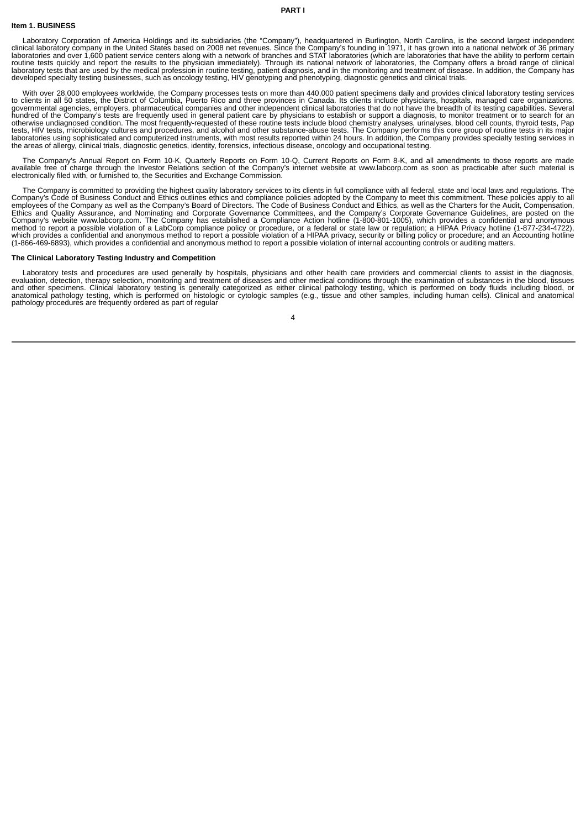#### **Item 1. BUSINESS**

Laboratory Corporation of America Holdings and its subsidiaries (the "Company"), headquartered in Burlington, North Carolina, is the second largest independent<br>clinical laboratory company in the United States based on 2008 laboratory tests that are used by the medical profession in routine testing, patient diagnosis, and in the monitoring and treatment of disease. In addition, the Company has<br>developed specialty testing businesses, such as o

With over 28,000 employees worldwide, the Company processes tests on more than 440,000 patient specimens daily and provides clinical laboratory testing services to clients in all 50 states, the District of Columbia, Puerto Rico and three provinces in Canada. Its clients include physicians, hospitals, managed care organizations,<br>governmental agencies, employers, pharmaceutical comp laboratories using sophisticated and computerized instruments, with most results reported within 24 hours. In addition, the Company provides specialty testing services in the areas of allergy, clinical trials, diagnostic genetics, identity, forensics, infectious disease, oncology and occupational testing.

The Company's Annual Report on Form 10-K, Quarterly Reports on Form 10-Q, Current Reports on Form 8-K, and all amendments to those reports are made<br>available free of charge through the Investor Relations section of the Com electronically filed with, or furnished to, the Securities and Exchange Commission.

The Company is committed to providing the highest quality laboratory services to its clients in full compliance with all federal, state and local laws and regulations. The Company's Code of Business Conduct and Ethics outlines ethics and compliance policies adopted by the Company to meet this commitment. These policies apply to all<br>employees of the Company as well as the Company's Board of D

#### **The Clinical Laboratory Testing Industry and Competition**

Laboratory tests and procedures are used generally by hospitals, physicians and other health care providers and commercial clients to assist in the diagnosis,<br>evaluation, detection, the mapy selection, monitoring and treat pathology procedures are frequently ordered as part of regular

#### **PART I**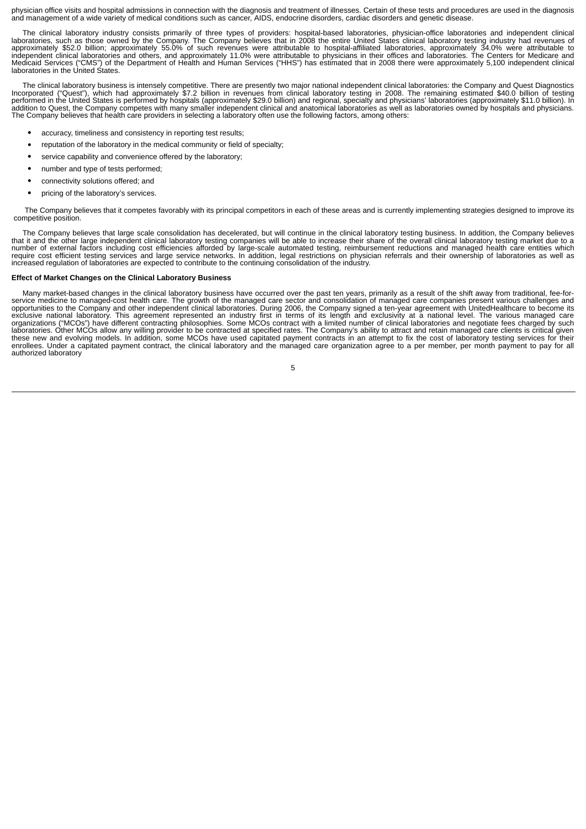physician office visits and hospital admissions in connection with the diagnosis and treatment of illnesses. Certain of these tests and procedures are used in the diagnosis and management of a wide variety of medical conditions such as cancer, AIDS, endocrine disorders, cardiac disorders and genetic disease.

The clinical laboratory industry consists primarily of three types of providers: hospital-based laboratories, physician-office laboratories and independent clinical laboratories, such as those owned by the Company. The Company believes that in 2008 the entire United States clinical laboratory testing industry had revenues of<br>approximately \$52.0 billion; approximately 55.0% of such rev laboratories in the United States.

The clinical laboratory business is intensely competitive. There are presently two major national independent clinical laboratories: the Company and Quest Diagnostics Incorporated ("Quest"), which had approximately \$7.2 billion in revenues from clinical laboratory testing in 2008. The remaining estimated \$40.0 billion of testing<br>performed in the United States is performed by hospitals (

- **•** accuracy, timeliness and consistency in reporting test results;
- **•** reputation of the laboratory in the medical community or field of specialty;
- **•** service capability and convenience offered by the laboratory;
- **•** number and type of tests performed;
- **•** connectivity solutions offered; and
- **•** pricing of the laboratory's services.

The Company believes that it competes favorably with its principal competitors in each of these areas and is currently implementing strategies designed to improve its competitive position.

The Company believes that large scale consolidation has decelerated, but will continue in the clinical laboratory testing business. In addition, the Company believes that it and the other large independent clinical laboratory testing companies will be able to increase their share of the overall clinical laboratory testing market due to a<br>number of external factors including cost effici

#### **Effect of Market Changes on the Clinical Laboratory Business**

Many market-based changes in the clinical laboratory business have occurred over the past ten years, primarily as a result of the shift away from traditional, fee-for-<br>service medicine to managed-cost health care. The grow laboratories. Other MCOs allow any willing provider to be contracted at specified rates. The Company's ability to attract and retain managed care clients is critical given these new and evolving models. In addition, some MCOs have used capitated payment contracts in an attempt to fix the cost of laboratory testing services for their<br>enrollees. Under a capitated payment contract, the clinical authorized laboratory

<sup>5</sup>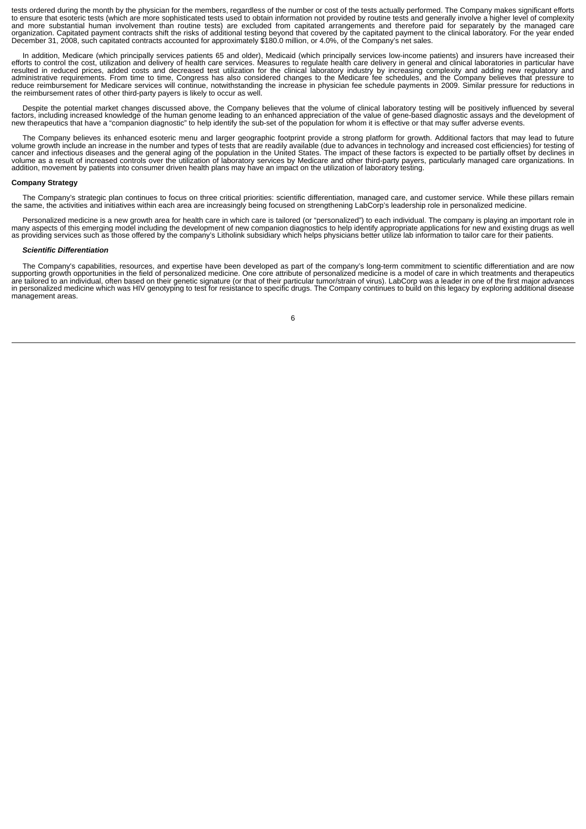tests ordered during the month by the physician for the members, regardless of the number or cost of the tests actually performed. The Company makes significant efforts to ensure that esoteric tests (which are more sophisticated tests used to obtain information not provided by routine tests and generally involve a higher level of complexity<br>and more substantial human involvement than rout organization. Capitated payment contracts shift the risks of additional testing beyond that covered by the capitated payment to the clinical laboratory. For the year ended December 31, 2008, such capitated contracts accounted for approximately \$180.0 million, or 4.0%, of the Company's net sales.

In addition, Medicare (which principally services patients 65 and older), Medicaid (which principally services low-income patients) and insurers have increased their<br>efforts to control the cost, utilization and delivery of the reimbursement rates of other third-party payers is likely to occur as well.

Despite the potential market changes discussed above, the Company believes that the volume of clinical laboratory testing will be positively influenced by several factors, including increased knowledge of the human genome leading to an enhanced appreciation of the value of gene-based diagnostic assays and the development of<br>new therapeutics that have a "companion diagnostic" to help

The Company believes its enhanced esoteric menu and larger geographic footprint provide a strong platform for growth. Additional factors that may lead to future<br>volume growth include an increase in the number and types of addition, movement by patients into consumer driven health plans may have an impact on the utilization of laboratory testing.

#### **Company Strategy**

The Company's strategic plan continues to focus on three critical priorities: scientific differentiation, managed care, and customer service. While these pillars remain the same, the activities and initiatives within each area are increasingly being focused on strengthening LabCorp's leadership role in personalized medicine.

Personalized medicine is a new growth area for health care in which care is tailored (or "personalized") to each individual. The company is playing an important role in<br>many aspects of this emerging model including the dev

#### *Scientific Differentiation*

The Company's capabilities, resources, and expertise have been developed as part of the company's long-term commitment to scientific differentiation and are now supporting growth opportunities in the field of personalized medicine. One core attribute of personalized medicine is a model of care in which treatments and therapeutics are tailored to an individual, often based on their genetic signature (or that of their particular tumor/strain of virus). LabCorp was a leader in one of the first major advances<br>in personalized medicine which was HIV geno management areas.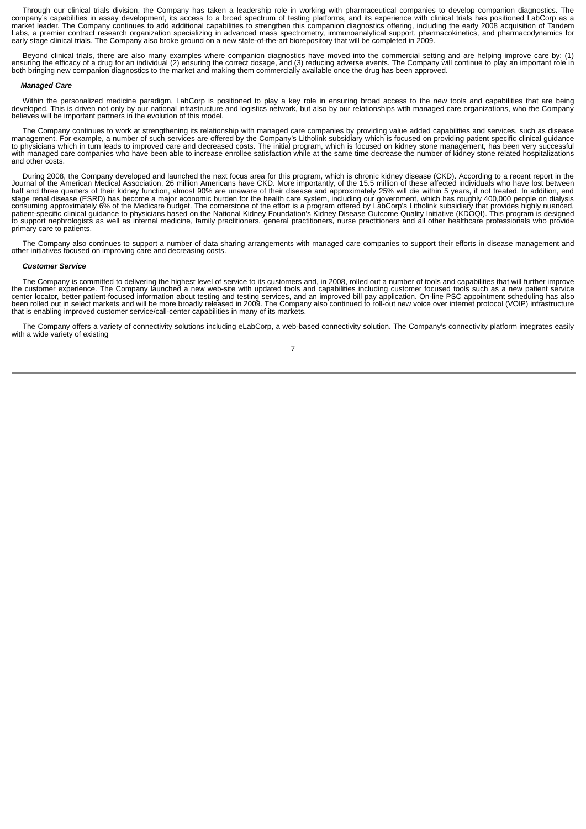Through our clinical trials division, the Company has taken a leadership role in working with pharmaceutical companies to develop companion diagnostics. The company's capabilities in assay development, its access to a broad spectrum of testing platforms, and its experience with clinical trials has positioned LabCorp as a<br>market leader. The Company continues to add additional c early stage clinical trials. The Company also broke ground on a new state-of-the-art biorepository that will be completed in 2009.

Beyond clinical trials, there are also many examples where companion diagnostics have moved into the commercial setting and are helping improve care by: (1) ensuring the efficacy of a drug for an individual (2) ensuring the correct dosage, and (3) reducing adverse events. The Company will continue to play an important role in<br>both bringing new companion diagnostics to the mark

#### *Managed Care*

Within the personalized medicine paradigm, LabCorp is positioned to play a key role in ensuring broad access to the new tools and capabilities that are being<br>developed. This is driven not only by our national infrastructur believes will be important partners in the evolution of this model.

The Company continues to work at strengthening its relationship with managed care companies by providing value added capabilities and services, such as disease<br>management. For example, a number of such services are offered with managed care companies who have been able to increase enrollee satisfaction while at the same time decrease the number of kidney stone related hospitalizations and other costs.

During 2008, the Company developed and launched the next focus area for this program, which is chronic kidney disease (CKD). According to a recent report in the<br>Journal of the American Medical Association, 26 million Ameri stage renal disease (ESRD) has become a major economic burden for the health care system, including our government, which has roughly 400,000 people on dialysis<br>panieming approximately 6% of the Medicare budget. The corner primary care to patients.

The Company also continues to support a number of data sharing arrangements with managed care companies to support their efforts in disease management and other initiatives focused on improving care and decreasing costs.

#### *Customer Service*

The Company is committed to delivering the highest level of service to its customers and, in 2008, rolled out a number of tools and capabilities that will further improve the customer experience. The Company launched a new web-site with updated tools and capabilities including customer focused tools such as a new patient service<br>center locator, better patient-focused information about testi that is enabling improved customer service/call-center capabilities in many of its markets.

The Company offers a variety of connectivity solutions including eLabCorp, a web-based connectivity solution. The Company's connectivity platform integrates easily with a wide variety of existing

|  |   | I |  |
|--|---|---|--|
|  |   |   |  |
|  | I |   |  |
|  |   |   |  |
|  |   |   |  |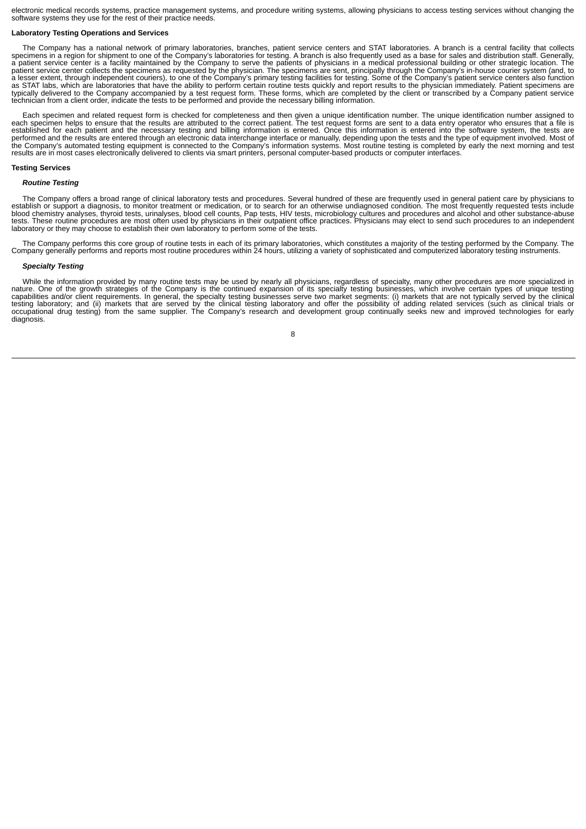electronic medical records systems, practice management systems, and procedure writing systems, allowing physicians to access testing services without changing the software systems they use for the rest of their practice needs.

#### **Laboratory Testing Operations and Services**

The Company has a national network of primary laboratories, branches, patient service centers and STAT laboratories. A branch is a central facility that collects<br>specimens in a region for shipment to one of the Company's l patient service center collects the specimens as requested by the physician. The specimens are sent, principally through the Company's in-house courier system (and, to<br>a lesser extent, through independent couriers), to one typically delivered to the Company accompanied by a test request form. These forms, which are completed by the client or transcribed by a Company patient service technician from a client order, indicate the tests to be performed and provide the necessary billing information.

Each specimen and related request form is checked for completeness and then given a unique identification number. The unique identification number assigned to each specimen helps to ensure that the results are attributed to the correct patient. The test request forms are sent to a data entry operator who ensures that a file is<br>established for each patient and the necessary testi performed and the results are entered through an electronic data interchange interface or manually, depending upon the tests and the type of equipment involved. Most of the Company's automated testing equipment is connected to the Company's information systems. Most routine testing is completed by early the next morning and test results are in most cases electronically delivered to clients via smart printers, personal computer-based products or computer interfaces.

#### **Testing Services**

#### *Routine Testing*

The Company offers a broad range of clinical laboratory tests and procedures. Several hundred of these are frequently used in general patient care by physicians to establish or support a diagnosis, to monitor treatment or medication, or to search for an otherwise undiagnosed condition. The most frequently requested tests include<br>blood chemistry analyses, thyroid tests, urinalyses, bl laboratory or they may choose to establish their own laboratory to perform some of the tests.

The Company performs this core group of routine tests in each of its primary laboratories, which constitutes a majority of the testing performed by the Company. The Company generally performs and reports most routine procedures within 24 hours, utilizing a variety of sophisticated and computerized laboratory testing instruments.

#### *Specialty Testing*

While the information provided by many routine tests may be used by nearly all physicians, regardless of specialty, many other procedures are more specialized in nature. One of the growth strategies of the Company is the continued expansion of its specialty testing businesses, which involve certain types of unique testing<br>capabilities and/or client requirements. In general, the spe occupational drug testing) from the same supplier. The Company's research and development group continually seeks new and improved technologies for early diagnosis.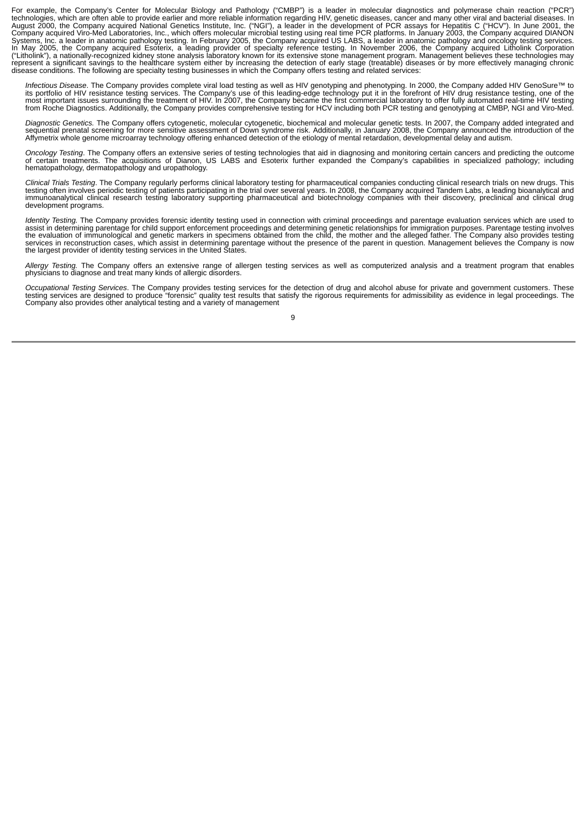For example, the Company's Center for Molecular Biology and Pathology ("CMBP") is a leader in molecular diagnostics and polymerase chain reaction ("PCR")<br>technologies, which are often able to provide earlier and more relia Systems, Inc. a leader in anatomic pathology testing. In February 2005, the Company acquired US LABS, a leader in anatomic pathology and oncology testing services.<br>In May 2005, the Company acquired Esoterix, a leading prov disease conditions. The following are specialty testing businesses in which the Company offers testing and related services:

*Infectious Disease*. The Company provides complete viral load testing as well as HIV genotyping and phenotyping. In 2000, the Company added HIV GenoSure™ to its portfolio of HIV resistance testing services. The Company's use of this leading-edge technology put it in the forefront of HIV drug resistance testing, one of the<br>most important issues surrounding the treatment of HIV.

*Diagnostic Genetics.* The Company offers cytogenetic, molecular cytogenetic, biochemical and molecular genetic tests. In 2007, the Company added integrated and<br>sequential prenatal screening for more sensitive assessment o Affymetrix whole genome microarray technology offering enhanced detection of the etiology of mental retardation, developmental delay and autism.

*Oncology Testing.* The Company offers an extensive series of testing technologies that aid in diagnosing and monitoring certain cancers and predicting the outcome<br>of certain treatments. The acquisitions of Dianon, US LABS hematopathology, dermatopathology and uropathology.

*Clinical Trials Testing*. The Company regularly performs clinical laboratory testing for pharmaceutical companies conducting clinical research trials on new drugs. This testing often involves periodic testing of patients participating in the trial over several years. In 2008, the Company acquired Tandem Labs, a leading bioanalytical and immunoanalytical clinical research testing laboratory supporting pharmaceutical and biotechnology companies with their discovery, preclinical and clinical drug development programs.

*Identity Testing.* The Company provides forensic identity testing used in connection with criminal proceedings and parentage evaluation services which are used to assist in determining parentage for child support enforcement proceedings and determining genetic relationships for immigration purposes. Parentage testing involves<br>the evaluation of immunological and genetic markers in sp services in reconstruction cases, which assist in determining parentage without the presence of the parent in question. Management believes the Company is now<br>the largest provider of identity testing services in the United

*Allergy Testing.* The Company offers an extensive range of allergen testing services as well as computerized analysis and a treatment program that enables physicians to diagnose and treat many kinds of allergic disorders.

*Occupational Testing Services*. The Company provides testing services for the detection of drug and alcohol abuse for private and government customers. These testing services are designed to produce "forensic" quality test results that satisfy the rigorous requirements for admissibility as evidence in legal proceedings. The Company also provides other analytical testing and a variety of management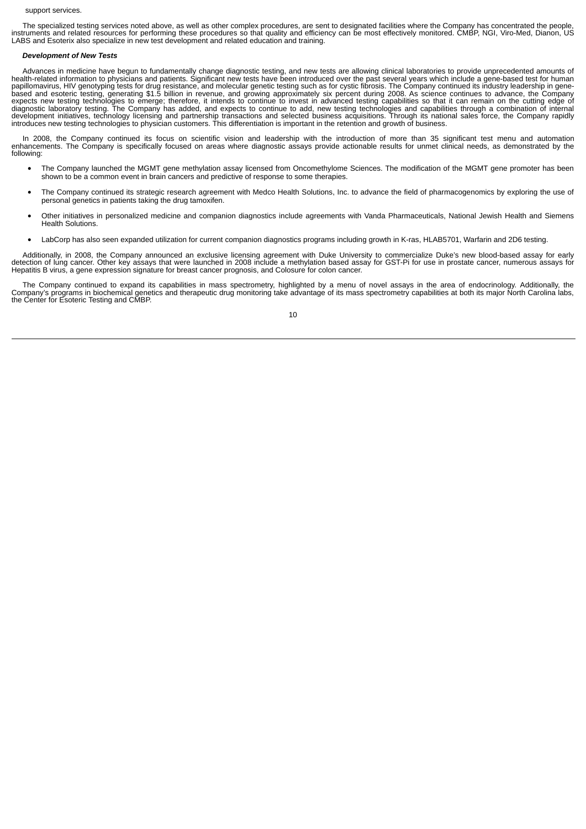#### support services.

The specialized testing services noted above, as well as other complex procedures, are sent to designated facilities where the Company has concentrated the people, instruments and related resources for performing these procedures so that quality and efficiency can be most effectively monitored. CMBP, NGI, Viro-Med, Dianon, US LABS and Esoterix also specialize in new test development and related education and training.

#### *Development of New Tests*

Advances in medicine have begun to fundamentally change diagnostic testing, and new tests are allowing clinical laboratories to provide unprecedented amounts of health-related information to physicians and patients. Significant new tests have been introduced over the past several years which include a gene-based test for human<br>papillomavirus, HIV genotyping tests for drug resistan expects new testing technologies to emerge; therefore, it intends to continue to invest in advanced testing capabilities so that it can remain on the cutting edge of<br>diagnostic laboratory testing. The Company has added, an introduces new testing technologies to physician customers. This differentiation is important in the retention and growth of business.

In 2008, the Company continued its focus on scientific vision and leadership with the introduction of more than 35 significant test menu and automation enhancements. The Company is specifically focused on areas where diagnostic assays provide actionable results for unmet clinical needs, as demonstrated by the following:

- **•** The Company launched the MGMT gene methylation assay licensed from Oncomethylome Sciences. The modification of the MGMT gene promoter has been shown to be a common event in brain cancers and predictive of response to some therapies.
- **•** The Company continued its strategic research agreement with Medco Health Solutions, Inc. to advance the field of pharmacogenomics by exploring the use of personal genetics in patients taking the drug tamoxifen.
- **•** Other initiatives in personalized medicine and companion diagnostics include agreements with Vanda Pharmaceuticals, National Jewish Health and Siemens Health Solutions.
- **•** LabCorp has also seen expanded utilization for current companion diagnostics programs including growth in K-ras, HLAB5701, Warfarin and 2D6 testing.

Additionally, in 2008, the Company announced an exclusive licensing agreement with Duke University to commercialize Duke's new blood-based assay for early<br>detection of lung cancer. Other key assays that were launched in 20 Hepatitis B virus, a gene expression signature for breast cancer prognosis, and Colosure for colon cancer.

The Company continued to expand its capabilities in mass spectrometry, highlighted by a menu of novel assays in the area of endocrinology. Additionally, the<br>Company's programs in biochemical genetics and therapeutic drug m

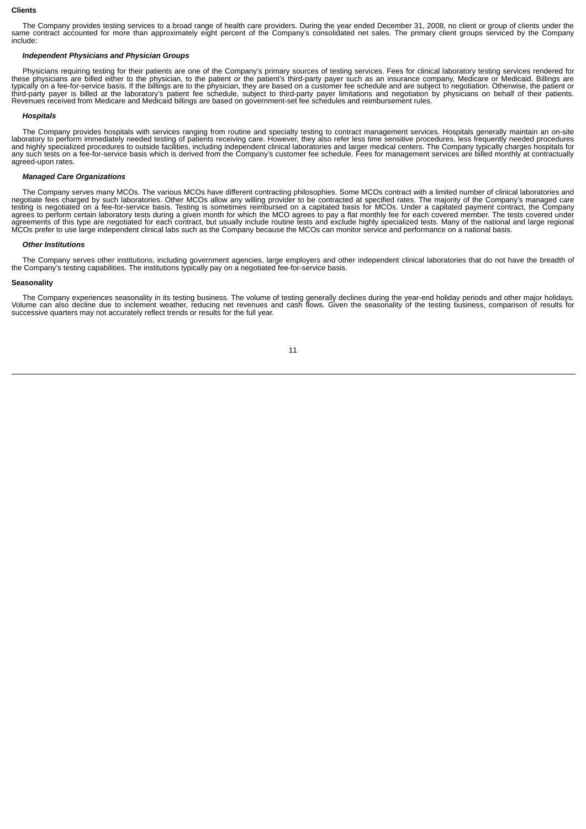#### **Clients**

The Company provides testing services to a broad range of health care providers. During the year ended December 31, 2008, no client or group of clients under the same contract accounted for more than approximately eight percent of the Company's consolidated net sales. The primary client groups serviced by the Company include:

#### *Independent Physicians and Physician Groups*

Physicians requiring testing for their patients are one of the Company's primary sources of testing services. Fees for clinical laboratory testing services rendered for these physicians are billed either to the physician, to the patient or the patient's third-party payer such as an insurance company, Medicare or Medicaid. Billings are<br>typically on a fee-for-service basis. If the billings third-party payer is billed at the laboratory's patient fee schedule, subject to third-party payer limitations and negotiation by physicians on behalf of their patients. Revenues received from Medicare and Medicaid billings are based on government-set fee schedules and reimbursement rules.

#### *Hospitals*

The Company provides hospitals with services ranging from routine and specialty testing to contract management services. Hospitals generally maintain an on-site<br>laboratory to perform immediately needed testing of patients any such tests on a fee-for-service basis which is derived from the Company's customer fee schedule. Fees for management services are billed monthly at contractually agreed-upon rates.

# *Managed Care Organizations*

The Company serves many MCOs. The various MCOs have different contracting philosophies. Some MCOs contract with a limited number of clinical laboratories and<br>negotiate fees charged by such laboratories. Other MCOs allow an agrees to perform certain laboratory tests during a given month for which the MCO agrees to pay a flat monthly fee for each covered member. The tests covered under agreements of this type are negotiated for each contract, but usually include routine tests and exclude highly specialized tests. Many of the national and large regional<br>MCOs prefer to use large independent clinical labs s

#### *Other Institutions*

The Company serves other institutions, including government agencies, large employers and other independent clinical laboratories that do not have the breadth of the Company's testing capabilities. The institutions typically pay on a negotiated fee-for-service basis.

#### **Seasonality**

The Company experiences seasonality in its testing business. The volume of testing generally declines during the year-end holiday periods and other major holidays.<br>Volume can also decline due to inclement weather, reducing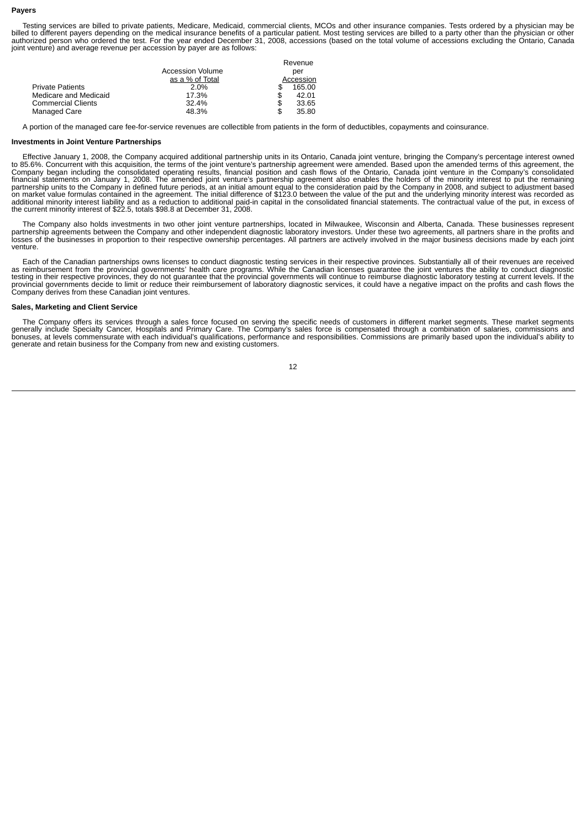# **Payers**

Testing services are billed to private patients, Medicare, Medicaid, commercial clients, MCOs and other insurance companies. Tests ordered by a physician may be billed to different payers depending on the medical insurance benefits of a particular patient. Most testing services are billed to a party other than the physician or other authorized person who ordered the test. For the year ended December 31, 2008, accessions (based on the total volume of accessions excluding the Ontario, Canada joint venture) and average revenue per accession by payer are as follows:

|                         |    | Revenue   |
|-------------------------|----|-----------|
| <b>Accession Volume</b> |    | per       |
| as a % of Total         |    | Accession |
| 2.0%                    | æ. | 165.00    |
| 17.3%                   | \$ | 42.01     |
| 32.4%                   | \$ | 33.65     |
| 48.3%                   | \$ | 35.80     |
|                         |    |           |

A portion of the managed care fee-for-service revenues are collectible from patients in the form of deductibles, copayments and coinsurance.

#### **Investments in Joint Venture Partnerships**

Effective January 1, 2008, the Company acquired additional partnership units in its Ontario, Canada joint venture, bringing the Company's percentage interest owned to 85.6%. Concurrent with this acquisition, the terms of the joint venture's partnership agreement were amended. Based upon the amended terms of this agreement, the Company began including the consolidated operating results, financial position and cash flows of the Ontario, Canada joint venture in the Company's consolidated<br>financial statements on January 1, 2008. The amended joint ve partnership units to the Company in defined future periods, at an initial amount equal to the consideration paid by the Company in 2008, and subject to adjustment based on market value formulas contained in the agreement. The initial difference of \$123.0 between the value of the put and the underlying minority interest was recorded as<br>additional minority interest liability and as a reduct

The Company also holds investments in two other joint venture partnerships, located in Milwaukee, Wisconsin and Alberta, Canada. These businesses represent<br>partnership agreements between the Company and other independent d losses of the businesses in proportion to their respective ownership percentages. All partners are actively involved in the major business decisions made by each joint venture.

Each of the Canadian partnerships owns licenses to conduct diagnostic testing services in their respective provinces. Substantially all of their revenues are received as reimbursement from the provincial governments' health care programs. While the Canadian licenses guarantee the joint ventures the ability to conduct diagnostic<br>provincial governments decide to limit or reduce their reim

#### **Sales, Marketing and Client Service**

The Company offers its services through a sales force focused on serving the specific needs of customers in different market segments. These market segments generally include Specialty Cancer, Hospitals and Primary Care. T generate and retain business for the Company from new and existing customers.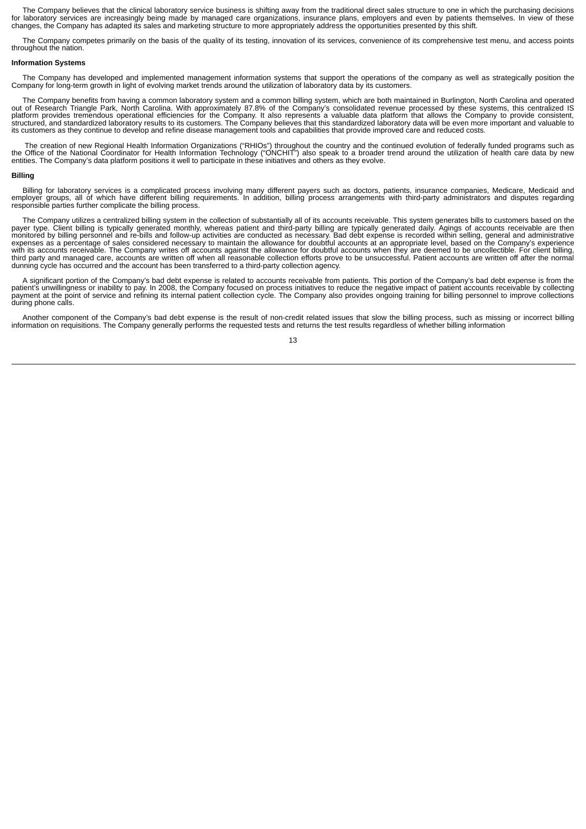The Company believes that the clinical laboratory service business is shifting away from the traditional direct sales structure to one in which the purchasing decisions for laboratory services are increasingly being made by managed care organizations, insurance plans, employers and even by patients themselves. In view of these<br>changes, the Company has adapted its sales and marketing struc

The Company competes primarily on the basis of the quality of its testing, innovation of its services, convenience of its comprehensive test menu, and access points throughout the nation.

#### **Information Systems**

The Company has developed and implemented management information systems that support the operations of the company as well as strategically position the Company for long-term growth in light of evolving market trends around the utilization of laboratory data by its customers.

The Company benefits from having a common laboratory system and a common billing system, which are both maintained in Burlington, North Carolina and operated<br>out of Research Triangle Park, North Carolina. With approximatel

The creation of new Regional Health Information Organizations ("RHIOs") throughout the country and the continued evolution of federally funded programs such as<br>the Office of the National Coordinator for Health Information

#### **Billing**

Billing for laboratory services is a complicated process involving many different payers such as doctors, patients, insurance companies, Medicare, Medicaid and<br>employer groups, all of which have different billing requireme

The Company utilizes a centralized billing system in the collection of substantially all of its accounts receivable. This system generates bills to customers based on the<br>payer type. Client billing is typically generated m with its accounts receivable. The Company writes off accounts against the allowance for doubtful accounts when they are deemed to be uncollectible. For client billing,<br>third party and managed care, accounts are written off dunning cycle has occurred and the account has been transferred to a third-party collection agency.

A significant portion of the Company's bad debt expense is related to accounts receivable from patients. This portion of the Company's bad debt expense is from the<br>patient's unwillingness or inability to pay. In 2008, the during phone calls.

Another component of the Company's bad debt expense is the result of non-credit related issues that slow the billing process, such as missing or incorrect billing<br>information on requisitions. The Company generally performs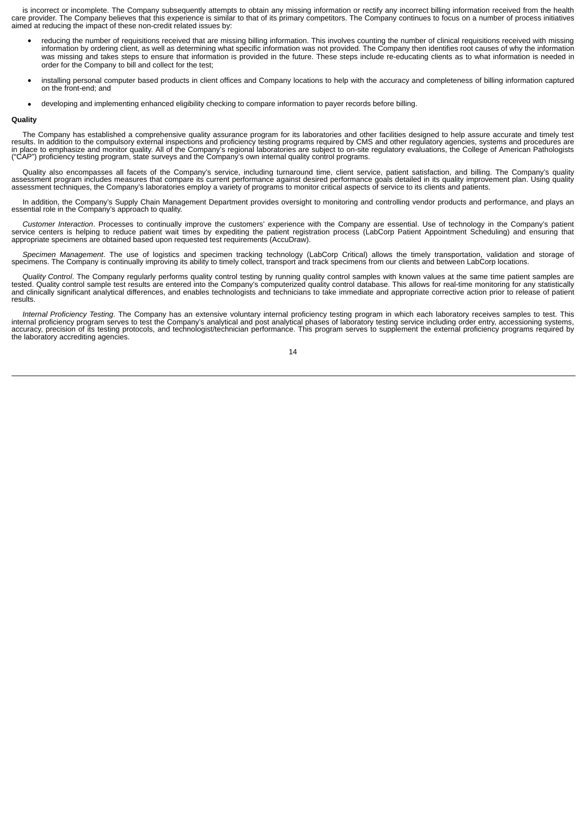is incorrect or incomplete. The Company subsequently attempts to obtain any missing information or rectify any incorrect billing information received from the health<br>care provider. The Company believes that this experience

- reducing the number of requisitions received that are missing billing information. This involves counting the number of clinical requisitions received with missing<br>information by ordering client, as well as determining w was missing and takes steps to ensure that information is provided in the future. These steps include re-educating clients as to what information is needed in order for the Company to bill and collect for the test;
- **•** installing personal computer based products in client offices and Company locations to help with the accuracy and completeness of billing information captured on the front-end; and
- **•** developing and implementing enhanced eligibility checking to compare information to payer records before billing.

### **Quality**

The Company has established a comprehensive quality assurance program for its laboratories and other facilities designed to help assure accurate and timely test<br>results. In addition to the compulsory external inspections a

Quality also encompasses all facets of the Company's service, including turnaround time, client service, patient satisfaction, and billing. The Company's quality assessment program includes measures that compare its current performance against desired performance goals detailed in its quality improvement plan. Using quality assessment techniques, the Company's laboratories employ a variety of programs to monitor critical aspects of service to its clients and patients.

In addition, the Company's Supply Chain Management Department provides oversight to monitoring and controlling vendor products and performance, and plays an essential role in the Company's approach to quality.

Customer Interaction. Processes to continually improve the customers' experience with the Company are essential. Use of technology in the Company's patient<br>service centers is helping to reduce patient wait times by expedit

*Specimen Management*. The use of logistics and specimen tracking technology (LabCorp Critical) allows the timely transportation, validation and storage of specimens. The Company is continually improving its ability to timely collect, transport and track specimens from our clients and between LabCorp locations.

*Quality Control*. The Company regularly performs quality control testing by running quality control samples with known values at the same time patient samples are tested. Quality control sample test results are entered into the Company's computerized quality control database. This allows for real-time monitoring for any statistically<br>and clinically significant analytical differences results.

*Internal Proficiency Testing*. The Company has an extensive voluntary internal proficiency testing program in which each laboratory receives samples to test. This internal proficiency program serves to test the Company's analytical and post analytical phases of laboratory testing service including order entry, accessioning systems,<br>accuracy, precision of its testing protocols, and t the laboratory accrediting agencies.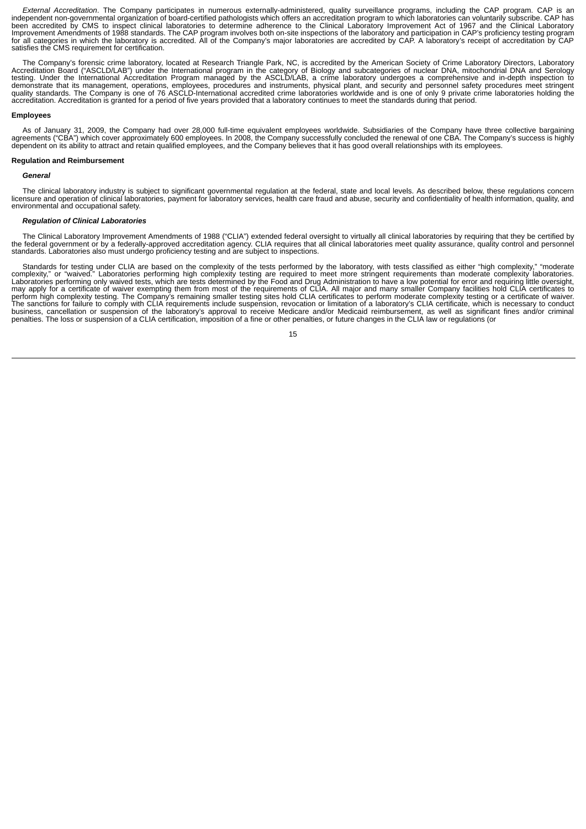*External Accreditation*. The Company participates in numerous externally-administered, quality surveillance programs, including the CAP program. CAP is an independent non-governmental organization of board-certified pathologists which offers an accreditation program to which laboratories can voluntarily subscribe. CAP has<br>been accredited by CMS to inspect clinical laboratori Improvement Amendments of 1988 standards. The CAP program involves both on-site inspections of the laboratory and participation in CAP's proficiency testing program for all categories in which the laboratory is accredited. All of the Company's major laboratories are accredited by CAP. A laboratory's receipt of accreditation by CAP satisfies the CMS requirement for certification.

The Company's forensic crime laboratory, located at Research Triangle Park, NC, is accredited by the American Society of Crime Laboratory Directors, Laboratory<br>Accreditation Board ("ASCLD/LAB") under the International prog quality standards. The Company is one of 76 ASCLD-International accredited crime laboratories worldwide and is one of only 9 private crime laboratories holding the accreditation. Accreditation is granted for a period of five years provided that a laboratory continues to meet the standards during that period.

#### **Employees**

As of January 31, 2009, the Company had over 28,000 full-time equivalent employees worldwide. Subsidiaries of the Company have three collective bargaining agreements ("СВА") which cover approximately 600 employees. In 2008, the Company successfully concluded the renewal of one СВА. The Company's success is highly<br>dependent on its ability to attract and retain qualified empl

#### **Regulation and Reimbursement**

#### *General*

The clinical laboratory industry is subject to significant governmental regulation at the federal, state and local levels. As described below, these regulations concern licensure and operation of clinical laboratories, payment for laboratory services, health care fraud and abuse, security and confidentiality of health information, quality, and environmental and occupational safety.

#### *Regulation of Clinical Laboratories*

The Clinical Laboratory Improvement Amendments of 1988 ("CLIA") extended federal oversight to virtually all clinical laboratories by requiring that they be certified by<br>the federal government or by a federally-approved acc

Standards for testing under CLIA are based on the complexity of the tests performed by the laboratory, with tests classified as either "high complexity," "moderate complexity," or "waived." Laboratories performing high com business, cancellation or suspension of the laboratory's approval to receive Medicare and/or Medicaid reimbursement, as well as significant fines and/or criminal penalties. The loss or suspension of a CLIA certification, imposition of a fine or other penalties, or future changes in the CLIA law or regulations (or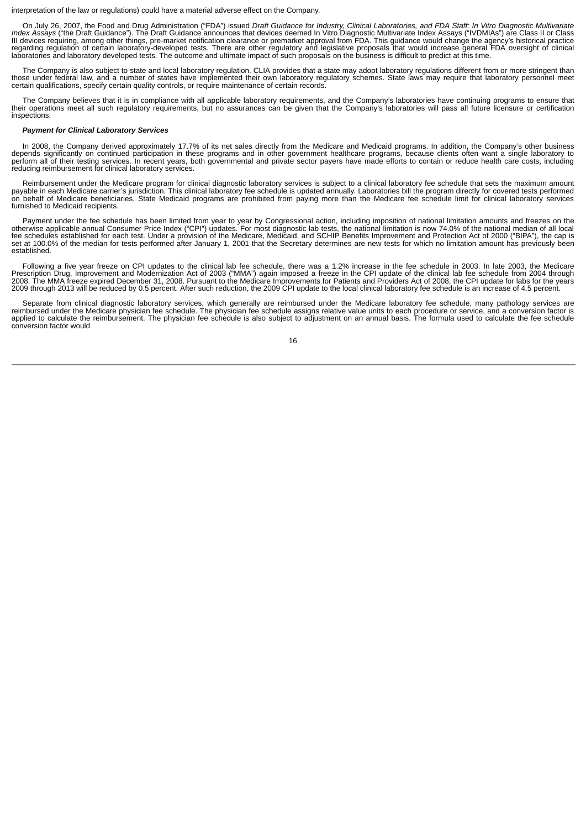interpretation of the law or regulations) could have a material adverse effect on the Company.

On July 26, 2007, the Food and Drug Administration ("FDA") issued *Draft Guidance for Industry, Clinical Laboratories, and FDA Staff: In Vitro Diagnostic Multivariate<br>Index Assays ("the Draft Guidance"). The Draft Guidance* III devices requiring, among other things, pre-market notification clearance or premarket approval from FDA. This guidance would change the agency's historical practice<br>regarding regulation of certain laboratory-developed

The Company is also subject to state and local laboratory regulation. CLIA provides that a state may adopt laboratory regulations different from or more stringent than<br>those under federal law, and a number of states have i

The Company believes that it is in compliance with all applicable laboratory requirements, and the Company's laboratories have continuing programs to ensure that<br>their operations meet all such regulatory requirements, but inspections.

#### *Payment for Clinical Laboratory Services*

In 2008, the Company derived approximately 17.7% of its net sales directly from the Medicare and Medicaid programs. In addition, the Company's other business depends significantly on continued participation in these programs and in other government healthcare programs, because clients often want a single laboratory to<br>perform all of their testing services. In recent years, both

Reimbursement under the Medicare program for clinical diagnostic laboratory services is subject to a clinical laboratory fee schedule that sets the maximum amount<br>payable in each Medicare carrier's jurisdiction. This clini on behalf of Medicare beneficiaries. State Medicaid programs are prohibited from paying more than the Medicare fee schedule limit for clinical laboratory services furnished to Medicaid recipients.

Payment under the fee schedule has been limited from year to year by Congressional action, including imposition of national limitation amounts and freezes on the otherwise applicable annual Consumer Price Index ("CPI") updates. For most diagnostic lab tests, the national limitation is now 74.0% of the national median of all local<br>fee schedules established for each test. Under a pro established.

Following a five year freeze on CPI updates to the clinical lab fee schedule, there was a 1.2% increase in the fee schedule in 2003. In late 2003, the Medicare Prescription Drug, Improvement and Modernization Act of 2003 ("MMA") again imposed a freeze in the CPI update of the clinical lab fee schedule from 2004 through<br>2008. The MMA freeze expired December 31, 2008. Pursuant to t

Separate from clinical diagnostic laboratory services, which generally are reimbursed under the Medicare laboratory fee schedule, many pathology services are reimbursed under the Medicare physician fee schedule. The physic conversion factor would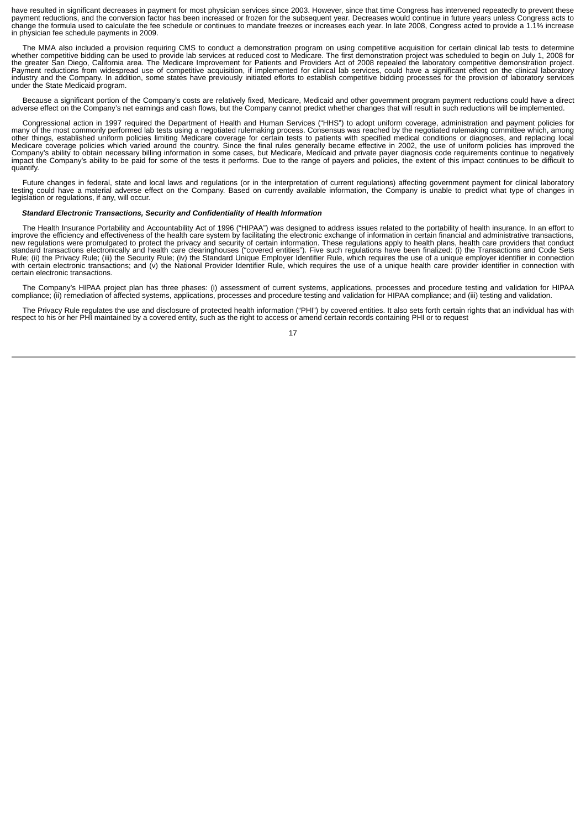have resulted in significant decreases in payment for most physician services since 2003. However, since that time Congress has intervened repeatedly to prevent these<br>payment reductions, and the conversion factor has been in physician fee schedule payments in 2009.

The MMA also included a provision requiring CMS to conduct a demonstration program on using competitive acquisition for certain clinical lab tests to determine whether competitive bidding can be used to provide lab service

Because a significant portion of the Company's costs are relatively fixed, Medicare, Medicaid and other government program payment reductions could have a direct<br>adverse effect on the Company's net earnings and cash flows,

Congressional action in 1997 required the Department of Health and Human Services ("HHS") to adopt uniform coverage, administration and payment policies for<br>many of the most commonly performed lab tests using a negotiated other things, established uniform policies limiting Medicare coverage for certain tests to patients with specified medical conditions or diagnoses, and replacing local Medicare coverage policies which varied around the country. Since the final rules generally became effective in 2002, the use of uniform policies has improved the<br>Company's ability to obtain necessary billing information i quantify.

Future changes in federal, state and local laws and regulations (or in the interpretation of current regulations) affecting government payment for clinical laboratory testing could have a material adverse effect on the Company. Based on currently available information, the Company is unable to predict what type of changes in legislation or regulations, if any, will occur.

### *Standard Electronic Transactions, Security and Confidentiality of Health Information*

The Health Insurance Portability and Accountability Act of 1996 ("HIPAA") was designed to address issues related to the portability of health insurance. In an effort to improve the efficiency and effectiveness of the health care system by facilitating the electronic exchange of information in certain financial and administrative transactions,<br>stendard transactions electronically and healt certain electronic transactions.

The Company's HIPAA project plan has three phases: (i) assessment of current systems, applications, processes and procedure testing and validation for HIPAA<br>Compliance; (ii) remediation of affected systems, applications, p

The Privacy Rule regulates the use and disclosure of protected health information ("PHI") by covered entities. It also sets forth certain rights that an individual has with respect to his or her PHI maintained by a covered entity, such as the right to access or amend certain records containing PHI or to request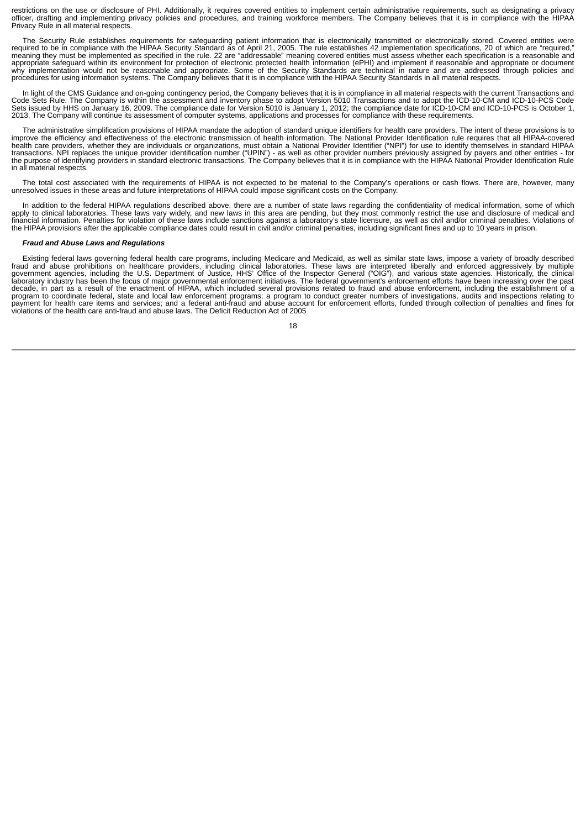restrictions on the use or disclosure of PHI. Additionally, it requires covered entities to implement certain administrative requirements, such as designating a privacy officer, drafting and implementing privacy policies and procedures, and training workforce members. The Company believes that it is in compliance with the HIPAA Privacy Rule in all material respects.

The Security Rule establishes requirements for safeguarding patient information that is electronically transmitted or electronically stored. Covered entities were required to be in compliance with the HIPAA Security Standa

In light of the CMS Guidance and on-going contingency period, the Company believes that it is in compliance in all material respects with the current Transactions and Code Sets Rule. The Company is within the assessment and inventory phase to adopt Version 5010 Transactions and to adopt the ICD-10-CM and ICD-10-PCS Code<br>Sets issued by HHS on January 16, 2009. The compliance date for Ver 2013. The Company will continue its assessment of computer systems, applications and processes for compliance with these requirements.

The administrative simplification provisions of HIPAA mandate the adoption of standard unique identifiers for health care providers. The intent of these provisions is to improve the efficiency and effectiveness of the electronic transmission of health information. The National Provider Identification rule requires that all HIPAA-covered<br>health care providers, whether they are individuals o transactions. NPI replaces the unique provider identification number ("UPIN") - as well as other provider numbers previously assigned by payers and other entities - for<br>the purpose of identifying providers in standard elec in all material respects.

The total cost associated with the requirements of HIPAA is not expected to be material to the Company's operations or cash flows. There are, however, many unresolved issues in these areas and future interpretations of HIPAA could impose significant costs on the Company.

In addition to the federal HIPAA regulations described above, there are a number of state laws regarding the confidentiality of medical information, some of which<br>apply to clinical laboratories. These laws vary widely, and the HIPAA provisions after the applicable compliance dates could result in civil and/or criminal penalties, including significant fines and up to 10 years in prison.

#### *Fraud and Abuse Laws and Regulations*

Existing federal laws governing federal health care programs, including Medicare and Medicaid, as well as similar state laws, impose a variety of broadly described<br>fraud and abuse prohibitions on healthcare providers, incl program to coordinate federal, state and local law enforcement programs; a program to conduct greater numbers of investigations, audits and inspections relating to<br>payment for health care items and services; and a federal violations of the health care anti-fraud and abuse laws. The Deficit Reduction Act of 2005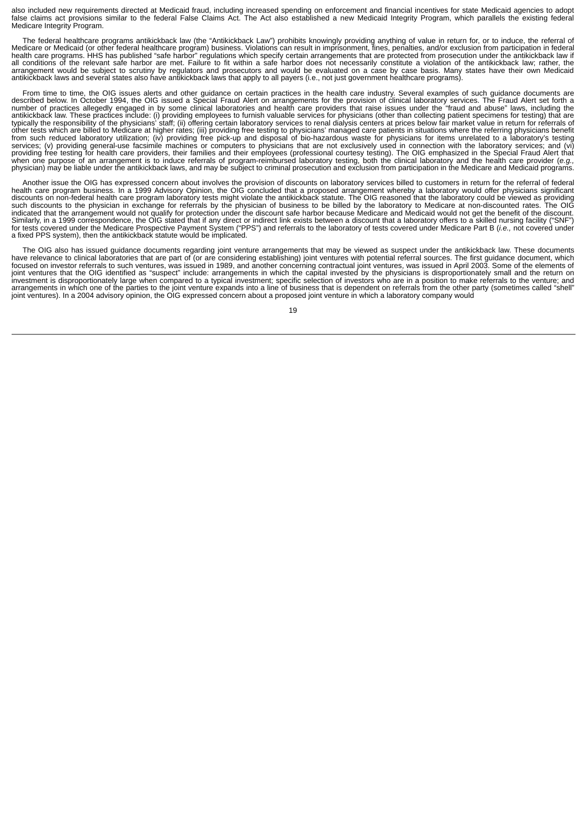also included new requirements directed at Medicaid fraud, including increased spending on enforcement and financial incentives for state Medicaid agencies to adopt<br>false claims act provisions similar to the federal False Medicare Integrity Program.

The federal healthcare programs antikickback law (the "Antikickback Law") prohibits knowingly providing anything of value in return for, or to induce, the referral of<br>Medicare or Medicaid (or other federal healthcare progr arrangement would be subject to scrutiny by regulators and prosecutors and would be evaluated on a case by case basis. Many states have their own Medicaid<br>antikickback laws and several states also have antikickback laws th

From time to time, the OIG issues alerts and other guidance on certain practices in the health care industry. Several examples of such guidance documents are described below. In October 1994, the OIG issued a Special Fraud antikickback law. These practices include: (i) providing employees to furnish valuable services for physicians (other than collecting patient specimens for testing) that are typically the responsibility of the physicians' physician) may be liable under the antikickback laws, and may be subject to criminal prosecution and exclusion from participation in the Medicare and Medicaid programs.

Another issue the OIG has expressed concern about involves the provision of discounts on laboratory services billed to customers in return for the referral of federal health care program business. In a 1999 Advisory Opinion, the OIG concluded that a proposed arrangement whereby a laboratory would offer physicians significant discounts on non-federal health care program laboratory tests might violate the antikickback statute. The OIG reasoned that the laboratory could be viewed as providing<br>such discounts to the physician in exchange for referr Similarly, in a 1999 correspondence, the OIG stated that if any direct or indirect link exists between a discount that a laboratory offers to a skilled nursing facility ("SNF")<br>for tests covered under the Medicare Prospect a fixed PPS system), then the antikickback statute would be implicated.

The OIG also has issued guidance documents regarding joint venture arrangements that may be viewed as suspect under the antikickback law. These documents<br>have relevance to clinical laboratories that are part of (or are con joint ventures that the OIG identified as "suspect" include: arrangements in which the capital invested by the physicians is disproportionately small and the return on<br>investment is disproportionately large when compared t arrangements in which one of the parties to the joint venture expands into a line of business that is dependent on referrals from the other party (sometimes called "shell"<br>joint ventures). In a 2004 advisory opinion, the O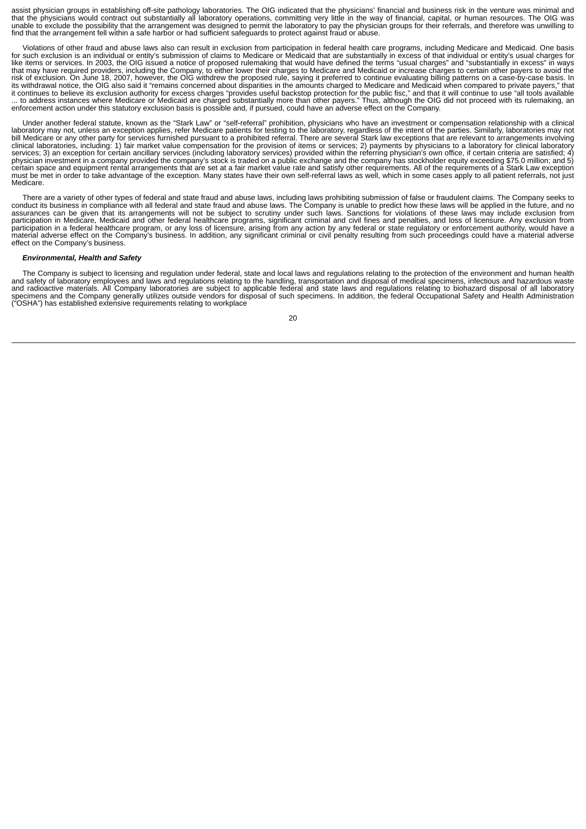assist physician groups in establishing off-site pathology laboratories. The OIG indicated that the physicians' financial and business risk in the venture was minimal and<br>that the physicians would contract out substantiall find that the arrangement fell within a safe harbor or had sufficient safeguards to protect against fraud or abuse.

Violations of other fraud and abuse laws also can result in exclusion from participation in federal health care programs, including Medicare and Medicaid. One basis<br>for such exclusion is an individual or entity's submissio like items or services. In 2003, the OIG issued a notice of proposed rulemaking that would have defined the terms "usual charges" and "substantially in excess" in ways that may have required providers, including the Company, to either lower their charges to Medicare and Medicaid or increase charges to certain other payers to avoid the risk of exclusion. On June 18, 2007, however, the OIG

Under another federal statute, known as the "Stark Law" or "self-referral" prohibition, physicians who have an investment or compensation relationship with a clinical<br>laboratory may not, unless an exception applies, refer bill Medicare or any other party for services furnished pursuant to a prohibited referral. There are several Stark law exceptions that are relevant to arrangements involving clinical laboratories, including: 1) fair market value compensation for the provision of items or services; 2) payments by physicians to a laboratory for clinical laboratory services; 3) an exception for certain ancillary Medicare.

There are a variety of other types of federal and state fraud and abuse laws, including laws prohibiting submission of false or fraudulent claims. The Company seeks to conduct its business in compliance with all federal and state fraud and abuse laws. The Company is unable to predict how these laws will be applied in the future, and no<br>assurances can be given that its arrangements will n participation in Medicare, Medicaid and other federal healthcare programs, significant criminal and civil fines and penalties, and loss of licensure. Any exclusion from<br>participation in a federal healthcare program, or any effect on the Company's business.

#### *Environmental, Health and Safety*

The Company is subject to licensing and regulation under federal, state and local laws and regulations relating to the protection of the environment and human health<br>and safety of laboratory employees and laws and regulati

<sup>20</sup>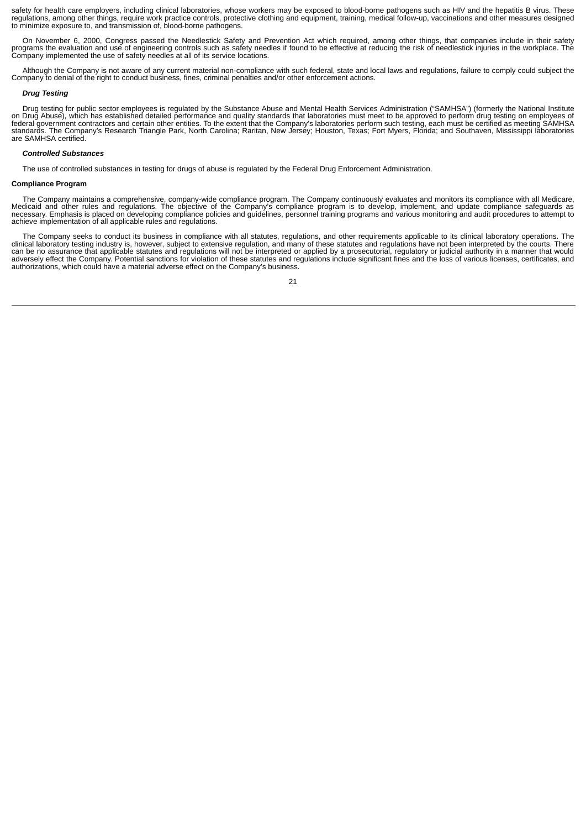safety for health care employers, including clinical laboratories, whose workers may be exposed to blood-borne pathogens such as HIV and the hepatitis B virus. These regulations, among other things, require work practice controls, protective clothing and equipment, training, medical follow-up, vaccinations and other measures designed<br>to minimize exposure to, and transmission of, blood-

On November 6, 2000, Congress passed the Needlestick Safety and Prevention Act which required, among other things, that companies include in their safety<br>programs the evaluation and use of engineering controls such as safe

Although the Company is not aware of any current material non-compliance with such federal, state and local laws and regulations, failure to comply could subject the<br>Company to denial of the right to conduct business, fine

#### *Drug Testing*

Drug testing for public sector employees is regulated by the Substance Abuse and Mental Health Services Administration ("SAMHSA") (formerly the National Institute<br>On Drug Abuse), which has established detailed performance standards. The Company's Research Triangle Park, North Carolina; Raritan, New Jersey; Houston, Texas; Fort Myers, Florida; and Southaven, Mississippi laboratories are SAMHSA certified.

#### *Controlled Substances*

The use of controlled substances in testing for drugs of abuse is regulated by the Federal Drug Enforcement Administration.

#### **Compliance Program**

The Company maintains a comprehensive, company-wide compliance program. The Company continuously evaluates and monitors its compliance with all Medicare, Medicaid and other rules and regulations. The objective of the Company's compliance program is to develop, implement, and update compliance safeguards as necessary. Emphasis is placed on developing compliance policies and guidelines, personnel training programs and various monitoring and audit procedures to attempt to achieve implementation of all applicable rules and regulations.

The Company seeks to conduct its business in compliance with all statutes, regulations, and other requirements applicable to its clinical laboratory operations. The<br>clinical laboratory testing industry is, however, subject adversely effect the Company. Potential sanctions for violation of these statutes and regulations include significant fines and the loss of various licenses, certificates, and authorizations, which could have a material adverse effect on the Company's business.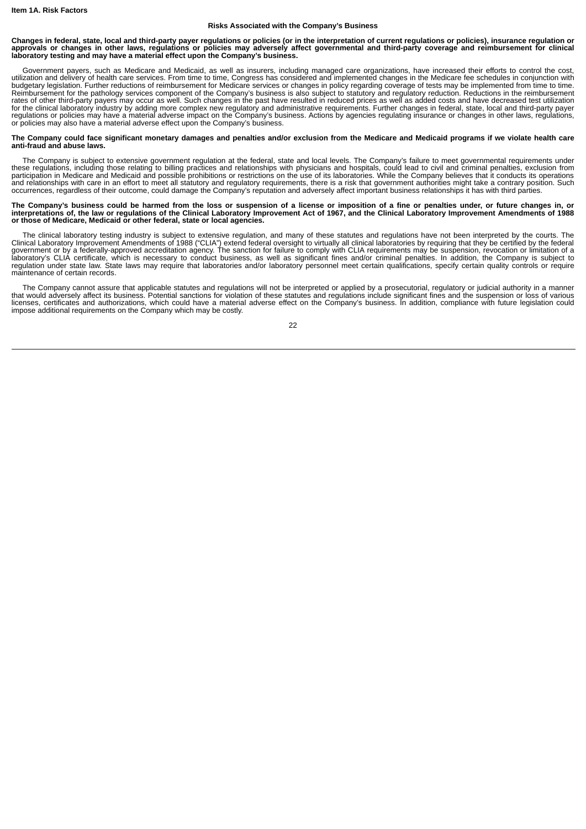#### **Risks Associated with the Company's Business**

**Changes in federal, state, local and third-party payer regulations or policies (or in the interpretation of current regulations or policies), insurance regulation or** approvals or changes in other laws, regulations or policies may adversely affect governmental and third-party coverage and reimbursement for clinical<br>Iaboratory testing and may have a material effect upon the Company's bus

Government payers, such as Medicare and Medicaid, as well as insurers, including managed care organizations, have increased their efforts to control the cost,<br>utilization and delivery of health care services. From time to budgetary legislation. Further reductions of reimbursement for Medicare services or changes in policy regarding coverage of tests may be implemented from time to time. Reimbursement for the pathology services component of the Company's business is also subject to statutory and regulatory reduction. Reductions in the reimbursement<br>rates of other third-party payers may occur as well. Such or policies may also have a material adverse effect upon the Company's business.

#### **The Company could face significant monetary damages and penalties and/or exclusion from the Medicare and Medicaid programs if we violate health care anti-fraud and abuse laws.**

The Company is subject to extensive government regulation at the federal, state and local levels. The Company's failure to meet governmental requirements under these regulations, including those relating to billing practices and relationships with physicians and hospitals, could lead to civil and criminal penalties, exclusion from<br>participation in Medicare and Medicaid and possib occurrences, regardless of their outcome, could damage the Company's reputation and adversely affect important business relationships it has with third parties.

# The Company's business could be harmed from the loss or suspension of a license or imposition of a fine or penalties under, or future changes in, or<br>interpretations of, the law or regulations of the Clinical Laboratory Imp **or those of Medicare, Medicaid or other federal, state or local agencies.**

The clinical laboratory testing industry is subject to extensive regulation, and many of these statutes and regulations have not been interpreted by the courts. The Clinical Laboratory Improvement Amendments of 1988 ("CLIA maintenance of certain records.

The Company cannot assure that applicable statutes and regulations will not be interpreted or applied by a prosecutorial, regulatory or judicial authority in a manner that would adversely affect its business. Potential sanctions for violation of these statutes and regulations include significant fines and the suspension or loss of various licenses, certificates and authorizations, which could have a material adverse effect on the Company's business. In addition, compliance with future legislation could impose additional requirements on the Company which may be costly.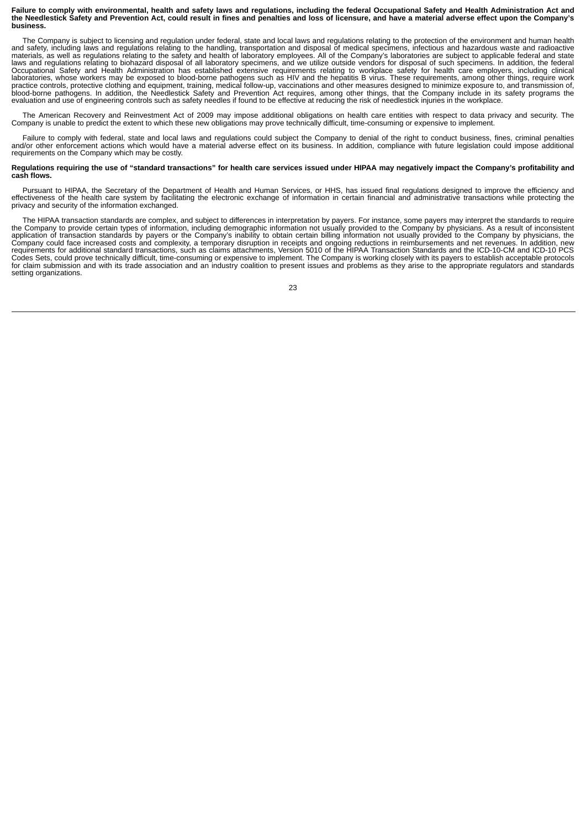**Failure to comply with environmental, health and safety laws and regulations, including the federal Occupational Safety and Health Administration Act and the Needlestick Safety and Prevention Act, could result in fines and penalties and loss of licensure, and have a material adverse effect upon the Company's business.**

The Company is subject to licensing and regulation under federal, state and local laws and regulations relating to the protection of the environment and human health and safety, including laws and regulations relating to the handling, transportation and disposal of medical specimens, infectious and hazardous waste and radioactive materials, as well as regulations relating to the safety blood-borne pathogens. In addition, the Needlestick Safety and Prevention Act requires, among other things, that the Company include in its safety programs the evaluation and use of engineering controls such as safety needles if found to be effective at reducing the risk of needlestick injuries in the workplace.

The American Recovery and Reinvestment Act of 2009 may impose additional obligations on health care entities with respect to data privacy and security. The Company is unable to predict the extent to which these new obligations may prove technically difficult, time-consuming or expensive to implement.

Failure to comply with federal, state and local laws and regulations could subject the Company to denial of the right to conduct business, fines, criminal penalties and/or other enforcement actions which would have a material adverse effect on its business. In addition, compliance with future legislation could impose additional requirements on the Company which may be costly.

#### **Regulations requiring the use of "standard transactions" for health care services issued under HIPAA may negatively impact the Company's profitability and cash flows.**

Pursuant to HIPAA, the Secretary of the Department of Health and Human Services, or HHS, has issued final regulations designed to improve the efficiency and effectiveness of the health care system by facilitating the electronic exchange of information in certain financial and administrative transactions while protecting the privacy and security of the information exchanged.

The HIPAA transaction standards are complex, and subject to differences in interpretation by payers. For instance, some payers may interpret the standards to require the Company to provide certain types of information, including demographic information not usually provided to the Company by physicians. As a result of inconsistent<br>application of transaction standards by payers or the Co Company could face increased costs and complexity, a temporary disruption in receipts and ongoing reductions in reimbursements and net revenues. In addition, new<br>requirements for additional standard transactions, such as c setting organizations.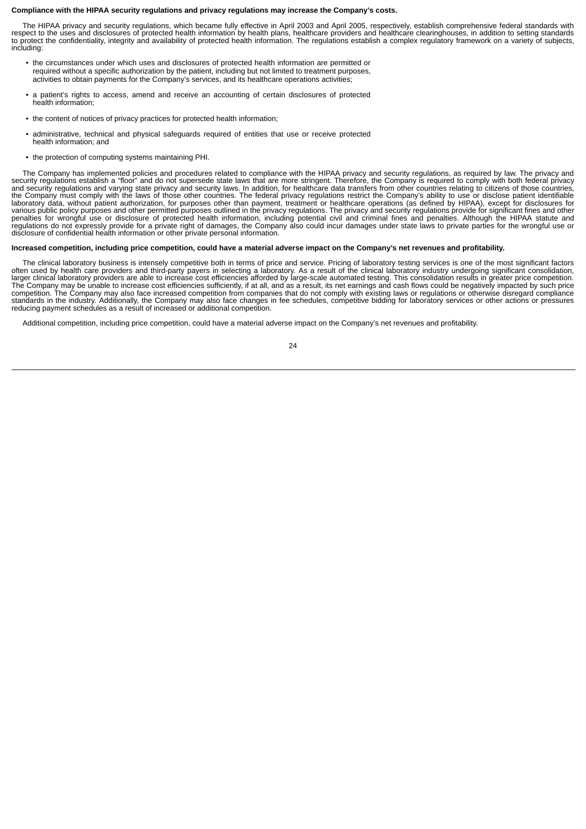### **Compliance with the HIPAA security regulations and privacy regulations may increase the Company's costs.**

The HIPAA privacy and security regulations, which became fully effective in April 2003 and April 2005, respectively, establish comprehensive federal standards with<br>respect to the uses and disclosures of protected health in to protect the confidentiality, integrity and availability of protected health information. The regulations establish a complex regulatory framework on a variety of subjects, including:

- the circumstances under which uses and disclosures of protected health information are permitted or required without a specific authorization by the patient, including but not limited to treatment purposes, activities to obtain payments for the Company's services, and its healthcare operations activities;
- a patient's rights to access, amend and receive an accounting of certain disclosures of protected health information;
- the content of notices of privacy practices for protected health information;
- administrative, technical and physical safeguards required of entities that use or receive protected health information; and
- the protection of computing systems maintaining PHI.

The Company has implemented policies and procedures related to compliance with the HIPAA privacy and security regulations, as required by law. The privacy and<br>security regulations establish a "floor" and do not supersede s the Company must comply with the laws of those other countries. The federal privacy regulations restrict the Company's ability to use or disclose patient identifiable laboratory data, without patient authorization, for pur

#### **Increased competition, including price competition, could have a material adverse impact on the Company's net revenues and profitability.**

The clinical laboratory business is intensely competitive both in terms of price and service. Pricing of laboratory testing services is one of the most significant factors<br>often used by health care providers and third-part competition. The Company may also face increased competition from companies that do not comply with existing laws or regulations or otherwise disregard compliance standards in the industry. Additionally, the Company may also face changes in fee schedules, competitive bidding for laboratory services or other actions or pressures reducing payment schedules as a result of increased or additional competition.

Additional competition, including price competition, could have a material adverse impact on the Company's net revenues and profitability.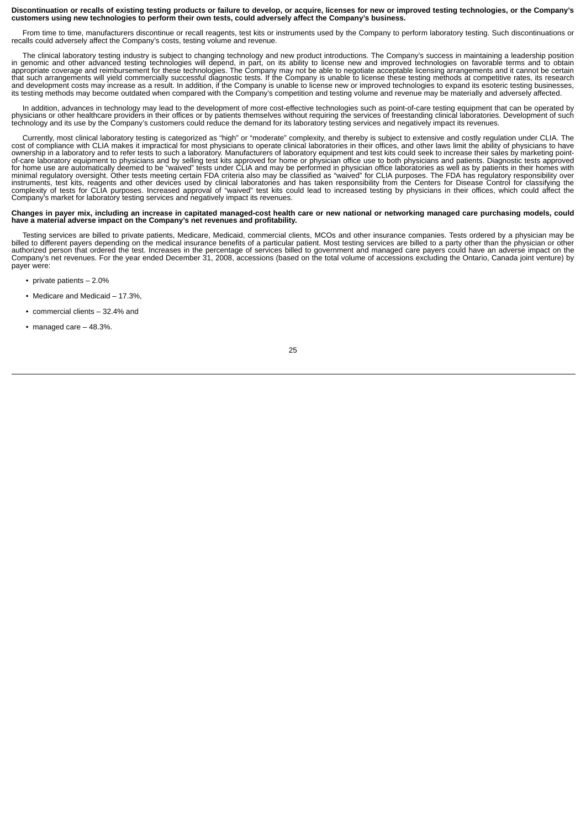#### **Discontinuation or recalls of existing testing products or failure to develop, or acquire, licenses for new or improved testing technologies, or the Company's customers using new technologies to perform their own tests, could adversely affect the Company's business.**

From time to time, manufacturers discontinue or recall reagents, test kits or instruments used by the Company to perform laboratory testing. Such discontinuations or recalls could adversely affect the Company's costs, testing volume and revenue.

The clinical laboratory testing industry is subject to changing technology and new product introductions. The Company's success in maintaining a leadership position in genomic and other advanced testing technologies will depend, in part, on its ability to license new and improved technologies on favorable terms and to obtain<br>that such arrangements will yield commercially successful di its testing methods may become outdated when compared with the Company's competition and testing volume and revenue may be materially and adversely affected.

In addition, advances in technology may lead to the development of more cost-effective technologies such as point-of-care testing equipment that can be operated by<br>physicians or other healthcare providers in their offices

Currently, most clinical laboratory testing is categorized as "high" or "moderate" complexity, and thereby is subject to extensive and costly regulation under CLIA. The cost of compliance with CLIA makes it impractical for most physicians to operate clinical laboratories in their offices, and other laws limit the ability of physicians to have<br>ownership in a laboratory and to refer tests t for home use are automatically deemed to be "waived" tests under CLIA and may be performed in physician office laboratories as well as by patients in their homes with<br>minimal regulatory oversight. Other tests meeting certa complexity of tests for CLIA purposes. Increased approval of "waived" test kits could lead to increased testing by physicians in their offices, which could affect the Company's market for laboratory testing services and negatively impact its revenues.

#### **Changes in payer mix, including an increase in capitated managed-cost health care or new national or networking managed care purchasing models, could have a material adverse impact on the Company's net revenues and profitability.**

Testing services are billed to private patients, Medicare, Medicaid, commercial clients, MCOs and other insurance companies. Tests ordered by a physician may be<br>billed to different payers depending on the medical insurance authorized person that ordered the test. Increases in the percentage of services billed to government and managed care payers could have an adverse impact on the<br>Company's net revenues. For the year ended December 31, 2008 payer were:

- private patients 2.0%
- Medicare and Medicaid 17.3%
- commercial clients 32.4% and
- managed care 48.3%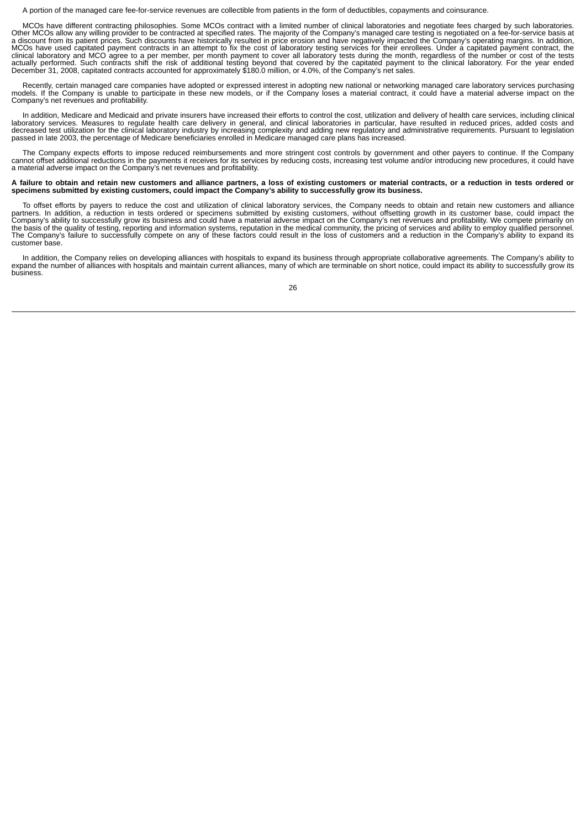A portion of the managed care fee-for-service revenues are collectible from patients in the form of deductibles, copayments and coinsurance.

MCOs have different contracting philosophies. Some MCOs contract with a limited number of clinical laboratories and negotiate fees charged by such laboratories.<br>Other MCOs allow any willing provider to be contracted at spe a discount from its patient prices. Such discounts have historically resulted in price erosion and have negatively impacted the Company's operating margins. In addition,<br>MCOs have used capitated payment contracts in an att

Recently, certain managed care companies have adopted or expressed interest in adopting new national or networking managed care laboratory services purchasing models. If the Company is unable to participate in these new models, or if the Company loses a material contract, it could have a material adverse impact on the Company's net revenues and profitability.

In addition, Medicare and Medicaid and private insurers have increased their efforts to control the cost, utilization and delivery of health care services, including clinical laboratory services. Measures to regulate health care delivery in general, and clinical laboratories in particular, have resulted in reduced prices, added costs and<br>decreased test utilization for the clinical laboratory in passed in late 2003, the percentage of Medicare beneficiaries enrolled in Medicare managed care plans has increased.

The Company expects efforts to impose reduced reimbursements and more stringent cost controls by government and other payers to continue. If the Company<br>cannot offset additional reductions in the payments it receives for i a material adverse impact on the Company's net revenues and profitability.

#### **A failure to obtain and retain new customers and alliance partners, a loss of existing customers or material contracts, or a reduction in tests ordered or specimens submitted by existing customers, could impact the Company's ability to successfully grow its business.**

To offset efforts by payers to reduce the cost and utilization of clinical laboratory services, the Company needs to obtain and retain new customers and alliance<br>partners. In addition, a reduction in tests ordered or speci the basis of the quality of testing, reporting and information systems, reputation in the medical community, the pricing of services and ability to employ qualified personnel. The Company's failure to successfully compete on any of these factors could result in the loss of customers and a reduction in the Company's ability to expand its customer base.

In addition, the Company relies on developing alliances with hospitals to expand its business through appropriate collaborative agreements. The Company's ability to<br>expand the number of alliances with hospitals and maintai business.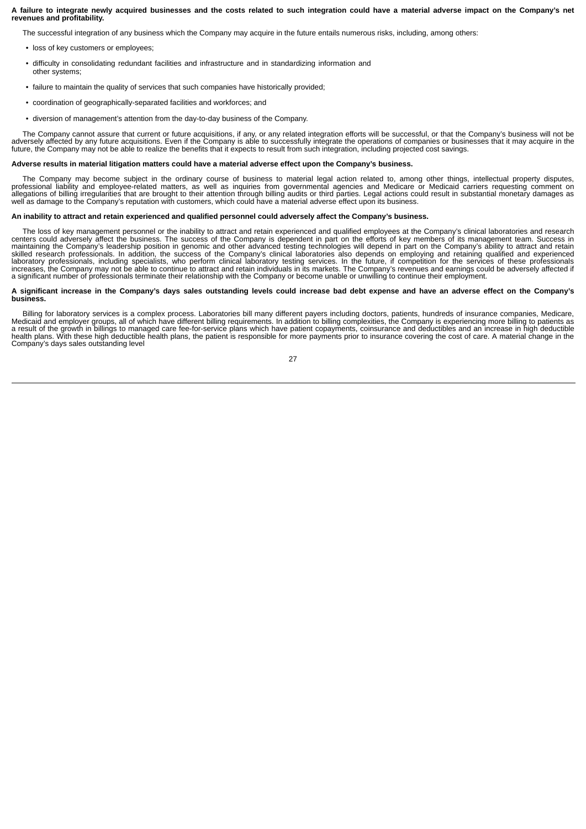#### **A failure to integrate newly acquired businesses and the costs related to such integration could have a material adverse impact on the Company's net revenues and profitability.**

The successful integration of any business which the Company may acquire in the future entails numerous risks, including, among others:

- loss of key customers or employees;
- difficulty in consolidating redundant facilities and infrastructure and in standardizing information and other systems;
- failure to maintain the quality of services that such companies have historically provided;
- coordination of geographically-separated facilities and workforces; and
- diversion of management's attention from the day-to-day business of the Company.

The Company cannot assure that current or future acquisitions, if any, or any related integration efforts will be successful, or that the Company's business will not be<br>adversely affected by any future acquisitions. Even i future, the Company may not be able to realize the benefits that it expects to result from such integration, including projected cost savings.

#### **Adverse results in material litigation matters could have a material adverse effect upon the Company's business.**

The Company may become subject in the ordinary course of business to material legal action related to, among other things, intellectual property disputes,<br>professional liability and employee-related matters, as well as inq

#### **An inability to attract and retain experienced and qualified personnel could adversely affect the Company's business.**

The loss of key management personnel or the inability to attract and retain experienced and qualified employees at the Company's clinical laboratories and research centers could adversely affect the business. The success of the Company is dependent in part on the efforts of key members of its management team. Success in<br>maintaining the Company's leadership position in genomic and oth skilled research professionals. In addition, the success of the Company's clinical laboratories also depends on employing and retaining qualified and experienced laboratory professionals, including specialists, who perform clinical laboratory testing services. In the future, if competition for the services of these professionals<br>increases, the Company may not be able to continue to

#### **A significant increase in the Company's days sales outstanding levels could increase bad debt expense and have an adverse effect on the Company's business.**

, Billing for laboratory services is a complex process. Laboratories bill many different payers including doctors, patients, hundreds of insurance companies, Medicare,<br>Medicaid and employer groups, all of which have differ health plans. With these high deductible health plans, the patient is responsible for more payments prior to insurance covering the cost of care. A material change in the Company's days sales outstanding level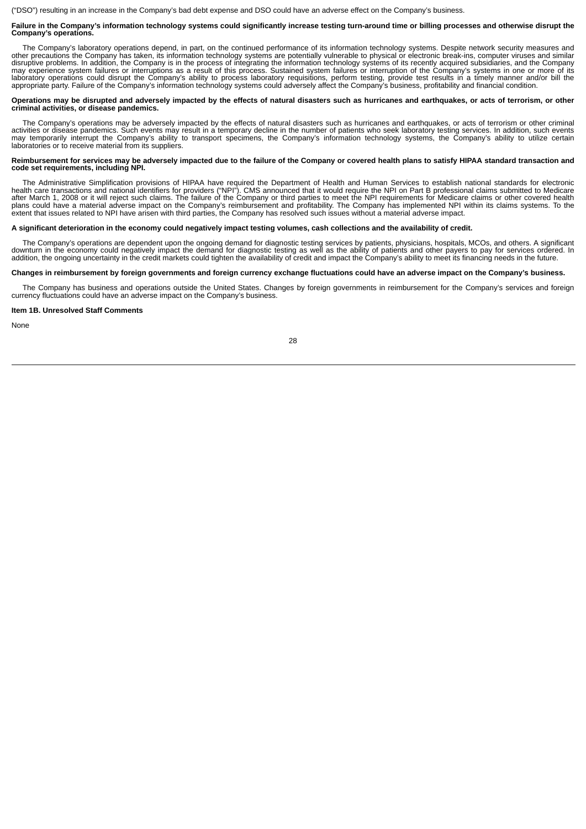("DSO") resulting in an increase in the Company's bad debt expense and DSO could have an adverse effect on the Company's business.

#### **Failure in the Company's information technology systems could significantly increase testing turn-around time or billing processes and otherwise disrupt the Company's operations.**

The Company's laboratory operations depend, in part, on the continued performance of its information technology systems. Despite network security measures and other precautions the Company has taken, its information techno

# **Operations may be disrupted and adversely impacted by the effects of natural disasters such as hurricanes and earthquakes, or acts of terrorism, or other criminal activities, or disease pandemics.**

The Company's operations may be adversely impacted by the effects of natural disasters such as hurricanes and earthquakes, or acts of terrorism or other criminal<br>activities or disease pandemics. Such events may result in a laboratories or to receive material from its suppliers.

#### **Reimbursement for services may be adversely impacted due to the failure of the Company or covered health plans to satisfy HIPAA standard transaction and code set requirements, including NPI.**

The Administrative Simplification provisions of HIPAA have required the Department of Health and Human Services to establish national standards for electronic health care transactions and national identifiers for providers ("NPI"). CMS announced that it would require the NPI on Part B professional claims submitted to Medicare<br>after March 1, 2008 or it will reject such claims. Th

#### **A significant deterioration in the economy could negatively impact testing volumes, cash collections and the availability of credit.**

The Company's operations are dependent upon the ongoing demand for diagnostic testing services by patients, physicians, hospitals, MCOs, and others. A significant<br>downturn in the economy could negatively impact the demand

# **Changes in reimbursement by foreign governments and foreign currency exchange fluctuations could have an adverse impact on the Company's business.**

The Company has business and operations outside the United States. Changes by foreign governments in reimbursement for the Company's services and foreign currency fluctuations could have an adverse impact on the Company's business.

#### **Item 1B. Unresolved Staff Comments**

None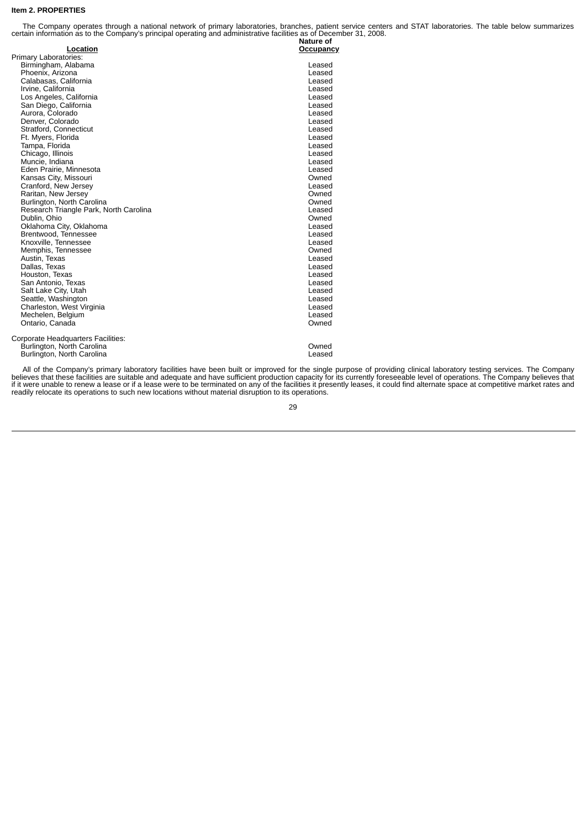#### **Item 2. PROPERTIES**

The Company operates through a national network of primary laboratories, branches, patient service centers and STAT laboratories. The table below summarizes certain information as to the Company's principal operating and a

| Location                                  | <b>Nature of</b><br><b>Occupancy</b> |
|-------------------------------------------|--------------------------------------|
| Primary Laboratories:                     |                                      |
| Birmingham, Alabama                       | Leased                               |
| Phoenix, Arizona                          | Leased                               |
| Calabasas, California                     | Leased                               |
| Irvine, California                        | Leased                               |
| Los Angeles, California                   | Leased                               |
| San Diego, California                     | Leased                               |
| Aurora, Colorado                          | Leased                               |
| Denver, Colorado                          | Leased                               |
| Stratford, Connecticut                    | Leased                               |
| Ft. Myers, Florida                        | Leased                               |
| Tampa, Florida                            | Leased                               |
| Chicago, Illinois                         | Leased                               |
| Muncie, Indiana                           | Leased                               |
| Eden Prairie, Minnesota                   | Leased                               |
| Kansas City, Missouri                     | Owned                                |
| Cranford, New Jersey                      | Leased                               |
| Raritan, New Jersey                       | Owned                                |
| Burlington, North Carolina                | Owned                                |
| Research Triangle Park, North Carolina    | Leased                               |
| Dublin, Ohio                              | Owned                                |
| Oklahoma City, Oklahoma                   | Leased                               |
| Brentwood, Tennessee                      | Leased                               |
| Knoxville, Tennessee                      | Leased                               |
| Memphis, Tennessee                        | Owned                                |
| Austin, Texas                             | Leased                               |
| Dallas, Texas                             | Leased                               |
| Houston, Texas                            | Leased                               |
| San Antonio, Texas                        | Leased                               |
| Salt Lake City, Utah                      | Leased                               |
| Seattle, Washington                       | Leased                               |
| Charleston, West Virginia                 | Leased                               |
| Mechelen, Belgium                         | Leased                               |
| Ontario, Canada                           | Owned                                |
| <b>Corporate Headquarters Facilities:</b> |                                      |
| Burlington, North Carolina                | Owned                                |
| Burlington, North Carolina                | Leased                               |

All of the Company's primary laboratory facilities have been built or improved for the single purpose of providing clinical laboratory testing services. The Company<br>believes that these facilities are suitable and adequate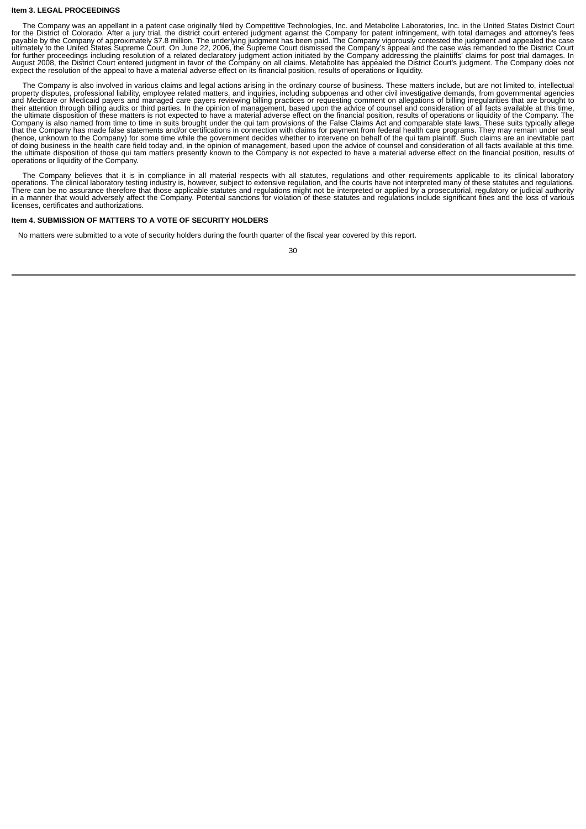#### **Item 3. LEGAL PROCEEDINGS**

The Company was an appellant in a patent case originally filed by Competitive Technologies, Inc. and Metabolite Laboratories, Inc. in the United States District Court<br>for the District of Colorado. After a jury trial, the d payable by the Company of approximately \$7.8 million. The underlying judgment has been paid. The Company vigorously contested the judgment and appealed the case<br>ultimately to the United States Supreme Court. On June 22, 20 expect the resolution of the appeal to have a material adverse effect on its financial position, results of operations or liquidity.

The Company is also involved in various claims and legal actions arising in the ordinary course of business. These matters include, but are not limited to, intellectual property disputes, professional liability, employee related matters, and inquiries, including subpoenas and other civil investigative demands, from governmental agencies and Medicare or Medicaid payers and managed care payers reviewing billing practices or requesting comment on allegations of billing irregularities that are brought to<br>their attention through billing audits or third parties the ultimate disposition of these matters is not expected to have a material adverse effect on the financial position, results of operations or liquidity of the Company. The<br>Company is also named from time to time in suits (hence, unknown to the Company) for some time while the government decides whether to intervene on behalf of the qui tam plaintiff. Such claims are an inevitable part of doing business in the health care field today and, in the opinion of management, based upon the advice of counsel and consideration of all facts available at this time, the ultimate disposition of those qui tam matters presently known to the Company is not expected to have a material adverse effect on the financial position, results of operations or liquidity of the Company.

The Company believes that it is in compliance in all material respects with all statutes, regulations and other requirements applicable to its clinical laboratory<br>.operations. The clinical laboratory testing industry is, h There can be no assurance therefore that those applicable statutes and regulations might not be interpreted or applied by a prosecutorial, regulatory or judicial authority in a manner that would adversely affect the Company. Potential sanctions for violation of these statutes and regulations include significant fines and the loss of various licenses, certificates and authorizations.

# **Item 4. SUBMISSION OF MATTERS TO A VOTE OF SECURITY HOLDERS**

No matters were submitted to a vote of security holders during the fourth quarter of the fiscal year covered by this report.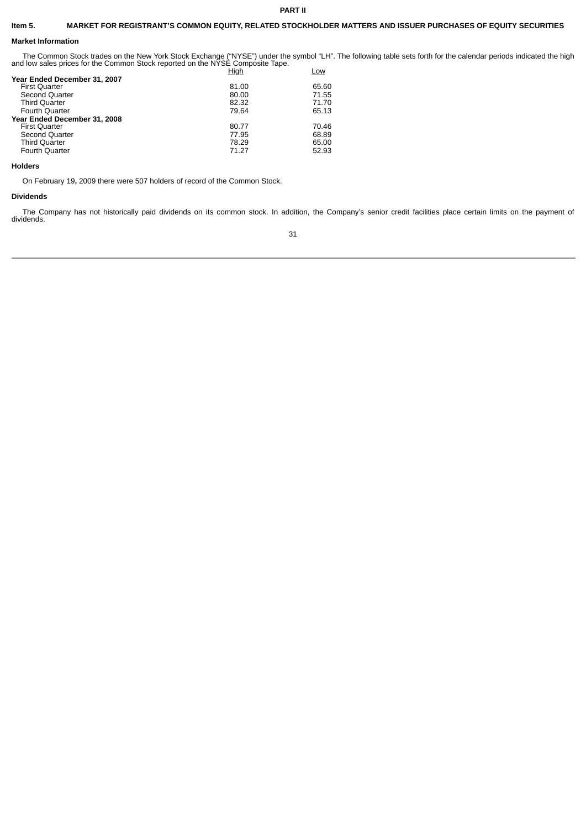#### **PART II**

# **Item 5. MARKET FOR REGISTRANT'S COMMON EQUITY, RELATED STOCKHOLDER MATTERS AND ISSUER PURCHASES OF EQUITY SECURITIES**

# **Market Information**

The Common Stock trades on the New York Stock Exchange ("NYSE") under the symbol "LH". The following table sets forth for the calendar periods indicated the high<br>and low sales prices for the Common Stock reported on the NY

|                              | <u>нідп</u> | LOW   |
|------------------------------|-------------|-------|
| Year Ended December 31, 2007 |             |       |
| <b>First Quarter</b>         | 81.00       | 65.60 |
| <b>Second Quarter</b>        | 80.00       | 71.55 |
| <b>Third Quarter</b>         | 82.32       | 71.70 |
| <b>Fourth Quarter</b>        | 79.64       | 65.13 |
| Year Ended December 31, 2008 |             |       |
| <b>First Quarter</b>         | 80.77       | 70.46 |
| Second Quarter               | 77.95       | 68.89 |
| <b>Third Quarter</b>         | 78.29       | 65.00 |
| <b>Fourth Quarter</b>        | 71.27       | 52.93 |
|                              |             |       |

# **Holders**

On February 19**,** 2009 there were 507 holders of record of the Common Stock.

# **Dividends**

The Company has not historically paid dividends on its common stock. In addition, the Company's senior credit facilities place certain limits on the payment of dividends.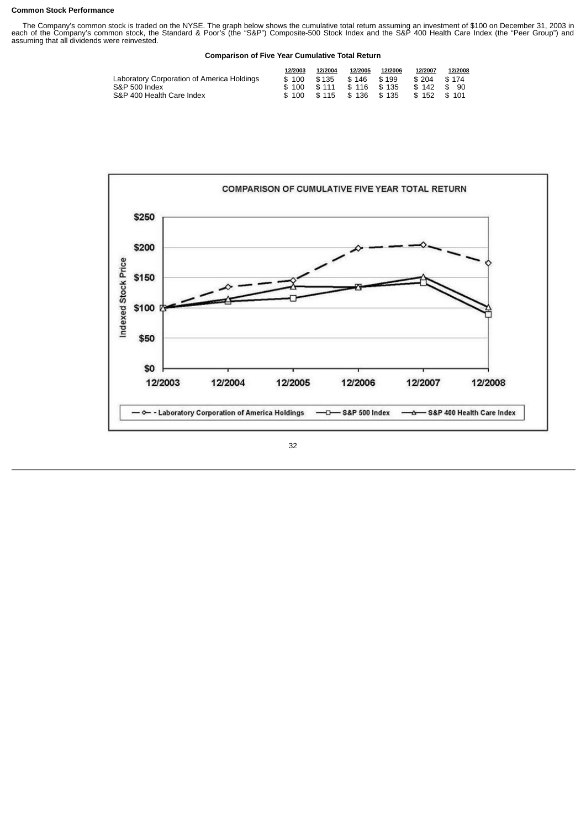#### **Common Stock Performance**

The Company's common stock is traded on the NYSE. The graph below shows the cumulative total return assuming an investment of \$100 on December 31, 2003 in<br>each of the Company's common stock, the Standard & Poor's (the "S&P

# **Comparison of Five Year Cumulative Total Return**

|                                            | 12/2003       | 12/2004 | 12/2005     | 12/2006 | 12/2007       | 12/2008 |
|--------------------------------------------|---------------|---------|-------------|---------|---------------|---------|
| Laboratory Corporation of America Holdings | \$100 \$135   |         | \$146 \$199 |         | $$204$ $$174$ |         |
| S&P 500 Index                              | \$100 \$111   |         | \$116 \$135 |         | $$142$ \$ 90  |         |
| S&P 400 Health Care Index                  | $$100$ $$115$ |         | \$136 \$135 |         | $$152$ $$101$ |         |

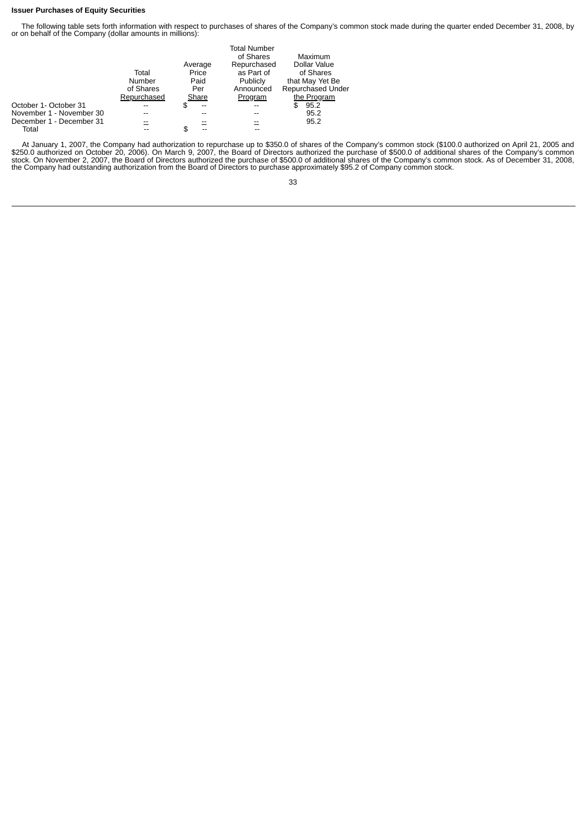#### **Issuer Purchases of Equity Securities**

The following table sets forth information with respect to purchases of shares of the Company's common stock made during the quarter ended December 31, 2008, by or on behalf of the Company (dollar amounts in millions):

|                          | Total<br>Number<br>of Shares<br>Repurchased | Average<br>Price<br>Paid<br>Per<br>Share | <b>Total Number</b><br>of Shares<br>Repurchased<br>as Part of<br>Publicly<br>Announced<br>Program | Maximum<br>Dollar Value<br>of Shares<br>that May Yet Be<br>Repurchased Under<br>the Program |
|--------------------------|---------------------------------------------|------------------------------------------|---------------------------------------------------------------------------------------------------|---------------------------------------------------------------------------------------------|
| October 1- October 31    |                                             | \$<br>$-$                                |                                                                                                   | 95.2<br>S                                                                                   |
| November 1 - November 30 |                                             | --                                       |                                                                                                   | 95.2                                                                                        |
| December 1 - December 31 |                                             |                                          |                                                                                                   | 95.2                                                                                        |
| Total                    |                                             | \$<br>--                                 |                                                                                                   |                                                                                             |

At January 1, 2007, the Company had authorization to repurchase up to \$350.0 of shares of the Company's common stock (\$100.0 authorized on April 21, 2005 and<br>\$250.0 authorized on October 20, 2006). On March 9, 2007, the Bo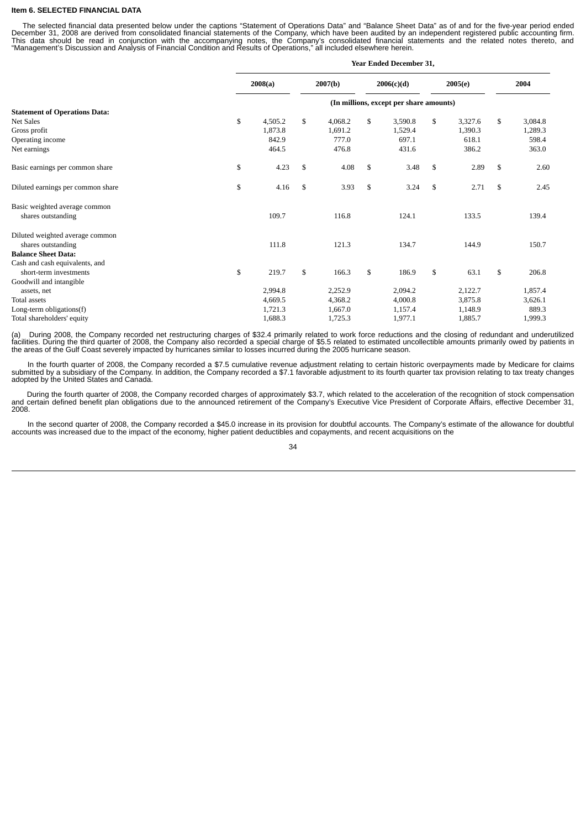#### **Item 6. SELECTED FINANCIAL DATA**

The selected financial data presented below under the captions "Statement of Operations Data" and "Balance Sheet Data" as of and for the five-year period ended<br>December 31, 2008 are derived from consolidated financial stat This data should be read in conjunction with the accompanying notes, the Company's consolidated financial statements and the related notes thereto, and<br>"Management's Discussion and Analysis of Financial Condition and Resul

**Year Ended December 31,**

|                                      | rear Enucu Decenner 91, |    |         |    |                                         |    |         |    |         |
|--------------------------------------|-------------------------|----|---------|----|-----------------------------------------|----|---------|----|---------|
|                                      | 2008(a)                 |    | 2007(b) |    | 2006(c)(d)                              |    | 2005(e) |    | 2004    |
|                                      |                         |    |         |    | (In millions, except per share amounts) |    |         |    |         |
| <b>Statement of Operations Data:</b> |                         |    |         |    |                                         |    |         |    |         |
| <b>Net Sales</b>                     | \$<br>4,505.2           | \$ | 4,068.2 | \$ | 3,590.8                                 | \$ | 3,327.6 | \$ | 3,084.8 |
| Gross profit                         | 1,873.8                 |    | 1,691.2 |    | 1,529.4                                 |    | 1,390.3 |    | 1,289.3 |
| Operating income                     | 842.9                   |    | 777.0   |    | 697.1                                   |    | 618.1   |    | 598.4   |
| Net earnings                         | 464.5                   |    | 476.8   |    | 431.6                                   |    | 386.2   |    | 363.0   |
| Basic earnings per common share      | \$<br>4.23              | \$ | 4.08    | \$ | 3.48                                    | \$ | 2.89    | \$ | 2.60    |
| Diluted earnings per common share    | \$<br>4.16              | \$ | 3.93    | \$ | 3.24                                    | \$ | 2.71    | \$ | 2.45    |
| Basic weighted average common        |                         |    |         |    |                                         |    |         |    |         |
| shares outstanding                   | 109.7                   |    | 116.8   |    | 124.1                                   |    | 133.5   |    | 139.4   |
| Diluted weighted average common      |                         |    |         |    |                                         |    |         |    |         |
| shares outstanding                   | 111.8                   |    | 121.3   |    | 134.7                                   |    | 144.9   |    | 150.7   |
| <b>Balance Sheet Data:</b>           |                         |    |         |    |                                         |    |         |    |         |
| Cash and cash equivalents, and       |                         |    |         |    |                                         |    |         |    |         |
| short-term investments               | \$<br>219.7             | \$ | 166.3   | \$ | 186.9                                   | \$ | 63.1    | \$ | 206.8   |
| Goodwill and intangible              |                         |    |         |    |                                         |    |         |    |         |
| assets, net                          | 2,994.8                 |    | 2,252.9 |    | 2,094.2                                 |    | 2,122.7 |    | 1,857.4 |
| <b>Total assets</b>                  | 4,669.5                 |    | 4,368.2 |    | 4,000.8                                 |    | 3,875.8 |    | 3,626.1 |
| Long-term obligations(f)             | 1,721.3                 |    | 1,667.0 |    | 1,157.4                                 |    | 1,148.9 |    | 889.3   |
| Total shareholders' equity           | 1,688.3                 |    | 1,725.3 |    | 1,977.1                                 |    | 1,885.7 |    | 1,999.3 |

(a) During 2008, the Company recorded net restructuring charges of \$32.4 primarily related to work force reductions and the closing of redundant and underutilized<br>facilities. During the third quarter of 2008, the Company a

In the fourth quarter of 2008, the Company recorded a \$7.5 cumulative revenue adjustment relating to certain historic overpayments made by Medicare for claims submitted by a subsidiary of the Company. In addition, the Company recorded a \$7.1 favorable adjustment to its fourth quarter tax provision relating to tax treaty changes adopted by the United States and Canada.

During the fourth quarter of 2008, the Company recorded charges of approximately \$3.7, which related to the acceleration of the recognition of stock compensation<br>, and certain defined benefit plan obligations due to the an 2008.

In the second quarter of 2008, the Company recorded a \$45.0 increase in its provision for doubtful accounts. The Company's estimate of the allowance for doubtful accounts was increased due to the impact of the economy, higher patient deductibles and copayments, and recent acquisitions on the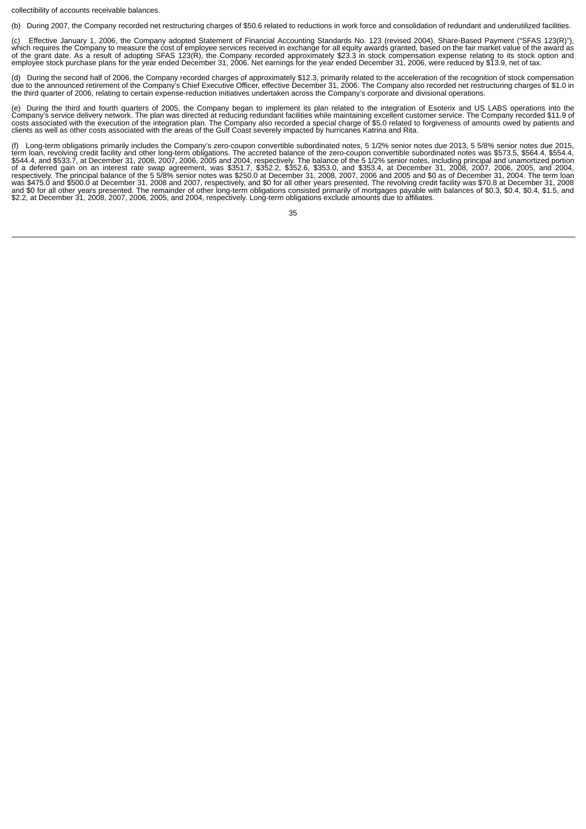collectibility of accounts receivable balances.

(b) During 2007, the Company recorded net restructuring charges of \$50.6 related to reductions in work force and consolidation of redundant and underutilized facilities.

(c) Effective January 1, 2006, the Company adopted Statement of Financial Accounting Standards No. 123 (revised 2004), Share-Based Payment ("SFAS 123(R)"), which requires the Company to measure the cost of employee services received in exchange for all equity awards granted, based on the fair market value of the award as<br>of the grant date. As a result of adopting SFAS 123(R),

(d) During the second half of 2006, the Company recorded charges of approximately \$12.3, primarily related to the acceleration of the recognition of stock compensation<br>due to the announced retirement of the Company's Chief the third quarter of 2006, relating to certain expense-reduction initiatives undertaken across the Company's corporate and divisional operations.

(e) During the third and fourth quarters of 2005, the Company began to implement its plan related to the integration of Esoterix and US LABS operations into the<br>Company's service delivery network. The plan was directed at

(f) Long-term obligations primarily includes the Company's zero-coupon convertible subordinated notes, 5 1/2% senior notes due 2013, 5 5/8% senior notes due 2015,<br>term loan, revolving credit facility and other long-term ob and \$0 for all other years presented. The remainder of other long-term obligations consisted primarily of mortgages payable with balances of \$0.3, \$0.4, \$0.4, \$1.5, and \$0 for all other years presented. The remainder of ot \$2.2, at December 31, 2008, 2007, 2006, 2005, and 2004, respectively. Long-term obligations exclude amounts due to affiliates.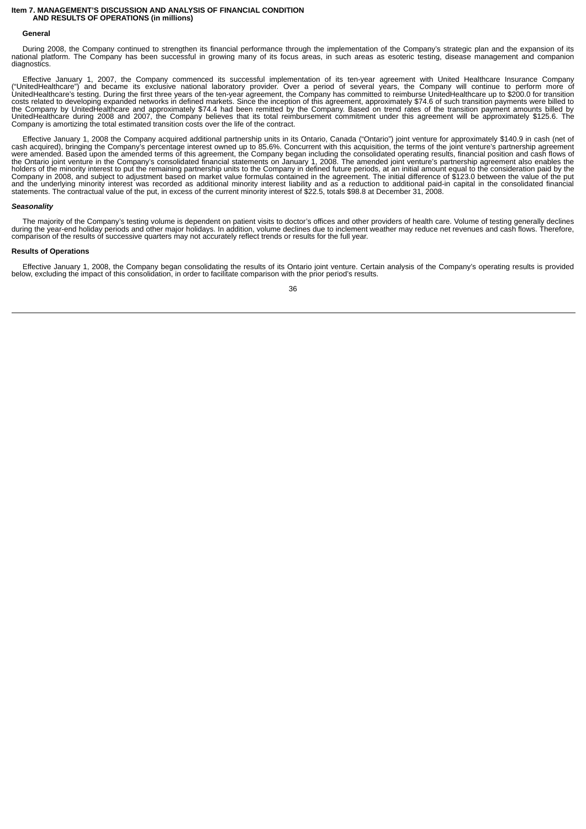#### **Item 7. MANAGEMENT'S DISCUSSION AND ANALYSIS OF FINANCIAL CONDITION AND RESULTS OF OPERATIONS (in millions)**

#### **General**

During 2008, the Company continued to strengthen its financial performance through the implementation of the Company's strategic plan and the expansion of its national platform. The Company has been successful in growing many of its focus areas, in such areas as esoteric testing, disease management and companion diagnostics.

Effective January 1, 2007, the Company commenced its successful implementation of its ten-year agreement with United Healthcare Insurance Company<br>("UnitedHealthcare") and became its exclusive national laboratory provider. costs related to developing expanded networks in defined markets. Since the inception of this agreement, approximately \$74.6 of such transition payments were billed to<br>the Company by UnitedHealthcare and approximately \$74.

Effective January 1, 2008 the Company acquired additional partnership units in its Ontario, Canada ("Ontario") joint venture for approximately \$140.9 in cash (net of<br>cash acquired), bringing the Company's percentage intere were amended. Based upon the amended terms of this agreement, the Company began including the consolidated operating results, financial position and cash flows of the Ontario joint venture in the Company's consolidated financial statements on January 1, 2008. The amended joint venture's partnership agreement also enables the<br>holders of the minority interest to put the remaining part and the underlying minority interest was recorded as additional minority interest liability and as a reduction to additional paid-in capital in the consolidated financial<br>statements. The contractual value of the put, in ex

#### *Seasonality*

The majority of the Company's testing volume is dependent on patient visits to doctor's offices and other providers of health care. Volume of testing generally declines during the year-end holiday periods and other major holidays. In addition, volume declines due to inclement weather may reduce net revenues and cash flows. Therefore, comparison of the results of successive quarters may not accurately reflect trends or results for the full year.

#### **Results of Operations**

Effective January 1, 2008, the Company began consolidating the results of its Ontario joint venture. Certain analysis of the Company's operating results is provided<br>below, excluding the impact of this consolidation, in ord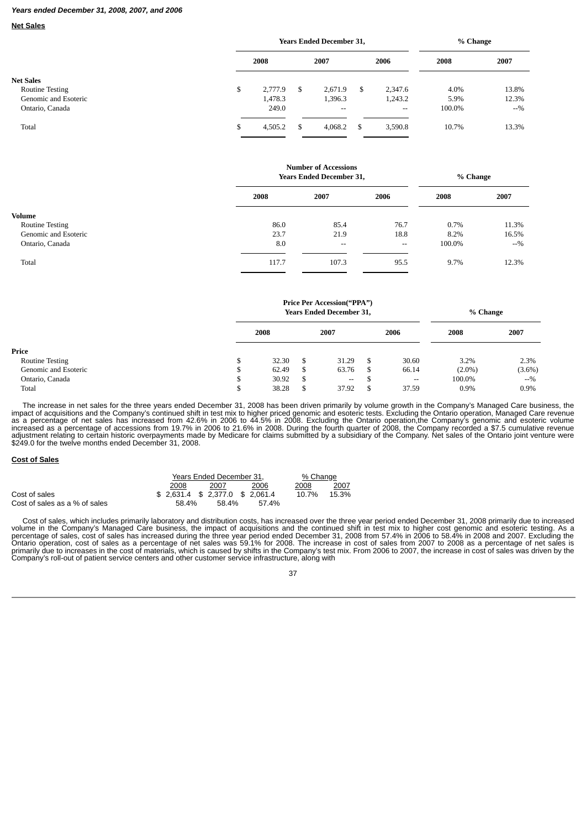## *Years ended December 31, 2008, 2007, and 2006*

**Net Sales**

|                        |    | <b>Years Ended December 31,</b> |    |         |     |         | % Change |        |
|------------------------|----|---------------------------------|----|---------|-----|---------|----------|--------|
|                        |    | 2008                            |    | 2007    |     | 2006    | 2008     | 2007   |
| <b>Net Sales</b>       |    |                                 |    |         |     |         |          |        |
| <b>Routine Testing</b> | \$ | 2,777.9                         | \$ | 2,671.9 | -\$ | 2,347.6 | 4.0%     | 13.8%  |
| Genomic and Esoteric   |    | 1,478.3                         |    | 1,396.3 |     | 1,243.2 | 5.9%     | 12.3%  |
| Ontario, Canada        |    | 249.0                           |    | --      |     | $- -$   | 100.0%   | $-9/6$ |
| Total                  | S  | 4,505.2                         | \$ | 4,068.2 | \$  | 3,590.8 | 10.7%    | 13.3%  |

|                        |       | <b>Number of Accessions</b><br><b>Years Ended December 31,</b> | % Change                            |        |        |
|------------------------|-------|----------------------------------------------------------------|-------------------------------------|--------|--------|
|                        | 2008  | 2007                                                           | 2006                                | 2008   | 2007   |
| Volume                 |       |                                                                |                                     |        |        |
| <b>Routine Testing</b> | 86.0  | 85.4                                                           | 76.7                                | 0.7%   | 11.3%  |
| Genomic and Esoteric   | 23.7  | 21.9                                                           | 18.8                                | 8.2%   | 16.5%  |
| Ontario, Canada        | 8.0   | $\overline{\phantom{a}}$                                       | $\hspace{0.05cm}$ $\hspace{0.05cm}$ | 100.0% | $-9/6$ |
| Total                  | 117.7 | 107.3                                                          | 95.5                                | 9.7%   | 12.3%  |

|                        |    |       | <b>Price Per Accession("PPA")</b><br><b>Years Ended December 31,</b> | % Change                 |    |       |           |           |
|------------------------|----|-------|----------------------------------------------------------------------|--------------------------|----|-------|-----------|-----------|
|                        |    | 2008  |                                                                      | 2007                     |    | 2006  | 2008      | 2007      |
| Price                  |    |       |                                                                      |                          |    |       |           |           |
| <b>Routine Testing</b> | ъ. | 32.30 | - 55                                                                 | 31.29                    | \$ | 30.60 | 3.2%      | 2.3%      |
| Genomic and Esoteric   | ъ. | 62.49 | -S                                                                   | 63.76                    | S  | 66.14 | $(2.0\%)$ | $(3.6\%)$ |
| Ontario, Canada        | J. | 30.92 | .ზ                                                                   | $\overline{\phantom{a}}$ | S  | $- -$ | 100.0%    | $-9/6$    |
| Total                  |    | 38.28 |                                                                      | 37.92                    |    | 37.59 | 0.9%      | 0.9%      |

The increase in net sales for the three years ended December 31, 2008 has been driven primarily by volume growth in the Company's Managed Care business, the<br>impact of acquisitions and the Company's continued shift in test adjustment relating to certain historic overpayments made by Medicare for claims submitted by a subsidiary of the Company. Net sales of the Ontario joint venture were \$249.0 for the twelve months ended December 31, 2008.

## **Cost of Sales**

|                               |                                  | Years Ended December 31. |       |       |       |  |
|-------------------------------|----------------------------------|--------------------------|-------|-------|-------|--|
|                               | 2008                             | 2007                     | 2006  | 2008  | 2007  |  |
| Cost of sales                 | $$2.631.4$ \$ 2.377.0 \$ 2.061.4 |                          |       | 10.7% | 15.3% |  |
| Cost of sales as a % of sales | 58.4%                            | 58.4%                    | 57.4% |       |       |  |

Cost of sales, which includes primarily laboratory and distribution costs, has increased over the three year period ended December 31, 2008 primarily due to increased<br>volume in the Company's Managed Care business, the impa Ontario operation, cost of sales as a percentage of net sales was 59.1% for 2008. The increase in cost of sales from 2007 to 2008 as a percentage of net sales is<br>primarily due to increases in the cost of materials, which i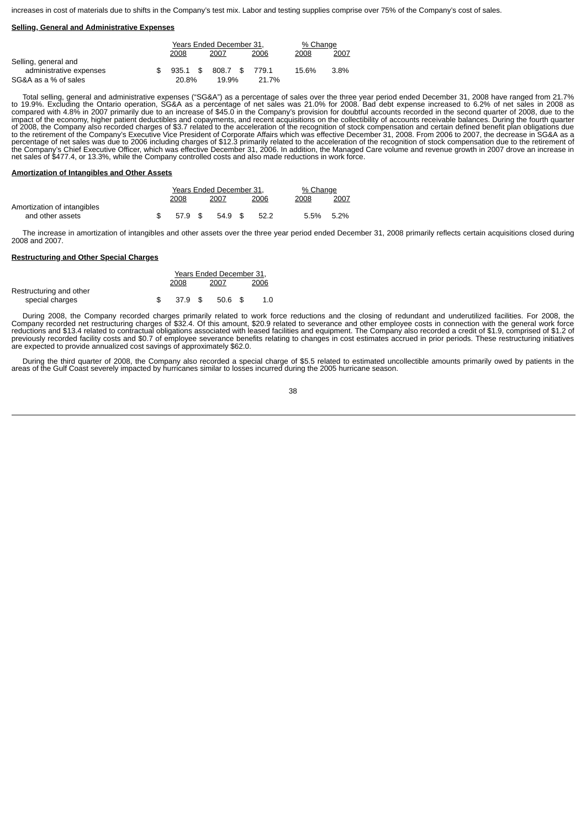increases in cost of materials due to shifts in the Company's test mix. Labor and testing supplies comprise over 75% of the Company's cost of sales.

## **Selling, General and Administrative Expenses**

|                                                 | Years Ended December 31. | % Change |       |       |      |
|-------------------------------------------------|--------------------------|----------|-------|-------|------|
|                                                 | 2008                     | 2007     | 2006  | 2008  | 2007 |
| Selling, general and<br>administrative expenses | $935.1$ \$               | 808.7 \$ | 779.1 | 15.6% | 3.8% |
| SG&A as a % of sales                            | 20.8%                    | 19.9%    | 21.7% |       |      |

Total selling, general and administrative expenses ("SG&A") as a percentage of sales over the three year period ended December 31, 2008 have ranged from 21.7%<br>to 19.9%. Excluding the Ontario operation, SG&A as a percentage to the retirement of the Company's Executive Vice President of Corporate Affairs which was effective December 31, 2008. From 2006 to 2007, the decrease in SG&A as a<br>percentage of net sales was due to 2006 including charges net sales of \$477.4, or 13.3%, while the Company controlled costs and also made reductions in work force.

## **Amortization of Intangibles and Other Assets**

|                             | Years Ended December 31. |  |         |  |      | % Change |      |  |
|-----------------------------|--------------------------|--|---------|--|------|----------|------|--|
|                             | 2008                     |  | 2007    |  | 2006 | 2008     | 2007 |  |
| Amortization of intangibles |                          |  |         |  |      |          |      |  |
| and other assets            | 57.9 \$                  |  | 54.9 \$ |  | 52.2 | 5.5%     | 5.2% |  |

The increase in amortization of intangibles and other assets over the three year period ended December 31, 2008 primarily reflects certain acquisitions closed during 2008 and 2007.

## **Restructuring and Other Special Charges**

|                         | Years Ended December 31. |         |  |           |  |      |  |
|-------------------------|--------------------------|---------|--|-----------|--|------|--|
|                         |                          | 2008    |  | 2007      |  | 2006 |  |
| Restructuring and other |                          |         |  |           |  |      |  |
| special charges         |                          | 37.9 \$ |  | $50.6$ \$ |  | 1.0  |  |

During 2008, the Company recorded charges primarily related to work force reductions and the closing of redundant and underutilized facilities. For 2008, the<br>Company recorded net restructuring charges of \$32.4. Of this amo reductions and \$13.4 related to contractual obligations associated with leased facilities and equipment. The Company also recorded a credit of \$1.9, comprised of \$1.2 of previously recorded facility costs and \$0.7 of employee severance benefits relating to changes in cost estimates accrued in prior periods. These restructuring initiatives are expected to provide annualized cost savings of approximately \$62.0.

During the third quarter of 2008, the Company also recorded a special charge of \$5.5 related to estimated uncollectible amounts primarily owed by patients in the<br>areas of the Gulf Coast severely impacted by hurricanes simi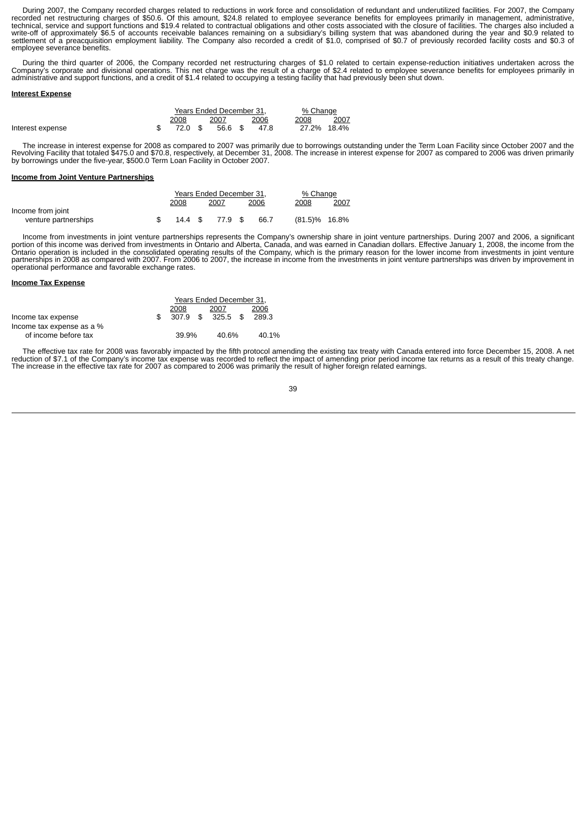During 2007, the Company recorded charges related to reductions in work force and consolidation of redundant and underutilized facilities. For 2007, the Company<br>recorded net restructuring charges of \$50.6. Of this amount, settlement of a preacquisition employment liability. The Company also recorded a credit of \$1.0, comprised of \$0.7 of previously recorded facility costs and \$0.3 of employee severance benefits.

During the third quarter of 2006, the Company recorded net restructuring charges of \$1.0 related to certain expense-reduction initiatives undertaken across the<br>Company's corporate and divisional operations. This net charge

## **Interest Expense**

|                  | Years Ended December 31. |  |                 |  |      | % Change |             |  |
|------------------|--------------------------|--|-----------------|--|------|----------|-------------|--|
|                  | 2008                     |  | 2007            |  | 2006 | 2008     | 2007        |  |
| Interest expense |                          |  | 72.0 \$ 56.6 \$ |  | 47.8 |          | 27.2% 18.4% |  |

The increase in interest expense for 2008 as compared to 2007 was primarily due to borrowings outstanding under the Term Loan Facility since October 2007 and the<br>Revolving Facility that totaled \$475.0 and \$70.8, respective

## **Income from Joint Venture Partnerships**

|                      | Years Ended December 31, |  |         |  |      | % Change         |             |  |
|----------------------|--------------------------|--|---------|--|------|------------------|-------------|--|
|                      | 2008                     |  | 2007    |  | 2006 | 2008             | <u>2007</u> |  |
| Income from joint    |                          |  |         |  |      |                  |             |  |
| venture partnerships | $14.4 \text{ } $$        |  | 77.9 \$ |  | 66.7 | $(81.5)\%$ 16.8% |             |  |

Income from investments in joint venture partnerships represents the Company's ownership share in joint venture partnerships. During 2007 and 2006, a significant portion of this income was derived from investments in Ontario and Alberta, Canada, and was earned in Canadian dollars. Effective January 1, 2008, the income from the<br>Ontario operation is included in the consolidated opera operational performance and favorable exchange rates.

#### **Income Tax Expense**

|                           | Years Ended December 31. |              |  |                   |      |       |  |
|---------------------------|--------------------------|--------------|--|-------------------|------|-------|--|
|                           |                          | 2008<br>2007 |  |                   | 2006 |       |  |
| Income tax expense        |                          |              |  | 307.9 \$ 325.5 \$ |      | 289.3 |  |
| Income tax expense as a % |                          |              |  |                   |      |       |  |
| of income before tax      |                          | 39.9%        |  | 40.6%             |      | 40.1% |  |

The effective tax rate for 2008 was favorably impacted by the fifth protocol amending the existing tax treaty with Canada entered into force December 15, 2008. A net reduction of \$7.1 of the Company's income tax expense was recorded to reflect the impact of amending prior period income tax returns as a result of this treaty change. The increase in the effective tax rate for 2007 as compared to 2006 was primarily the result of higher foreign related earnings.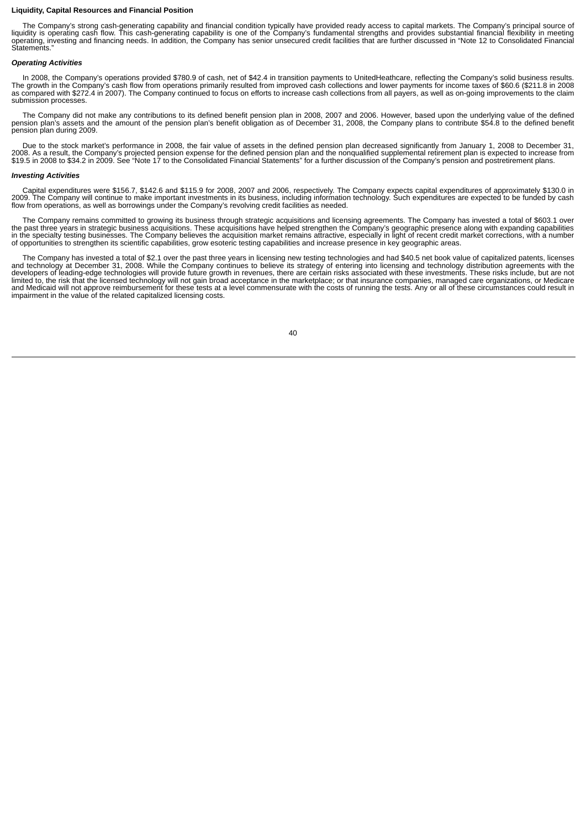#### **Liquidity, Capital Resources and Financial Position**

The Company's strong cash-generating capability and financial condition typically have provided ready access to capital markets. The Company's principal source of<br>liquidity is operating cash flow. This cash-generating capa operating, investing and financing needs. In addition, the Company has senior unsecured credit facilities that are further discussed in "Note 12 to Consolidated Financial Statements.

## *Operating Activities*

In 2008, the Company's operations provided \$780.9 of cash, net of \$42.4 in transition payments to UnitedHeathcare, reflecting the Company's solid business results. The growth in the Company's cash flow from operations primarily resulted from improved cash collections and lower payments for income taxes of \$60.6 (\$211.8 in 2008 as compared with \$272.4 in 2007). The Company continued to focus on efforts to increase cash collections from all payers, as well as on-going improvements to the claim submission processes.

The Company did not make any contributions to its defined benefit pension plan in 2008, 2007 and 2006. However, based upon the underlying value of the defined pension plan's assets and the amount of the pension plan's benefit obligation as of December 31, 2008, the Company plans to contribute \$54.8 to the defined benefit pension plan during 2009.

Due to the stock market's performance in 2008, the fair value of assets in the defined pension plan decreased significantly from January 1, 2008 to December 31, 2008. As a result, the Company's projected pension expense for the defined pension plan and the nonqualified supplemental retirement plan is expected to increase from<br>\$19.5 in 2008 to \$34.2 in 2009. See "Note 17 to the Con

#### *Investing Activities*

Capital expenditures were \$156.7, \$142.6 and \$115.9 for 2008, 2007 and 2006, respectively. The Company expects capital expenditures of approximately \$130.0 in 2009. The Company will continue to make important investments in its business, including information technology. Such expenditures are expected to be funded by cash<br>flow from operations, as well as borrowings under the Com

The Company remains committed to growing its business through strategic acquisitions and licensing agreements. The Company has invested a total of \$603.1 over the past three years in strategic business acquisitions. These acquisitions have helped strengthen the Company's geographic presence along with expanding capabilities<br>in the specialty testing businesses. The Company believ of opportunities to strengthen its scientific capabilities, grow esoteric testing capabilities and increase presence in key geographic areas.

The Company has invested a total of \$2.1 over the past three years in licensing new testing technologies and had \$40.5 net book value of capitalized patents, licenses<br>and technology at December 31, 2008. While the Company and Medicaid will not approve reimbursement for these tests at a level commensurate with the costs of running the tests. Any or all of these circumstances could result in ind modically the respective related capitalized licensing costs.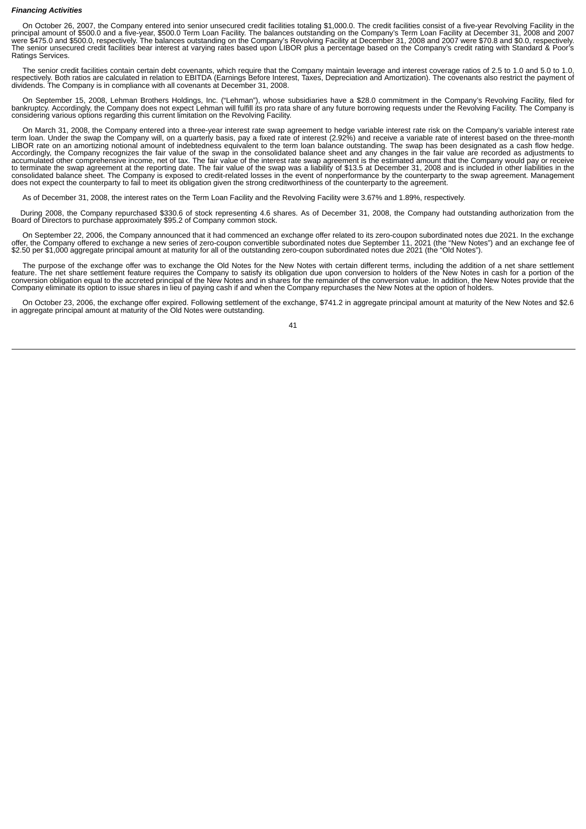#### *Financing Activities*

On October 26, 2007, the Company entered into senior unsecured credit facilities totaling \$1,000.0. The credit facilities consist of a five-year Revolving Facility in the<br>principal amount of \$500.0 and a five-year, \$500.0 were \$475.0 and \$500.0, respectively. The balances outstanding on the Company's Revolving Facility at December 31, 2008 and 2007 were \$70.8 and \$0.0, respectively.<br>The senior unsecured credit facilities bear interest at va Ratings Services.

The senior credit facilities contain certain debt covenants, which require that the Company maintain leverage and interest coverage ratios of 2.5 to 1.0 and 5.0 to 1.0,<br>respectively. Both ratios are calculated in relation

On September 15, 2008, Lehman Brothers Holdings, Inc. ("Lehman"), whose subsidiaries have a \$28.0 commitment in the Company's Revolving Facility, filed for<br>bankruptcy. Accordingly, the Company does not expect Lehman will f

On March 31, 2008, the Company entered into a three-year interest rate swap agreement to hedge variable interest rate risk on the Company's variable interest rate term loan. Under the swap the Company will, on a quarterly basis, pay a fixed rate of interest (2.92%) and receive a variable rate of interest based on the three-month<br>LIBOR rate on an amortizing notional amount of indebte to terminate the swap agreement at the reporting date. The fair value of the swap was a liability of \$13.5 at December 31, 2008 and is included in other liabilities in the consolidated balance sheet. The Company is exposed to credit-related losses in the event of nonperformance by the counterparty to the swap agreement. Management<br>does not expect the counterparty to fail to meet its obligati

As of December 31, 2008, the interest rates on the Term Loan Facility and the Revolving Facility were 3.67% and 1.89%, respectively.

During 2008, the Company repurchased \$330.6 of stock representing 4.6 shares. As of December 31, 2008, the Company had outstanding authorization from the Board of Directors to purchase approximately \$95.2 of Company common stock.

On September 22, 2006, the Company announced that it had commenced an exchange offer related to its zero-coupon subordinated notes due 2021. In the exchange<br>offer, the Company offered to exchange a new series of zero-coupo

The purpose of the exchange offer was to exchange the Old Notes for the New Notes with certain different terms, including the addition of a net share settlement feature. The net share settlement feature requires the Company to satisfy its obligation due upon conversion to holders of the New Notes in cash for a portion of the<br>conversion obligation equal to the accreted principal of Company eliminate its option to issue shares in lieu of paying cash if and when the Company repurchases the New Notes at the option of holders.

On October 23, 2006, the exchange offer expired. Following settlement of the exchange, \$741.2 in aggregate principal amount at maturity of the New Notes and \$2.6<br>In aggregate principal amount at maturity of the Old Notes w

<sup>41</sup>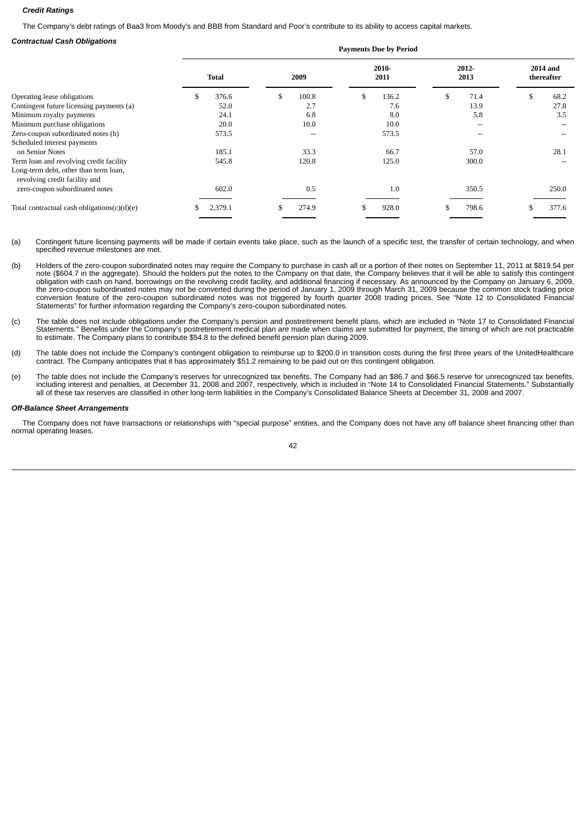# *Credit Ratings*

The Company's debt ratings of Baa3 from Moody's and BBB from Standard and Poor's contribute to its ability to access capital markets.

## *Contractual Cash Obligations*

| r ayments buc by r criou |                          |                  |               |                               |  |  |  |
|--------------------------|--------------------------|------------------|---------------|-------------------------------|--|--|--|
| <b>Total</b>             | 2009                     | $2010 -$<br>2011 | 2012-<br>2013 | <b>2014 and</b><br>thereafter |  |  |  |
| 376.6<br>\$              | \$<br>100.8              | 136.2<br>\$      | \$<br>71.4    | \$<br>68.2                    |  |  |  |
| 52.0                     | 2.7                      | 7.6              | 13.9          | 27.8                          |  |  |  |
| 24.1                     | 6.8                      | 8.0              | 5.8           | 3.5                           |  |  |  |
| 20.0                     | 10.0                     | 10.0             |               | --                            |  |  |  |
| 573.5                    | $\overline{\phantom{m}}$ | 573.5            |               |                               |  |  |  |
|                          |                          |                  |               |                               |  |  |  |
| 185.1                    | 33.3                     | 66.7             | 57.0          | 28.1                          |  |  |  |
| 545.8                    | 120.8                    | 125.0            | 300.0         |                               |  |  |  |
|                          |                          |                  |               |                               |  |  |  |
| 602.0                    | 0.5                      | 1.0              | 350.5         | 250.0                         |  |  |  |
| 2,379.1                  | 274.9                    | 928.0            | 798.6         | 377.6                         |  |  |  |
|                          |                          |                  |               |                               |  |  |  |

**Payments Due by Period**

- (a) Contingent future licensing payments will be made if certain events take place, such as the launch of a specific test, the transfer of certain technology, and when specified revenue milestones are met.
- (b) Holders of the zero-coupon subordinated notes may require the Company to purchase in cash all or a portion of their notes on September 11, 2011 at \$819.54 per note (\$604.7 in the aggregate). Should the holders put the notes to the Company on that date, the Company believes that it will be able to satisfy this contingent obligation with cash on hand, borrowings on the revolving credit facility, and additional financing if necessary. As announced by the Company on January 6, 2009, the zero-coupon subordinated notes may not be converted during the period of January 1, 2009 through March 31, 2009 because the common stock trading price conversion feature of the zero-coupon subordinated notes was not triggered by fourth quarter 2008 trading prices. See "Note 12 to Consolidated Financial Statements" for further information regarding the Company's zero-coupon subordinated notes.
- (c) The table does not include obligations under the Company's pension and postretirement benefit plans, which are included in "Note 17 to Consolidated Financial Statements." Benefits under the Company's postretirement medical plan are made when claims are submitted for payment, the timing of which are not practicable to estimate. The Company plans to contribute \$54.8 to the defined benefit pension plan during 2009.
- (d) The table does not include the Company's contingent obligation to reimburse up to \$200.0 in transition costs during the first three years of the UnitedHealthcare contract. The Company anticipates that it has approximately \$51.2 remaining to be paid out on this contingent obligation.
- (e) The table does not include the Company's reserves for unrecognized tax benefits. The Company had an \$86.7 and \$66.5 reserve for unrecognized tax benefits, including interest and penalties, at December 31, 2008 and 2007, respectively, which is included in "Note 14 to Consolidated Financial Statements." Substantially all of these tax reserves are classified in other long-term liabilities in the Company's Consolidated Balance Sheets at December 31, 2008 and 2007.

#### *Off-Balance Sheet Arrangements*

The Company does not have transactions or relationships with "special purpose" entities, and the Company does not have any off balance sheet financing other than normal operating leases.

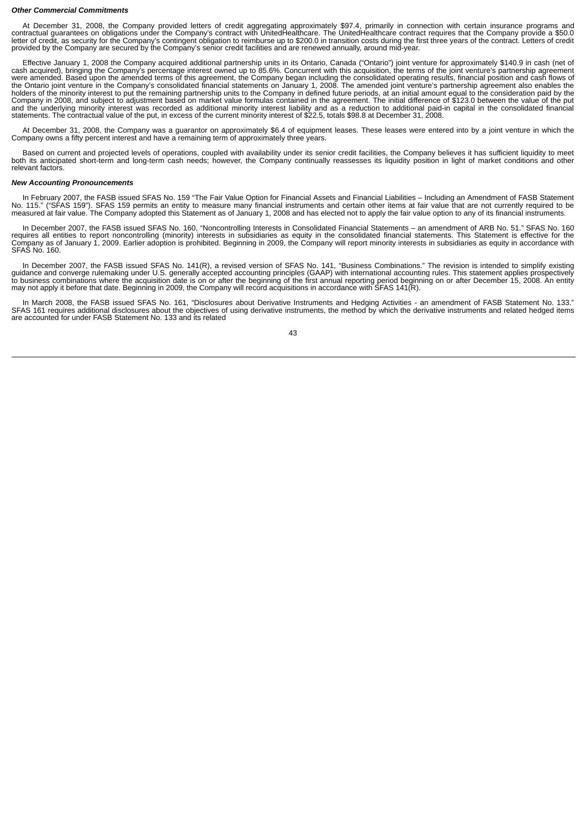#### *Other Commercial Commitments*

At December 31, 2008, the Company provided letters of credit aggregating approximately \$97.4, primarily in connection with certain insurance programs and<br>Contractual guarantees on obligations under the Company's contract w letter of credit, as security for the Company's contingent obligation to reimburse up to \$200.0 in transition costs during the first three years of the contract. Letters of credit provided by the Company are secured by the Company's senior credit facilities and are renewed annually, around mid-year.

Effective January 1, 2008 the Company acquired additional partnership units in its Ontario, Canada ("Ontario") joint venture for approximately \$140.9 in cash (net of<br>cash acquistion, the terms of the joint venture's partne holders of the minority interest to put the remaining partnership units to the Company in defined future periods, at an initial amount equal to the consideration paid by the Company in 2008, and subject to adjustment based on market value formulas contained in the agreement. The initial difference of \$123.0 between the value of the put<br>and the underlying minority interest was recorded as addit

At December 31, 2008, the Company was a guarantor on approximately \$6.4 of equipment leases. These leases were entered into by a joint venture in which the Company owns a fifty percent interest and have a remaining term of approximately three years.

Based on current and projected levels of operations, coupled with availability under its senior credit facilities, the Company believes it has sufficient liquidity to meet<br>both its anticipated short-term and long-term cash relevant factors.

### *New Accounting Pronouncements*

In February 2007, the FASB issued SFAS No. 159 "The Fair Value Option for Financial Assets and Financial Liabilities – Including an Amendment of FASB Statement No. 115." ("SFAS 159"). SFAS 159 permits an entity to measure many financial instruments and certain other items at fair value that are not currently required to be<br>measured at fair value. The Company adopted this Statemen

In December 2007, the FASB issued SFAS No. 160, "Noncontrolling Interests in Consolidated Financial Statements – an amendment of ARB No. 51." SFAS No. 160<br>requires all entities to report noncontrolling (minority) interests SFAS No. 160.

In December 2007, the FASB issued SFAS No. 141(R), a revised version of SFAS No. 141, "Business Combinations." The revision is intended to simplify existing guidance and converge rulemaking under U.S. generally accepted accounting principles (GAAP) with international accounting rules. This statement applies prospectively<br>to business combinations where the acquisition date is o may not apply it before that date. Beginning in 2009, the Company will record acquisitions in accordance with SFAS 141(R).

"In March 2008, the FASB issued SFAS No. 161, "Disclosures about Derivative Instruments and Hedging Activities - an amendment of FASB Statement No. 133.<br>SFAS 161 requires additional disclosures about the objectives of usin are accounted for under FASB Statement No. 133 and its related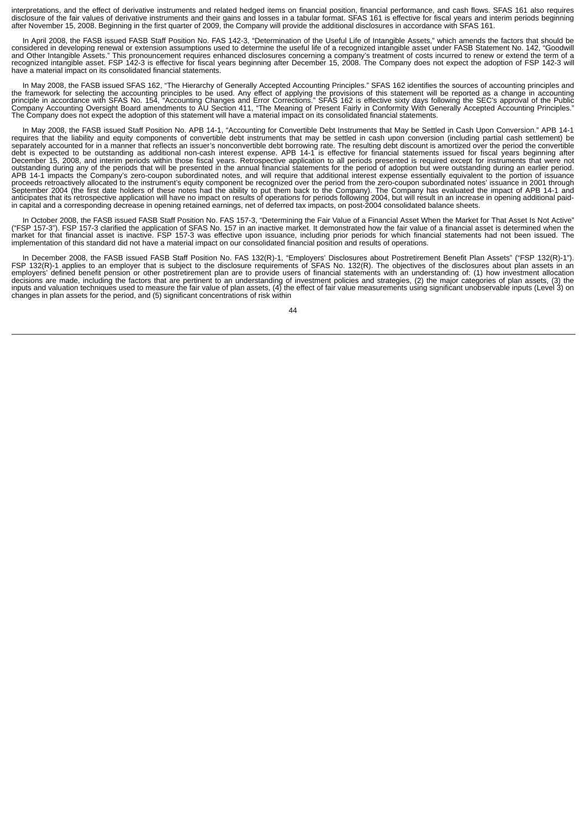interpretations, and the effect of derivative instruments and related hedged items on financial position, financial performance, and cash flows. SFAS 161 also requires<br>disclosure of the fair values of derivative instrument

In April 2008, the FASB issued FASB Staff Position No. FAS 142-3, "Determination of the Useful Life of Intangible Assets," which amends the factors that should be considered in developing renewal or extension assumptions used to determine the useful life of a recognized intangible asset under FASB Statement No. 142, "Goodwill and Other Intangible Assets." This pronouncement requires enhanced disclosures concerning a company's treatment of costs incurred to renew or extend the term of a<br>recognized intangible asset. FSP 142-3 is effective for fis have a material impact on its consolidated financial statements

In May 2008, the FASB issued SFAS 162, "The Hierarchy of Generally Accepted Accounting Principles." SFAS 162 identifies the sources of accounting principles and the framework for selecting the accounting principles to be used. Any effect of applying the provisions of this statement will be reported as a change in accounting<br>principle in accordance with SFAS No. 154, "Accounting Ch The Company does not expect the adoption of this statement will have a material impact on its consolidated financial statements.

In May 2008, the FASB issued Staff Position No. APB 14-1, "Accounting for Convertible Debt Instruments that May be Settled in Cash Upon Conversion." APB 14-1 requires that the liability and equity components of convertible debt instruments that may be settled in cash upon conversion (including partial cash settlement) be separately accounted for in a manner that reflects an issuer's nonconvertible debt borrowing rate. The resulting debt discount is amortized over the period the convertible debt is expected to be outstanding as additional non-cash interest expense. APB 14-1 is effective for financial statements issued for fiscal years beginning after December 15, 2008, and interim periods within those fiscal years. Retrospective application to all periods presented is required except for instruments that were not<br>outstanding during any of the periods that will be prese APB 14-1 impacts the Company's zero-coupon subordinated notes, and will require that additional interest expense essentially equivalent to the portion of issuance<br>proceeds retroactively allocated to the instrument's equity September 2004 (the first date holders of these notes had the ability to put them back to the Company). The Company has evaluated the impact of APB 14-1 and<br>anticipates that its retrospective application will have no impac

"In October 2008, the FASB issued FASB Staff Position No. FAS 157-3, "Determining the Fair Value of a Financial Asset When the Market for That Asset Is Not Active<br>FSP 157-3 clarified the application of SFAS No. 157 in an i implementation of this standard did not have a material impact on our consolidated financial position and results of operations.

.("In December 2008, the FASB issued FASB Staff Position No. FAS 132(R)-1, "Employers' Disclosures about Postretirement Benefit Plan Assets" ("FSP 132(R)-1").<br>FSP 132(R)-1 applies to an employer that is subject to the disc employers' defined benefit pension or other postretirement plan are to provide users of financial statements with an understanding of: (1) how investment allocation<br>decisions are made, including the factors that are pertin inputs and valuation techniques used to measure the fair value of plan assets, (4) the effect of fair value measurements using significant unobservable inputs (Level 3) on changes in plan assets for the period, and (5) significant concentrations of risk within

 $\overline{A}$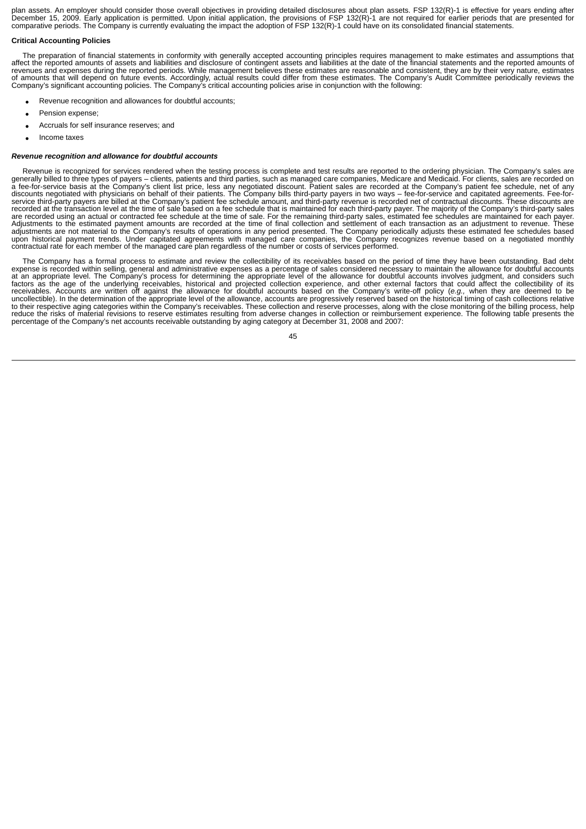plan assets. An employer should consider those overall objectives in providing detailed disclosures about plan assets. FSP 132(R)-1 is effective for years ending after<br>December 15, 2009. Early application is permitted. Upo

### **Critical Accounting Policies**

The preparation of financial statements in conformity with generally accepted accounting principles requires management to make estimates and assumptions that affect the reported amounts of assets and liabilities and discl

- **•** Revenue recognition and allowances for doubtful accounts;
- **•** Pension expense;
- **•** Accruals for self insurance reserves; and
- **•** Income taxes

## *Revenue recognition and allowance for doubtful accounts*

Revenue is recognized for services rendered when the testing process is complete and test results are reported to the ordering physician. The Company's sales are generally billed to three types of payers – clients, patients and third parties, such as managed care companies, Medicare and Medicaid. For clients, sales are recorded on<br>difec-for-service basis at the Company's client lis recorded at the transaction level at the time of sale based on a fee schedule that is maintained for each third-party payer. The majority of the Company's third-party sales are recorded using an actual or contracted fee schedule at the time of sale. For the remaining third-party sales, estimated fee schedules are maintained for each payer.<br>Adjustments to the estimated payment amounts are reco adjustments are not material to the Company's results of operations in any period presented. The Company periodically adjusts these estimated fee schedules based upon historical payment trends. Under capitated agreements with managed care companies, the Company recognizes revenue based on a negotiated monthly<br>contractual rateffor each member of the managed care plan regardless of t

The Company has a formal process to estimate and review the collectibility of its receivables based on the period of time they have been outstanding. Bad debt<br>expense is recorded within selling, general and administrative factors as the age of the underlying receivables, historical and projected collection experience, and other external factors that could affect the collectibility of its<br>receivables. Accounts are written off against the all to their respective aging categories within the Company's receivables. These collection and reserve processes, along with the close monitoring of the billing process, help reduce the risks of material revisions to reserve estimates resulting from adverse changes in collection or reimbursement experience. The following table presents the<br>percentage of the Company's net accounts receivable out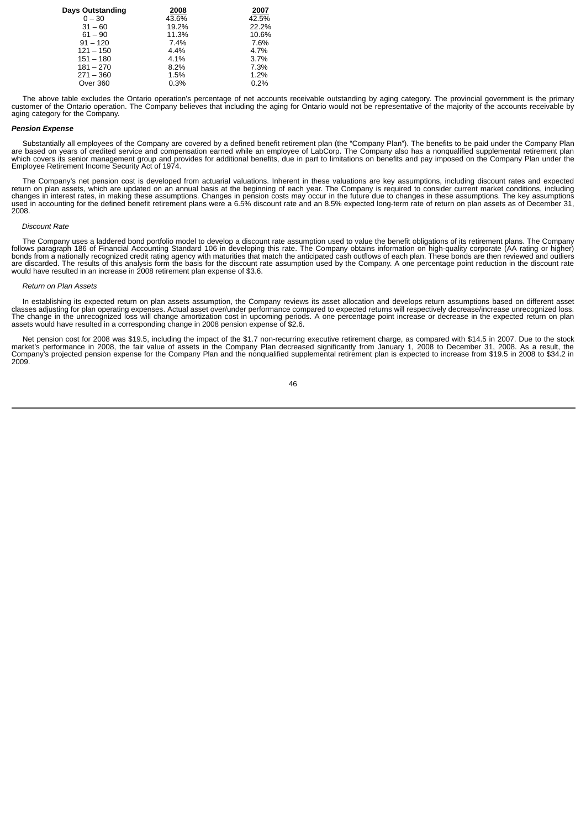| 2008  | 2007  |
|-------|-------|
| 43.6% | 42.5% |
| 19.2% | 22.2% |
| 11.3% | 10.6% |
| 7.4%  | 7.6%  |
| 4.4%  | 4.7%  |
| 4.1%  | 3.7%  |
| 8.2%  | 7.3%  |
| 1.5%  | 1.2%  |
| 0.3%  | 0.2%  |
|       |       |

The above table excludes the Ontario operation's percentage of net accounts receivable outstanding by aging category. The provincial government is the primary customer of the Ontario operation. The Company believes that including the aging for Ontario would not be representative of the majority of the accounts receivable by aging category for the Company.

#### *Pension Expense*

Substantially all employees of the Company are covered by a defined benefit retirement plan (the "Company Plan"). The benefits to be paid under the Company Plan are based on years of credited service and compensation earned while an employee of LabCorp. The Company also has a nonqualified supplemental retirement plan which covers its senior management group and provides for additional benefits, due in part to limitations on benefits and pay imposed on the Company Plan under the Employee Retirement Income Security Act of 1974.

The Company's net pension cost is developed from actuarial valuations. Inherent in these valuations are key assumptions, including discount rates and expected<br>return on plan assets, which are updated on an annual basis at used in accounting for the defined benefit retirement plans were a 6.5% discount rate and an 8.5% expected long-term rate of return on plan assets as of December 31, 2008.

#### *Discount Rate*

The Company uses a laddered bond portfolio model to develop a discount rate assumption used to value the benefit obligations of its retirement plans. The Company<br>follows paragraph 186 of Financial Accounting Standard 106 i bonds from a nationally recognized credit rating agency with maturities that match the anticipated cash outflows of each plan. These bonds are then reviewed and outliers are discarded. The results of this analysis form the basis for the discount rate assumption used by the Company. A one percentage point reduction in the discount rate<br>would have resulted in an increase in 2008 retirement p

#### *Return on Plan Assets*

In establishing its expected return on plan assets assumption, the Company reviews its asset allocation and develops return assumptions based on different asset classes adjusting for plan operating expenses. Actual asset over/under performance compared to expected returns will respectively decrease/increase unrecognized loss. The change in the unrecognized loss will change amortization cost in upcoming periods. A one percentage point increase or decrease in the expected return on plan<br>assets would have resulted in a corresponding change in 2008

Net pension cost for 2008 was \$19.5, including the impact of the \$1.7 non-recurring executive retirement charge, as compared with \$14.5 in 2007. Due to the stock<br>market's performance in 2008, the fair value of assets in th 2009.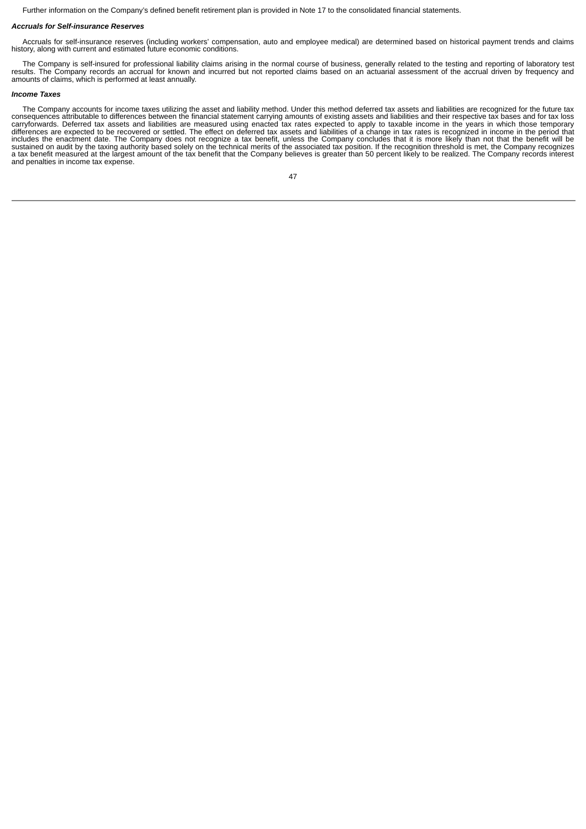Further information on the Company's defined benefit retirement plan is provided in Note 17 to the consolidated financial statements.

## *Accruals for Self-insurance Reserves*

Accruals for self-insurance reserves (including workers' compensation, auto and employee medical) are determined based on historical payment trends and claims<br>history, along with current and estimated future economic condi

The Company is self-insured for professional liability claims arising in the normal course of business, generally related to the testing and reporting of laboratory test<br>results. The Company records an accrual for known an

## *Income Taxes*

The Company accounts for income taxes utilizing the asset and liability method. Under this method deferred tax assets and liabilities are recognized for the future tax consequences attributable to differences between the f a tax benefit measured at the largest amount of the tax benefit that the Company believes is greater than 50 percent likely to be realized. The Company records interest and penalties in income tax expense.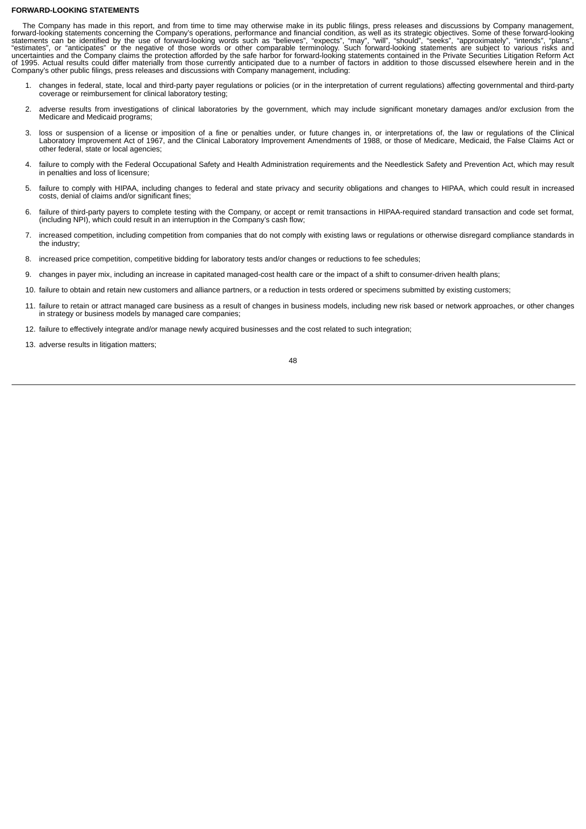#### **FORWARD-LOOKING STATEMENTS**

The Company has made in this report, and from time to time may otherwise make in its public filings, press releases and discussions by Company management, forward-looking statements concerning the Company's operations, performance and financial condition, as well as its strategic objectives. Some of these forward-looking statements can be identified by the use of forward-looking words such as "believes", "expects", "may", "will", "should", "seeks", "approximately", "intends", "plans",<br>"estimates", or "anticipates" or the negative of those

- 1. changes in federal, state, local and third-party payer regulations or policies (or in the interpretation of current regulations) affecting governmental and third-party coverage or reimbursement for clinical laboratory testing;
- 2. adverse results from investigations of clinical laboratories by the government, which may include significant monetary damages and/or exclusion from the Medicare and Medicaid programs;
- 3. loss or suspension of a license or imposition of a fine or penalties under, or future changes in, or interpretations of, the law or regulations of the Clinical Laboratory Improvement Act of 1967, and the Clinical Laboratory Improvement Amendments of 1988, or those of Medicare, Medicaid, the False Claims Act or other federal, state or local agencies;
- 4. failure to comply with the Federal Occupational Safety and Health Administration requirements and the Needlestick Safety and Prevention Act, which may result in penalties and loss of licensure;
- 5. failure to comply with HIPAA, including changes to federal and state privacy and security obligations and changes to HIPAA, which could result in increased costs, denial of claims and/or significant fines;
- 6. failure of third-party payers to complete testing with the Company, or accept or remit transactions in HIPAA-required standard transaction and code set format, (including NPI), which could result in an interruption in the Company's cash flow;
- 7. increased competition, including competition from companies that do not comply with existing laws or regulations or otherwise disregard compliance standards in the industry;
- 8. increased price competition, competitive bidding for laboratory tests and/or changes or reductions to fee schedules;
- 9. changes in payer mix, including an increase in capitated managed-cost health care or the impact of a shift to consumer-driven health plans;
- 10. failure to obtain and retain new customers and alliance partners, or a reduction in tests ordered or specimens submitted by existing customers;
- 11. failure to retain or attract managed care business as a result of changes in business models, including new risk based or network approaches, or other changes in strategy or business models by managed care companies;
- 12. failure to effectively integrate and/or manage newly acquired businesses and the cost related to such integration;
- 13. adverse results in litigation matters;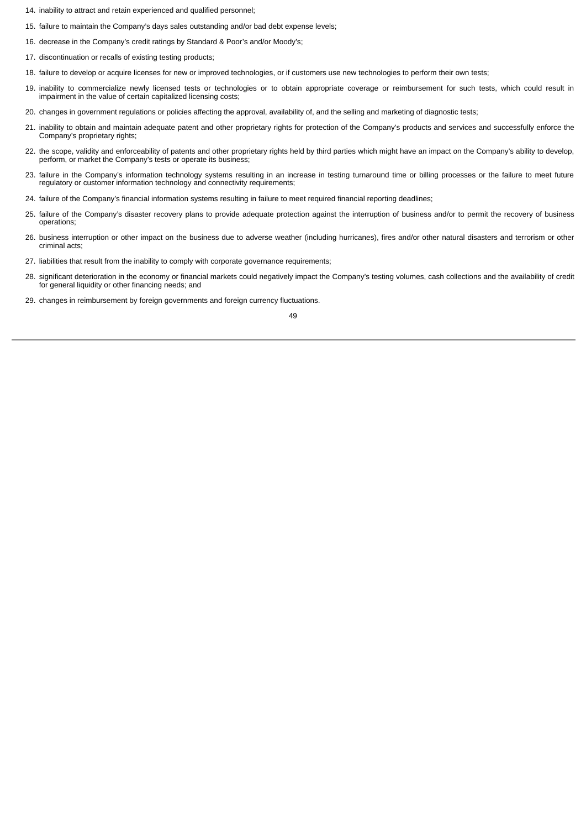- 14. inability to attract and retain experienced and qualified personnel;
- 15. failure to maintain the Company's days sales outstanding and/or bad debt expense levels;
- 16. decrease in the Company's credit ratings by Standard & Poor's and/or Moody's;
- 17. discontinuation or recalls of existing testing products;
- 18. failure to develop or acquire licenses for new or improved technologies, or if customers use new technologies to perform their own tests;
- 19. inability to commercialize newly licensed tests or technologies or to obtain appropriate coverage or reimbursement for such tests, which could result in impairment in the value of certain capitalized licensing costs;
- 20. changes in government regulations or policies affecting the approval, availability of, and the selling and marketing of diagnostic tests;
- 21. inability to obtain and maintain adequate patent and other proprietary rights for protection of the Company's products and services and successfully enforce the Company's proprietary rights;
- 22. the scope, validity and enforceability of patents and other proprietary rights held by third parties which might have an impact on the Company's ability to develop, perform, or market the Company's tests or operate its business;
- 23. failure in the Company's information technology systems resulting in an increase in testing turnaround time or billing processes or the failure to meet future regulatory or customer information technology and connectivity requirements;
- 24. failure of the Company's financial information systems resulting in failure to meet required financial reporting deadlines;
- 25. failure of the Company's disaster recovery plans to provide adequate protection against the interruption of business and/or to permit the recovery of business operations;
- 26. business interruption or other impact on the business due to adverse weather (including hurricanes), fires and/or other natural disasters and terrorism or other criminal acts;
- 27. liabilities that result from the inability to comply with corporate governance requirements;
- 28. significant deterioration in the economy or financial markets could negatively impact the Company's testing volumes, cash collections and the availability of credit for general liquidity or other financing needs; and
- 29. changes in reimbursement by foreign governments and foreign currency fluctuations.
	- 49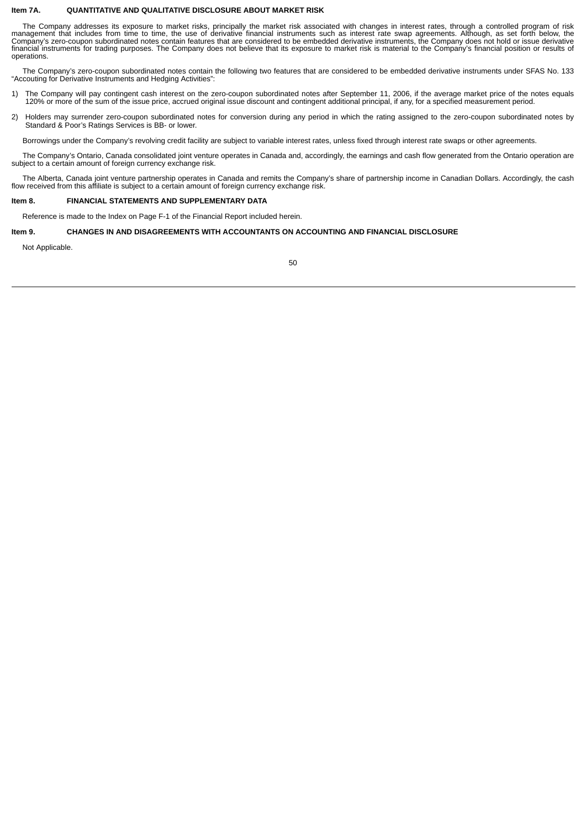## **Item 7A. QUANTITATIVE AND QUALITATIVE DISCLOSURE ABOUT MARKET RISK**

The Company addresses its exposure to market risks, principally the market risk associated with changes in interest rates, through a controlled program of risk<br>management that includes from time to time, the use of derivat financial instruments for trading purposes. The Company does not believe that its exposure to market risk is material to the Company's financial position or results of operations.

The Company's zero-coupon subordinated notes contain the following two features that are considered to be embedded derivative instruments under SFAS No. 133 "Accouting for Derivative Instruments and Hedging Activities":

- 1) The Company will pay contingent cash interest on the zero-coupon subordinated notes after September 11, 2006, if the average market price of the notes equals 120% or more of the sum of the issue price, accrued original issue discount and contingent additional principal, if any, for a specified measurement period.
- 2) Holders may surrender zero-coupon subordinated notes for conversion during any period in which the rating assigned to the zero-coupon subordinated notes by Standard & Poor's Ratings Services is BB- or lower.

Borrowings under the Company's revolving credit facility are subject to variable interest rates, unless fixed through interest rate swaps or other agreements.

The Company's Ontario, Canada consolidated joint venture operates in Canada and, accordingly, the earnings and cash flow generated from the Ontario operation are subject to a certain amount of foreign currency exchange risk.

The Alberta, Canada joint venture partnership operates in Canada and remits the Company's share of partnership income in Canadian Dollars. Accordingly, the cash<br>flow received from this affiliate is subject to a certain amo

### **Item 8. FINANCIAL STATEMENTS AND SUPPLEMENTARY DATA**

Reference is made to the Index on Page F-1 of the Financial Report included herein.

# **Item 9. CHANGES IN AND DISAGREEMENTS WITH ACCOUNTANTS ON ACCOUNTING AND FINANCIAL DISCLOSURE**

Not Applicable.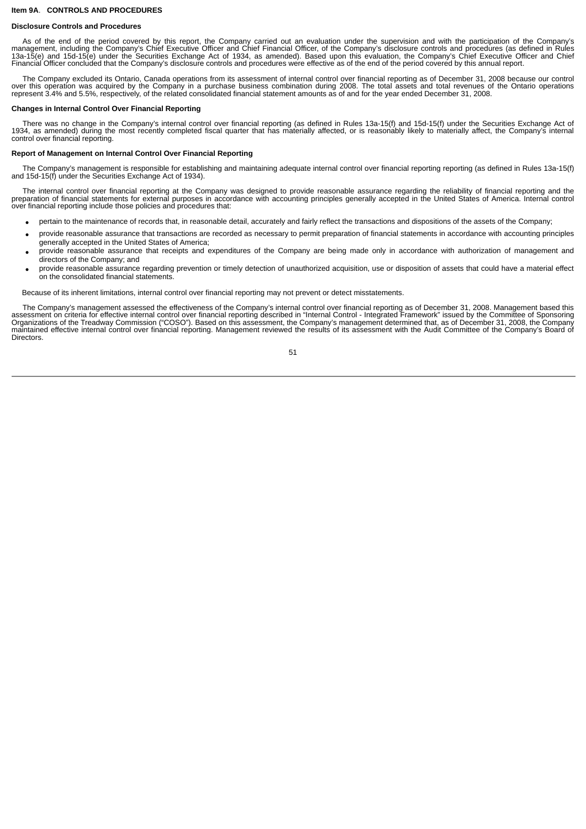### **Item 9A**. **CONTROLS AND PROCEDURES**

#### **Disclosure Controls and Procedures**

As of the end of the period covered by this report, the Company carried out an evaluation under the supervision and with the participation of the Company's<br>management, including the Company's Chief Executive Officer and Ch

The Company excluded its Ontario, Canada operations from its assessment of internal control over financial reporting as of December 31, 2008 because our control<br>over this operation was acquired by the Company in a purchase represent 3.4% and 5.5%, respectively, of the related consolidated financial statement amounts as of and for the year ended December 31, 2008.

#### **Changes in Internal Control Over Financial Reporting**

There was no change in the Company's internal control over financial reporting (as defined in Rules 13a-15(f) and 15d-15(f) under the Securities Exchange Act of<br>1934, as amended) during the most recently completed fiscal q control over financial reporting.

#### **Report of Management on Internal Control Over Financial Reporting**

The Company's management is responsible for establishing and maintaining adequate internal control over financial reporting reporting (as defined in Rules 13a-15(f) and 15d-15(f) under the Securities Exchange Act of 1934).

The internal control over financial reporting at the Company was designed to provide reasonable assurance regarding the reliability of financial reporting and the preparation of financial statements for external purposes in accordance with accounting principles generally accepted in the United States of America. Internal control over financial reporting include those policies and procedures that:

- pertain to the maintenance of records that, in reasonable detail, accurately and fairly reflect the transactions and dispositions of the assets of the Company;
- **•** provide reasonable assurance that transactions are recorded as necessary to permit preparation of financial statements in accordance with accounting principles generally accepted in the United States of America;
- **•** provide reasonable assurance that receipts and expenditures of the Company are being made only in accordance with authorization of management and directors of the Company; and
- **•** provide reasonable assurance regarding prevention or timely detection of unauthorized acquisition, use or disposition of assets that could have a material effect on the consolidated financial statements.

Because of its inherent limitations, internal control over financial reporting may not prevent or detect misstatements.

The Company's management assessed the effectiveness of the Company's internal control over financial reporting as of December 31, 2008. Management based this<br>assessment on criteria for effective internal control over finan maintained effective internal control over financial reporting. Management reviewed the results of its assessment with the Audit Committee of the Company's Board of Directors.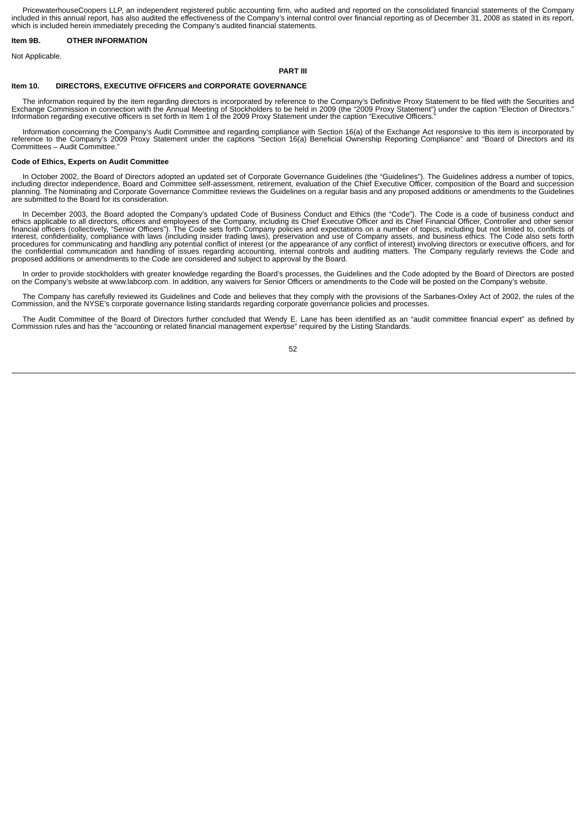PricewaterhouseCoopers LLP, an independent registered public accounting firm, who audited and reported on the consolidated financial statements of the Company included in this annual report, has also audited the effectiveness of the Company's internal control over financial reporting as of December 31, 2008 as stated in its report,<br>which is included herein immediately preceding

#### **Item 9B. OTHER INFORMATION**

Not Applicable.

#### **PART III**

#### **Item 10. DIRECTORS, EXECUTIVE OFFICERS and CORPORATE GOVERNANCE**

The information required by the item regarding directors is incorporated by reference to the Company's Definitive Proxy Statement to be filed with the Securities and<br>"Exchange Commission in connection with the Annual Meeti Information regarding executive officers is set forth in Item 1 of the 2009 Proxy Statement under the caption "Executive Officers."

Information concerning the Company's Audit Committee and regarding compliance with Section 16(a) of the Exchange Act responsive to this item is incorporated by<br>reference to the Company's 2009 Proxy Statement under the capt

#### **Code of Ethics, Experts on Audit Committee**

In October 2002, the Board of Directors adopted an updated set of Corporate Governance Guidelines (the "Guidelines"). The Guidelines address a number of topics, including director independence, Board and Committee self-assessment, retirement, evaluation of the Chief Executive Officer, composition of the Board and succession<br>planning. The Nominating and Corporate Governance Committ are submitted to the Board for its consideration.

In December 2003, the Board adopted the Company's updated Code of Business Conduct and Ethics (the "Code"). The Code is a code of business conduct and<br>ethics applicable to all directors, officers and employees of the Compa proposed additions or amendments to the Code are considered and subject to approval by the Board.

In order to provide stockholders with greater knowledge regarding the Board's processes, the Guidelines and the Code adopted by the Board of Directors are posted<br>.on the Company's website at www.labcorp.com. In addition, a

The Company has carefully reviewed its Guidelines and Code and believes that they comply with the provisions of the Sarbanes-Oxley Act of 2002, the rules of the<br>Commission, and the NYSE's corporate governance listing stand

The Audit Committee of the Board of Directors further concluded that Wendy E. Lane has been identified as an "audit committee financial expert" as defined by<br>Commission rules and has the "accounting or related financial ma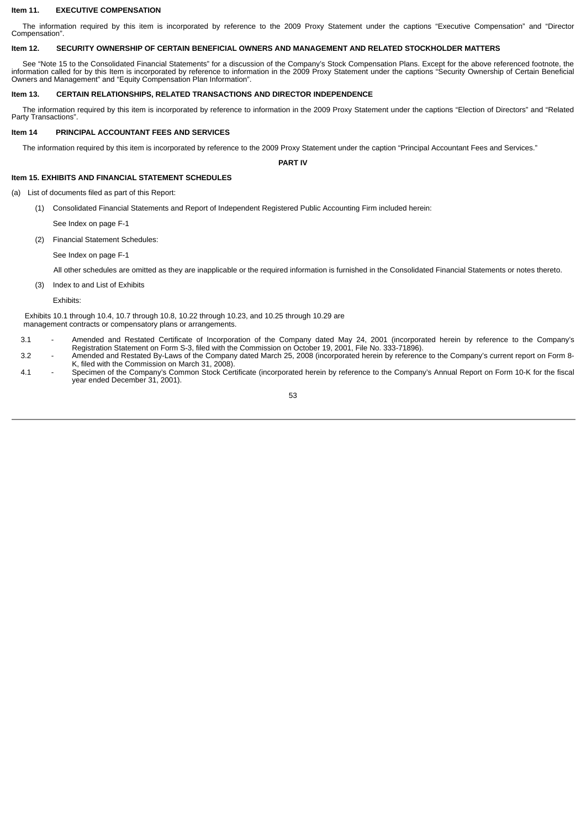## **Item 11. EXECUTIVE COMPENSATION**

The information required by this item is incorporated by reference to the 2009 Proxy Statement under the captions "Executive Compensation" and "Director Compensation".

## **Item 12. SECURITY OWNERSHIP OF CERTAIN BENEFICIAL OWNERS AND MANAGEMENT AND RELATED STOCKHOLDER MATTERS**

See "Note 15 to the Consolidated Financial Statements" for a discussion of the Company's Stock Compensation Plans. Except for the above referenced footnote, the information called for by this Item is incorporated by reference to information in the 2009 Proxy Statement under the captions "Security Ownership of Certain Beneficial Owners and Management" and "Equity Compensation Plan Information".

## **Item 13. CERTAIN RELATIONSHIPS, RELATED TRANSACTIONS AND DIRECTOR INDEPENDENCE**

The information required by this item is incorporated by reference to information in the 2009 Proxy Statement under the captions "Election of Directors" and "Related Party Transactions".

## **Item 14 PRINCIPAL ACCOUNTANT FEES AND SERVICES**

The information required by this item is incorporated by reference to the 2009 Proxy Statement under the caption "Principal Accountant Fees and Services."

**PART IV**

## **Item 15. EXHIBITS AND FINANCIAL STATEMENT SCHEDULES**

(a) List of documents filed as part of this Report:

- (1) Consolidated Financial Statements and Report of Independent Registered Public Accounting Firm included herein:
	- See Index on page F-1

(2) Financial Statement Schedules:

See Index on page F-1

All other schedules are omitted as they are inapplicable or the required information is furnished in the Consolidated Financial Statements or notes thereto.

(3) Index to and List of Exhibits

Exhibits:

Exhibits 10.1 through 10.4, 10.7 through 10.8, 10.22 through 10.23, and 10.25 through 10.29 are management contracts or compensatory plans or arrangements.

- 3.1 Amended and Restated Certificate of Incorporation of the Company dated May 24, 2001 (incorporated herein by reference to the Company's Registration Statement on Form S-3, filed with the Commission on October 19, 2001, File No. 333-71896).
- 3.2 Amended and Restated By-Laws of the Company dated March 25, 2008 (incorporated herein by reference to the Company's current report on Form 8- K, filed with the Commission on March 31, 2008).
- 4.1 Specimen of the Company's Common Stock Certificate (incorporated herein by reference to the Company's Annual Report on Form 10-K for the fiscal year ended December 31, 2001).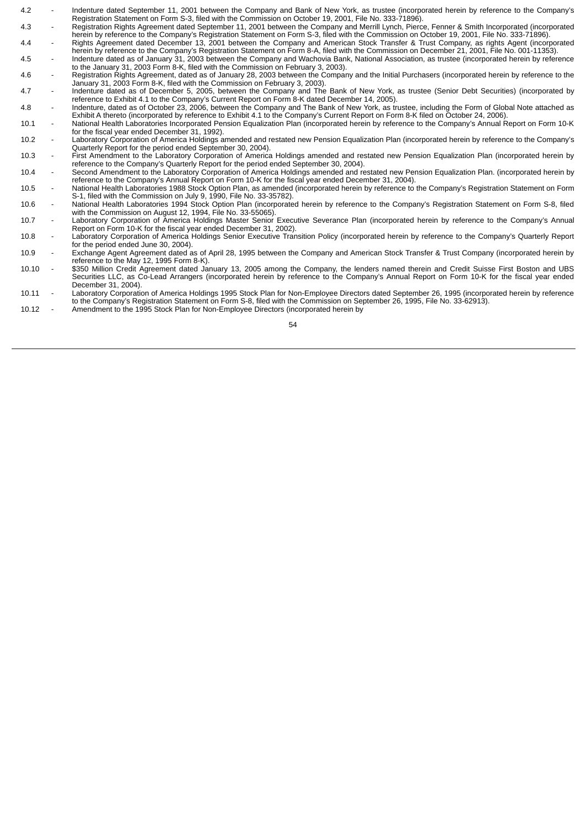- 4.2 Indenture dated September 11, 2001 between the Company and Bank of New York, as trustee (incorporated herein by reference to the Company's Registration Statement on Form S-3, filed with the Commission on October 19, 2001, File No. 333-71896).
- 4.3 Registration Rights Agreement dated September 11, 2001 between the Company and Merrill Lynch, Pierce, Fenner & Smith Incorporated (incorporated herein by reference to the Company's Registration Statement on Form S-3, filed with the Commission on October 19, 2001, File No. 333-71896).
- 4.4 Rights Agreement dated December 13, 2001 between the Company and American Stock Transfer & Trust Company, as rights Agent (incorporated herein by reference to the Company's Registration Statement on Form 8-A, filed with the Commission on December 21, 2001, File No. 001-11353). 4.5 - Indenture dated as of January 31, 2003 between the Company and Wachovia Bank, National Association, as trustee (incorporated herein by reference
- to the January 31, 2003 Form 8-K, filed with the Commission on February 3, 2003). 4.6 - Registration Rights Agreement, dated as of January 28, 2003 between the Company and the Initial Purchasers (incorporated herein by reference to the
- January 31, 2003 Form 8-K, filed with the Commission on February 3, 2003). 4.7 - Indenture dated as of December 5, 2005, between the Company and The Bank of New York, as trustee (Senior Debt Securities) (incorporated by
- reference to Exhibit 4.1 to the Company's Current Report on Form 8-K dated December 14, 2005). 4.8 - Indenture, dated as of October 23, 2006, between the Company and The Bank of New York, as trustee, including the Form of Global Note attached as
- Exhibit A thereto (incorporated by reference to Exhibit 4.1 to the Company's Current Report on Form 8-K filed on October 24, 2006). 10.1 - National Health Laboratories Incorporated Pension Equalization Plan (incorporated herein by reference to the Company's Annual Report on Form 10-K
- for the fiscal year ended December 31, 1992). 10.2 - Laboratory Corporation of America Holdings amended and restated new Pension Equalization Plan (incorporated herein by reference to the Company's
- Quarterly Report for the period ended September 30, 2004).
- 10.3 First Amendment to the Laboratory Corporation of America Holdings amended and restated new Pension Equalization Plan (incorporated herein by reference to the Company's Quarterly Report for the period ended September 30, 2004).
- 10.4 Second Amendment to the Laboratory Corporation of America Holdings amended and restated new Pension Equalization Plan. (incorporated herein by reference to the Company's Annual Report on Form 10-K for the fiscal year ended December 31, 2004). 10.5 - National Health Laboratories 1988 Stock Option Plan, as amended (incorporated herein by reference to the Company's Registration Statement on Form
- S-1, filed with the Commission on July 9, 1990, File No. 33-35782). 10.6 - National Health Laboratories 1994 Stock Option Plan (incorporated herein by reference to the Company's Registration Statement on Form S-8, filed
- with the Commission on August 12, 1994, File No. 33-55065). 10.7 - Laboratory Corporation of America Holdings Master Senior Executive Severance Plan (incorporated herein by reference to the Company's Annual
- Report on Form 10-K for the fiscal year ended December 31, 2002). 10.8 - Laboratory Corporation of America Holdings Senior Executive Transition Policy (incorporated herein by reference to the Company's Quarterly Report for the period ended June 30, 2004).
- 10.9 Exchange Agent Agreement dated as of April 28, 1995 between the Company and American Stock Transfer & Trust Company (incorporated herein by reference to the May 12, 1995 Form 8-K).
- 10.10 \$350 Million Credit Agreement dated January 13, 2005 among the Company, the lenders named therein and Credit Suisse First Boston and UBS Securities LLC, as Co-Lead Arrangers (incorporated herein by reference to the Company's Annual Report on Form 10-K for the fiscal year ended December 31, 2004).
- 10.11 Laboratory Corporation of America Holdings 1995 Stock Plan for Non-Employee Directors dated September 26, 1995 (incorporated herein by reference to the Company's Registration Statement on Form S-8, filed with the Commission on September 26, 1995, File No. 33-62913).
- 10.12 Amendment to the 1995 Stock Plan for Non-Employee Directors (incorporated herein by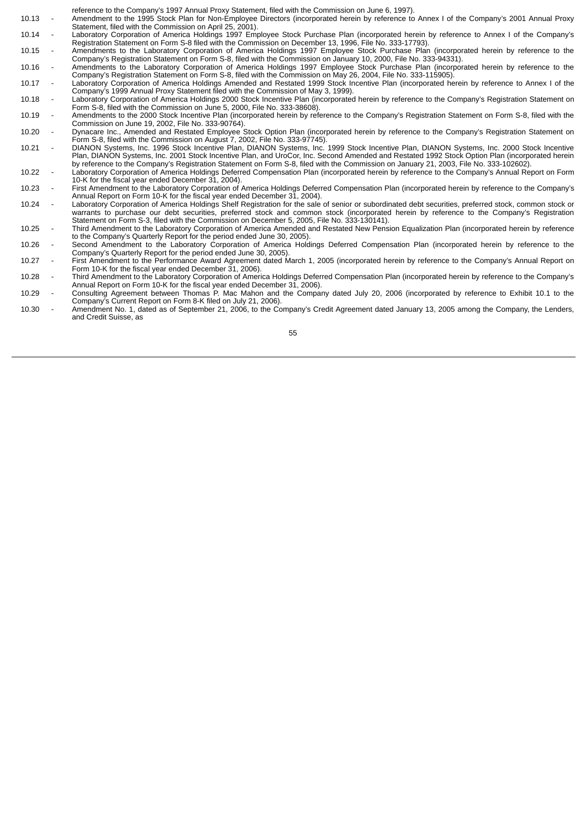reference to the Company's 1997 Annual Proxy Statement, filed with the Commission on June 6, 1997). 10.13 - Amendment to the 1995 Stock Plan for Non-Employee Directors (incorporated herein by reference to Annex I of the Company's 2001 Annual Proxy Statement, filed with the Commission on April 25, 2001). 10.14 - Laboratory Corporation of America Holdings 1997 Employee Stock Purchase Plan (incorporated herein by reference to Annex I of the Company's Registration Statement on Form S-8 filed with the Commission on December 13, 1996, File No. 333-17793). 10.15 - Amendments to the Laboratory Corporation of America Holdings 1997 Employee Stock Purchase Plan (incorporated herein by reference to the Company's Registration Statement on Form S-8, filed with the Commission on January 10, 2000, File No. 333-94331). 10.16 - Amendments to the Laboratory Corporation of America Holdings 1997 Employee Stock Purchase Plan (incorporated herein by reference to the Company's Registration Statement on Form S-8, filed with the Commission on May 26, 2004, File No. 333-115905). 10.17 - Laboratory Corporation of America Holdings Amended and Restated 1999 Stock Incentive Plan (incorporated herein by reference to Annex I of the Company's 1999 Annual Proxy Statement filed with the Commission of May 3, 1999). 10.18 - Laboratory Corporation of America Holdings 2000 Stock Incentive Plan (incorporated herein by reference to the Company's Registration Statement on Form S-8, filed with the Commission on June 5, 2000, File No. 333-38608). 10.19 - Amendments to the 2000 Stock Incentive Plan (incorporated herein by reference to the Company's Registration Statement on Form S-8, filed with the Commission on June 19, 2002, File No. 333-90764). 10.20 - Dynacare Inc., Amended and Restated Employee Stock Option Plan (incorporated herein by reference to the Company's Registration Statement on Form S-8, filed with the Commission on August 7, 2002, File No. 333-97745). 10.21 - DIANON Systems, Inc. 1996 Stock Incentive Plan, DIANON Systems, Inc. 1999 Stock Incentive Plan, DIANON Systems, Inc. 2000 Stock Incentive Plan, DIANON Systems, Inc. 2001 Stock Incentive Plan, and UroCor, Inc. Second Amended and Restated 1992 Stock Option Plan (incorporated herein by reference to the Company's Registration Statement on Form S-8, filed with the Commission on January 21, 2003, File No. 333-102602). 10.22 - Laboratory Corporation of America Holdings Deferred Compensation Plan (incorporated herein by reference to the Company's Annual Report on Form 10-K for the fiscal year ended December 31, 2004). 10.23 - First Amendment to the Laboratory Corporation of America Holdings Deferred Compensation Plan (incorporated herein by reference to the Company's Annual Report on Form 10-K for the fiscal year ended December 31, 2004). 10.24 - Laboratory Corporation of America Holdings Shelf Registration for the sale of senior or subordinated debt securities, preferred stock, common stock or warrants to purchase our debt securities, preferred stock and common stock (incorporated herein by reference to the Company's Registration Statement on Form S-3, filed with the Commission on December 5, 2005, File No. 333-130141). 10.25 - Third Amendment to the Laboratory Corporation of America Amended and Restated New Pension Equalization Plan (incorporated herein by reference to the Company's Quarterly Report for the period ended June 30, 2005).

- 10.26 Second Amendment to the Laboratory Corporation of America Holdings Deferred Compensation Plan (incorporated herein by reference to the Company's Quarterly Report for the period ended June 30, 2005).
- 10.27 First Amendment to the Performance Award Agreement dated March 1, 2005 (incorporated herein by reference to the Company's Annual Report on Form 10-K for the fiscal year ended December 31, 2006).
- 10.28 Third Amendment to the Laboratory Corporation of America Holdings Deferred Compensation Plan (incorporated herein by reference to the Company's Annual Report on Form 10-K for the fiscal year ended December 31, 2006).
- 10.29 Consulting Agreement between Thomas P. Mac Mahon and the Company dated July 20, 2006 (incorporated by reference to Exhibit 10.1 to the Company's Current Report on Form 8-K filed on July 21, 2006).
- 10.30 Amendment No. 1, dated as of September 21, 2006, to the Company's Credit Agreement dated January 13, 2005 among the Company, the Lenders, and Credit Suisse, as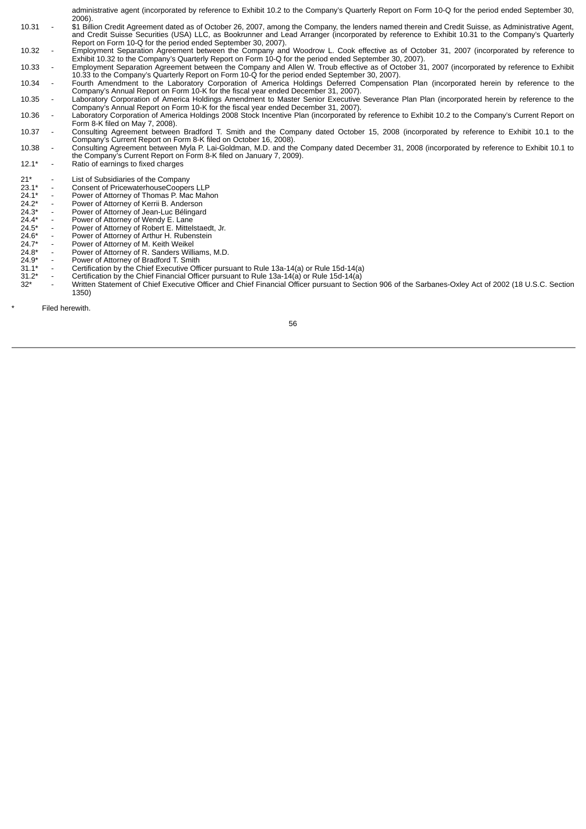administrative agent (incorporated by reference to Exhibit 10.2 to the Company's Quarterly Report on Form 10-Q for the period ended September 30, 2006). 10.31 - \$1 Billion Credit Agreement dated as of October 26, 2007, among the Company, the lenders named therein and Credit Suisse, as Administrative Agent, and Credit Suisse Securities (USA) LLC, as Bookrunner and Lead Arranger (incorporated by reference to Exhibit 10.31 to the Company's Quarterly Report on Form 10-Q for the period ended September 30, 2007). 10.32 - Employment Separation Agreement between the Company and Woodrow L. Cook effective as of October 31, 2007 (incorporated by reference to Exhibit 10.32 to the Company's Quarterly Report on Form 10-Q for the period ended September 30, 2007). 10.33 - Employment Separation Agreement between the Company and Allen W. Troub effective as of October 31, 2007 (incorporated by reference to Exhibit 10.33 to the Company's Quarterly Report on Form 10-Q for the period ended September 30, 2007). 10.34 - Fourth Amendment to the Laboratory Corporation of America Holdings Deferred Compensation Plan (incorporated herein by reference to the Company's Annual Report on Form 10-K for the fiscal year ended December 31, 2007). 10.35 - Laboratory Corporation of America Holdings Amendment to Master Senior Executive Severance Plan Plan (incorporated herein by reference to the Company's Annual Report on Form 10-K for the fiscal year ended December 31, 2007). 10.36 - Laboratory Corporation of America Holdings 2008 Stock Incentive Plan (incorporated by reference to Exhibit 10.2 to the Company's Current Report on Form 8-K filed on May 7, 2008). 10.37 - Consulting Agreement between Bradford T. Smith and the Company dated October 15, 2008 (incorporated by reference to Exhibit 10.1 to the Company's Current Report on Form 8-K filed on October 16, 2008). 10.38 - Consulting Agreement between Myla P. Lai-Goldman, M.D. and the Company dated December 31, 2008 (incorporated by reference to Exhibit 10.1 to the Company's Current Report on Form 8-K filed on January 7, 2009). 12.1<sup>\*</sup> - Ratio of earnings to fixed charges 21\* - List of Subsidiaries of the Company<br>23.1\* - Consent of PricewaterhouseCooper 23.1\* - Consent of PricewaterhouseCoopers LLP<br>24.1\* - Power of Attorney of Thomas P. Mac Mah 24.1\* - Power of Attorney of Thomas P. Mac Mahon<br>24.2\* - Power of Attorney of Kerrii B. Anderson<br>24.3\* - Power of Attorney of Jean-Luc Bélingard Power of Attorney of Kerrii B. Anderson 24.3\* - Power of Attorney of Jean-Luc Bélingard<br>24.4\* - Power of Attorney of Wendy E. Lane 24.4\* - Power of Attorney of Wendy E. Lane<br>24.5\* - Power of Attorney of Robert E. Mittel 24.5\* - Power of Attorney of Robert E. Mittelstaedt, Jr.<br>24.6\* - Power of Attorney of Arthur H. Rubenstein 24.6\* - Power of Attorney of Arthur H. Rubenstein<br>24.7\* - Power of Attorney of M. Keith Weikel 24.7\* - Power of Attorney of M. Keith Weikel<br>24.8\* - Power of Attorney of R. Sanders Willi 24.8\* - Power of Attorney of R. Sanders Williams, M.D.<br>24.9\* - Power of Attorney of Bradford T. Smith  $24.9*$  - Power of Attorney of Bradford T. Smith  $31.1*$  - Certification by the Chief Executive Offi

- $31.1*$  Certification by the Chief Executive Officer pursuant to Rule  $13a-14(a)$  or Rule  $15d-14(a)$ <br> $31.2*$  Certification by the Chief Financial Officer pursuant to Rule  $13a-14(a)$  or Rule 15d-14(a)
- $31.2^*$  Certification by the Chief Financial Officer pursuant to Rule  $13a-14(a)$  or Rule  $15d-14(a)$ <br> $32^*$  Written Statement of Chief Executive Officer and Chief Financial Officer pursuant to See Written Statement of Chief Executive Officer and Chief Financial Officer pursuant to Section 906 of the Sarbanes-Oxley Act of 2002 (18 U.S.C. Section 1350)

Filed herewith.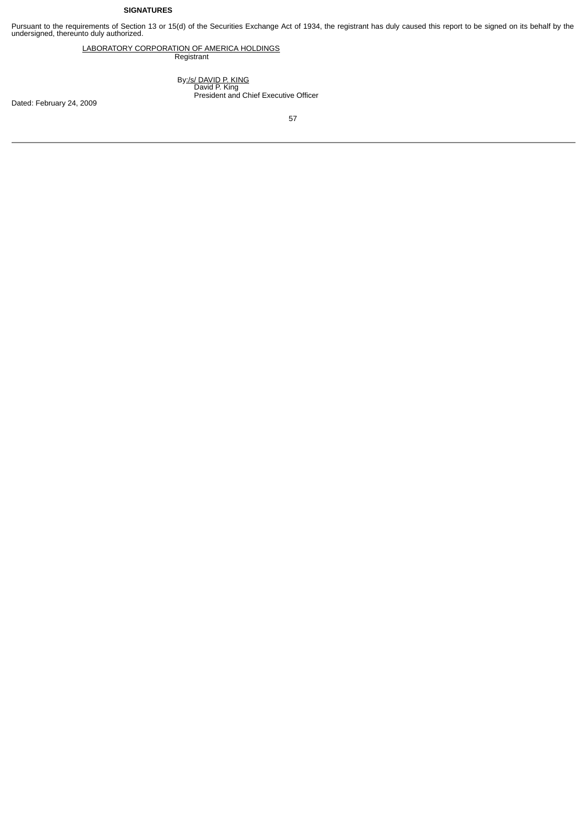## **SIGNATURES**

Pursuant to the requirements of Section 13 or 15(d) of the Securities Exchange Act of 1934, the registrant has duly caused this report to be signed on its behalf by the undersigned, thereunto duly authorized.

LABORATORY CORPORATION OF AMERICA HOLDINGS

Registrant

By<u>:/s/ DAVID P. KING</u><br>David P. King President and Chief Executive Officer

Dated: February 24, 2009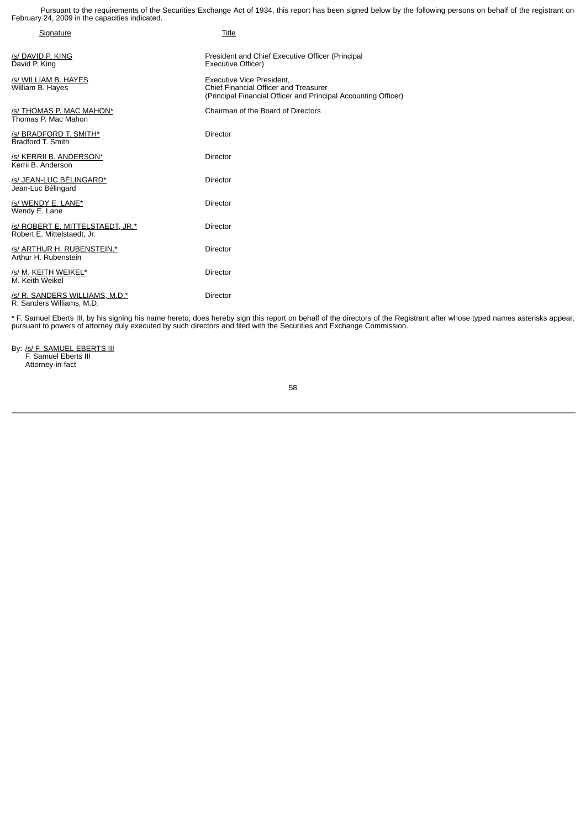Pursuant to the requirements of the Securities Exchange Act of 1934, this report has been signed below by the following persons on behalf of the registrant on February 24, 2009 in the capacities indicated.

| Signature                                                       | Title                                                                                                                                       |
|-----------------------------------------------------------------|---------------------------------------------------------------------------------------------------------------------------------------------|
| /s/ DAVID P. KING<br>David P. King                              | President and Chief Executive Officer (Principal<br>Executive Officer)                                                                      |
| /s/ WILLIAM B. HAYES<br>William B. Hayes                        | <b>Executive Vice President,</b><br>Chief Financial Officer and Treasurer<br>(Principal Financial Officer and Principal Accounting Officer) |
| /s/ THOMAS P. MAC MAHON*<br>Thomas P. Mac Mahon                 | Chairman of the Board of Directors                                                                                                          |
| /s/ BRADFORD T. SMITH*<br>Bradford T. Smith                     | <b>Director</b>                                                                                                                             |
| /s/ KERRII B. ANDERSON*<br>Kerrii B. Anderson                   | <b>Director</b>                                                                                                                             |
| <u>/s/ JEAN-LUC BÉLINGARD*</u><br>Jean-Luc Bélingard            | <b>Director</b>                                                                                                                             |
| /s/ WENDY E. LANE*<br>Wendy E. Lane                             | Director                                                                                                                                    |
| /s/ ROBERT E. MITTELSTAEDT, JR.*<br>Robert E. Mittelstaedt. Jr. | <b>Director</b>                                                                                                                             |
| /s/ ARTHUR H. RUBENSTEIN.*<br>Arthur H. Rubenstein              | <b>Director</b>                                                                                                                             |
| /s/ M. KEITH WEIKEL*<br>M. Keith Weikel                         | <b>Director</b>                                                                                                                             |
| /s/ R. SANDERS WILLIAMS, M.D.*<br>R. Sanders Williams, M.D.     | <b>Director</b>                                                                                                                             |

\* F. Samuel Eberts III, by his signing his name hereto, does hereby sign this report on behalf of the directors of the Registrant after whose typed names asterisks appear,<br>pursuant to powers of attorney duly executed by su

By: <u>/s/ F. SAMUEL EBERTS III</u> F. Samuel Eberts III Attorney-in-fact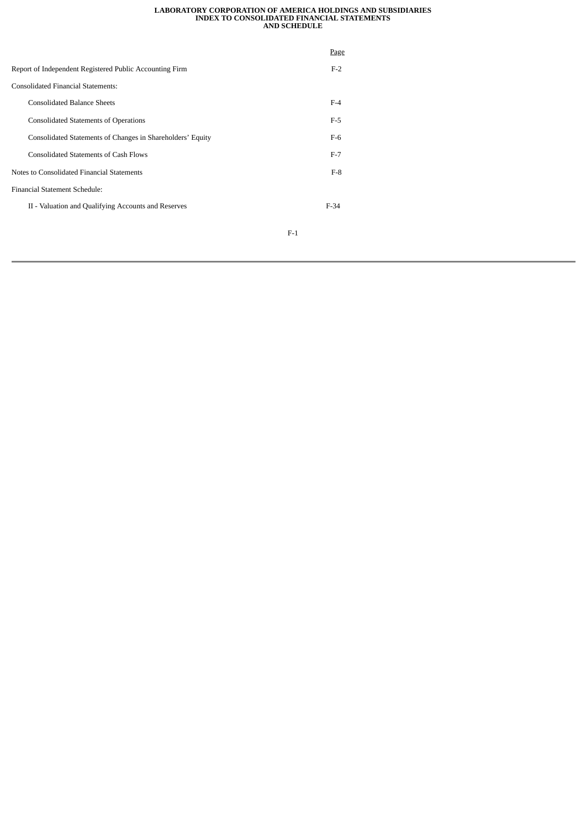# **LABORATORY CORPORATION OF AMERICA HOLDINGS AND SUBSIDIARIES INDEX TO CONSOLIDATED FINANCIAL STATEMENTS AND SCHEDULE**

|                                                            | Page   |
|------------------------------------------------------------|--------|
| Report of Independent Registered Public Accounting Firm    | $F-2$  |
| Consolidated Financial Statements:                         |        |
| <b>Consolidated Balance Sheets</b>                         | $F-4$  |
| <b>Consolidated Statements of Operations</b>               | $F-5$  |
| Consolidated Statements of Changes in Shareholders' Equity | $F-6$  |
| <b>Consolidated Statements of Cash Flows</b>               | $F-7$  |
| Notes to Consolidated Financial Statements                 | $F-8$  |
| Financial Statement Schedule:                              |        |
| II - Valuation and Qualifying Accounts and Reserves        | $F-34$ |
|                                                            |        |
| $F-1$                                                      |        |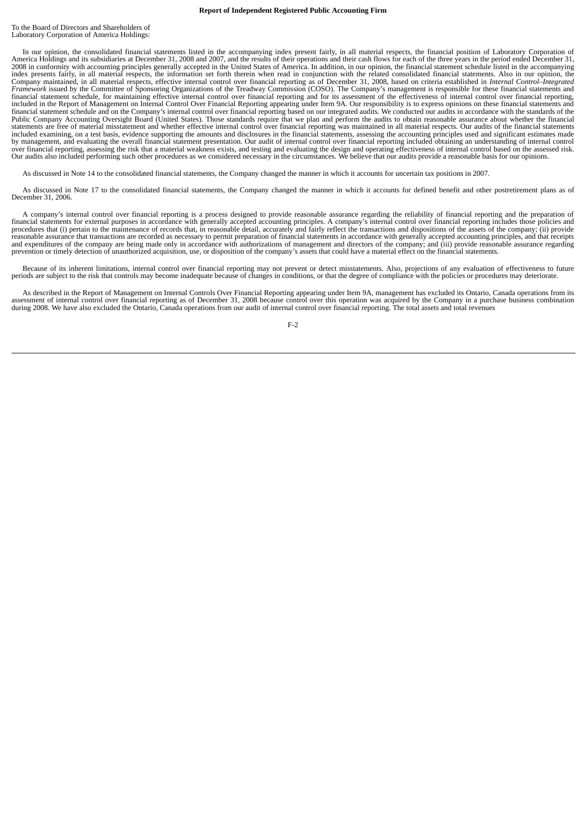#### **Report of Independent Registered Public Accounting Firm**

To the Board of Directors and Shareholders of Laboratory Corporation of America Holdings:

In our opinion, the consolidated financial statements listed in the accompanying index present fairly, in all material respects, the financial position of Laboratory Corporation of America Holdings and its subsidiaries at December 31, 2008 and 2007, and the results of their operations and their cash flows for each of the three years in the period ended December 31, 2008 in conformity with accounting principles generally accepted in the United States of America. In addition, in our opinion, the financial statement schedule listed in the accompanying<br>index presents fairly, in all mater Company maintained, in all material respects, effective internal control over financial reporting as of December 31, 2008, based on criteria established in *Internal Control–Integrated*<br>Framework issued by the Committee of included in the Report of Management on Internal Control Over Financial Reporting appearing under Item 9A. Our responsibility is to express opinions on these financial statements and financial statement schedule and on the Company's internal control over financial reporting based on our integrated audits. We conducted our audits in accordance with the standards of the<br>Public Company Accounting Oversigh included examining, on a test basis, evidence supporting the amounts and disclosures in the financial statements, assessing the accounting principles used and significant estimates made<br>by management, and evaluating the ov over financial reporting, assessing the risk that a material weakness exists, and testing and evaluating the design and operating effectiveness of internal control based on the assessed risk. Our audits also included performing such other procedures as we considered necessary in the circumstances. We believe that our audits provide a reasonable basis for our opinions.

As discussed in Note 14 to the consolidated financial statements, the Company changed the manner in which it accounts for uncertain tax positions in 2007.

As discussed in Note 17 to the consolidated financial statements, the Company changed the manner in which it accounts for defined benefit and other postretirement plans as of December 31, 2006.

A company's internal control over financial reporting is a process designed to provide reasonable assurance regarding the reliability of financial reporting and the preparation of financial statements for external purposes reasonable assurance that transactions are recorded as necessary to permit preparation of financial statements in accordance with generally accepted accounting principles, and that receipts and expenditures of the company are being made only in accordance with authorizations of management and directors of the company; and (iii) provide reasonable assurance regarding<br>prevention or timely detection of unauthori

Because of its inherent limitations, internal control over financial reporting may not prevent or detect misstatements. Also, projections of any evaluation of effectiveness to future periods are subject to the risk that controls may become inadequate because of changes in conditions, or that the degree of compliance with the policies or procedures may deteriorate.

As described in the Report of Management on Internal Controls Over Financial Reporting appearing under Item 9A, management has excluded its Ontario, Canada operations from its assessment of internal control over financial reporting as of December 31, 2008 because control over this operation was acquired by the Company in a purchase business combination<br>during 2008. We have also excluded the Onta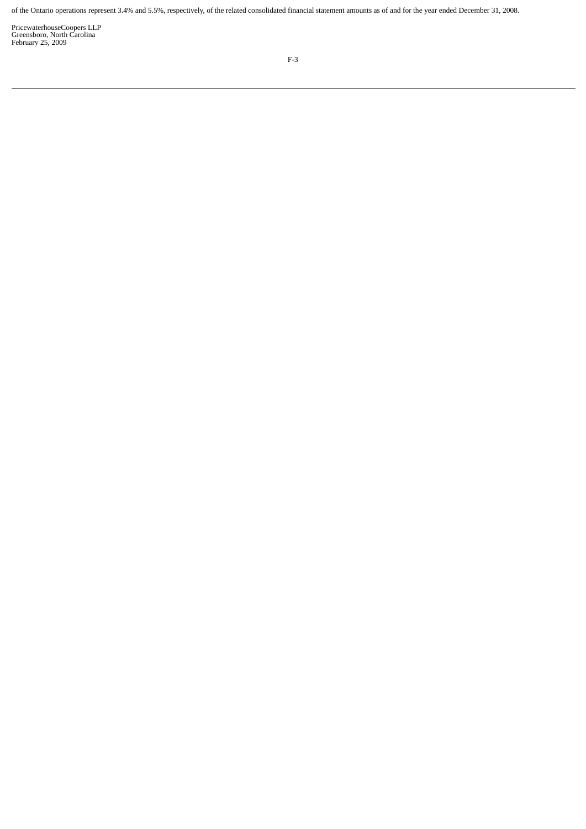of the Ontario operations represent 3.4% and 5.5%, respectively, of the related consolidated financial statement amounts as of and for the year ended December 31, 2008.

PricewaterhouseCoopers LLP Greensboro, North Carolina February 25, 2009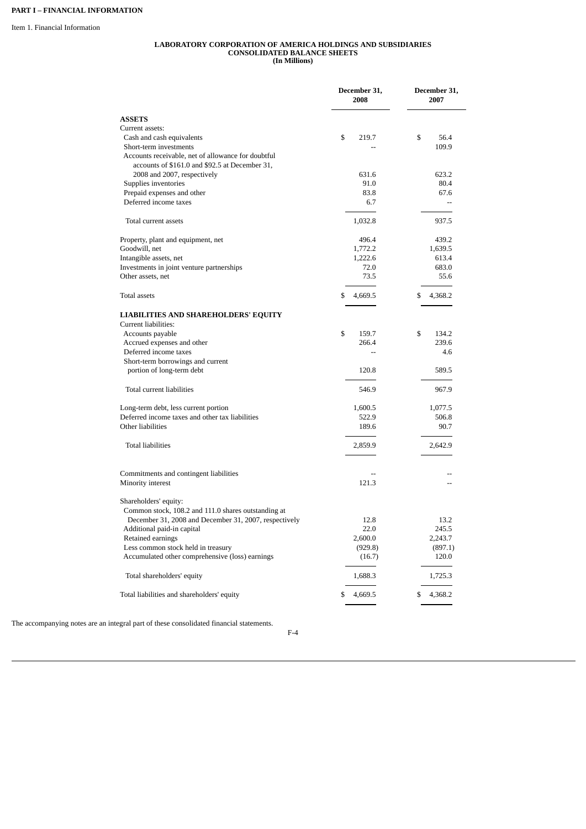Item 1. Financial Information

#### **LABORATORY CORPORATION OF AMERICA HOLDINGS AND SUBSIDIARIES CONSOLIDATED BALANCE SHEETS (In Millions)**

|                                                       | December 31,<br>2008 | December 31,<br>2007     |
|-------------------------------------------------------|----------------------|--------------------------|
| <b>ASSETS</b>                                         |                      |                          |
| Current assets:                                       |                      |                          |
| Cash and cash equivalents                             | \$<br>219.7          | \$<br>56.4               |
| Short-term investments                                |                      | 109.9                    |
| Accounts receivable, net of allowance for doubtful    |                      |                          |
| accounts of \$161.0 and \$92.5 at December 31,        |                      |                          |
| 2008 and 2007, respectively                           | 631.6                | 623.2                    |
| Supplies inventories                                  | 91.0                 | 80.4                     |
| Prepaid expenses and other                            | 83.8                 | 67.6                     |
| Deferred income taxes                                 | 6.7                  |                          |
| Total current assets                                  | 1,032.8              | 937.5                    |
| Property, plant and equipment, net                    | 496.4                | 439.2                    |
| Goodwill, net                                         | 1,772.2              | 1,639.5                  |
| Intangible assets, net                                | 1,222.6              | 613.4                    |
| Investments in joint venture partnerships             | 72.0                 | 683.0                    |
| Other assets, net                                     | 73.5                 | 55.6                     |
|                                                       |                      |                          |
| Total assets                                          | \$<br>4,669.5        | \$<br>4,368.2            |
| <b>LIABILITIES AND SHAREHOLDERS' EQUITY</b>           |                      |                          |
| Current liabilities:                                  |                      |                          |
| Accounts payable                                      | \$<br>159.7          | \$<br>134.2              |
| Accrued expenses and other                            | 266.4                | 239.6                    |
| Deferred income taxes                                 | --                   | 4.6                      |
| Short-term borrowings and current                     |                      |                          |
| portion of long-term debt                             | 120.8                | 589.5                    |
| Total current liabilities                             | 546.9                | 967.9                    |
| Long-term debt, less current portion                  | 1,600.5              | 1,077.5                  |
| Deferred income taxes and other tax liabilities       | 522.9                | 506.8                    |
| Other liabilities                                     | 189.6                | 90.7                     |
|                                                       |                      |                          |
| <b>Total liabilities</b>                              | 2,859.9              | 2,642.9                  |
|                                                       |                      |                          |
|                                                       |                      |                          |
| Commitments and contingent liabilities                |                      |                          |
| Minority interest                                     | 121.3                | $\overline{\phantom{a}}$ |
| Shareholders' equity:                                 |                      |                          |
| Common stock, 108.2 and 111.0 shares outstanding at   |                      |                          |
| December 31, 2008 and December 31, 2007, respectively | 12.8                 | 13.2                     |
| Additional paid-in capital                            | 22.0                 | 245.5                    |
| Retained earnings                                     | 2,600.0              | 2,243.7                  |
| Less common stock held in treasury                    | (929.8)              | (897.1)                  |
| Accumulated other comprehensive (loss) earnings       | (16.7)               | 120.0                    |
|                                                       |                      |                          |
| Total shareholders' equity                            | 1,688.3              | 1,725.3                  |
| Total liabilities and shareholders' equity            | \$<br>4,669.5        | \$<br>4,368.2            |
|                                                       |                      |                          |
|                                                       |                      |                          |

The accompanying notes are an integral part of these consolidated financial statements.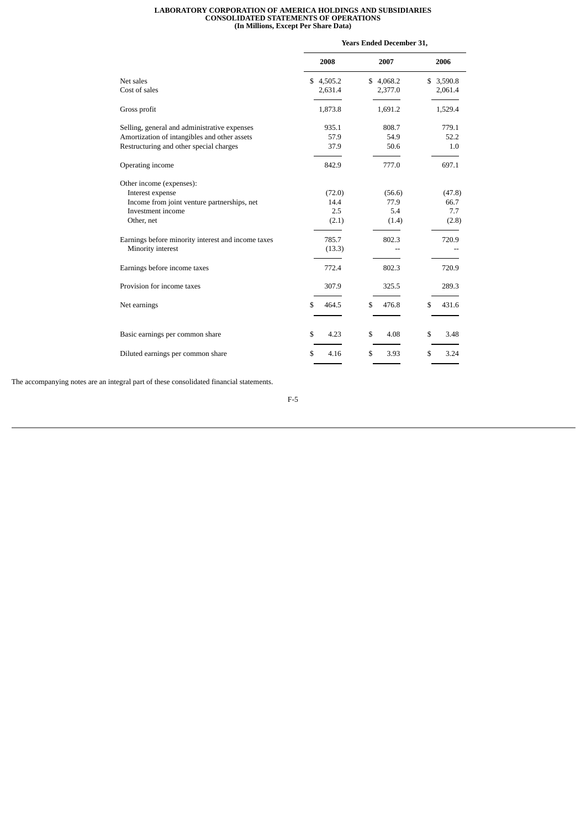# **LABORATORY CORPORATION OF AMERICA HOLDINGS AND SUBSIDIARIES CONSOLIDATED STATEMENTS OF OPERATIONS (In Millions, Except Per Share Data)**

|                                                    | <b>Years Ended December 31,</b> |             |            |  |  |  |
|----------------------------------------------------|---------------------------------|-------------|------------|--|--|--|
|                                                    | 2008                            | 2007        | 2006       |  |  |  |
| Net sales                                          | \$4,505.2                       | \$4,068.2   | \$3,590.8  |  |  |  |
| Cost of sales                                      | 2,631.4                         | 2,377.0     | 2,061.4    |  |  |  |
| Gross profit                                       | 1,873.8                         | 1,691.2     | 1,529.4    |  |  |  |
| Selling, general and administrative expenses       | 935.1                           | 808.7       | 779.1      |  |  |  |
| Amortization of intangibles and other assets       | 57.9                            | 54.9        | 52.2       |  |  |  |
| Restructuring and other special charges            | 37.9                            | 50.6        | 1.0        |  |  |  |
| Operating income                                   | 842.9                           | 777.0       | 697.1      |  |  |  |
| Other income (expenses):                           |                                 |             |            |  |  |  |
| Interest expense                                   | (72.0)                          | (56.6)      | (47.8)     |  |  |  |
| Income from joint venture partnerships, net        | 14.4                            | 77.9        | 66.7       |  |  |  |
| Investment income                                  | 2.5                             | 5.4         | 7.7        |  |  |  |
| Other, net                                         | (2.1)                           | (1.4)       | (2.8)      |  |  |  |
| Earnings before minority interest and income taxes | 785.7                           | 802.3       | 720.9      |  |  |  |
| Minority interest                                  | (13.3)                          |             |            |  |  |  |
| Earnings before income taxes                       | 772.4                           | 802.3       | 720.9      |  |  |  |
| Provision for income taxes                         | 307.9                           | 325.5       | 289.3      |  |  |  |
| Net earnings                                       | 464.5<br>S                      | 476.8<br>\$ | 431.6<br>S |  |  |  |
| Basic earnings per common share                    | \$<br>4.23                      | \$<br>4.08  | \$<br>3.48 |  |  |  |
| Diluted earnings per common share                  | 4.16<br>\$                      | 3.93<br>\$  | 3.24<br>S  |  |  |  |
|                                                    |                                 |             |            |  |  |  |

The accompanying notes are an integral part of these consolidated financial statements.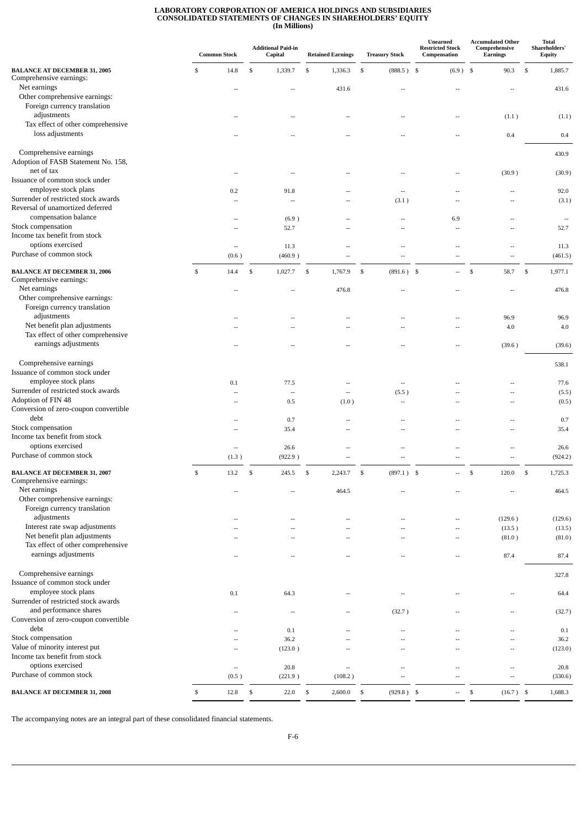# **LABORATORY CORPORATION OF AMERICA HOLDINGS AND SUBSIDIARIES CONSOLIDATED STATEMENTS OF CHANGES IN SHAREHOLDERS' EQUITY (In Millions)**

| <b>BALANCE AT DECEMBER 31, 2005</b><br>\$<br>1,339.7<br>\$<br>1,336.3<br>\$<br>$(888.5)$ \$<br>$(6.9)$ \$<br>90.3<br>\$<br>1,885.7<br>\$<br>14.8<br>Comprehensive earnings:<br>Net earnings<br>431.6<br>431.6<br>Ξ.<br>Other comprehensive earnings:<br>Foreign currency translation<br>adjustments<br>(1.1)<br>(1.1)<br>Tax effect of other comprehensive<br>loss adjustments<br>0.4<br>0.4<br>--<br>--<br>Comprehensive earnings<br>430.9<br>Adoption of FASB Statement No. 158,<br>net of tax<br>(30.9)<br>(30.9)<br>--<br>Issuance of common stock under<br>employee stock plans<br>92.0<br>0.2<br>91.8<br>--<br>Surrender of restricted stock awards<br>(3.1)<br>(3.1)<br>--<br>$\overline{\phantom{a}}$<br><br>$\overline{a}$<br>Reversal of unamortized deferred<br>compensation balance<br>(6.9)<br>6.9<br>$\overline{\phantom{a}}$<br>Stock compensation<br>52.7<br>52.7<br>Ξ.<br>Income tax benefit from stock<br>options exercised<br>11.3<br>11.3<br>$\overline{\phantom{a}}$<br>--<br>$\overline{a}$<br>Purchase of common stock<br>(0.6)<br>(460.9)<br>(461.5)<br>--<br>--<br><b>BALANCE AT DECEMBER 31, 2006</b><br>\$<br>\$<br>\$<br>\$<br>\$<br>1,977.1<br>1,027.7<br>\$<br>1,767.9<br>$(891.6)$ \$<br>58.7<br>14.4<br>--<br>Comprehensive earnings:<br>Net earnings<br>476.8<br>476.8<br>Other comprehensive earnings:<br>Foreign currency translation<br>adjustments<br>96.9<br>96.9<br>Net benefit plan adjustments<br>4.0<br>4.0<br>--<br>$\overline{\phantom{a}}$<br>۰.<br>Tax effect of other comprehensive<br>earnings adjustments<br>(39.6)<br>(39.6)<br>--<br>Comprehensive earnings<br>538.1<br>Issuance of common stock under<br>employee stock plans<br>77.5<br>77.6<br>0.1<br>Surrender of restricted stock awards<br>(5.5)<br>(5.5)<br>$\overline{\phantom{a}}$<br>$\overline{\phantom{a}}$<br>$\overline{\phantom{a}}$<br>--<br>$\overline{a}$<br>Adoption of FIN 48<br>(1.0)<br>(0.5)<br>0.5<br>$\overline{\phantom{a}}$<br>$\overline{\phantom{a}}$<br>--<br>Conversion of zero-coupon convertible<br>debt<br>0.7<br>0.7<br>Stock compensation<br>35.4<br>35.4<br>$\overline{a}$<br>Income tax benefit from stock<br>options exercised<br>26.6<br>26.6<br>--<br>Purchase of common stock<br>(922.9)<br>(924.2)<br>(1.3)<br>--<br>--<br>\$<br>$\mathfrak{s}$<br>\$<br>\$<br>\$<br>\$<br>245.5<br>2,243.7<br>$(897.1)$ \$<br>120.0<br>1,725.3<br><b>BALANCE AT DECEMBER 31, 2007</b><br>13.2<br>--<br>Comprehensive earnings:<br>Net earnings<br>464.5<br>464.5<br>Other comprehensive earnings:<br>Foreign currency translation<br>adjustments<br>(129.6)<br>(129.6)<br>--<br>$\overline{\phantom{a}}$<br>Interest rate swap adjustments<br>(13.5)<br>(13.5)<br>$\overline{\phantom{a}}$<br>$\overline{a}$<br>$\overline{a}$<br>Net benefit plan adjustments<br>(81.0)<br>(81.0)<br>Tax effect of other comprehensive<br>earnings adjustments<br>87.4<br>87.4<br>$\overline{a}$<br>Comprehensive earnings<br>327.8<br>Issuance of common stock under<br>employee stock plans<br>0.1<br>64.3<br>64.4<br>۰.<br>--<br>Surrender of restricted stock awards<br>and performance shares<br>(32.7)<br>(32.7)<br>$\overline{\phantom{a}}$<br>--<br>--<br>--<br>Conversion of zero-coupon convertible<br>debt<br>0.1<br>0.1<br>--<br>Stock compensation<br>36.2<br>36.2<br>--<br>Ξ.<br>$\overline{a}$<br>$\overline{\phantom{a}}$<br>Value of minority interest put<br>(123.0)<br>(123.0)<br>Income tax benefit from stock<br>options exercised<br>20.8<br>20.8<br>$\overline{\phantom{a}}$<br>--<br>$\overline{a}$<br>--<br>Purchase of common stock<br>(0.5)<br>(221.9)<br>(108.2)<br>(330.6)<br>Ξ.<br>$(16.7)$ \$ |                                     | <b>Common Stock</b> | <b>Additional Paid-in</b><br>Capital | <b>Retained Earnings</b> | <b>Treasury Stock</b> | Unearned<br><b>Restricted Stock</b><br>Compensation | <b>Accumulated Other</b><br>Comprehensive<br><b>Earnings</b> | <b>Total</b><br>Shareholders'<br><b>Equity</b> |
|----------------------------------------------------------------------------------------------------------------------------------------------------------------------------------------------------------------------------------------------------------------------------------------------------------------------------------------------------------------------------------------------------------------------------------------------------------------------------------------------------------------------------------------------------------------------------------------------------------------------------------------------------------------------------------------------------------------------------------------------------------------------------------------------------------------------------------------------------------------------------------------------------------------------------------------------------------------------------------------------------------------------------------------------------------------------------------------------------------------------------------------------------------------------------------------------------------------------------------------------------------------------------------------------------------------------------------------------------------------------------------------------------------------------------------------------------------------------------------------------------------------------------------------------------------------------------------------------------------------------------------------------------------------------------------------------------------------------------------------------------------------------------------------------------------------------------------------------------------------------------------------------------------------------------------------------------------------------------------------------------------------------------------------------------------------------------------------------------------------------------------------------------------------------------------------------------------------------------------------------------------------------------------------------------------------------------------------------------------------------------------------------------------------------------------------------------------------------------------------------------------------------------------------------------------------------------------------------------------------------------------------------------------------------------------------------------------------------------------------------------------------------------------------------------------------------------------------------------------------------------------------------------------------------------------------------------------------------------------------------------------------------------------------------------------------------------------------------------------------------------------------------------------------------------------------------------------------------------------------------------------------------------------------------------------------------------------------------------------------------------------------------------------------------------------------------------------------------------------------------------------------------------------------------------------------------------------------------------------------------------------------------|-------------------------------------|---------------------|--------------------------------------|--------------------------|-----------------------|-----------------------------------------------------|--------------------------------------------------------------|------------------------------------------------|
|                                                                                                                                                                                                                                                                                                                                                                                                                                                                                                                                                                                                                                                                                                                                                                                                                                                                                                                                                                                                                                                                                                                                                                                                                                                                                                                                                                                                                                                                                                                                                                                                                                                                                                                                                                                                                                                                                                                                                                                                                                                                                                                                                                                                                                                                                                                                                                                                                                                                                                                                                                                                                                                                                                                                                                                                                                                                                                                                                                                                                                                                                                                                                                                                                                                                                                                                                                                                                                                                                                                                                                                                                                              |                                     |                     |                                      |                          |                       |                                                     |                                                              |                                                |
|                                                                                                                                                                                                                                                                                                                                                                                                                                                                                                                                                                                                                                                                                                                                                                                                                                                                                                                                                                                                                                                                                                                                                                                                                                                                                                                                                                                                                                                                                                                                                                                                                                                                                                                                                                                                                                                                                                                                                                                                                                                                                                                                                                                                                                                                                                                                                                                                                                                                                                                                                                                                                                                                                                                                                                                                                                                                                                                                                                                                                                                                                                                                                                                                                                                                                                                                                                                                                                                                                                                                                                                                                                              |                                     |                     |                                      |                          |                       |                                                     |                                                              |                                                |
|                                                                                                                                                                                                                                                                                                                                                                                                                                                                                                                                                                                                                                                                                                                                                                                                                                                                                                                                                                                                                                                                                                                                                                                                                                                                                                                                                                                                                                                                                                                                                                                                                                                                                                                                                                                                                                                                                                                                                                                                                                                                                                                                                                                                                                                                                                                                                                                                                                                                                                                                                                                                                                                                                                                                                                                                                                                                                                                                                                                                                                                                                                                                                                                                                                                                                                                                                                                                                                                                                                                                                                                                                                              |                                     |                     |                                      |                          |                       |                                                     |                                                              |                                                |
|                                                                                                                                                                                                                                                                                                                                                                                                                                                                                                                                                                                                                                                                                                                                                                                                                                                                                                                                                                                                                                                                                                                                                                                                                                                                                                                                                                                                                                                                                                                                                                                                                                                                                                                                                                                                                                                                                                                                                                                                                                                                                                                                                                                                                                                                                                                                                                                                                                                                                                                                                                                                                                                                                                                                                                                                                                                                                                                                                                                                                                                                                                                                                                                                                                                                                                                                                                                                                                                                                                                                                                                                                                              |                                     |                     |                                      |                          |                       |                                                     |                                                              |                                                |
|                                                                                                                                                                                                                                                                                                                                                                                                                                                                                                                                                                                                                                                                                                                                                                                                                                                                                                                                                                                                                                                                                                                                                                                                                                                                                                                                                                                                                                                                                                                                                                                                                                                                                                                                                                                                                                                                                                                                                                                                                                                                                                                                                                                                                                                                                                                                                                                                                                                                                                                                                                                                                                                                                                                                                                                                                                                                                                                                                                                                                                                                                                                                                                                                                                                                                                                                                                                                                                                                                                                                                                                                                                              |                                     |                     |                                      |                          |                       |                                                     |                                                              |                                                |
|                                                                                                                                                                                                                                                                                                                                                                                                                                                                                                                                                                                                                                                                                                                                                                                                                                                                                                                                                                                                                                                                                                                                                                                                                                                                                                                                                                                                                                                                                                                                                                                                                                                                                                                                                                                                                                                                                                                                                                                                                                                                                                                                                                                                                                                                                                                                                                                                                                                                                                                                                                                                                                                                                                                                                                                                                                                                                                                                                                                                                                                                                                                                                                                                                                                                                                                                                                                                                                                                                                                                                                                                                                              |                                     |                     |                                      |                          |                       |                                                     |                                                              |                                                |
|                                                                                                                                                                                                                                                                                                                                                                                                                                                                                                                                                                                                                                                                                                                                                                                                                                                                                                                                                                                                                                                                                                                                                                                                                                                                                                                                                                                                                                                                                                                                                                                                                                                                                                                                                                                                                                                                                                                                                                                                                                                                                                                                                                                                                                                                                                                                                                                                                                                                                                                                                                                                                                                                                                                                                                                                                                                                                                                                                                                                                                                                                                                                                                                                                                                                                                                                                                                                                                                                                                                                                                                                                                              |                                     |                     |                                      |                          |                       |                                                     |                                                              |                                                |
|                                                                                                                                                                                                                                                                                                                                                                                                                                                                                                                                                                                                                                                                                                                                                                                                                                                                                                                                                                                                                                                                                                                                                                                                                                                                                                                                                                                                                                                                                                                                                                                                                                                                                                                                                                                                                                                                                                                                                                                                                                                                                                                                                                                                                                                                                                                                                                                                                                                                                                                                                                                                                                                                                                                                                                                                                                                                                                                                                                                                                                                                                                                                                                                                                                                                                                                                                                                                                                                                                                                                                                                                                                              |                                     |                     |                                      |                          |                       |                                                     |                                                              |                                                |
|                                                                                                                                                                                                                                                                                                                                                                                                                                                                                                                                                                                                                                                                                                                                                                                                                                                                                                                                                                                                                                                                                                                                                                                                                                                                                                                                                                                                                                                                                                                                                                                                                                                                                                                                                                                                                                                                                                                                                                                                                                                                                                                                                                                                                                                                                                                                                                                                                                                                                                                                                                                                                                                                                                                                                                                                                                                                                                                                                                                                                                                                                                                                                                                                                                                                                                                                                                                                                                                                                                                                                                                                                                              |                                     |                     |                                      |                          |                       |                                                     |                                                              |                                                |
|                                                                                                                                                                                                                                                                                                                                                                                                                                                                                                                                                                                                                                                                                                                                                                                                                                                                                                                                                                                                                                                                                                                                                                                                                                                                                                                                                                                                                                                                                                                                                                                                                                                                                                                                                                                                                                                                                                                                                                                                                                                                                                                                                                                                                                                                                                                                                                                                                                                                                                                                                                                                                                                                                                                                                                                                                                                                                                                                                                                                                                                                                                                                                                                                                                                                                                                                                                                                                                                                                                                                                                                                                                              |                                     |                     |                                      |                          |                       |                                                     |                                                              |                                                |
|                                                                                                                                                                                                                                                                                                                                                                                                                                                                                                                                                                                                                                                                                                                                                                                                                                                                                                                                                                                                                                                                                                                                                                                                                                                                                                                                                                                                                                                                                                                                                                                                                                                                                                                                                                                                                                                                                                                                                                                                                                                                                                                                                                                                                                                                                                                                                                                                                                                                                                                                                                                                                                                                                                                                                                                                                                                                                                                                                                                                                                                                                                                                                                                                                                                                                                                                                                                                                                                                                                                                                                                                                                              |                                     |                     |                                      |                          |                       |                                                     |                                                              |                                                |
|                                                                                                                                                                                                                                                                                                                                                                                                                                                                                                                                                                                                                                                                                                                                                                                                                                                                                                                                                                                                                                                                                                                                                                                                                                                                                                                                                                                                                                                                                                                                                                                                                                                                                                                                                                                                                                                                                                                                                                                                                                                                                                                                                                                                                                                                                                                                                                                                                                                                                                                                                                                                                                                                                                                                                                                                                                                                                                                                                                                                                                                                                                                                                                                                                                                                                                                                                                                                                                                                                                                                                                                                                                              |                                     |                     |                                      |                          |                       |                                                     |                                                              |                                                |
|                                                                                                                                                                                                                                                                                                                                                                                                                                                                                                                                                                                                                                                                                                                                                                                                                                                                                                                                                                                                                                                                                                                                                                                                                                                                                                                                                                                                                                                                                                                                                                                                                                                                                                                                                                                                                                                                                                                                                                                                                                                                                                                                                                                                                                                                                                                                                                                                                                                                                                                                                                                                                                                                                                                                                                                                                                                                                                                                                                                                                                                                                                                                                                                                                                                                                                                                                                                                                                                                                                                                                                                                                                              |                                     |                     |                                      |                          |                       |                                                     |                                                              |                                                |
|                                                                                                                                                                                                                                                                                                                                                                                                                                                                                                                                                                                                                                                                                                                                                                                                                                                                                                                                                                                                                                                                                                                                                                                                                                                                                                                                                                                                                                                                                                                                                                                                                                                                                                                                                                                                                                                                                                                                                                                                                                                                                                                                                                                                                                                                                                                                                                                                                                                                                                                                                                                                                                                                                                                                                                                                                                                                                                                                                                                                                                                                                                                                                                                                                                                                                                                                                                                                                                                                                                                                                                                                                                              |                                     |                     |                                      |                          |                       |                                                     |                                                              |                                                |
|                                                                                                                                                                                                                                                                                                                                                                                                                                                                                                                                                                                                                                                                                                                                                                                                                                                                                                                                                                                                                                                                                                                                                                                                                                                                                                                                                                                                                                                                                                                                                                                                                                                                                                                                                                                                                                                                                                                                                                                                                                                                                                                                                                                                                                                                                                                                                                                                                                                                                                                                                                                                                                                                                                                                                                                                                                                                                                                                                                                                                                                                                                                                                                                                                                                                                                                                                                                                                                                                                                                                                                                                                                              |                                     |                     |                                      |                          |                       |                                                     |                                                              |                                                |
|                                                                                                                                                                                                                                                                                                                                                                                                                                                                                                                                                                                                                                                                                                                                                                                                                                                                                                                                                                                                                                                                                                                                                                                                                                                                                                                                                                                                                                                                                                                                                                                                                                                                                                                                                                                                                                                                                                                                                                                                                                                                                                                                                                                                                                                                                                                                                                                                                                                                                                                                                                                                                                                                                                                                                                                                                                                                                                                                                                                                                                                                                                                                                                                                                                                                                                                                                                                                                                                                                                                                                                                                                                              |                                     |                     |                                      |                          |                       |                                                     |                                                              |                                                |
|                                                                                                                                                                                                                                                                                                                                                                                                                                                                                                                                                                                                                                                                                                                                                                                                                                                                                                                                                                                                                                                                                                                                                                                                                                                                                                                                                                                                                                                                                                                                                                                                                                                                                                                                                                                                                                                                                                                                                                                                                                                                                                                                                                                                                                                                                                                                                                                                                                                                                                                                                                                                                                                                                                                                                                                                                                                                                                                                                                                                                                                                                                                                                                                                                                                                                                                                                                                                                                                                                                                                                                                                                                              |                                     |                     |                                      |                          |                       |                                                     |                                                              |                                                |
|                                                                                                                                                                                                                                                                                                                                                                                                                                                                                                                                                                                                                                                                                                                                                                                                                                                                                                                                                                                                                                                                                                                                                                                                                                                                                                                                                                                                                                                                                                                                                                                                                                                                                                                                                                                                                                                                                                                                                                                                                                                                                                                                                                                                                                                                                                                                                                                                                                                                                                                                                                                                                                                                                                                                                                                                                                                                                                                                                                                                                                                                                                                                                                                                                                                                                                                                                                                                                                                                                                                                                                                                                                              |                                     |                     |                                      |                          |                       |                                                     |                                                              |                                                |
|                                                                                                                                                                                                                                                                                                                                                                                                                                                                                                                                                                                                                                                                                                                                                                                                                                                                                                                                                                                                                                                                                                                                                                                                                                                                                                                                                                                                                                                                                                                                                                                                                                                                                                                                                                                                                                                                                                                                                                                                                                                                                                                                                                                                                                                                                                                                                                                                                                                                                                                                                                                                                                                                                                                                                                                                                                                                                                                                                                                                                                                                                                                                                                                                                                                                                                                                                                                                                                                                                                                                                                                                                                              |                                     |                     |                                      |                          |                       |                                                     |                                                              |                                                |
|                                                                                                                                                                                                                                                                                                                                                                                                                                                                                                                                                                                                                                                                                                                                                                                                                                                                                                                                                                                                                                                                                                                                                                                                                                                                                                                                                                                                                                                                                                                                                                                                                                                                                                                                                                                                                                                                                                                                                                                                                                                                                                                                                                                                                                                                                                                                                                                                                                                                                                                                                                                                                                                                                                                                                                                                                                                                                                                                                                                                                                                                                                                                                                                                                                                                                                                                                                                                                                                                                                                                                                                                                                              |                                     |                     |                                      |                          |                       |                                                     |                                                              |                                                |
|                                                                                                                                                                                                                                                                                                                                                                                                                                                                                                                                                                                                                                                                                                                                                                                                                                                                                                                                                                                                                                                                                                                                                                                                                                                                                                                                                                                                                                                                                                                                                                                                                                                                                                                                                                                                                                                                                                                                                                                                                                                                                                                                                                                                                                                                                                                                                                                                                                                                                                                                                                                                                                                                                                                                                                                                                                                                                                                                                                                                                                                                                                                                                                                                                                                                                                                                                                                                                                                                                                                                                                                                                                              |                                     |                     |                                      |                          |                       |                                                     |                                                              |                                                |
|                                                                                                                                                                                                                                                                                                                                                                                                                                                                                                                                                                                                                                                                                                                                                                                                                                                                                                                                                                                                                                                                                                                                                                                                                                                                                                                                                                                                                                                                                                                                                                                                                                                                                                                                                                                                                                                                                                                                                                                                                                                                                                                                                                                                                                                                                                                                                                                                                                                                                                                                                                                                                                                                                                                                                                                                                                                                                                                                                                                                                                                                                                                                                                                                                                                                                                                                                                                                                                                                                                                                                                                                                                              |                                     |                     |                                      |                          |                       |                                                     |                                                              |                                                |
|                                                                                                                                                                                                                                                                                                                                                                                                                                                                                                                                                                                                                                                                                                                                                                                                                                                                                                                                                                                                                                                                                                                                                                                                                                                                                                                                                                                                                                                                                                                                                                                                                                                                                                                                                                                                                                                                                                                                                                                                                                                                                                                                                                                                                                                                                                                                                                                                                                                                                                                                                                                                                                                                                                                                                                                                                                                                                                                                                                                                                                                                                                                                                                                                                                                                                                                                                                                                                                                                                                                                                                                                                                              |                                     |                     |                                      |                          |                       |                                                     |                                                              |                                                |
|                                                                                                                                                                                                                                                                                                                                                                                                                                                                                                                                                                                                                                                                                                                                                                                                                                                                                                                                                                                                                                                                                                                                                                                                                                                                                                                                                                                                                                                                                                                                                                                                                                                                                                                                                                                                                                                                                                                                                                                                                                                                                                                                                                                                                                                                                                                                                                                                                                                                                                                                                                                                                                                                                                                                                                                                                                                                                                                                                                                                                                                                                                                                                                                                                                                                                                                                                                                                                                                                                                                                                                                                                                              |                                     |                     |                                      |                          |                       |                                                     |                                                              |                                                |
|                                                                                                                                                                                                                                                                                                                                                                                                                                                                                                                                                                                                                                                                                                                                                                                                                                                                                                                                                                                                                                                                                                                                                                                                                                                                                                                                                                                                                                                                                                                                                                                                                                                                                                                                                                                                                                                                                                                                                                                                                                                                                                                                                                                                                                                                                                                                                                                                                                                                                                                                                                                                                                                                                                                                                                                                                                                                                                                                                                                                                                                                                                                                                                                                                                                                                                                                                                                                                                                                                                                                                                                                                                              |                                     |                     |                                      |                          |                       |                                                     |                                                              |                                                |
|                                                                                                                                                                                                                                                                                                                                                                                                                                                                                                                                                                                                                                                                                                                                                                                                                                                                                                                                                                                                                                                                                                                                                                                                                                                                                                                                                                                                                                                                                                                                                                                                                                                                                                                                                                                                                                                                                                                                                                                                                                                                                                                                                                                                                                                                                                                                                                                                                                                                                                                                                                                                                                                                                                                                                                                                                                                                                                                                                                                                                                                                                                                                                                                                                                                                                                                                                                                                                                                                                                                                                                                                                                              |                                     |                     |                                      |                          |                       |                                                     |                                                              |                                                |
|                                                                                                                                                                                                                                                                                                                                                                                                                                                                                                                                                                                                                                                                                                                                                                                                                                                                                                                                                                                                                                                                                                                                                                                                                                                                                                                                                                                                                                                                                                                                                                                                                                                                                                                                                                                                                                                                                                                                                                                                                                                                                                                                                                                                                                                                                                                                                                                                                                                                                                                                                                                                                                                                                                                                                                                                                                                                                                                                                                                                                                                                                                                                                                                                                                                                                                                                                                                                                                                                                                                                                                                                                                              |                                     |                     |                                      |                          |                       |                                                     |                                                              |                                                |
|                                                                                                                                                                                                                                                                                                                                                                                                                                                                                                                                                                                                                                                                                                                                                                                                                                                                                                                                                                                                                                                                                                                                                                                                                                                                                                                                                                                                                                                                                                                                                                                                                                                                                                                                                                                                                                                                                                                                                                                                                                                                                                                                                                                                                                                                                                                                                                                                                                                                                                                                                                                                                                                                                                                                                                                                                                                                                                                                                                                                                                                                                                                                                                                                                                                                                                                                                                                                                                                                                                                                                                                                                                              |                                     |                     |                                      |                          |                       |                                                     |                                                              |                                                |
|                                                                                                                                                                                                                                                                                                                                                                                                                                                                                                                                                                                                                                                                                                                                                                                                                                                                                                                                                                                                                                                                                                                                                                                                                                                                                                                                                                                                                                                                                                                                                                                                                                                                                                                                                                                                                                                                                                                                                                                                                                                                                                                                                                                                                                                                                                                                                                                                                                                                                                                                                                                                                                                                                                                                                                                                                                                                                                                                                                                                                                                                                                                                                                                                                                                                                                                                                                                                                                                                                                                                                                                                                                              |                                     |                     |                                      |                          |                       |                                                     |                                                              |                                                |
|                                                                                                                                                                                                                                                                                                                                                                                                                                                                                                                                                                                                                                                                                                                                                                                                                                                                                                                                                                                                                                                                                                                                                                                                                                                                                                                                                                                                                                                                                                                                                                                                                                                                                                                                                                                                                                                                                                                                                                                                                                                                                                                                                                                                                                                                                                                                                                                                                                                                                                                                                                                                                                                                                                                                                                                                                                                                                                                                                                                                                                                                                                                                                                                                                                                                                                                                                                                                                                                                                                                                                                                                                                              |                                     |                     |                                      |                          |                       |                                                     |                                                              |                                                |
|                                                                                                                                                                                                                                                                                                                                                                                                                                                                                                                                                                                                                                                                                                                                                                                                                                                                                                                                                                                                                                                                                                                                                                                                                                                                                                                                                                                                                                                                                                                                                                                                                                                                                                                                                                                                                                                                                                                                                                                                                                                                                                                                                                                                                                                                                                                                                                                                                                                                                                                                                                                                                                                                                                                                                                                                                                                                                                                                                                                                                                                                                                                                                                                                                                                                                                                                                                                                                                                                                                                                                                                                                                              |                                     |                     |                                      |                          |                       |                                                     |                                                              |                                                |
|                                                                                                                                                                                                                                                                                                                                                                                                                                                                                                                                                                                                                                                                                                                                                                                                                                                                                                                                                                                                                                                                                                                                                                                                                                                                                                                                                                                                                                                                                                                                                                                                                                                                                                                                                                                                                                                                                                                                                                                                                                                                                                                                                                                                                                                                                                                                                                                                                                                                                                                                                                                                                                                                                                                                                                                                                                                                                                                                                                                                                                                                                                                                                                                                                                                                                                                                                                                                                                                                                                                                                                                                                                              |                                     |                     |                                      |                          |                       |                                                     |                                                              |                                                |
|                                                                                                                                                                                                                                                                                                                                                                                                                                                                                                                                                                                                                                                                                                                                                                                                                                                                                                                                                                                                                                                                                                                                                                                                                                                                                                                                                                                                                                                                                                                                                                                                                                                                                                                                                                                                                                                                                                                                                                                                                                                                                                                                                                                                                                                                                                                                                                                                                                                                                                                                                                                                                                                                                                                                                                                                                                                                                                                                                                                                                                                                                                                                                                                                                                                                                                                                                                                                                                                                                                                                                                                                                                              |                                     |                     |                                      |                          |                       |                                                     |                                                              |                                                |
|                                                                                                                                                                                                                                                                                                                                                                                                                                                                                                                                                                                                                                                                                                                                                                                                                                                                                                                                                                                                                                                                                                                                                                                                                                                                                                                                                                                                                                                                                                                                                                                                                                                                                                                                                                                                                                                                                                                                                                                                                                                                                                                                                                                                                                                                                                                                                                                                                                                                                                                                                                                                                                                                                                                                                                                                                                                                                                                                                                                                                                                                                                                                                                                                                                                                                                                                                                                                                                                                                                                                                                                                                                              |                                     |                     |                                      |                          |                       |                                                     |                                                              |                                                |
|                                                                                                                                                                                                                                                                                                                                                                                                                                                                                                                                                                                                                                                                                                                                                                                                                                                                                                                                                                                                                                                                                                                                                                                                                                                                                                                                                                                                                                                                                                                                                                                                                                                                                                                                                                                                                                                                                                                                                                                                                                                                                                                                                                                                                                                                                                                                                                                                                                                                                                                                                                                                                                                                                                                                                                                                                                                                                                                                                                                                                                                                                                                                                                                                                                                                                                                                                                                                                                                                                                                                                                                                                                              |                                     |                     |                                      |                          |                       |                                                     |                                                              |                                                |
|                                                                                                                                                                                                                                                                                                                                                                                                                                                                                                                                                                                                                                                                                                                                                                                                                                                                                                                                                                                                                                                                                                                                                                                                                                                                                                                                                                                                                                                                                                                                                                                                                                                                                                                                                                                                                                                                                                                                                                                                                                                                                                                                                                                                                                                                                                                                                                                                                                                                                                                                                                                                                                                                                                                                                                                                                                                                                                                                                                                                                                                                                                                                                                                                                                                                                                                                                                                                                                                                                                                                                                                                                                              | <b>BALANCE AT DECEMBER 31, 2008</b> | \$<br>12.8          | \$<br>22.0                           | \$<br>2,600.0            | \$<br>$(929.8)$ \$    | $\sim$                                              | \$                                                           | 1,688.3                                        |

The accompanying notes are an integral part of these consolidated financial statements.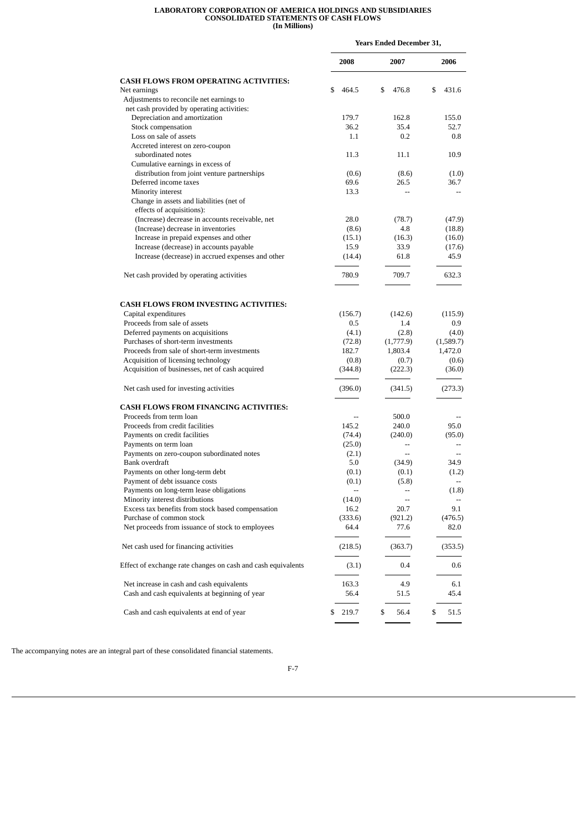# **LABORATORY CORPORATION OF AMERICA HOLDINGS AND SUBSIDIARIES CONSOLIDATED STATEMENTS OF CASH FLOWS (In Millions)**

**Years Ended December 31,**

|                                                                       | 2008        | 2007                     | 2006        |  |
|-----------------------------------------------------------------------|-------------|--------------------------|-------------|--|
| <b>CASH FLOWS FROM OPERATING ACTIVITIES:</b>                          |             |                          |             |  |
| Net earnings                                                          | 464.5<br>\$ | \$<br>476.8              | \$<br>431.6 |  |
| Adjustments to reconcile net earnings to                              |             |                          |             |  |
| net cash provided by operating activities:                            |             |                          |             |  |
| Depreciation and amortization                                         | 179.7       | 162.8                    | 155.0       |  |
| Stock compensation                                                    | 36.2        | 35.4                     | 52.7        |  |
| Loss on sale of assets                                                | 1.1         | 0.2                      | 0.8         |  |
| Accreted interest on zero-coupon                                      |             |                          |             |  |
| subordinated notes                                                    | 11.3        | 11.1                     | 10.9        |  |
| Cumulative earnings in excess of                                      |             |                          |             |  |
| distribution from joint venture partnerships                          | (0.6)       | (8.6)                    | (1.0)       |  |
| Deferred income taxes                                                 | 69.6        | 26.5                     | 36.7        |  |
| Minority interest                                                     | 13.3        | $\overline{\phantom{a}}$ |             |  |
| Change in assets and liabilities (net of<br>effects of acquisitions): |             |                          |             |  |
| (Increase) decrease in accounts receivable, net                       | 28.0        | (78.7)                   | (47.9)      |  |
| (Increase) decrease in inventories                                    | (8.6)       | 4.8                      | (18.8)      |  |
| Increase in prepaid expenses and other                                | (15.1)      | (16.3)                   | (16.0)      |  |
| Increase (decrease) in accounts payable                               | 15.9        | 33.9                     | (17.6)      |  |
| Increase (decrease) in accrued expenses and other                     | (14.4)      | 61.8                     | 45.9        |  |
| Net cash provided by operating activities                             | 780.9       | 709.7                    | 632.3       |  |
| <b>CASH FLOWS FROM INVESTING ACTIVITIES:</b>                          |             |                          |             |  |
| Capital expenditures                                                  | (156.7)     | (142.6)                  | (115.9)     |  |
| Proceeds from sale of assets                                          | 0.5         | 1.4                      | 0.9         |  |
| Deferred payments on acquisitions                                     | (4.1)       | (2.8)                    | (4.0)       |  |
| Purchases of short-term investments                                   | (72.8)      | (1,777.9)                | (1,589.7)   |  |
| Proceeds from sale of short-term investments                          | 182.7       | 1,803.4                  | 1,472.0     |  |
| Acquisition of licensing technology                                   | (0.8)       | (0.7)                    | (0.6)       |  |
| Acquisition of businesses, net of cash acquired                       | (344.8)     | (222.3)                  | (36.0)      |  |
| Net cash used for investing activities                                | (396.0)     | (341.5)                  | (273.3)     |  |
| <b>CASH FLOWS FROM FINANCING ACTIVITIES:</b>                          |             |                          |             |  |
| Proceeds from term loan                                               | --          | 500.0                    |             |  |
| Proceeds from credit facilities                                       | 145.2       | 240.0                    | 95.0        |  |
| Payments on credit facilities                                         | (74.4)      | (240.0)                  | (95.0)      |  |
| Payments on term loan                                                 | (25.0)      | --                       |             |  |
| Payments on zero-coupon subordinated notes                            | (2.1)       | $\overline{\phantom{0}}$ | $-$         |  |
| Bank overdraft                                                        | 5.0         | (34.9)                   | 34.9        |  |
| Payments on other long-term debt                                      | (0.1)       | (0.1)                    | (1.2)       |  |
| Payment of debt issuance costs                                        | (0.1)       | (5.8)                    | $-$         |  |
| Payments on long-term lease obligations                               | ÷           | --                       | (1.8)       |  |
| Minority interest distributions                                       | (14.0)      | --                       | --          |  |
| Excess tax benefits from stock based compensation                     | 16.2        | 20.7                     | 9.1         |  |
| Purchase of common stock                                              | (333.6)     | (921.2)                  | (476.5)     |  |
| Net proceeds from issuance of stock to employees                      | 64.4        | 77.6                     | 82.0        |  |
| Net cash used for financing activities                                | (218.5)     | (363.7)                  | (353.5)     |  |
| Effect of exchange rate changes on cash and cash equivalents          | (3.1)       | 0.4                      | 0.6         |  |
| Net increase in cash and cash equivalents                             | 163.3       | 4.9                      | 6.1         |  |
| Cash and cash equivalents at beginning of year                        | 56.4        | 51.5                     | 45.4        |  |
| Cash and cash equivalents at end of year                              | 219.7<br>\$ | \$<br>56.4               | \$<br>51.5  |  |

The accompanying notes are an integral part of these consolidated financial statements.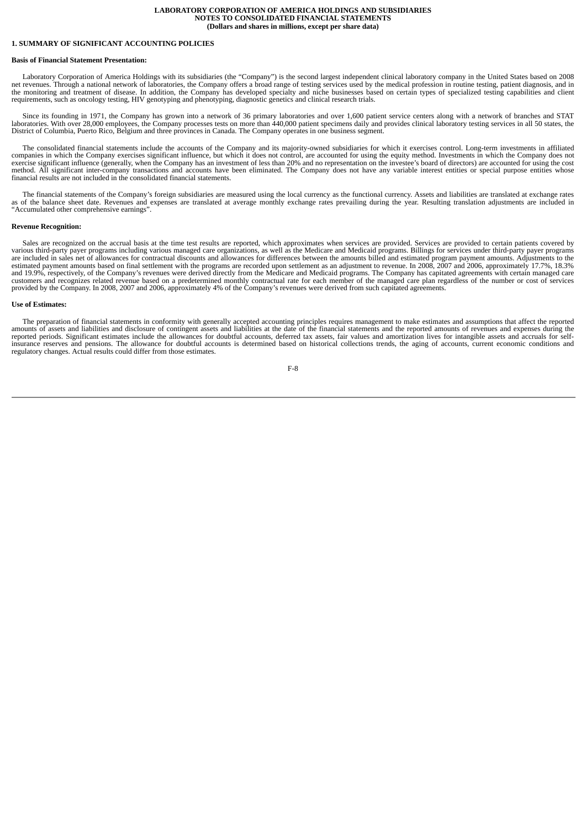# **1. SUMMARY OF SIGNIFICANT ACCOUNTING POLICIES**

# **Basis of Financial Statement Presentation:**

Laboratory Corporation of America Holdings with its subsidiaries (the "Company") is the second largest independent clinical laboratory company in the United States based on 2008 net revenues. Through a national network of laboratories, the Company offers a broad range of testing services used by the medical profession in routine testing, patient diagnosis, and in<br>the monitoring and treatment of di requirements, such as oncology testing, HIV genotyping and phenotyping, diagnostic genetics and clinical research trials.

Since its founding in 1971, the Company has grown into a network of 36 primary laboratories and over 1,600 patient service centers along with a network of branches and STAT laboratories. With over 28,000 employees, the Com District of Columbia, Puerto Rico, Belgium and three provinces in Canada. The Company operates in one business segment.

The consolidated financial statements include the accounts of the Company and its majority-owned subsidiaries for which it exercises control. Long-term investments in affiliated company exercises significant influence, but method. All significant inter-company transactions and accounts have been eliminated. The Company does not have any variable interest entities or special purpose entities whose<br>financial results are not included in the con

The financial statements of the Company's foreign subsidiaries are measured using the local currency as the functional currency. Assets and liabilities are translated at exchange rates as of the balance sheet date. Revenue "Accumulated other comprehensive earnings".

## **Revenue Recognition:**

Sales are recognized on the accrual basis at the time test results are reported, which approximates when services are provided. Services are provided to certain patients covered by various third-party payer programs including various managed care organizations, as well as the Medicare and Medicaid programs. Billings for services under third-party payer programs<br>are included in sales net of allowances and 19.9%, respectively, of the Company's revenues were derived directly from the Medicare and Medicaid programs. The Company has capitated agreements with certain managed care customers and recognizes related revenue based on a predetermined monthly contractual rate for each member of the managed care plan regardless of the number or cost of services provided by the Company. In 2008, 2007 and 2006, approximately 4% of the Company's revenues were derived from such capitated agreements.

#### **Use of Estimates:**

The preparation of financial statements in conformity with generally accepted accounting principles requires management to make estimates and assumptions that affect the reported amounts of assets and liabilities and discl reported periods. Significant estimates include the allowances for doubtful accounts, deferred tax assets, fair values and amortization lives for intangible assets and accruals for selfinsurance reserves and pensions. The allowance for doubtful accounts is determined based on historical collections trends, the aging of accounts, current economic conditions and regulatory changes. Actual results could dif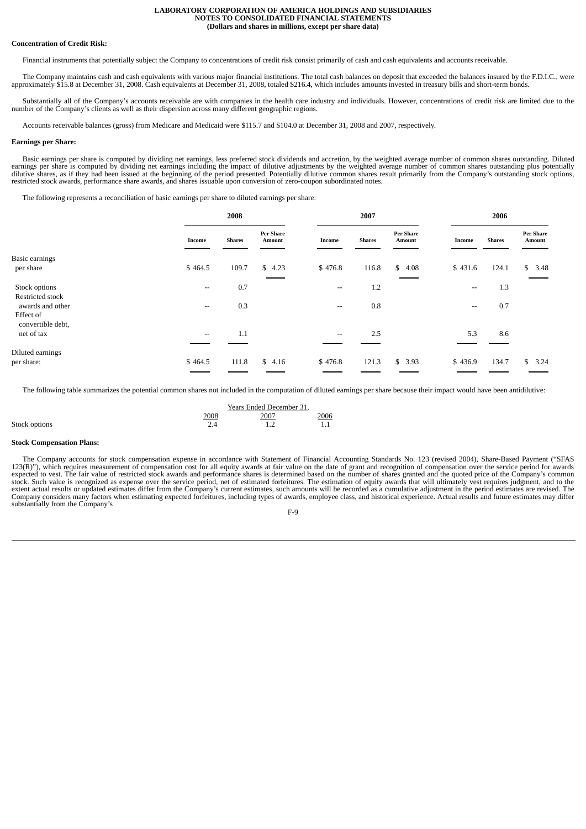#### **Concentration of Credit Risk:**

Financial instruments that potentially subject the Company to concentrations of credit risk consist primarily of cash and cash equivalents and accounts receivable.

The Company maintains cash and cash equivalents with various major financial institutions. The total cash balances on deposit that exceeded the balances insured by the F.D.I.C., were approximately \$15.8 at December 31, 2008. Cash equivalents at December 31, 2008, totaled \$216.4, which includes amounts invested in treasury bills and short-term bonds.

Substantially all of the Company's accounts receivable are with companies in the health care industry and individuals. However, concentrations of credit risk are limited due to the number of the Company's clients as well a

Accounts receivable balances (gross) from Medicare and Medicaid were \$115.7 and \$104.0 at December 31, 2008 and 2007, respectively.

#### **Earnings per Share:**

Basic earnings per share is computed by dividing net earnings, less preferred stock dividends and accretion, by the weighted average number of common shares outstanding. Diluted earnings per share is computed by dividing n

The following represents a reconciliation of basic earnings per share to diluted earnings per share:

| 2008                     |               |                            | 2007                                  |               | 2006                       |                          |               |                     |
|--------------------------|---------------|----------------------------|---------------------------------------|---------------|----------------------------|--------------------------|---------------|---------------------|
| Income                   | <b>Shares</b> | <b>Per Share</b><br>Amount | Income                                | <b>Shares</b> | <b>Per Share</b><br>Amount | Income                   | <b>Shares</b> | Per Share<br>Amount |
|                          |               |                            |                                       |               |                            |                          |               | \$<br>3.48          |
|                          |               |                            |                                       |               |                            |                          |               |                     |
| $- -$                    | 0.7           |                            | $\overline{\phantom{a}}$              | 1.2           |                            | $\overline{\phantom{m}}$ | 1.3           |                     |
| $\hspace{0.05cm}$        | 0.3           |                            | $\hspace{0.05cm}$ – $\hspace{0.05cm}$ | 0.8           |                            | $\overline{\phantom{m}}$ | 0.7           |                     |
| $\overline{\phantom{a}}$ | 1.1           |                            | $\hspace{0.05cm}$ – $\hspace{0.05cm}$ | 2.5           |                            | 5.3                      | 8.6           |                     |
|                          |               |                            |                                       |               |                            |                          |               |                     |
| \$464.5                  | 111.8         | \$4.16                     | \$476.8                               | 121.3         | \$3.93                     | \$436.9                  | 134.7         | \$3.24              |
|                          | \$464.5       | 109.7                      | \$4.23                                | \$476.8       | 116.8                      | \$4.08                   | \$431.6       | 124.1               |

The following table summarizes the potential common shares not included in the computation of diluted earnings per share because their impact would have been antidilutive:

|               |      | Years Ended December 31. |      |
|---------------|------|--------------------------|------|
|               | 2008 | 2007                     | 2006 |
| Stock options | 1 ה  |                          |      |

#### **Stock Compensation Plans:**

The Company accounts for stock compensation expense in accordance with Statement of Financial Accounting Standards No. 123 (revised 2004), Share-Based Payment ("SFAS 123(R)"), which requires measurement of compensation cos expected to vest. The fair value of restricted stock awards and performance shares is determined based on the number of shares granted and the quoted price of the Company's common stock. Such value is recognized as expense over the service period, net of estimated forfeitures. The estimation of equity awards that will ultimately vest requires judgment, and to the<br>extent actual results or updated est Company considers many factors when estimating expected forfeitures, including types of awards, employee class, and historical experience. Actual results and future estimates may differ substantially from the Company's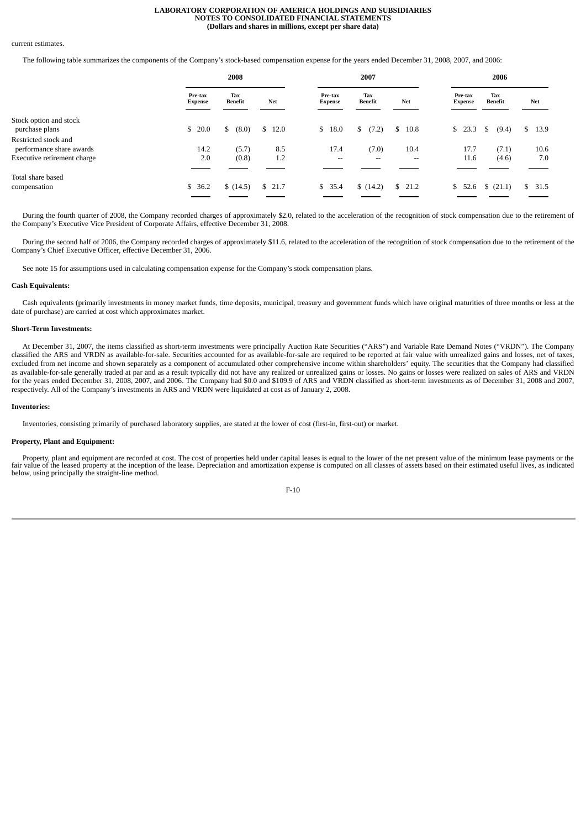#### current estimates.

The following table summarizes the components of the Company's stock-based compensation expense for the years ended December 31, 2008, 2007, and 2006:

|                             |                           | 2008                  |            | 2007                      |                       |            | 2006               |                |            |  |
|-----------------------------|---------------------------|-----------------------|------------|---------------------------|-----------------------|------------|--------------------|----------------|------------|--|
|                             | Pre-tax<br><b>Expense</b> | Tax<br><b>Benefit</b> | <b>Net</b> | Pre-tax<br><b>Expense</b> | Tax<br><b>Benefit</b> | <b>Net</b> | Pre-tax<br>Expense | Tax<br>Benefit | Net        |  |
| Stock option and stock      |                           |                       |            |                           |                       |            |                    |                |            |  |
| purchase plans              | \$20.0                    | \$ (8.0)              | \$12.0     | \$18.0                    | (7.2)<br>\$           | 10.8<br>\$ | \$23.3             | (9.4)<br>\$    | \$<br>13.9 |  |
| Restricted stock and        |                           |                       |            |                           |                       |            |                    |                |            |  |
| performance share awards    | 14.2                      | (5.7)                 | 8.5        | 17.4                      | (7.0)                 | 10.4       | 17.7               | (7.1)          | 10.6       |  |
| Executive retirement charge | 2.0                       | (0.8)                 | 1.2        | --                        | --                    | $- -$      | 11.6               | (4.6)          | 7.0        |  |
| Total share based           |                           |                       |            |                           |                       |            |                    |                |            |  |
| compensation                | \$36.2                    | \$(14.5)              | \$21.7     | \$35.4                    | \$(14.2)              | \$<br>21.2 | \$<br>52.6         | (21.1)         | 31.5<br>\$ |  |
|                             |                           |                       |            |                           |                       |            |                    |                |            |  |

During the fourth quarter of 2008, the Company recorded charges of approximately \$2.0, related to the acceleration of the recognition of stock compensation due to the retirement of the Company's Executive Vice President of Corporate Affairs, effective December 31, 2008.

During the second half of 2006, the Company recorded charges of approximately \$11.6, related to the acceleration of the recognition of stock compensation due to the retirement of the Company's Chief Executive Officer, effective December 31, 2006.

See note 15 for assumptions used in calculating compensation expense for the Company's stock compensation plans.

# **Cash Equivalents:**

Cash equivalents (primarily investments in money market funds, time deposits, municipal, treasury and government funds which have original maturities of three months or less at the date of purchase) are carried at cost which approximates market.

## **Short-Term Investments:**

At December 31, 2007, the items classified as short-term investments were principally Auction Rate Securities ("ARS") and Variable Rate Demand Notes ("VRDN"). The Company classified the ARS and VRDN as available-for-sale. Securities accounted for as available-for-sale are required to be reported at fair value with unrealized gains and losses, net of taxes, excluded from net income and shown separately as a component of accumulated other comprehensive income within shareholders' equity. The securities that the Company had classified as available-for-sale generally traded at par and as a result typically did not have any realized or unrealized gains or losses. No gains or losses were realized on sales of ARS and VRDN for the years ended December 31, 2008, 2007, and 2006. The Company had \$0.0 and \$109.9 of ARS and VRDN classified as short-term investments as of December 31, 2008 and 2007, respectively. All of the Company's investments in ARS and VRDN were liquidated at cost as of January 2, 2008.

## **Inventories:**

Inventories, consisting primarily of purchased laboratory supplies, are stated at the lower of cost (first-in, first-out) or market.

#### **Property, Plant and Equipment:**

Property, plant and equipment are recorded at cost. The cost of properties held under capital leases is equal to the lower of the net present value of the minimum lease payments or the fair value of the leased property at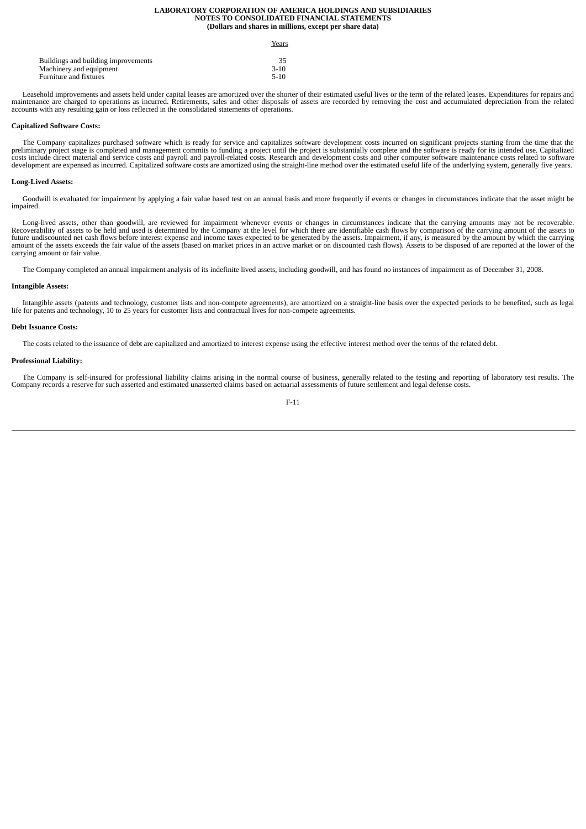|                                     | Years  |
|-------------------------------------|--------|
| Buildings and building improvements | 35     |
| Machinery and equipment             | $3-10$ |
| Furniture and fixtures              | $5-10$ |

Leasehold improvements and assets held under capital leases are amortized over the shorter of their estimated useful lives or the term of the related leases. Expenditures for repairs and maintenance are charged to operations as incurred. Retirements, sales and other disposals of assets are recorded by removing the cost and accumulated depreciation from the related accounts with any resulting gain or loss reflected in the consolidated statements of operations.

#### **Capitalized Software Costs:**

The Company capitalizes purchased software which is ready for service and capitalizes software development costs incurred on significant projects starting from the time that the preliminary project stage is completed and management commits to funding a project until the project is substantially complete and the software is ready for its intended use. Capitalized<br>costs include direct material and s development are expensed as incurred. Capitalized software costs are amortized using the straight-line method over the estimated useful life of the underlying system, generally five years.

#### **Long-Lived Assets:**

Goodwill is evaluated for impairment by applying a fair value based test on an annual basis and more frequently if events or changes in circumstances indicate that the asset might be impaired.

Long-lived assets, other than goodwill, are reviewed for impairment whenever events or changes in circumstances indicate that the carrying amounts may not be recoverable.<br>Recoverability of assets to be held and used is det future undiscounted net cash flows before interest expense and income taxes expected to be generated by the assets. Impairment, if any, is measured by the amount by which the carrying amount of the assets exceeds the fair value of the assets (based on market prices in an active market or on discounted cash flows). Assets to be disposed of are reported at the lower of the carrying amount or fair value.

The Company completed an annual impairment analysis of its indefinite lived assets, including goodwill, and has found no instances of impairment as of December 31, 2008.

#### **Intangible Assets:**

Intangible assets (patents and technology, customer lists and non-compete agreements), are amortized on a straight-line basis over the expected periods to be benefited, such as legal<br>life for patents and technology, 10 to

### **Debt Issuance Costs:**

The costs related to the issuance of debt are capitalized and amortized to interest expense using the effective interest method over the terms of the related debt.

#### **Professional Liability:**

The Company is self-insured for professional liability claims arising in the normal course of business, generally related to the testing and reporting of laboratory test results. The Company records a reserve for such asse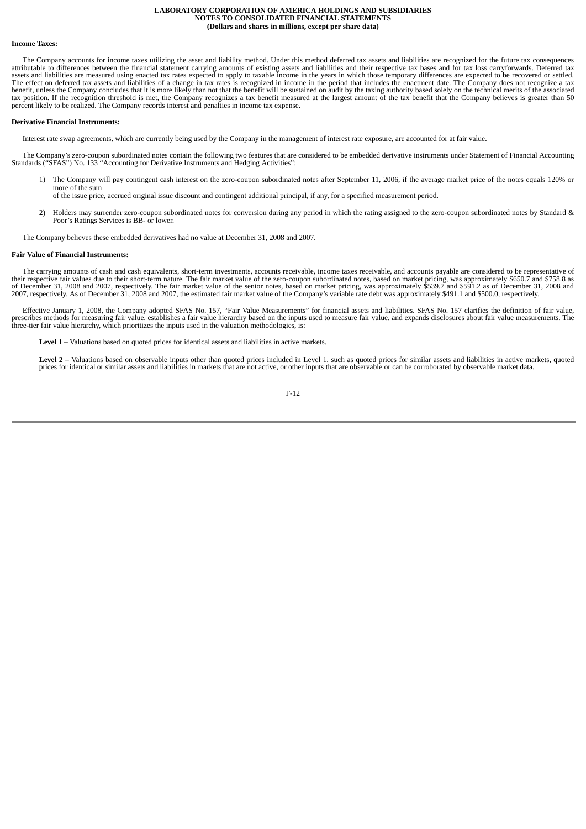#### **Income Taxes:**

The Company accounts for income taxes utilizing the asset and liability method. Under this method deferred tax assets and liabilities are recognized for the future tax consequences attributable to differences between the financial statement carrying amounts of existing assets and liabilities and heir respective tax bases and for tax loss carryforwards. Deferred tax<br>assets and liabilities are measured The effect on deferred tax assets and liabilities of a change in tax rates is recognized in income in the period that includes the enactment date. The Company does not recognize a tax benefit, unless the Company concludes that it is more likely than not that the benefit will be sustained on audit by the taxing authority based solely on the technical merits of the associated tax position. If the recognition threshold is met, the Company recognizes a tax benefit measured at the largest amount of the tax benefit that the Company believes is greater than 50 percent likely to be realized. The Comp

#### **Derivative Financial Instruments:**

Interest rate swap agreements, which are currently being used by the Company in the management of interest rate exposure, are accounted for at fair value.

The Company's zero-coupon subordinated notes contain the following two features that are considered to be embedded derivative instruments under Statement of Financial Accounting for Derivative Instruments and Hedging Activ

1) The Company will pay contingent cash interest on the zero-coupon subordinated notes after September 11, 2006, if the average market price of the notes equals 120% or more of the sum

of the issue price, accrued original issue discount and contingent additional principal, if any, for a specified measurement period.

2) Holders may surrender zero-coupon subordinated notes for conversion during any period in which the rating assigned to the zero-coupon subordinated notes by Standard & Poor's Ratings Services is BB- or lower.

The Company believes these embedded derivatives had no value at December 31, 2008 and 2007.

## **Fair Value of Financial Instruments:**

The carrying amounts of cash and cash equivalents, short-term investments, accounts receivable, income taxes receivable, and accounts payable are considered to be representative of their respective fair values due to their short-term nature. The fair market value of the zero-coupon subordinated notes, based on market pricing, was approximately \$650.7 and \$758.8 as<br>of December 31, 2008 and 2007, respe

Effective January 1, 2008, the Company adopted SFAS No. 157, "Fair Value Measurements" for financial assets and liabilities. SFAS No. 157 clarifies the definition of fair value, establishes a fair value hierarchy based on three-tier fair value hierarchy, which prioritizes the inputs used in the valuation methodologies, is:

**Level 1** – Valuations based on quoted prices for identical assets and liabilities in active markets.

Level 2 – Valuations based on observable inputs other than quoted prices included in Level 1, such as quoted prices for similar assets and liabilities in active markets, quoted prices for identical or similar assets and liabilities in markets that are not active, or other inputs that are observable or can be corroborated by observable market data.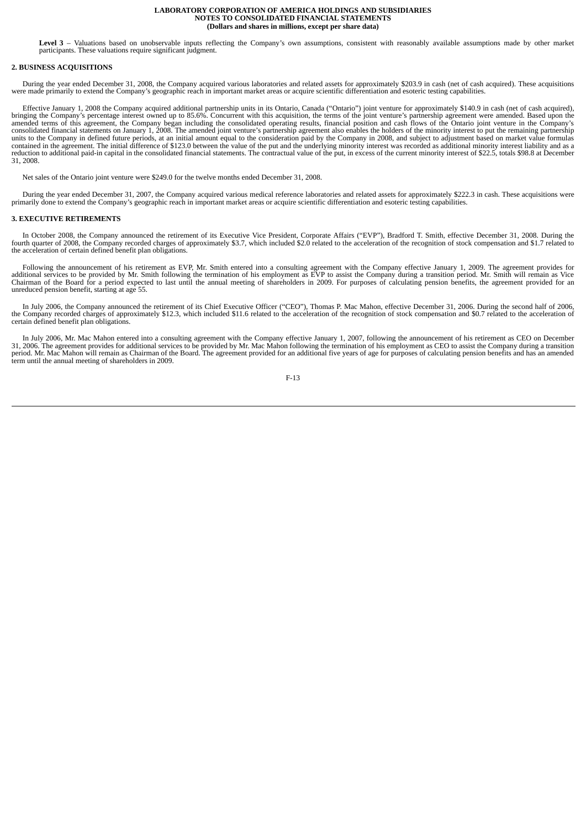**Level 3** – Valuations based on unobservable inputs reflecting the Company's own assumptions, consistent with reasonably available assumptions made by other market participants. These valuations require significant judgment.

## **2. BUSINESS ACQUISITIONS**

During the year ended December 31, 2008, the Company acquired various laboratories and related assets for approximately \$203.9 in cash (net of cash acquired). These acquisitions were made primarily to extend the Company's

Effective January 1, 2008 the Company acquired additional partnership units in its Ontario, Canada ("Ontario") joint venture for approximately \$140.9 in cash (net of cash acquired), bringing the Company's percentage intere units to the Company in defined future periods, at an initial amount equal to the consideration paid by the Company in 2008, and subject to adjustment based on market value formulas contained in the agreement. The initial difference of \$123.0 between the value of the put and the underlying minority interest was recorded as additional minority interest liability and as a reduction to additional paid-in capital in the consolidated financial statements. The contractual value of the put, in excess of the current minority interest of \$22.5, totals \$98.8 at December 31, 2008.

Net sales of the Ontario joint venture were \$249.0 for the twelve months ended December 31, 2008.

During the year ended December 31, 2007, the Company acquired various medical reference laboratories and related assets for approximately \$222.3 in cash. These acquisitions were primarily done to extend the Company's geogr

#### **3. EXECUTIVE RETIREMENTS**

In October 2008, the Company announced the retirement of its Executive Vice President, Corporate Affairs ("EVP"), Bradford T. Smith, effective December 31, 2008. During the fourth quarter of 2008, the Company recorded char the acceleration of certain defined benefit plan obligations.

Following the announcement of his retirement as EVP, Mr. Smith entered into a consulting agreement with the Company effective January 1, 2009. The agreement provides for additional services to be provided by Mr. Smith following the termination of his employment as EVP to assist the Company during a transition period. Mr. Smith will remain as Vice<br>Chairman of the Board for a period expected unreduced pension benefit, starting at age 55.

In July 2006, the Company announced the retirement of its Chief Executive Officer ("CEO"), Thomas P. Mac Mahon, effective December 31, 2006. During the second half of 2006, the Company recorded charges of approximately \$12.3, which included \$11.6 related to the acceleration of the recognition of stock compensation and \$0.7 related to the acceleration of certain defined benefit plan obligations.

In July 2006, Mr. Mac Mahon entered into a consulting agreement with the Company effective January 1, 2007, following the announcement of his retirement as CEO on December<br>31, 2006. The agreement provides for additional se term until the annual meeting of shareholders in 2009.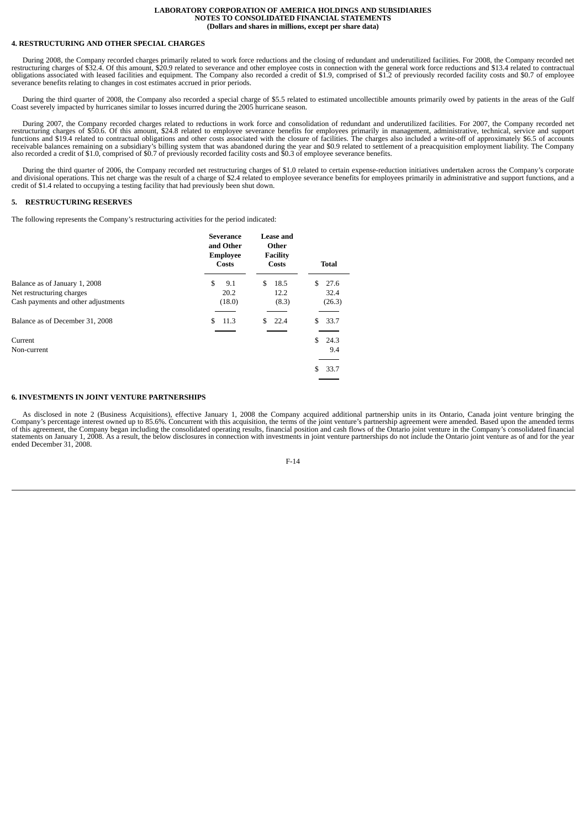## **4. RESTRUCTURING AND OTHER SPECIAL CHARGES**

During 2008, the Company recorded charges primarily related to work force reductions and the closing of redundant and underutilized facilities. For 2008, the Company recorded net restructuring charges of \$32.4. Of this amo severance benefits relating to changes in cost estimates accrued in prior periods.

During the third quarter of 2008, the Company also recorded a special charge of \$5.5 related to estimated uncollectible amounts primarily owed by patients in the areas of the Gulf Coast severely impacted by hurricanes similar to losses incurred during the 2005 hurricane season.

During 2007, the Company recorded charges related to reductions in work force and consolidation of redundant and underutilized facilities. For 2007, the Company recorded net restructuring charges of \$50.6. Of this amount, receivable balances remaining on a subsidiary's billing system that was abandoned during the year and \$0.9 related to settlement of a preacquisition employment liability. The Company also recorded a credit of \$1.0, comprised of \$0.7 of previously recorded facility costs and \$0.3 of employee severance benefits.

During the third quarter of 2006, the Company recorded net restructuring charges of \$1.0 related to certain expense-reduction initiatives undertaken across the Company's corporate and divisional operations. This net charge credit of \$1.4 related to occupying a testing facility that had previously been shut down.

## **5. RESTRUCTURING RESERVES**

The following represents the Company's restructuring activities for the period indicated:

|                                     | <b>Severance</b><br>and Other<br><b>Employee</b><br>Costs | <b>Lease and</b><br>Other<br><b>Facility</b><br>Costs | Total      |
|-------------------------------------|-----------------------------------------------------------|-------------------------------------------------------|------------|
| Balance as of January 1, 2008       | \$<br>9.1                                                 | 18.5<br>\$                                            | 27.6<br>\$ |
| Net restructuring charges           | 20.2                                                      | 12.2                                                  | 32.4       |
| Cash payments and other adjustments | (18.0)                                                    | (8.3)                                                 | (26.3)     |
| Balance as of December 31, 2008     | \$<br>11.3                                                | 22.4<br>S.                                            | 33.7<br>\$ |
| Current                             |                                                           |                                                       | \$<br>24.3 |
| Non-current                         |                                                           |                                                       | 9.4        |
|                                     |                                                           |                                                       | \$<br>33.7 |

## **6. INVESTMENTS IN JOINT VENTURE PARTNERSHIPS**

As disclosed in note 2 (Business Acquisitions), effective January 1, 2008 the Company acquired additional partnership units in its Ontario, Canada joint venture bringing the Company's percentage interest owned up to 85.6%. Concurrent with this acquisition, the terms of the joint venture's partnership agreement were amended. Based upon the amended terms of this agreement, the Company's consolid ended December 31, 2008.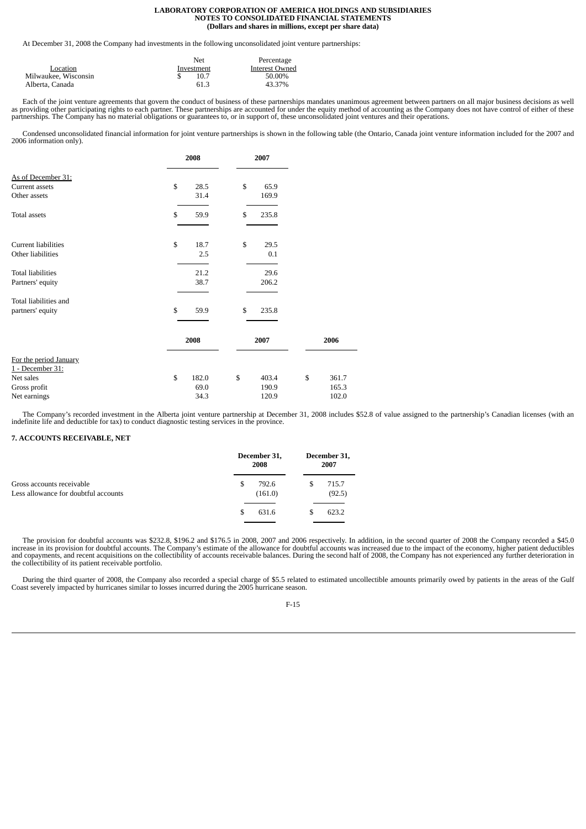At December 31, 2008 the Company had investments in the following unconsolidated joint venture partnerships:

|                      | Net        | Percentage     |
|----------------------|------------|----------------|
| Location             | Investment | Interest Owned |
| Milwaukee, Wisconsin | 10.7       | 50.00%         |
| Alberta. Canada      | 61.3       | 43.37%         |

Each of the joint venture agreements that govern the conduct of business of these partnerships mandates unanimous agreement between partners on all major business decisions as well<br>as providing other participating rights t

Condensed unconsolidated financial information for joint venture partnerships is shown in the following table (the Ontario, Canada joint venture information included for the 2007 and 2006 information only).

|                                                      | 2008                        | 2007                          |                               |
|------------------------------------------------------|-----------------------------|-------------------------------|-------------------------------|
| As of December 31:<br>Current assets<br>Other assets | \$<br>28.5<br>31.4          | \$<br>65.9<br>169.9           |                               |
| <b>Total assets</b>                                  | \$<br>59.9                  | \$<br>235.8                   |                               |
| <b>Current liabilities</b><br>Other liabilities      | \$<br>18.7<br>2.5           | \$<br>29.5<br>0.1             |                               |
| <b>Total liabilities</b><br>Partners' equity         | 21.2<br>38.7                | 29.6<br>206.2                 |                               |
| Total liabilities and                                | \$<br>59.9                  | \$                            |                               |
| partners' equity                                     | 2008                        | 235.8<br>2007                 | 2006                          |
| For the period January<br>1 - December 31:           |                             |                               |                               |
| Net sales<br>Gross profit<br>Net earnings            | \$<br>182.0<br>69.0<br>34.3 | \$<br>403.4<br>190.9<br>120.9 | \$<br>361.7<br>165.3<br>102.0 |

The Company's recorded investment in the Alberta joint venture partnership at December 31, 2008 includes \$52.8 of value assigned to the partnership's Canadian licenses (with an indefinite life and deductible for tax) to conduct diagnostic testing services in the province.

### **7. ACCOUNTS RECEIVABLE, NET**

|                                                                   | December 31,<br>2008  | December 31,<br>2007 |  |  |
|-------------------------------------------------------------------|-----------------------|----------------------|--|--|
| Gross accounts receivable<br>Less allowance for doubtful accounts | 792.6<br>S<br>(161.0) | 715.7<br>S<br>(92.5) |  |  |
|                                                                   | 631.6<br>S.           | 623.2<br>S           |  |  |

The provision for doubtful accounts was \$232.8, \$196.2 and \$176.5 in 2008, 2007 and 2006 respectively. In addition, in the second quarter of 2008 the Company recorded a \$45.0 increase in its provision for doubtful accounts. The Company's estimate of the allowance for doubtful accounts was increased due to the impact of the economy, higher patient deductibles<br>and copayments, and recent acquisiti the collectibility of its patient receivable portfolio.

During the third quarter of 2008, the Company also recorded a special charge of \$5.5 related to estimated uncollectible amounts primarily owed by patients in the areas of the Gulf Coast severely impacted by hurricanes simi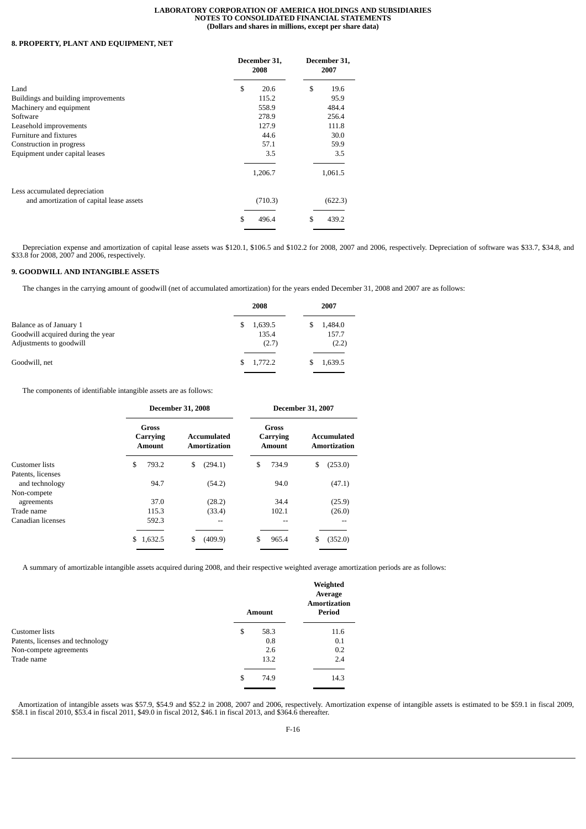## **8. PROPERTY, PLANT AND EQUIPMENT, NET**

|                                          | December 31,<br>2008 | December 31,<br>2007 |  |  |
|------------------------------------------|----------------------|----------------------|--|--|
| Land                                     | \$<br>20.6           | \$<br>19.6           |  |  |
| Buildings and building improvements      | 115.2                | 95.9                 |  |  |
| Machinery and equipment                  | 558.9                | 484.4                |  |  |
| Software                                 | 278.9                | 256.4                |  |  |
| Leasehold improvements                   | 127.9                | 111.8                |  |  |
| Furniture and fixtures                   | 44.6                 | 30.0                 |  |  |
| Construction in progress                 | 57.1                 | 59.9                 |  |  |
| Equipment under capital leases           | 3.5                  | 3.5                  |  |  |
|                                          | 1,206.7              | 1,061.5              |  |  |
| Less accumulated depreciation            |                      |                      |  |  |
| and amortization of capital lease assets | (710.3)              | (622.3)              |  |  |
|                                          | \$<br>496.4          | \$<br>439.2          |  |  |

Depreciation expense and amortization of capital lease assets was \$120.1, \$106.5 and \$102.2 for 2008, 2007 and 2006, respectively. Depreciation of software was \$33.7, \$34.8, and \$33.8 for 2008, 2007 and 2006, respectively.

### **9. GOODWILL AND INTANGIBLE ASSETS**

The changes in the carrying amount of goodwill (net of accumulated amortization) for the years ended December 31, 2008 and 2007 are as follows:

|                                                                                         | 2008                      | 2007                      |
|-----------------------------------------------------------------------------------------|---------------------------|---------------------------|
| Balance as of January 1<br>Goodwill acquired during the year<br>Adjustments to goodwill | 1,639.5<br>135.4<br>(2.7) | 1,484.0<br>157.7<br>(2.2) |
| Goodwill, net                                                                           | 1,772.2<br>S.             | 1,639.5                   |

The components of identifiable intangible assets are as follows:

|                                     |                                    | <b>December 31, 2008</b>                  |                                    | <b>December 31, 2007</b>           |
|-------------------------------------|------------------------------------|-------------------------------------------|------------------------------------|------------------------------------|
|                                     | Gross<br>Carrying<br><b>Amount</b> | <b>Accumulated</b><br><b>Amortization</b> | Gross<br>Carrying<br><b>Amount</b> | Accumulated<br><b>Amortization</b> |
| Customer lists                      | \$<br>793.2                        | \$<br>(294.1)                             | \$<br>734.9                        | (253.0)<br>\$                      |
| Patents, licenses<br>and technology | 94.7                               | (54.2)                                    | 94.0                               | (47.1)                             |
| Non-compete                         |                                    |                                           |                                    |                                    |
| agreements                          | 37.0                               | (28.2)                                    | 34.4                               | (25.9)                             |
| Trade name                          | 115.3                              | (33.4)                                    | 102.1                              | (26.0)                             |
| Canadian licenses                   | 592.3                              | --                                        | --                                 |                                    |
|                                     |                                    |                                           |                                    |                                    |
|                                     | 1,632.5<br>\$                      | \$<br>(409.9)                             | \$<br>965.4                        | (352.0)<br>\$                      |
|                                     |                                    |                                           |                                    |                                    |

A summary of amortizable intangible assets acquired during 2008, and their respective weighted average amortization periods are as follows:

|                                  | <b>Amount</b> | Weighted<br>Average<br><b>Amortization</b><br>Period |
|----------------------------------|---------------|------------------------------------------------------|
| Customer lists                   | \$<br>58.3    | 11.6                                                 |
| Patents, licenses and technology | 0.8           | 0.1                                                  |
| Non-compete agreements           | 2.6           | 0.2                                                  |
| Trade name                       | 13.2          | 2.4                                                  |
|                                  | \$<br>74.9    | 14.3                                                 |

Amortization of intangible assets was \$57.9, \$54.9 and \$52.2 in 2008, 2007 and 2006, respectively. Amortization expense of intangible assets is estimated to be \$59.1 in fiscal 2009,<br>\$58.1 in fiscal 2010, \$53.4 in fiscal 20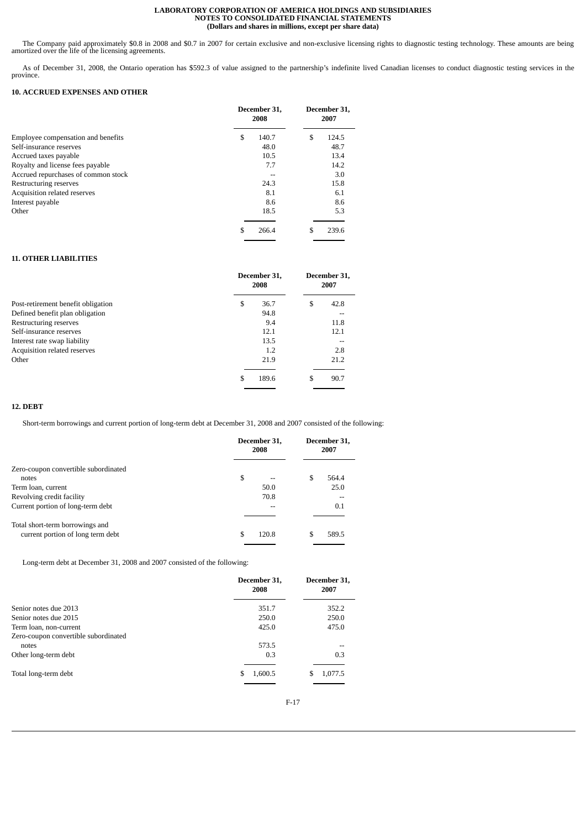The Company paid approximately \$0.8 in 2008 and \$0.7 in 2007 for certain exclusive and non-exclusive licensing rights to diagnostic testing technology. These amounts are being amortized over the life of the licensing agreements.

As of December 31, 2008, the Ontario operation has \$592.3 of value assigned to the partnership's indefinite lived Canadian licenses to conduct diagnostic testing services in the province.

# **10. ACCRUED EXPENSES AND OTHER**

|                                     | December 31.<br>2008 |    |       |
|-------------------------------------|----------------------|----|-------|
| Employee compensation and benefits  | \$<br>140.7          | \$ | 124.5 |
| Self-insurance reserves             | 48.0                 |    | 48.7  |
| Accrued taxes payable               | 10.5                 |    | 13.4  |
| Royalty and license fees payable    | 7.7                  |    | 14.2  |
| Accrued repurchases of common stock |                      |    | 3.0   |
| Restructuring reserves              | 24.3                 |    | 15.8  |
| Acquisition related reserves        | 8.1                  |    | 6.1   |
| Interest payable                    | 8.6                  |    | 8.6   |
| Other                               | 18.5                 |    | 5.3   |
|                                     |                      |    |       |
|                                     | \$<br>266.4          | S  | 239.6 |

# **11. OTHER LIABILITIES**

|                                    |    | December 31,<br>2008 | December 31,<br>2007 |
|------------------------------------|----|----------------------|----------------------|
| Post-retirement benefit obligation | \$ | 36.7                 | \$<br>42.8           |
| Defined benefit plan obligation    |    | 94.8                 |                      |
| Restructuring reserves             |    | 9.4                  | 11.8                 |
| Self-insurance reserves            |    | 12.1                 | 12.1                 |
| Interest rate swap liability       |    | 13.5                 | --                   |
| Acquisition related reserves       |    | 1.2                  | 2.8                  |
| Other                              |    | 21.9                 | 21.2                 |
|                                    | S  | 189.6                | \$<br>90.7           |

## **12. DEBT**

Short-term borrowings and current portion of long-term debt at December 31, 2008 and 2007 consisted of the following:

|                                      | December 31,<br>2008 |    | December 31,<br>2007 |  |
|--------------------------------------|----------------------|----|----------------------|--|
| Zero-coupon convertible subordinated |                      |    |                      |  |
| notes                                | \$<br>$-$            | \$ | 564.4                |  |
| Term loan, current                   | 50.0                 |    | 25.0                 |  |
| Revolving credit facility            | 70.8                 |    |                      |  |
| Current portion of long-term debt    |                      |    | 0.1                  |  |
|                                      |                      |    |                      |  |
| Total short-term borrowings and      |                      |    |                      |  |
| current portion of long term debt    | \$<br>120.8          | S  | 589.5                |  |
|                                      |                      |    |                      |  |

Long-term debt at December 31, 2008 and 2007 consisted of the following:

|                                      | December 31,<br>2008 | December 31,<br>2007 |
|--------------------------------------|----------------------|----------------------|
| Senior notes due 2013                | 351.7                | 352.2                |
| Senior notes due 2015                | 250.0                | 250.0                |
| Term loan, non-current               | 425.0                | 475.0                |
| Zero-coupon convertible subordinated |                      |                      |
| notes                                | 573.5                | --                   |
| Other long-term debt                 | 0.3                  | 0.3                  |
| Total long-term debt                 | 1,600.5<br>S         | 1,077.5              |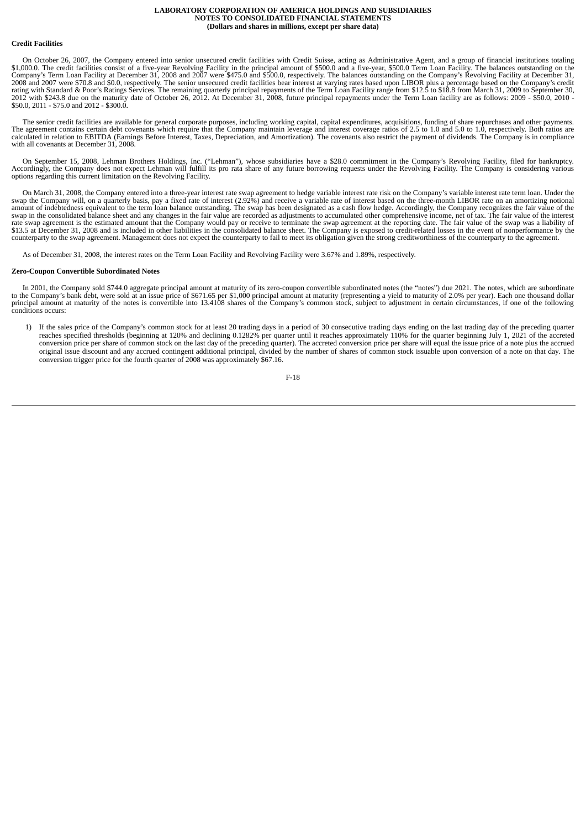#### **Credit Facilities**

On October 26, 2007, the Company entered into senior unsecured credit facilities with Credit Suisse, acting as Administrative Agent, and a group of financial institutions totaling \$1,000.0. The credit facilities consist of 2008 and 2007 were \$70.8 and \$0.0, respectively. The senior unsecured credit facilities bear interest at varying rates based upon LIBOR plus a percentage based on the Company's credit<br>rating with Standard & Poor's Ratings \$50.0, 2011 - \$75.0 and 2012 - \$300.0.

The senior credit facilities are available for general corporate purposes, including working capital, capital expenditures, acquisitions, funding of share repurchases and other payments. The agreement contains certain debt covenants which require that the Company maintain leverage and interest coverage ratios of 2.5 to 1.0 and 5.0 to 1.0, respectively. Both ratios are<br>calculated in relation to EBITDA (Earn with all covenants at December 31, 2008.

On September 15, 2008, Lehman Brothers Holdings, Inc. ("Lehman"), whose subsidiaries have a \$28.0 commitment in the Company's Revolving Facility, filed for bankruptcy.<br>Accordingly, the Company does not expect Lehman will f options regarding this current limitation on the Revolving Facility.

On March 31, 2008, the Company entered into a three-year interest rate swap agreement to hedge variable interest rate risk on the Company's variable interest rate term loan. Under the swap the Company will, on a quarterly basis, pay a fixed rate of interest (2.92%) and receive a variable rate of interest based on the three-month LIBOR rate on an amortizing notional amount of indebtedness equivalent to t rate swap agreement is the estimated amount that the Company would pay or receive to terminate the swap agreement at the reporting date. The fair value of the swap was a liability of<br>\$13.5 at December 31, 2008 and is inclu counterparty to the swap agreement. Management does not expect the counterparty to fail to meet its obligation given the strong creditworthiness of the counterparty to the agreement.

As of December 31, 2008, the interest rates on the Term Loan Facility and Revolving Facility were 3.67% and 1.89%, respectively.

#### **Zero-Coupon Convertible Subordinated Notes**

In 2001, the Company sold \$744.0 aggregate principal amount at maturity of its zero-coupon convertible subordinated notes (the "notes") due 2021. The notes, which are subordinate to the Company's bank debt, were sold at an issue price of \$671.65 per \$1,000 principal amount at maturity (representing a yield to maturity of 2.0% per year). Each one thousand dollar<br>principal amount at maturity of the n conditions occurs:

1) If the sales price of the Company's common stock for at least 20 trading days in a period of 30 consecutive trading days ending on the last trading day of the preceding quarter reaches specified thresholds (beginning at 120% and declining 0.1282% per quarter until it reaches approximately 110% for the quarter beginning July 1, 2021 of the accreted conversion price per share of common stock on the last day of the preceding quarter). The accreted conversion price per share will equal the issue price of a note plus the accrued original issue discount and any accrued contingent additional principal, divided by the number of shares of common stock issuable upon conversion of a note on that day. The conversion trigger price for the fourth quarter of 2008 was approximately \$67.16.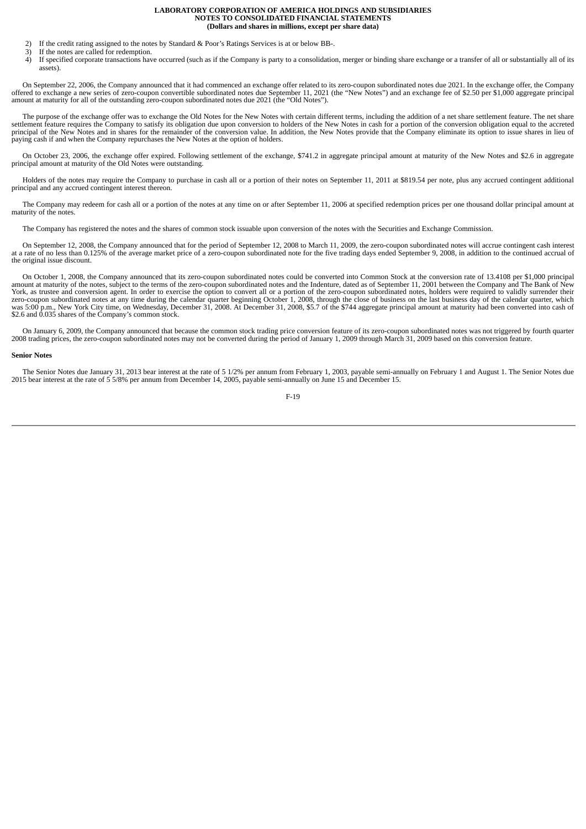- 2) If the credit rating assigned to the notes by Standard & Poor's Ratings Services is at or below BB-.
- 3) If the notes are called for redemption.<br>4) If specified corporate transactions have
- If specified corporate transactions have occurred (such as if the Company is party to a consolidation, merger or binding share exchange or a transfer of all or substantially all of its assets).

On September 22, 2006, the Company announced that it had commenced an exchange offer related to its zero-coupon subordinated notes due 2021. In the exchange offer, the Company offered to exchange a new series of zero-coupo

The purpose of the exchange offer was to exchange the Old Notes for the New Notes with certain different terms, including the addition of a net share settlement feature. The net share settlement feature. The net share sett principal of the New Notes and in shares for the remainder of the conversion value. In addition, the New Notes provide that the Company eliminate its option to issue shares in lieu of paying cash if and when the Company repurchases the New Notes at the option of holders.

On October 23, 2006, the exchange offer expired. Following settlement of the exchange, \$741.2 in aggregate principal amount at maturity of the New Notes and \$2.6 in aggregate principal amount at maturity of the Old Notes w

Holders of the notes may require the Company to purchase in cash all or a portion of their notes on September 11, 2011 at \$819.54 per note, plus any accrued contingent additional principal and any accrued contingent interest thereon.

The Company may redeem for cash all or a portion of the notes at any time on or after September 11, 2006 at specified redemption prices per one thousand dollar principal amount at maturity of the notes.

The Company has registered the notes and the shares of common stock issuable upon conversion of the notes with the Securities and Exchange Commission.

On September 12, 2008, the Company announced that for the period of September 12, 2008 to March 11, 2009, the zero-coupon subordinated notes will accrue contingent cash interest at a rate of no less than 0.125% of the average market price of a zero-coupon subordinated note for the five trading days ended September 9, 2008, in addition to the continued accrual of the original issue discount.

On October 1, 2008, the Company announced that its zero-coupon subordinated notes could be converted into Common Stock at the conversion rate of 13.4108 per \$1,000 principal amount at maturity of the notes, subject to the terms of the zero-coupon subordinated notes and the Indenture, dated as of September 11, 2001 between the Company and The Bank of New York, as trustee and conversion agent. In order to exercise the option to convert all or a portion of the zero-coupon subordinated notes, holders were required to validly surrender their<br>zero-coupon subordinated notes at a \$2.6 and 0.035 shares of the Company's common stock.

On January 6, 2009, the Company announced that because the common stock trading price conversion feature of its zero-coupon subordinated notes was not triggered by fourth quarter 2008 trading prices, the zero-coupon subordinated notes may not be converted during the period of January 1, 2009 through March 31, 2009 based on this conversion feature.

#### **Senior Notes**

The Senior Notes due January 31, 2013 bear interest at the rate of 5 1/2% per annum from February 1, 2003, payable semi-annually on February 1 and August 1. The Senior Notes due 2015 bear interest at the rate of 5 5/8% per annum from December 14, 2005, payable semi-annually on June 15 and December 15.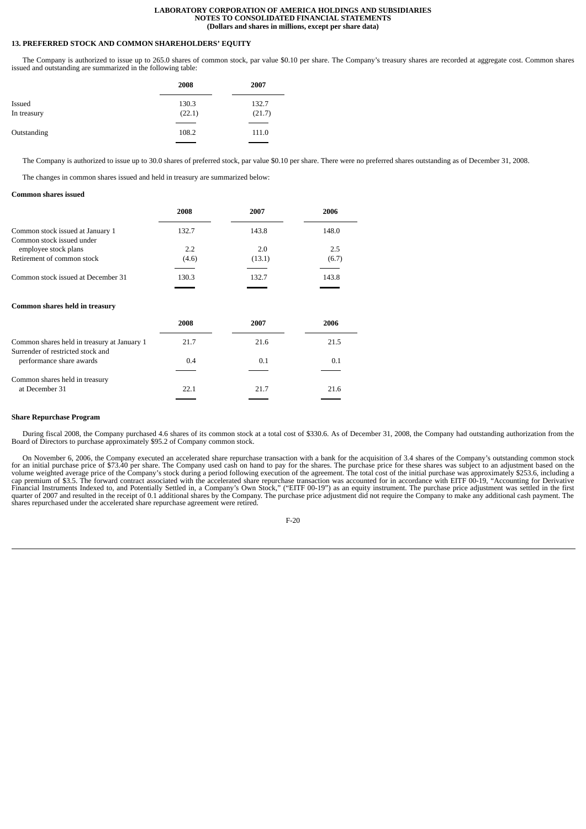### **13. PREFERRED STOCK AND COMMON SHAREHOLDERS' EQUITY**

The Company is authorized to issue up to 265.0 shares of common stock, par value \$0.10 per share. The Company's treasury shares are recorded at aggregate cost. Common shares issued and outstanding are summarized in the following table:

|                       | 2008              | 2007              |
|-----------------------|-------------------|-------------------|
| Issued<br>In treasury | 130.3<br>(22.1)   | 132.7<br>(21.7)   |
| Outstanding           | 108.2<br>________ | 111.0<br>________ |

The Company is authorized to issue up to 30.0 shares of preferred stock, par value \$0.10 per share. There were no preferred shares outstanding as of December 31, 2008.

The changes in common shares issued and held in treasury are summarized below:

### **Common shares issued**

|                                                                                  | 2008  | 2007   | 2006  |
|----------------------------------------------------------------------------------|-------|--------|-------|
| Common stock issued at January 1<br>Common stock issued under                    | 132.7 | 143.8  | 148.0 |
| employee stock plans                                                             | 2.2   | 2.0    | 2.5   |
| Retirement of common stock                                                       | (4.6) | (13.1) | (6.7) |
| Common stock issued at December 31                                               | 130.3 | 132.7  | 143.8 |
| Common shares held in treasury                                                   |       |        |       |
|                                                                                  | 2008  | 2007   | 2006  |
| Common shares held in treasury at January 1<br>Surrender of restricted stock and | 21.7  | 21.6   | 21.5  |
| performance share awards                                                         | 0.4   | 0.1    | 0.1   |
| Common shares held in treasury<br>at December 31                                 | 22.1  | 21.7   | 21.6  |

### **Share Repurchase Program**

During fiscal 2008, the Company purchased 4.6 shares of its common stock at a total cost of \$330.6. As of December 31, 2008, the Company had outstanding authorization from the Board of Directors to purchase approximately \$95.2 of Company common stock.

On November 6, 2006, the Company executed an accelerated share repurchase transaction with a bank for the acquisition of 3.4 shares of the Company's outstanding common stock for an initial purchase price of \$73.40 per share. The Company used cash on hand to pay for the shares. The purchase price for these shares was subject to an adjustment based on the<br>volume weighted average price of the Com Financial Instruments Indexed to, and Potentially Settled in, a Company's Own Stock," ("EITF 00-19") as an equity instrument. The purchase price adjustment was settled in the first<br>quarter of 2007 and resulted in the recei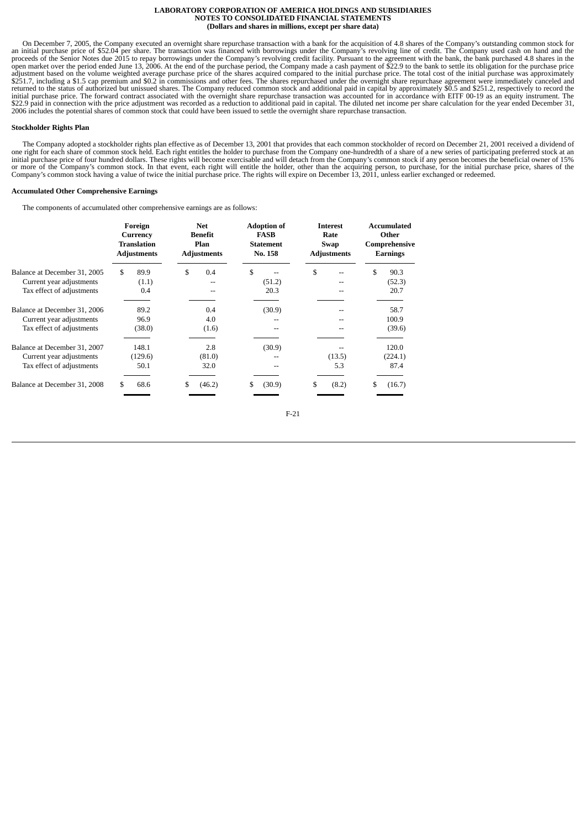On December 7, 2005, the Company executed an overnight share repurchase transaction with a bank for the acquisition of 4.8 shares of the Company's outstanding common stock for an initial purchase price of \$52.04 per share. The transaction was financed with borrowings under the Company's revolving line of credit. The Company used cash on hand and the proceeds of the Senior Notes due 2015 to repay initial purchase price. The forward contract associated with the overnight share repurchase transaction was accounted for in accordance with EITF 00-19 as an equity instrument. The<br>\$22.9 paid in connection with the price a

### **Stockholder Rights Plan**

The Company adopted a stockholder rights plan effective as of December 13, 2001 that provides that each common stockholder of record on December 21, 2001 received a dividend of one right for each share of common stock held or more of the Company's common stock. In that event, each right will entitle the holder, other than the acquiring person, to purchase, for the initial purchase price, shares of the<br>Company's common stock having a value of

### **Accumulated Other Comprehensive Earnings**

The components of accumulated other comprehensive earnings are as follows:

|                              | Foreign<br>Currency<br><b>Translation</b><br><b>Adjustments</b> | <b>Net</b><br>Benefit<br>Plan<br><b>Adjustments</b> | <b>Adoption of</b><br><b>FASB</b><br><b>Statement</b><br>No. 158 | <b>Interest</b><br>Rate<br>Swap<br><b>Adjustments</b> | <b>Accumulated</b><br>Other<br>Comprehensive<br><b>Earnings</b> |
|------------------------------|-----------------------------------------------------------------|-----------------------------------------------------|------------------------------------------------------------------|-------------------------------------------------------|-----------------------------------------------------------------|
| Balance at December 31, 2005 | \$<br>89.9                                                      | \$<br>0.4                                           | \$                                                               | \$                                                    | \$<br>90.3                                                      |
| Current year adjustments     | (1.1)                                                           |                                                     | (51.2)                                                           |                                                       | (52.3)                                                          |
| Tax effect of adjustments    | 0.4                                                             |                                                     | 20.3                                                             |                                                       | 20.7                                                            |
| Balance at December 31, 2006 | 89.2                                                            | 0.4                                                 | (30.9)                                                           |                                                       | 58.7                                                            |
| Current year adjustments     | 96.9                                                            | 4.0                                                 |                                                                  |                                                       | 100.9                                                           |
| Tax effect of adjustments    | (38.0)                                                          | (1.6)                                               |                                                                  |                                                       | (39.6)                                                          |
| Balance at December 31, 2007 | 148.1                                                           | 2.8                                                 | (30.9)                                                           |                                                       | 120.0                                                           |
| Current year adjustments     | (129.6)                                                         | (81.0)                                              |                                                                  | (13.5)                                                | (224.1)                                                         |
| Tax effect of adjustments    | 50.1                                                            | 32.0                                                |                                                                  | 5.3                                                   | 87.4                                                            |
| Balance at December 31, 2008 | 68.6<br>\$                                                      | \$<br>(46.2)                                        | (30.9)<br>S                                                      | (8.2)<br>\$                                           | (16.7)                                                          |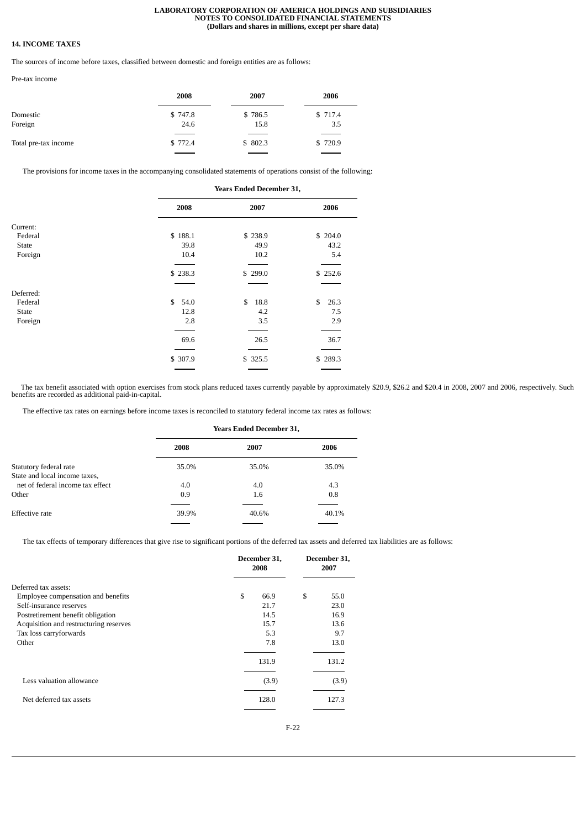## **14. INCOME TAXES**

The sources of income before taxes, classified between domestic and foreign entities are as follows:

Pre-tax income

|                      | 2008    | 2007    | 2006    |
|----------------------|---------|---------|---------|
| Domestic             | \$747.8 | \$786.5 | \$717.4 |
| Foreign              | 24.6    | 15.8    | 3.5     |
|                      |         |         |         |
| Total pre-tax income | \$772.4 | \$802.3 | \$720.9 |
|                      | _____   |         |         |

The provisions for income taxes in the accompanying consolidated statements of operations consist of the following:

| <b>Years Ended December 31,</b> |            |            |  |
|---------------------------------|------------|------------|--|
| 2008                            | 2007       | 2006       |  |
|                                 |            |            |  |
| \$188.1                         | \$238.9    | \$204.0    |  |
| 39.8                            | 49.9       | 43.2       |  |
| 10.4                            | 10.2       | 5.4        |  |
| \$ 238.3                        | \$299.0    | \$252.6    |  |
|                                 |            |            |  |
| \$<br>54.0                      | \$<br>18.8 | \$<br>26.3 |  |
| 12.8                            | 4.2        | 7.5        |  |
| 2.8                             | 3.5        | 2.9        |  |
|                                 |            |            |  |
| 69.6                            | 26.5       | 36.7       |  |
| \$ 307.9                        | \$ 325.5   | \$ 289.3   |  |
|                                 |            |            |  |

The tax benefit associated with option exercises from stock plans reduced taxes currently payable by approximately \$20.9, \$26.2 and \$20.4 in 2008, 2007 and 2006, respectively. Such benefits are recorded as additional paid-in-capital.

The effective tax rates on earnings before income taxes is reconciled to statutory federal income tax rates as follows:

|                                                         | <b>Years Ended December 31,</b> |       |       |  |
|---------------------------------------------------------|---------------------------------|-------|-------|--|
|                                                         | 2008                            | 2007  | 2006  |  |
| Statutory federal rate<br>State and local income taxes, | 35.0%                           | 35.0% | 35.0% |  |
| net of federal income tax effect                        | 4.0                             | 4.0   | 4.3   |  |
| Other                                                   | 0.9                             | 1.6   | 0.8   |  |
| Effective rate                                          | 39.9%                           | 40.6% | 40.1% |  |

The tax effects of temporary differences that give rise to significant portions of the deferred tax assets and deferred tax liabilities are as follows:

|                                        | December 31,<br>2008 | December 31,<br>2007 |
|----------------------------------------|----------------------|----------------------|
| Deferred tax assets:                   |                      |                      |
| Employee compensation and benefits     | \$<br>66.9           | \$<br>55.0           |
| Self-insurance reserves                | 21.7                 | 23.0                 |
| Postretirement benefit obligation      | 14.5                 | 16.9                 |
| Acquisition and restructuring reserves | 15.7                 | 13.6                 |
| Tax loss carryforwards                 | 5.3                  | 9.7                  |
| Other                                  | 7.8                  | 13.0                 |
|                                        | 131.9                | 131.2                |
| Less valuation allowance               | (3.9)                | (3.9)                |
| Net deferred tax assets                | 128.0                | 127.3                |
|                                        |                      |                      |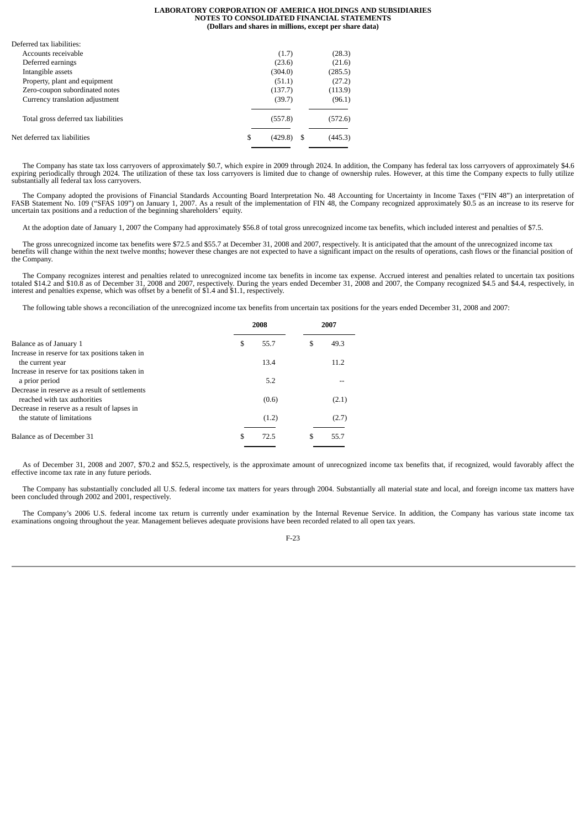| Deferred tax liabilities:            |               |   |         |
|--------------------------------------|---------------|---|---------|
| Accounts receivable                  | (1.7)         |   | (28.3)  |
| Deferred earnings                    | (23.6)        |   | (21.6)  |
| Intangible assets                    | (304.0)       |   | (285.5) |
| Property, plant and equipment        | (51.1)        |   | (27.2)  |
| Zero-coupon subordinated notes       | (137.7)       |   | (113.9) |
| Currency translation adjustment      | (39.7)        |   | (96.1)  |
| Total gross deferred tax liabilities | (557.8)       |   | (572.6) |
| Net deferred tax liabilities         | \$<br>(429.8) | S | (445.3) |

The Company has state tax loss carryovers of approximately \$0.7, which expire in 2009 through 2024. In addition, the Company has federal tax loss carryovers of approximately \$4.6 expiring periodically through 2024. The utilization of these tax loss carryovers is limited due to change of ownership rules. However, at this time the Company expects to fully utilize<br>substantially all federal tax loss ca

The Company adopted the provisions of Financial Standards Accounting Board Interpretation No. 48 Accounting for Uncertainty in Income Taxes ("FIN 48") an interpretation of FASB Statement No. 109 ("SFAS 109") on January 1,

At the adoption date of January 1, 2007 the Company had approximately \$56.8 of total gross unrecognized income tax benefits, which included interest and penalties of \$7.5.

The gross unrecognized income tax benefits were \$72.5 and \$55.7 at December 31, 2008 and 2007, respectively. It is anticipated that the amount of the unrecognized income tax benefits will change within the next twelve mont the Company.

The Company recognizes interest and penalties related to unrecognized income tax benefits in income tax expense. Accrued interest and penalties related to uncertain tax positions totaled \$14.2 and \$10.8 as of December 31,

The following table shows a reconciliation of the unrecognized income tax benefits from uncertain tax positions for the years ended December 31, 2008 and 2007:

|                                                                  | 2008       |    | 2007  |
|------------------------------------------------------------------|------------|----|-------|
| Balance as of January 1                                          | \$<br>55.7 | \$ | 49.3  |
| Increase in reserve for tax positions taken in                   |            |    |       |
| the current year                                                 | 13.4       |    | 11.2  |
| Increase in reserve for tax positions taken in<br>a prior period | 5.2        |    |       |
| Decrease in reserve as a result of settlements                   |            |    |       |
| reached with tax authorities                                     | (0.6)      |    | (2.1) |
| Decrease in reserve as a result of lapses in                     |            |    |       |
| the statute of limitations                                       | (1.2)      |    | (2.7) |
| <b>Balance as of December 31</b>                                 | \$<br>72.5 | S  | 55.7  |

As of December 31, 2008 and 2007, \$70.2 and \$52.5, respectively, is the approximate amount of unrecognized income tax benefits that, if recognized, would favorably affect the effective income tax rate in any future periods.

The Company has substantially concluded all U.S. federal income tax matters for years through 2004. Substantially all material state and local, and foreign income tax matters have been concluded through 2002 and 2001, respectively.

The Company's 2006 U.S. federal income tax return is currently under examination by the Internal Revenue Service. In addition, the Company has various state income tax examinations ongoing throughout the year. Management believes adequate provisions have been recorded related to all open tax years.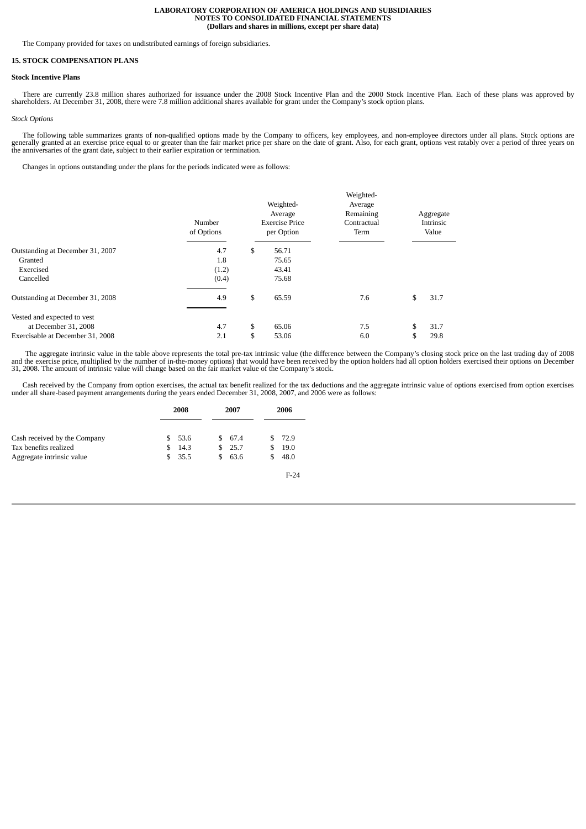The Company provided for taxes on undistributed earnings of foreign subsidiaries.

## **15. STOCK COMPENSATION PLANS**

### **Stock Incentive Plans**

There are currently 23.8 million shares authorized for issuance under the 2008 Stock Incentive Plan and the 2000 Stock Incentive Plan. Each of these plans was approved by shareholders. At December 31, 2008, there were 7.8 million additional shares available for grant under the Company's stock option plans.

### *Stock Options*

The following table summarizes grants of non-qualified options made by the Company to officers, key employees, and non-employee directors under all plans. Stock options are generally granted at an exercise price equal to o

Changes in options outstanding under the plans for the periods indicated were as follows:

|                                  | Number<br>of Options | Weighted-<br>Average<br><b>Exercise Price</b><br>per Option | Weighted-<br>Average<br>Remaining<br>Contractual<br>Term | Aggregate<br>Intrinsic<br>Value |
|----------------------------------|----------------------|-------------------------------------------------------------|----------------------------------------------------------|---------------------------------|
| Outstanding at December 31, 2007 | 4.7                  | \$<br>56.71                                                 |                                                          |                                 |
| Granted                          | 1.8                  | 75.65                                                       |                                                          |                                 |
| Exercised                        | (1.2)                | 43.41                                                       |                                                          |                                 |
| Cancelled                        | (0.4)                | 75.68                                                       |                                                          |                                 |
| Outstanding at December 31, 2008 | 4.9                  | \$<br>65.59                                                 | 7.6                                                      | \$<br>31.7                      |
| Vested and expected to vest      |                      |                                                             |                                                          |                                 |
| at December 31, 2008             | 4.7                  | \$<br>65.06                                                 | 7.5                                                      | \$<br>31.7                      |
| Exercisable at December 31, 2008 | 2.1                  | \$<br>53.06                                                 | 6.0                                                      | \$<br>29.8                      |

The aggregate intrinsic value in the table above represents the total pre-tax intrinsic value (the difference between the Company's closing stock price on the last trading day of 2008 and the exercise price, multiplied by

Cash received by the Company from option exercises, the actual tax benefit realized for the tax deductions and the aggregate intrinsic value of options exercised from option exercises under all share-based payment arrangem

|                              | 2008   | 2007   | 2006 |
|------------------------------|--------|--------|------|
| Cash received by the Company | \$53.6 | \$67.4 | 72.9 |
| Tax benefits realized        | 14.3   | 25.7   | 19.0 |
| Aggregate intrinsic value    | \$35.5 | 63.6   | 48.0 |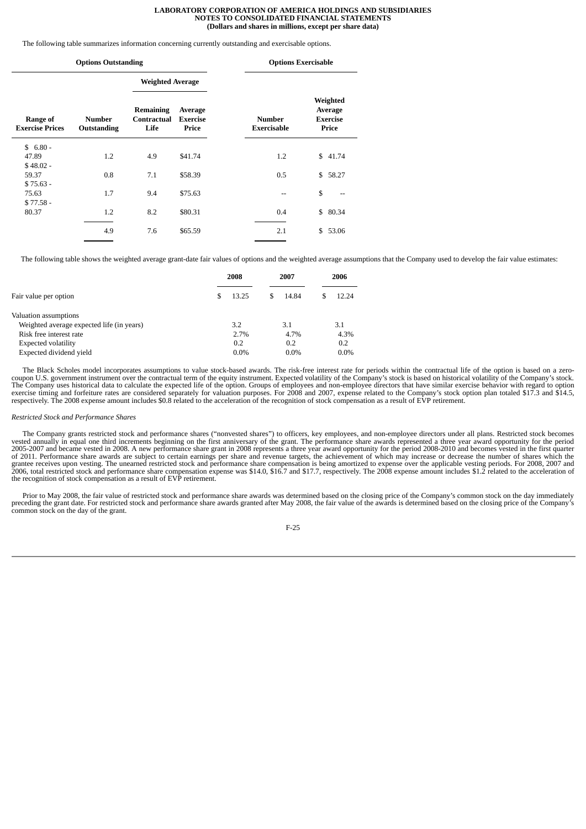The following table summarizes information concerning currently outstanding and exercisable options.

| <b>Options Outstanding</b>         |                              |                                         |                                     | <b>Options Exercisable</b> |                                                 |
|------------------------------------|------------------------------|-----------------------------------------|-------------------------------------|----------------------------|-------------------------------------------------|
|                                    |                              | <b>Weighted Average</b>                 |                                     |                            |                                                 |
| Range of<br><b>Exercise Prices</b> | <b>Number</b><br>Outstanding | <b>Remaining</b><br>Contractual<br>Life | Average<br><b>Exercise</b><br>Price | Number<br>Exercisable      | Weighted<br>Average<br><b>Exercise</b><br>Price |
| $$6.80-$<br>47.89<br>$$48.02 -$    | 1.2                          | 4.9                                     | \$41.74                             | 1.2                        | 41.74<br>\$                                     |
| 59.37<br>$$75.63 -$                | 0.8                          | 7.1                                     | \$58.39                             | 0.5                        | 58.27<br>\$                                     |
| 75.63<br>$$77.58 -$                | 1.7                          | 9.4                                     | \$75.63                             | --                         | \$                                              |
| 80.37                              | 1.2                          | 8.2                                     | \$80.31                             | 0.4                        | \$<br>80.34                                     |
|                                    | 4.9                          | 7.6                                     | \$65.59                             | 2.1                        | 53.06<br>\$                                     |
|                                    |                              |                                         |                                     |                            |                                                 |

The following table shows the weighted average grant-date fair values of options and the weighted average assumptions that the Company used to develop the fair value estimates:

| 2008       |         | 2006    |  |
|------------|---------|---------|--|
| 13.25<br>S | 14.84   | 12.24   |  |
|            |         |         |  |
| 3.2        | 3.1     | 3.1     |  |
| 2.7%       | 4.7%    | 4.3%    |  |
| 0.2        | 0.2     | 0.2     |  |
| $0.0\%$    | $0.0\%$ | $0.0\%$ |  |
|            |         | 2007    |  |

The Black Scholes model incorporates assumptions to value stock-based awards. The risk-free interest rate for periods within the contractual life of the option is based on a zerocoupon U.S. government instrument over the contractual term of the equity instrument. Expected volatility of the Company's stock is based on historical volatility of the Company's stock. The Company uses historical data to calculate the expected life of the option. Groups of employees and non-employee directors that have similar exercise behavior with regard to option<br>exercise timing and forfeiture rates a

### *Restricted Stock and Performance Shares*

The Company grants restricted stock and performance shares ("nonvested shares") to officers, key employees, and non-employee directors under all plans. Restricted stock becomes vested annually in equal one third increments beginning on the first anniversary of the grant. The performance share awards represented a three year award opportunity for the period 2005-2007 and became vested in 2008. A n

Prior to May 2008, the fair value of restricted stock and performance share awards was determined based on the closing price of the Company's common stock on the day immediately preceding the grant date. For restricted sto common stock on the day of the grant.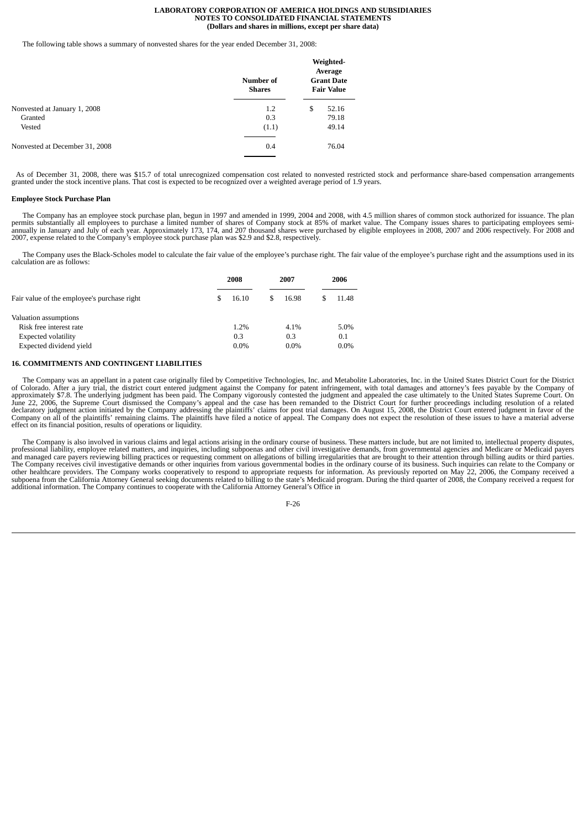The following table shows a summary of nonvested shares for the year ended December 31, 2008:

|                                | <b>Number of</b><br><b>Shares</b> | Weighted-<br>Average<br><b>Grant Date</b><br><b>Fair Value</b> |  |  |
|--------------------------------|-----------------------------------|----------------------------------------------------------------|--|--|
| Nonvested at January 1, 2008   | 1.2                               | \$<br>52.16                                                    |  |  |
| Granted                        | 0.3                               | 79.18                                                          |  |  |
| Vested                         | (1.1)                             | 49.14                                                          |  |  |
| Nonvested at December 31, 2008 | 0.4                               | 76.04                                                          |  |  |

As of December 31, 2008, there was \$15.7 of total unrecognized compensation cost related to nonvested restricted stock and performance share-based compensation arrangements granted under the stock incentive plans. That cost is expected to be recognized over a weighted average period of 1.9 years.

### **Employee Stock Purchase Plan**

The Company has an employee stock purchase plan, begun in 1997 and amended in 1999, 2004 and 2008, with 4.5 million shares of common stock authorized for issuance. The plan<br>permits substantially all employees to purchase a 2007, expense related to the Company's employee stock purchase plan was \$2.9 and \$2.8, respectively.

The Company uses the Black-Scholes model to calculate the fair value of the employee's purchase right. The fair value of the employee's purchase right and the assumptions used in its calculation are as follows:

|                                             |   | 2008    |   |         |  | 2007    | 2006 |  |
|---------------------------------------------|---|---------|---|---------|--|---------|------|--|
| Fair value of the employee's purchase right | S | 16.10   | S | 16.98   |  | 11.48   |      |  |
| Valuation assumptions                       |   |         |   |         |  |         |      |  |
| Risk free interest rate                     |   | 1.2%    |   | 4.1%    |  | 5.0%    |      |  |
| <b>Expected volatility</b>                  |   | 0.3     |   | 0.3     |  | 0.1     |      |  |
| Expected dividend vield                     |   | $0.0\%$ |   | $0.0\%$ |  | $0.0\%$ |      |  |
|                                             |   |         |   |         |  |         |      |  |

## **16. COMMITMENTS AND CONTINGENT LIABILITIES**

The Company was an appellant in a patent case originally filed by Competitive Technologies, Inc. and Metabolite Laboratories, Inc. in the United States District Court for the District of Colorado. After a jury trial, the district court entered judgment against the Company for patent infringement, with total damages and attorney's fees payable by the Company of approximately \$7.8. The underlying judgment effect on its financial position, results of operations or liquidity.

The Company is also involved in various claims and legal actions arising in the ordinary course of business. These matters include, but are not limited to, intellectual property disputes, professional liability, employee related matters, and inquiries, including subpoenas and other civil investigative demands, from governmental agencies and Medicare or Medicaid payers<br>and managed care payers reviewing billi The Company receives civil investigative demands or other inquiries from various governmental bodies in the ordinary course of its business. Such inquiries can relate to the Company or<br>subpoena from the California Attorney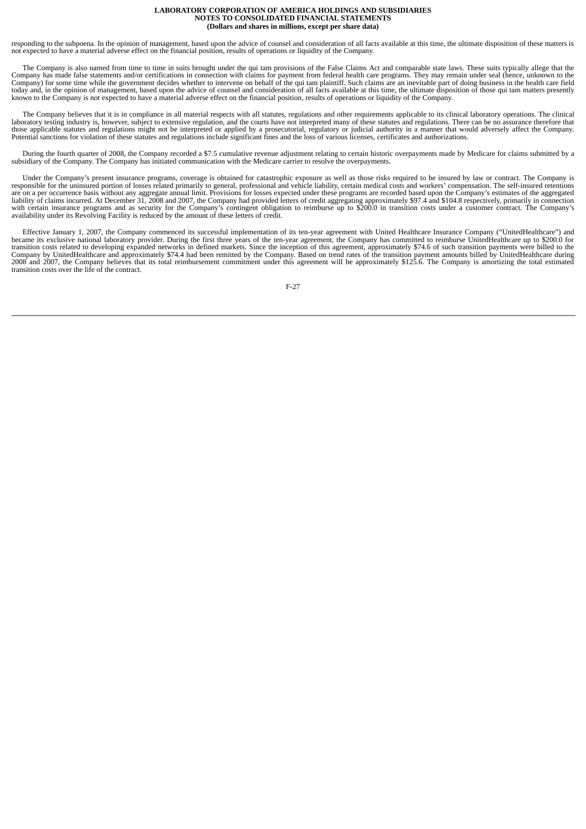responding to the subpoena. In the opinion of management, based upon the advice of counsel and consideration of all facts available at this time, the ultimate disposition of these matters is not expected to have a material adverse effect on the financial position, results of operations or liquidity of the Company.

The Company is also named from time to time in suits brought under the qui tam provisions of the False Claims Act and comparable state laws. These suits typically allege that the Company has made false statements and/or ce Company) for some time while the government decides whether to intervene on behalf of the qui tam plaintiff. Such claims are an inevitable part of doing business in the health care field today and, in the opinion of management, based upon the advice of counsel and consideration of all facts available at this time, the ultimate disposition of those qui tam matters presently known to the Company is not expected to have a material adverse effect on the financial position, results of operations or liquidity of the Company.

The Company believes that it is in compliance in all material respects with all statutes, regulations and other requirements applicable to its clinical laboratory operations. The clinical laboratory operations. There can b those applicable statutes and regulations might not be interpreted or applied by a prosecutorial, regulatory or judicial authority in a manner that would adversely affect the Company. Potential sanctions for violation of these statutes and regulations include significant fines and the loss of various licenses, certificates and authorizations.

During the fourth quarter of 2008, the Company recorded a \$7.5 cumulative revenue adjustment relating to certain historic overpayments made by Medicare for claims submitted by a subsidiary of the Company. The Company has initiated communication with the Medicare carrier to resolve the overpayments.

Under the Company's present insurance programs, coverage is obtained for catastrophic exposure as well as those risks required to be insured by law or contract. The Company is responsible for the uninsured portion of losses related primarily to general, professional and vehicle liability, certain medical costs and workers' compensation. The self-insured retentions are on a per occurrence basis without any aggregate annual limit. Provisions for losses expected under these programs are recorded based upon the Company's estimates of the aggregated<br>liability of claims incurred. At Decem

Effective January 1, 2007, the Company commenced its successful implementation of its ten-year agreement with United Healthcare Insurance Company ("UnitedHealthcare") and became its exclusive national laboratory provider. During the first three years of the ten-year agreement, the Company has committed to reimburse UnitedHealthcare up to \$200.0 for<br>Company by UnitedHealthcare and approximat transition costs over the life of the contract.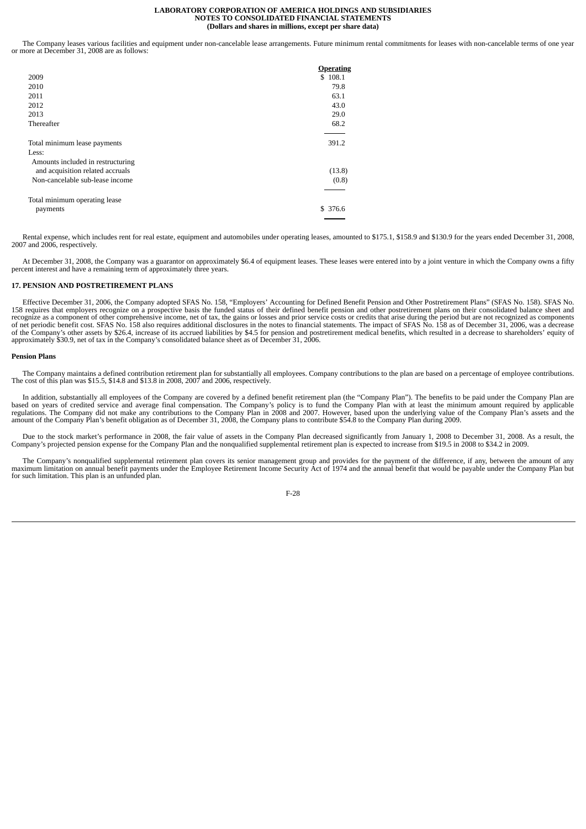The Company leases various facilities and equipment under non-cancelable lease arrangements. Future minimum rental commitments for leases with non-cancelable terms of one year or more at December 31, 2008 are as follows:

|                                   | <b>Operating</b> |
|-----------------------------------|------------------|
| 2009                              | \$108.1          |
| 2010                              | 79.8             |
| 2011                              | 63.1             |
| 2012                              | 43.0             |
| 2013                              | 29.0             |
| Thereafter                        | 68.2             |
|                                   |                  |
| Total minimum lease payments      | 391.2            |
| Less:                             |                  |
| Amounts included in restructuring |                  |
| and acquisition related accruals  | (13.8)           |
| Non-cancelable sub-lease income   | (0.8)            |
|                                   |                  |
| Total minimum operating lease     |                  |
| payments                          | \$ 376.6         |
|                                   |                  |

Rental expense, which includes rent for real estate, equipment and automobiles under operating leases, amounted to \$175.1, \$158.9 and \$130.9 for the years ended December 31, 2008, 2007 and 2006, respectively.

At December 31, 2008, the Company was a guarantor on approximately \$6.4 of equipment leases. These leases were entered into by a joint venture in which the Company owns a fifty percent interest and have a remaining term of approximately three years.

## **17. PENSION AND POSTRETIREMENT PLANS**

Effective December 31, 2006, the Company adopted SFAS No. 158, "Employers' Accounting for Defined Benefit Pension and Other Postretirement Plans" (SFAS No. 158). SFAS No. 158). SFAS No. 158, SFAS No. 158, equires that empl of net periodic benefit cost. SFAS No. 158 also requires additional disclosures in the notes to financial statements. The impact of SFAS No. 158 as of December 31, 2006, was a decrease<br>of the Company's other assets by \$26.

### **Pension Plans**

The Company maintains a defined contribution retirement plan for substantially all employees. Company contributions to the plan are based on a percentage of employee contributions.<br>The cost of this plan was \$15.5, \$14.8 an

In addition, substantially all employees of the Company are covered by a defined benefit retirement plan (the "Company Plan"). The benefits to be paid under the Company Plan are based on years of credited service and average final compensation. The Company's policy is to fund the Company Plan with at least the minimum amount required by applicable<br>regulations. The Company did not make any contribu

Due to the stock market's performance in 2008, the fair value of assets in the Company Plan decreased significantly from January 1, 2008 to December 31, 2008. As a result, the Company's projected pension expense for the Company Plan and the nonqualified supplemental retirement plan is expected to increase from \$19.5 in 2008 to \$34.2 in 2009.

The Company's nonqualified supplemental retirement plan covers its senior management group and provides for the payment of the difference, if any, between the amount of any maximum limitation on annual benefit payments und for such limitation. This plan is an unfunded plan.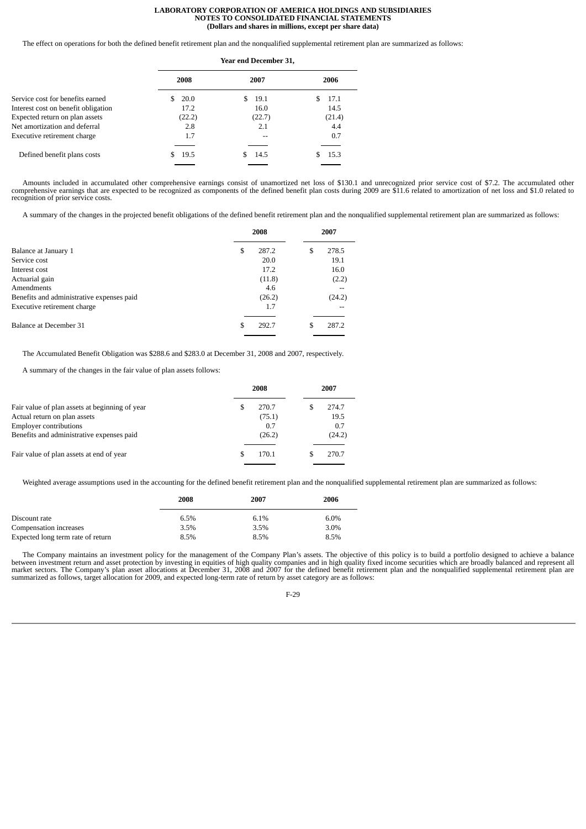The effect on operations for both the defined benefit retirement plan and the nonqualified supplemental retirement plan are summarized as follows:

| Year end December 31, |           |  |  |
|-----------------------|-----------|--|--|
| 2007                  | 2006      |  |  |
| 19.1<br>S.            | 17.1<br>S |  |  |
| 16.0                  | 14.5      |  |  |
| (22.7)                | (21.4)    |  |  |
| 2.1                   | 4.4       |  |  |
|                       | 0.7       |  |  |
| 14.5                  | 15.3      |  |  |
|                       |           |  |  |

Amounts included in accumulated other comprehensive earnings consist of unamortized net loss of \$130.1 and unrecognized prior service cost of \$7.2. The accumulated other comprehensive earnings that are expected to be recognized as components of the defined benefit plan costs during 2009 are \$11.6 related to amortization of net loss and \$1.0 related to amortization of net loss and \$1.0 rela recognition of prior service costs.

A summary of the changes in the projected benefit obligations of the defined benefit retirement plan and the nonqualified supplemental retirement plan are summarized as follows:

|                                           | 2008 |        | 2007 |    |        |
|-------------------------------------------|------|--------|------|----|--------|
| Balance at January 1                      | \$   | 287.2  |      | \$ | 278.5  |
| Service cost                              |      | 20.0   |      |    | 19.1   |
| Interest cost                             |      | 17.2   |      |    | 16.0   |
| Actuarial gain                            |      | (11.8) |      |    | (2.2)  |
| Amendments                                |      | 4.6    |      |    | --     |
| Benefits and administrative expenses paid |      | (26.2) |      |    | (24.2) |
| Executive retirement charge               |      | 1.7    |      |    |        |
| <b>Balance at December 31</b>             | S    | 292.7  |      | \$ | 287.2  |

The Accumulated Benefit Obligation was \$288.6 and \$283.0 at December 31, 2008 and 2007, respectively.

A summary of the changes in the fair value of plan assets follows:

|                                                | 2008 |        | 2007 |        |
|------------------------------------------------|------|--------|------|--------|
| Fair value of plan assets at beginning of year |      | 270.7  |      | 274.7  |
| Actual return on plan assets                   |      | (75.1) |      | 19.5   |
| <b>Employer contributions</b>                  |      | 0.7    |      | 0.7    |
| Benefits and administrative expenses paid      |      | (26.2) |      | (24.2) |
| Fair value of plan assets at end of year       |      | 170.1  |      | 270.7  |

Weighted average assumptions used in the accounting for the defined benefit retirement plan and the nonqualified supplemental retirement plan are summarized as follows:

|                                   | 2008 | 2007 | 2006 |
|-----------------------------------|------|------|------|
| Discount rate                     | 6.5% | 6.1% | 6.0% |
| Compensation increases            | 3.5% | 3.5% | 3.0% |
| Expected long term rate of return | 8.5% | 8.5% | 8.5% |

The Company maintains an investment policy for the management of the Company Plan's assets. The objective of this policy is to build a portfolio designed to achieve a balance a balance between investment return and asset p summarized as follows, target allocation for 2009, and expected long-term rate of return by asset category are as follows: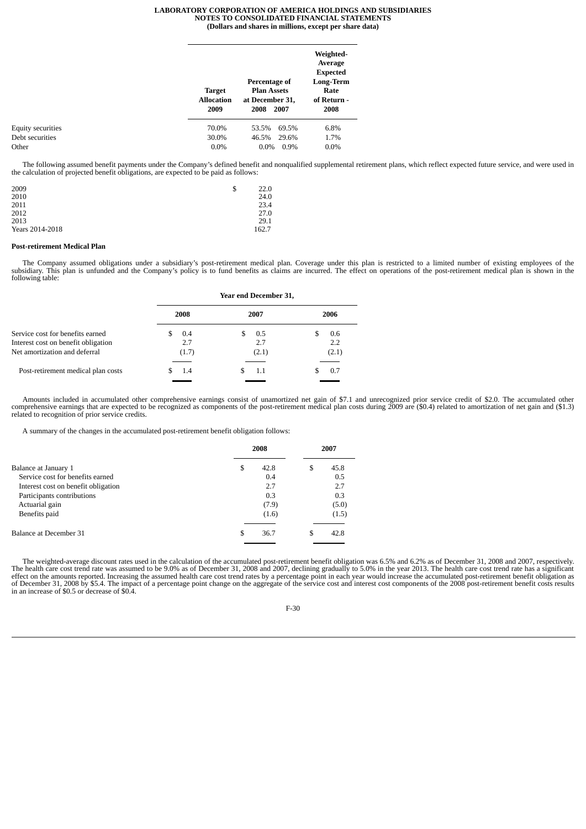|                          | <b>Target</b><br><b>Allocation</b><br>2009 | Percentage of<br><b>Plan Assets</b><br>at December 31,<br>2008<br>2007 | Weighted-<br>Average<br><b>Expected</b><br><b>Long-Term</b><br>Rate<br>of Return -<br>2008 |
|--------------------------|--------------------------------------------|------------------------------------------------------------------------|--------------------------------------------------------------------------------------------|
| <b>Equity securities</b> | 70.0%                                      | 69.5%<br>53.5%                                                         | 6.8%                                                                                       |
| Debt securities          | 30.0%                                      | 46.5%<br>29.6%                                                         | 1.7%                                                                                       |
| Other                    | $0.0\%$                                    | $0.9\%$<br>$0.0\%$                                                     | $0.0\%$                                                                                    |

The following assumed benefit payments under the Company's defined benefit and nonqualified supplemental retirement plans, which reflect expected future service, and were used in the calculation of projected benefit obligations, are expected to be paid as follows:

| 2009<br>2010    | S | 22.0<br>24.0 |
|-----------------|---|--------------|
| 2011            |   | 23.4         |
| 2012<br>2013    |   | 27.0<br>29.1 |
| Years 2014-2018 |   | 162.7        |

### **Post-retirement Medical Plan**

The Company assumed obligations under a subsidiary's post-retirement medical plan. Coverage under this plan is restricted to a limited number of existing employees of the subsidiary. This plan is unfunded and the Company's following table:

|                                     | Year end December 31, |          |       |  |
|-------------------------------------|-----------------------|----------|-------|--|
|                                     | 2008                  | 2007     | 2006  |  |
| Service cost for benefits earned    | 0.4                   | 0.5<br>S | 0.6   |  |
| Interest cost on benefit obligation | 2.7                   | 2.7      | 2.2   |  |
| Net amortization and deferral       | (1.7)                 | (2.1)    | (2.1) |  |
| Post-retirement medical plan costs  | 1.4                   | 1.1      | 0.7   |  |

Amounts included in accumulated other comprehensive earnings consist of unamortized net gain of \$7.1 and unrecognized prior service credit of \$2.0. The accumulated other comprehensive earnings that are expected to be recog related to recognition of prior service credits.

A summary of the changes in the accumulated post-retirement benefit obligation follows:

|                                     | 2008 |       | 2007 |       |
|-------------------------------------|------|-------|------|-------|
| Balance at January 1                | \$   | 42.8  | S    | 45.8  |
| Service cost for benefits earned    |      | 0.4   |      | 0.5   |
| Interest cost on benefit obligation |      | 2.7   |      | 2.7   |
| Participants contributions          |      | 0.3   |      | 0.3   |
| Actuarial gain                      |      | (7.9) |      | (5.0) |
| Benefits paid                       |      | (1.6) |      | (1.5) |
| Balance at December 31              | \$   | 36.7  | S    | 42.8  |

The weighted-average discount rates used in the calculation of the accumulated post-retirement benefit obligation was 6.5% and 6.2% as of December 31, 2008 and 2007, respectively.<br>The health care cost trend rate was assume effect on the amounts reported. Increasing the assumed health care cost trend rates by a percentage point in each year would increase the accumulated post-retirement benefit obligation as<br>of December 31, 2008 by \$5.4. The in an increase of \$0.5 or decrease of \$0.4.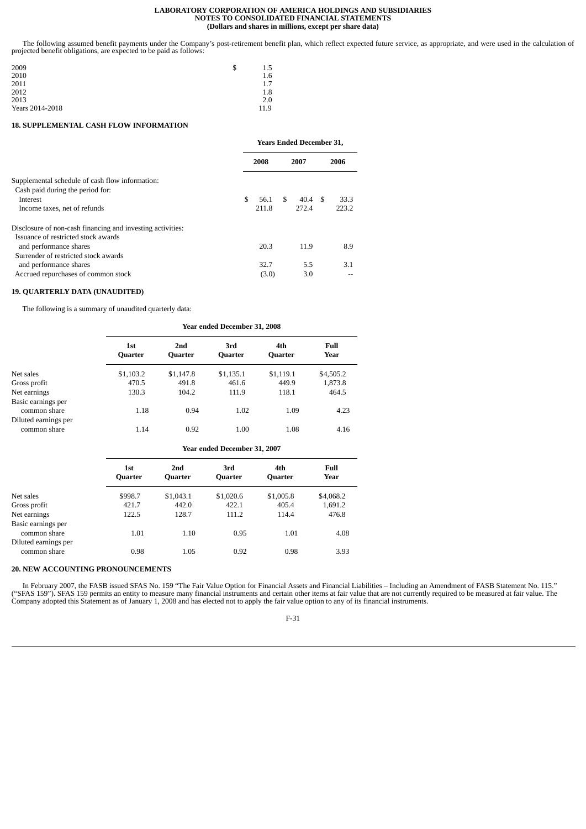The following assumed benefit payments under the Company's post-retirement benefit plan, which reflect expected future service, as appropriate, and were used in the calculation of projected benefit obligations, are expected to be paid as follows:

| 2009<br>2010<br>2011<br>2012<br>2013 | S | 1.5<br>1.6<br>1.7<br>1.8<br>2.0 |
|--------------------------------------|---|---------------------------------|
|                                      |   |                                 |
| Years 2014-2018                      |   | 11.9                            |

## **18. SUPPLEMENTAL CASH FLOW INFORMATION**

|                                                                                                                                        |      | <b>Years Ended December 31,</b> |      |            |      |               |
|----------------------------------------------------------------------------------------------------------------------------------------|------|---------------------------------|------|------------|------|---------------|
|                                                                                                                                        | 2008 |                                 | 2007 |            | 2006 |               |
| Supplemental schedule of cash flow information:<br>Cash paid during the period for:<br><b>Interest</b><br>Income taxes, net of refunds | \$.  | 56.1<br>211.8                   | \$.  | 272.4      |      | 33.3<br>223.2 |
| Disclosure of non-cash financing and investing activities:<br>Issuance of restricted stock awards                                      |      |                                 |      |            |      |               |
| and performance shares<br>Surrender of restricted stock awards                                                                         |      | 20.3                            |      | 11.9       |      | 8.9           |
| and performance shares<br>Accrued repurchases of common stock                                                                          |      | 32.7<br>(3.0)                   |      | 5.5<br>3.0 |      | 3.1           |

### **19. QUARTERLY DATA (UNAUDITED)**

The following is a summary of unaudited quarterly data:

|                      |                       | Year ended December 31, 2008 |                |                       |              |  |  |  |  |  |  |
|----------------------|-----------------------|------------------------------|----------------|-----------------------|--------------|--|--|--|--|--|--|
|                      | 1st<br><b>Quarter</b> | 2nd<br><b>Quarter</b>        | 3rd<br>Quarter | 4th<br><b>Quarter</b> | Full<br>Year |  |  |  |  |  |  |
| Net sales            | \$1,103.2             | \$1,147.8                    | \$1,135.1      | \$1,119.1             | \$4,505.2    |  |  |  |  |  |  |
| Gross profit         | 470.5                 | 491.8                        | 461.6          | 449.9                 | 1,873.8      |  |  |  |  |  |  |
| Net earnings         | 130.3                 | 104.2                        | 111.9          | 118.1                 | 464.5        |  |  |  |  |  |  |
| Basic earnings per   |                       |                              |                |                       |              |  |  |  |  |  |  |
| common share         | 1.18                  | 0.94                         | 1.02           | 1.09                  | 4.23         |  |  |  |  |  |  |
| Diluted earnings per |                       |                              |                |                       |              |  |  |  |  |  |  |
| common share         | 1.14                  | 0.92                         | 1.00           | 1.08                  | 4.16         |  |  |  |  |  |  |
|                      |                       |                              |                |                       |              |  |  |  |  |  |  |

|                                      |                       | Year ended December 31, 2007 |                       |                |              |  |  |  |  |  |  |
|--------------------------------------|-----------------------|------------------------------|-----------------------|----------------|--------------|--|--|--|--|--|--|
|                                      | 1st<br><b>Quarter</b> | 2nd<br><b>Quarter</b>        | 3rd<br><b>Quarter</b> | 4th<br>Ouarter | Full<br>Year |  |  |  |  |  |  |
| Net sales                            | \$998.7               | \$1,043.1                    | \$1,020.6             | \$1,005.8      | \$4,068.2    |  |  |  |  |  |  |
| Gross profit                         | 421.7                 | 442.0                        | 422.1                 | 405.4          | 1,691.2      |  |  |  |  |  |  |
| Net earnings                         | 122.5                 | 128.7                        | 111.2                 | 114.4          | 476.8        |  |  |  |  |  |  |
| Basic earnings per<br>common share   | 1.01                  | 1.10                         | 0.95                  | 1.01           | 4.08         |  |  |  |  |  |  |
| Diluted earnings per<br>common share | 0.98                  | 1.05                         | 0.92                  | 0.98           | 3.93         |  |  |  |  |  |  |

### **20. NEW ACCOUNTING PRONOUNCEMENTS**

"In February 2007, the FASB issued SFAS No. 159 "The Fair Value Option for Financial Assets and Financial Liabilities – Including an Amendment of FASB Statement No. 115."<br>("SFAS 159"). SFAS 159 permits an entity to measure Company adopted this Statement as of January 1, 2008 and has elected not to apply the fair value option to any of its financial instruments.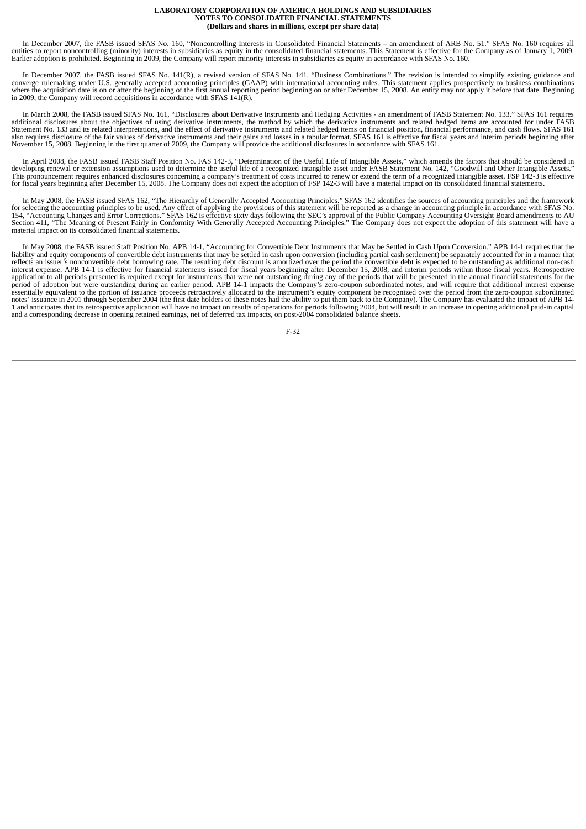In December 2007, the FASB issued SFAS No. 160, "Noncontrolling Interests in Consolidated Financial Statements – an amendment of ARB No. 51." SFAS No. 160 requires all entities to report noncontrolling (minority) interests in subsidiaries as equity in the consolidated financial statements. This Statement is effective for the Company as of January 1, 2009.<br>Earlier adoption is prohibited.

In December 2007, the FASB issued SFAS No. 141(R), a revised version of SFAS No. 141, "Business Combinations." The revision is intended to simplify existing guidance and converge rulemaking under U.S. generally accepted accounting principles (GAAP) with international accounting rules. This statement applies prospectively to business combinations<br>where the acquisition date is on or after th in 2009, the Company will record acquisitions in accordance with SFAS 141(R).

In March 2008, the FASB issued SFAS No. 161, "Disclosures about Derivative Instruments and Hedging Activities - an amendment of FASB Statement No. 133." SFAS 161 requires additional disclosures about the objectives of usin also requires disclosure of the fair values of derivative instruments and their gains and losses in a tabular format. SFAS 161 is effective for fiscal years and interim periods beginning after<br>November 15, 2008. Beginning

In April 2008, the FASB issued FASB Staff Position No. FAS 142-3, "Determination of the Useful Life of Intangible Assets," which amends the factors that should be considered in developing renewal or extension assumptions u This pronouncement requires enhanced disclosures concerning a company's treatment of costs incurred to renew or extend the term of a recognized intangible asset. FSP 142-3 is effective for fiscal years beginning after December 15, 2008. The Company does not expect the adoption of FSP 142-3 will have a material impact on its consolidated financial statements.

In May 2008, the FASB issued SFAS 162, "The Hierarchy of Generally Accepted Accounting Principles." SFAS 162 identifies the sources of accounting principles and the framework<br>for selecting the accounting principles to be u material impact on its consolidated financial statements.

In May 2008, the FASB issued Staff Position No. APB 14-1, "Accounting for Convertible Debt Instruments that May be Settled in Cash Upon Conversion." APB 14-1 requires that the liability and equity components of convertible reflects an issuer's nonconvertible debt borrowing rate. The resulting debt discount is amortized over the period the convertible debt is expected to be outstanding as additional non-cash interest expense. APB 14-1 is effective for financial statements issued for fiscal years beginning after December 15, 2008, and interim periods within those fiscal years. Retrospective<br>application to all periods presented essentially equivalent to the portion of issuance proceeds retroactively allocated to the instrument's equity component be recognized over the period from the zero-coupon subordinated<br>notes' issuance in 2001 through Septem and a corresponding decrease in opening retained earnings, net of deferred tax impacts, on post-2004 consolidated balance sheets.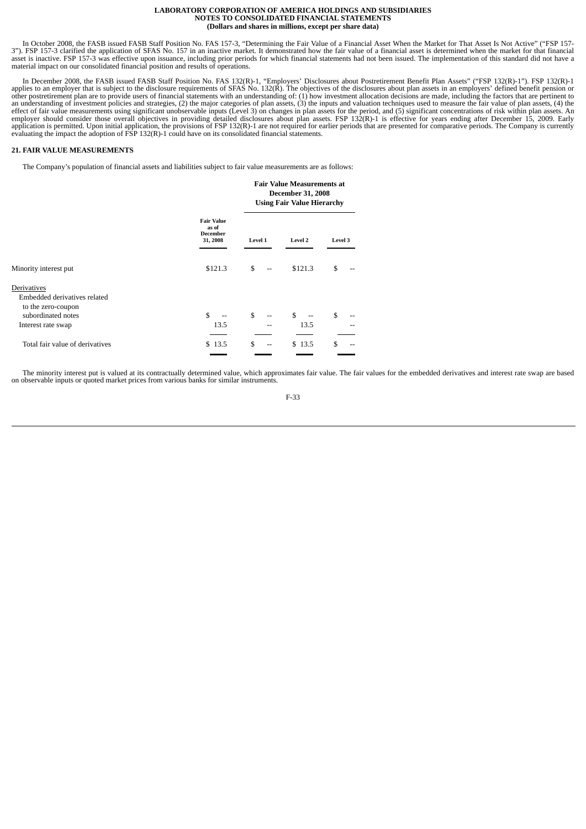In October 2008, the FASB issued FASB Staff Position No. FAS 157-3, "Determining the Fair Value of a Financial Asset When the Market for That Asset Is Not Active" ("FSP 157- 3"). FSP 157-3 clarified the application of SFAS No. 157 in an inactive market. It demonstrated how the fair value of a financial asset is determined when the market for that financial asset is inactive. FSP 157-3 was effe

In December 2008, the FASB issued FASB Staff Position No. FAS 132(R)-1, "Employers' Disclosures about Postretirement Benefit Plan Assets" ("FSP 132(R)-1"). FSP 132(R)-1<br>applies to an employer that is subject to the disclos other postretirement plan are to provide users of financial statements with an understanding of: (1) how investment allocation decisions are made, including the factors that are pertinent to an understanding of investment policies and strategies, (2) the major categories of plan assets, (3) the inputs and valuation techniques used to measure the fair value of plan assets, (4) the effect of fair value measureme

### **21. FAIR VALUE MEASUREMENTS**

The Company's population of financial assets and liabilities subject to fair value measurements are as follows:

|                                                                   |                                                    | <b>Fair Value Measurements at</b><br><b>December 31, 2008</b><br><b>Using Fair Value Hierarchy</b> |         |         |  |  |
|-------------------------------------------------------------------|----------------------------------------------------|----------------------------------------------------------------------------------------------------|---------|---------|--|--|
|                                                                   | <b>Fair Value</b><br>as of<br>December<br>31, 2008 | Level 1                                                                                            | Level 2 | Level 3 |  |  |
| Minority interest put                                             | \$121.3                                            | \$                                                                                                 | \$121.3 | \$      |  |  |
| Derivatives<br>Embedded derivatives related<br>to the zero-coupon |                                                    |                                                                                                    |         |         |  |  |
| subordinated notes                                                | \$                                                 | \$                                                                                                 | \$      | \$      |  |  |
| Interest rate swap                                                | 13.5                                               |                                                                                                    | 13.5    |         |  |  |
| Total fair value of derivatives                                   | \$13.5                                             | \$                                                                                                 | \$13.5  | \$      |  |  |
|                                                                   |                                                    |                                                                                                    |         |         |  |  |

The minority interest put is valued at its contractually determined value, which approximates fair value. The fair values for the embedded derivatives and interest rate swap are based on observable inputs or quoted market prices from various banks for similar instruments.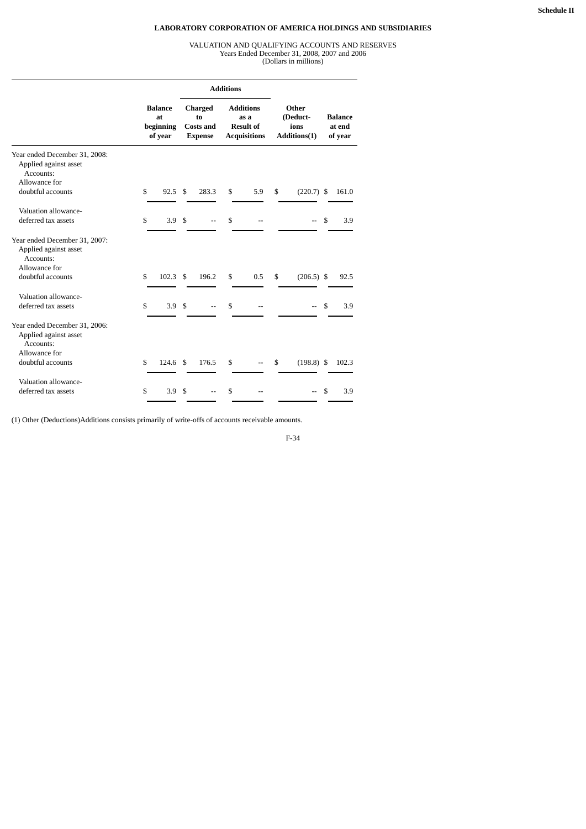# **LABORATORY CORPORATION OF AMERICA HOLDINGS AND SUBSIDIARIES**

#### VALUATION AND QUALIFYING ACCOUNTS AND RESERVES Years Ended December 31, 2008, 2007 and 2006 (Dollars in millions)

|                                                                                                           | <b>Additions</b>                             |                |                                                     |    |                                                                     |    |                                           |    |                                     |
|-----------------------------------------------------------------------------------------------------------|----------------------------------------------|----------------|-----------------------------------------------------|----|---------------------------------------------------------------------|----|-------------------------------------------|----|-------------------------------------|
|                                                                                                           | <b>Balance</b><br>at<br>beginning<br>of year |                | Charged<br>to<br><b>Costs and</b><br><b>Expense</b> |    | <b>Additions</b><br>as a<br><b>Result of</b><br><b>Acquisitions</b> |    | Other<br>(Deduct-<br>ions<br>Additions(1) |    | <b>Balance</b><br>at end<br>of year |
| Year ended December 31, 2008:<br>Applied against asset<br>Accounts:<br>Allowance for<br>doubtful accounts | \$<br>$92.5$ \$                              |                | 283.3                                               | \$ | 5.9                                                                 | \$ | $(220.7)$ \$                              |    | 161.0                               |
|                                                                                                           |                                              |                |                                                     |    |                                                                     |    |                                           |    |                                     |
| Valuation allowance-                                                                                      |                                              |                |                                                     |    |                                                                     |    |                                           |    |                                     |
| deferred tax assets                                                                                       | \$<br>3.9                                    | $\mathfrak{S}$ |                                                     | \$ |                                                                     |    |                                           | \$ | 3.9                                 |
| Year ended December 31, 2007:<br>Applied against asset<br>Accounts:<br>Allowance for<br>doubtful accounts | \$<br>$102.3$ \$                             |                | 196.2                                               | \$ | 0.5                                                                 | \$ | $(206.5)$ \$                              |    | 92.5                                |
|                                                                                                           |                                              |                |                                                     |    |                                                                     |    |                                           |    |                                     |
| Valuation allowance-                                                                                      |                                              |                |                                                     |    |                                                                     |    |                                           |    |                                     |
| deferred tax assets                                                                                       | \$<br>3.9                                    | $\mathfrak{S}$ |                                                     | \$ |                                                                     |    |                                           | \$ | 3.9                                 |
| Year ended December 31, 2006:<br>Applied against asset<br>Accounts:<br>Allowance for                      |                                              |                |                                                     |    |                                                                     |    |                                           |    |                                     |
| doubtful accounts                                                                                         | \$<br>124.6                                  | -S             | 176.5                                               | \$ |                                                                     | \$ | $(198.8)$ \$                              |    | 102.3                               |
| Valuation allowance-<br>deferred tax assets                                                               | \$<br>3.9                                    | \$             |                                                     | \$ |                                                                     |    |                                           | \$ | 3.9                                 |

 $\ddot{\phantom{a}}$ 

(1) Other (Deductions)Additions consists primarily of write-offs of accounts receivable amounts.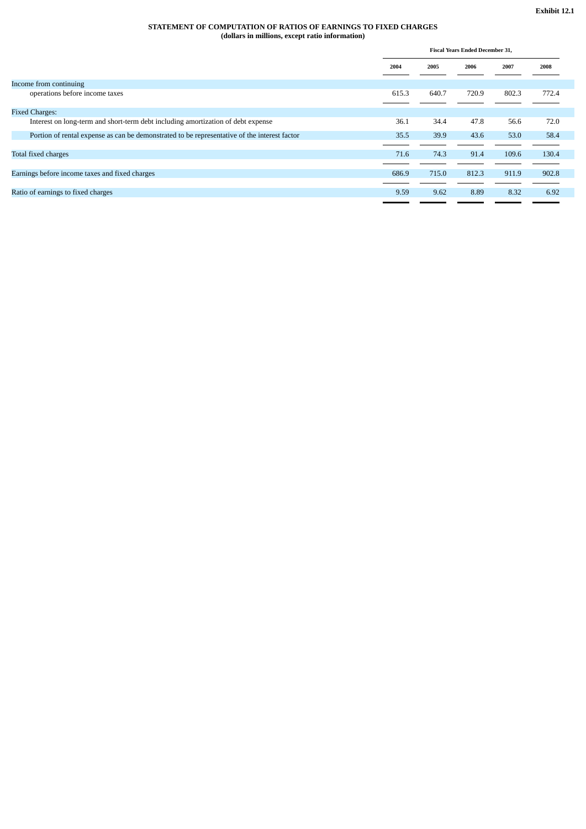### **STATEMENT OF COMPUTATION OF RATIOS OF EARNINGS TO FIXED CHARGES (dollars in millions, except ratio information)**

|                                                                                              |       | <b>Fiscal Years Ended December 31.</b> |       |       |       |  |  |
|----------------------------------------------------------------------------------------------|-------|----------------------------------------|-------|-------|-------|--|--|
|                                                                                              | 2004  | 2005                                   | 2006  | 2007  | 2008  |  |  |
| Income from continuing                                                                       |       |                                        |       |       |       |  |  |
| operations before income taxes                                                               | 615.3 | 640.7                                  | 720.9 | 802.3 | 772.4 |  |  |
|                                                                                              |       |                                        |       |       |       |  |  |
| <b>Fixed Charges:</b>                                                                        |       |                                        |       |       |       |  |  |
| Interest on long-term and short-term debt including amortization of debt expense             | 36.1  | 34.4                                   | 47.8  | 56.6  | 72.0  |  |  |
| Portion of rental expense as can be demonstrated to be representative of the interest factor | 35.5  | 39.9                                   | 43.6  | 53.0  | 58.4  |  |  |
|                                                                                              |       |                                        |       |       |       |  |  |
| Total fixed charges                                                                          | 71.6  | 74.3                                   | 91.4  | 109.6 | 130.4 |  |  |
|                                                                                              |       |                                        |       |       |       |  |  |
| Earnings before income taxes and fixed charges                                               | 686.9 | 715.0                                  | 812.3 | 911.9 | 902.8 |  |  |
|                                                                                              |       |                                        |       |       |       |  |  |
| Ratio of earnings to fixed charges                                                           | 9.59  | 9.62                                   | 8.89  | 8.32  | 6.92  |  |  |
|                                                                                              |       |                                        |       |       |       |  |  |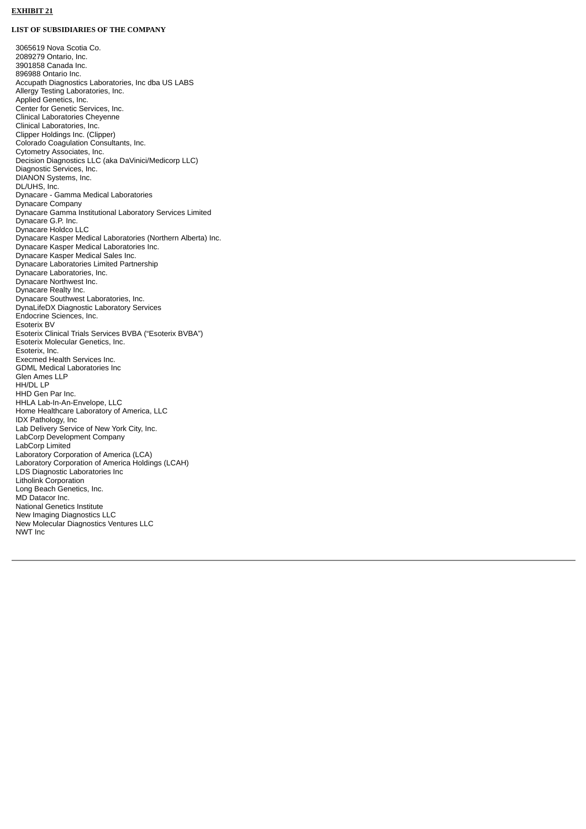# **EXHIBIT 21**

# **LIST OF SUBSIDIARIES OF THE COMPANY**

3065619 Nova Scotia Co. 2089279 Ontario, Inc. 3901858 Canada Inc. 896988 Ontario Inc. Accupath Diagnostics Laboratories, Inc dba US LABS Allergy Testing Laboratories, Inc. Applied Genetics, Inc. Center for Genetic Services, Inc. Clinical Laboratories Cheyenne Clinical Laboratories, Inc. Clipper Holdings Inc. (Clipper) Colorado Coagulation Consultants, Inc. Cytometry Associates, Inc. Decision Diagnostics LLC (aka DaVinici/Medicorp LLC) Diagnostic Services, Inc. DIANON Systems, Inc. DL/UHS, Inc. Dynacare - Gamma Medical Laboratories Dynacare Company Dynacare Gamma Institutional Laboratory Services Limited Dynacare G.P. Inc. Dynacare Holdco LLC Dynacare Kasper Medical Laboratories (Northern Alberta) Inc. Dynacare Kasper Medical Laboratories Inc. Dynacare Kasper Medical Sales Inc. Dynacare Laboratories Limited Partnership Dynacare Laboratories, Inc. Dynacare Northwest Inc. Dynacare Realty Inc. Dynacare Southwest Laboratories, Inc. DynaLifeDX Diagnostic Laboratory Services Endocrine Sciences, Inc. Esoterix BV Esoterix Clinical Trials Services BVBA ("Esoterix BVBA") Esoterix Molecular Genetics, Inc. Esoterix, Inc. Execmed Health Services Inc. GDML Medical Laboratories Inc Glen Ames LLP HH/DL LP HHD Gen Par Inc. HHLA Lab-In-An-Envelope, LLC Home Healthcare Laboratory of America, LLC IDX Pathology, Inc Lab Delivery Service of New York City, Inc. LabCorp Development Company LabCorp Limited Laboratory Corporation of America (LCA) Laboratory Corporation of America Holdings (LCAH) LDS Diagnostic Laboratories Inc Litholink Corporation Long Beach Genetics, Inc. MD Datacor Inc. National Genetics Institute New Imaging Diagnostics LLC New Molecular Diagnostics Ventures LLC NWT Inc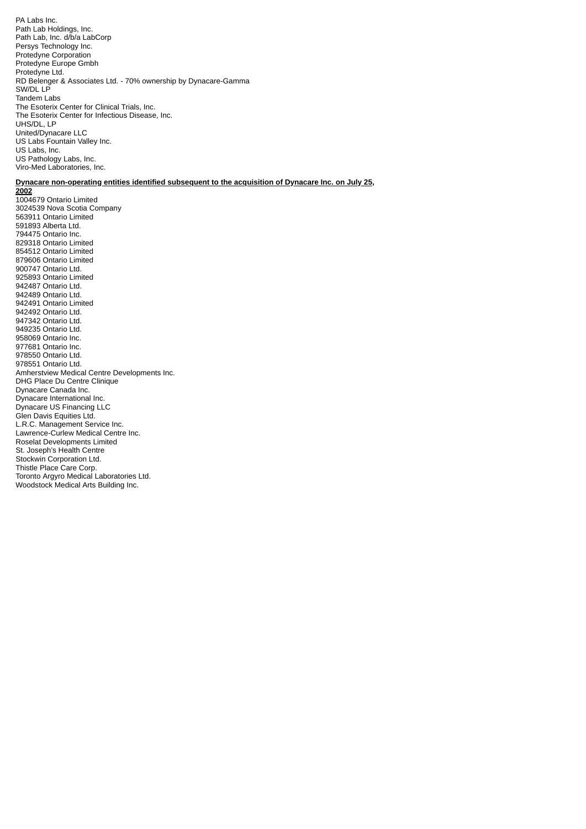PA Labs Inc. Path Lab Holdings, Inc. Path Lab, Inc. d/b/a LabCorp Persys Technology Inc. Protedyne Corporation Protedyne Europe Gmbh Protedyne Ltd. RD Belenger & Associates Ltd. - 70% ownership by Dynacare-Gamma SW/DL LP Tandem Labs The Esoterix Center for Clinical Trials, Inc. The Esoterix Center for Infectious Disease, Inc. UHS/DL, LP United/Dynacare LLC US Labs Fountain Valley Inc. US Labs, Inc. US Pathology Labs, Inc. Viro-Med Laboratories, Inc.

# **Dynacare non-operating entities identified subsequent to the acquisition of Dynacare Inc. on July 25,**

**2002** 1004679 Ontario Limited 3024539 Nova Scotia Company 563911 Ontario Limited 591893 Alberta Ltd. 794475 Ontario Inc. 829318 Ontario Limited 854512 Ontario Limited 879606 Ontario Limited 900747 Ontario Ltd. 925893 Ontario Limited 942487 Ontario Ltd. 942489 Ontario Ltd. 942491 Ontario Limited 942492 Ontario Ltd. 947342 Ontario Ltd. 949235 Ontario Ltd. 958069 Ontario Inc. 977681 Ontario Inc. 978550 Ontario Ltd. 978551 Ontario Ltd. Amherstview Medical Centre Developments Inc. DHG Place Du Centre Clinique Dynacare Canada Inc. Dynacare International Inc. Dynacare US Financing LLC Glen Davis Equities Ltd. L.R.C. Management Service Inc. Lawrence-Curlew Medical Centre Inc. Roselat Developments Limited St. Joseph's Health Centre Stockwin Corporation Ltd. Thistle Place Care Corp. Toronto Argyro Medical Laboratories Ltd. Woodstock Medical Arts Building Inc.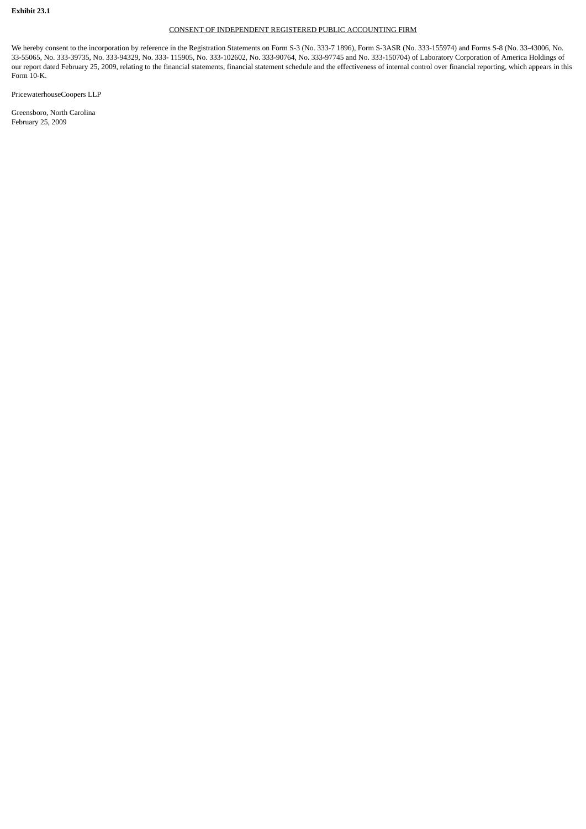# CONSENT OF INDEPENDENT REGISTERED PUBLIC ACCOUNTING FIRM

We hereby consent to the incorporation by reference in the Registration Statements on Form S-3 (No. 333-7 1896), Form S-3ASR (No. 333-155974) and Forms S-8 (No. 33-43006, No. 33-55065, No. 333-39735, No. 333-94329, No. 333- 115905, No. 333-102602, No. 333-90764, No. 333-97745 and No. 333-150704) of Laboratory Corporation of America Holdings of our report dated February 25, 2009, relating to the financial statements, financial statement schedule and the effectiveness of internal control over financial reporting, which appears in this Form 10-K.

PricewaterhouseCoopers LLP

Greensboro, North Carolina February 25, 2009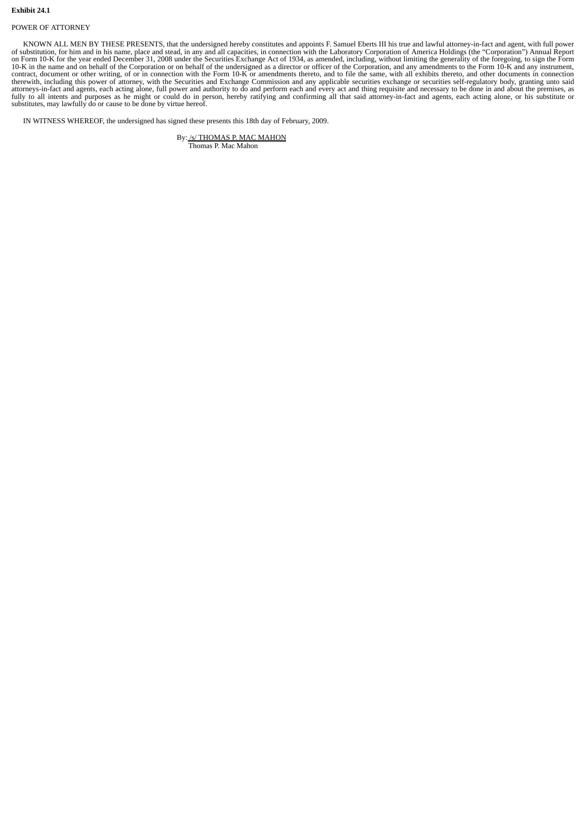#### **Exhibit 24.1**

## POWER OF ATTORNEY

KNOWN ALL MEN BY THESE PRESENTS, that the undersigned hereby constitutes and appoints F. Samuel Eberts III his true and lawful attorney-in-fact and agent, with full power of substitution, for him and in his name, place and stead, in any and all capacities, in connection with the Laboratory Corporation of America Holdings (the "Corporation") Annual Report<br>on Form 10-K for the year ended Dece therewith, including this power of attorney, with the Securities and Exchange Commission and any applicable securities exchange or securities self-regulatory body, granting unto said<br>attorneys-in-fact and agents, each acti

IN WITNESS WHEREOF, the undersigned has signed these presents this 18th day of February, 2009.

By: /s/ THOMAS P. MAC MAHON Thomas P. Mac Mahon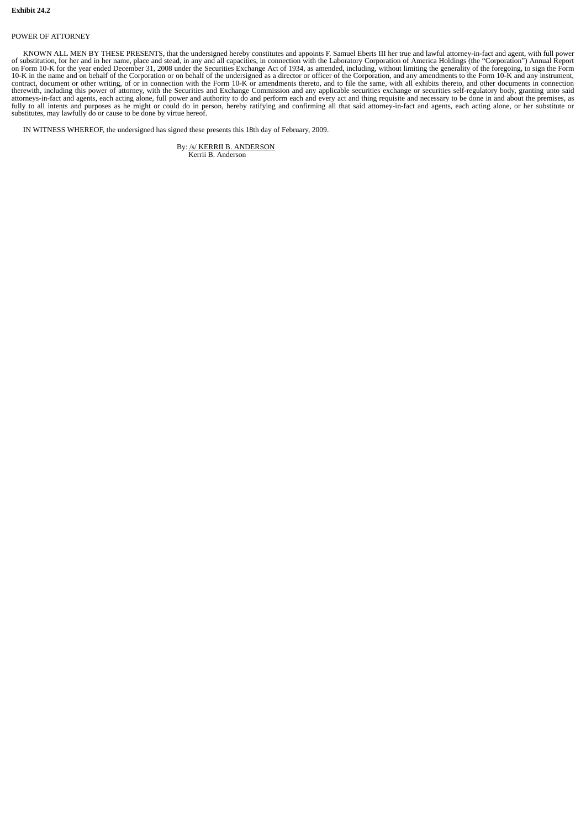KNOWN ALL MEN BY THESE PRESENTS, that the undersigned hereby constitutes and appoints F. Samuel Eberts III her true and lawful attorney-in-fact and agent, with full power of substitution, for her and in her name, place and therewith, including this power of attorney, with the Securities and Exchange Commission and any applicable securities exchange or securities self-regulatory body, granting unto said attorneys-in-fact and agents, each acting alone, full power and authority to do and perform each and every act and thing requisite and necessary to be done in and about the premises, as<br>fully to all intents and purposes as

IN WITNESS WHEREOF, the undersigned has signed these presents this 18th day of February, 2009.

By: /s/ KERRII B. ANDERSON Kerrii B. Anderson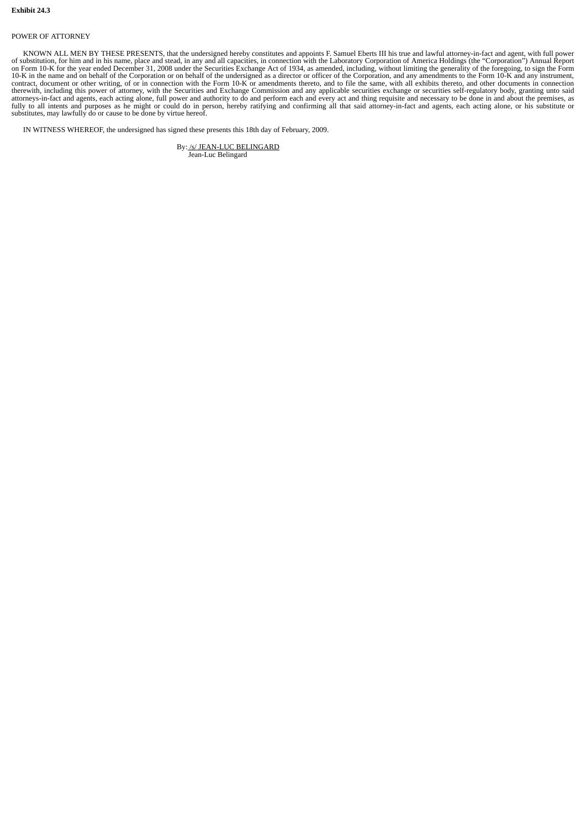KNOWN ALL MEN BY THESE PRESENTS, that the undersigned hereby constitutes and appoints F. Samuel Eberts III his true and lawful attorney-in-fact and agent, with full power of substitution, for him and in his name, place and therewith, including this power of attorney, with the Securities and Exchange Commission and any applicable securities exchange or securities self-regulatory body, granting unto said attorneys-in-fact and agents, each acting alone, full power and authority to do and perform each and every act and thing requisite and necessary to be done in and about the premises, as<br>fully to all intents and purposes as

IN WITNESS WHEREOF, the undersigned has signed these presents this 18th day of February, 2009.

By: /s/ JEAN-LUC BELINGARD Jean-Luc Belingard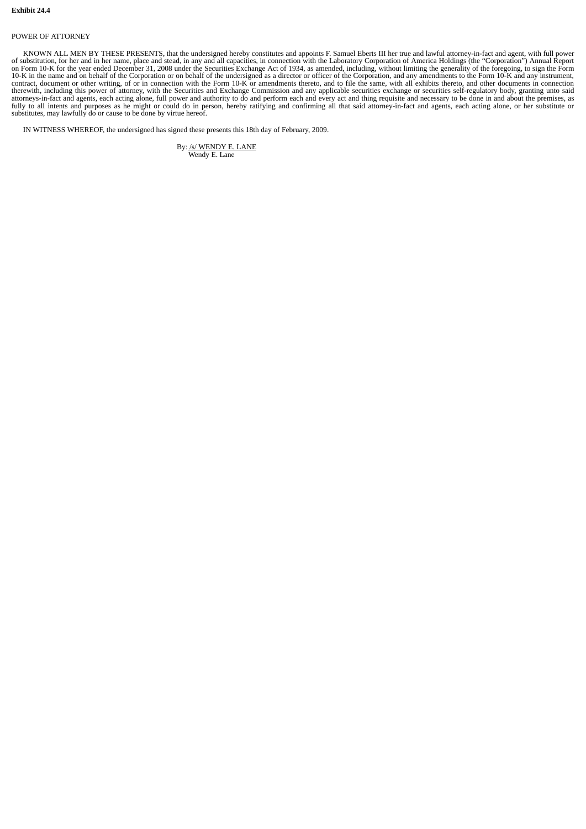KNOWN ALL MEN BY THESE PRESENTS, that the undersigned hereby constitutes and appoints F. Samuel Eberts III her true and lawful attorney-in-fact and agent, with full power of substitution, for her and in her name, place and therewith, including this power of attorney, with the Securities and Exchange Commission and any applicable securities exchange or securities self-regulatory body, granting unto said attorneys-in-fact and agents, each acting alone, full power and authority to do and perform each and every act and thing requisite and necessary to be done in and about the premises, as<br>fully to all intents and purposes as

IN WITNESS WHEREOF, the undersigned has signed these presents this 18th day of February, 2009.

By: /s/ WENDY E. LANE Wendy E. Lane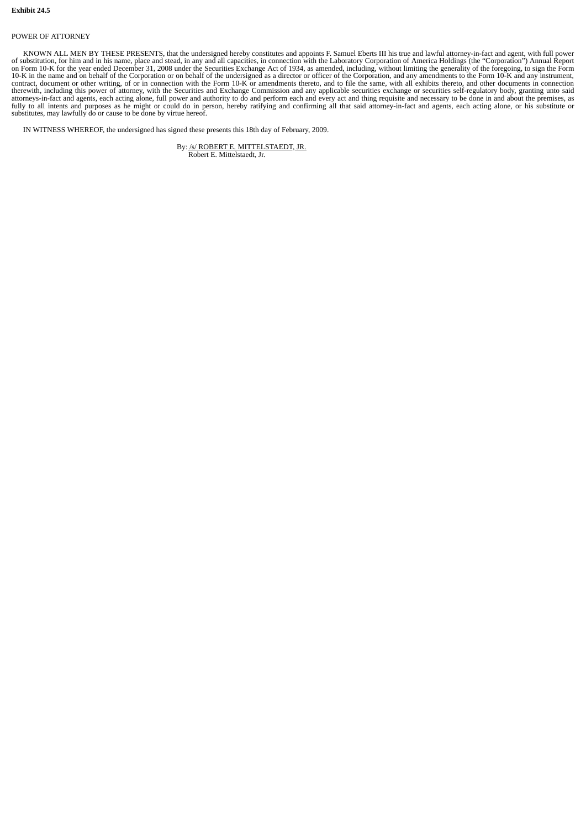KNOWN ALL MEN BY THESE PRESENTS, that the undersigned hereby constitutes and appoints F. Samuel Eberts III his true and lawful attorney-in-fact and agent, with full power of substitution, for him and in his name, place and therewith, including this power of attorney, with the Securities and Exchange Commission and any applicable securities exchange or securities self-regulatory body, granting unto said attorneys-in-fact and agents, each acting alone, full power and authority to do and perform each and every act and thing requisite and necessary to be done in and about the premises, as<br>fully to all intents and purposes as

IN WITNESS WHEREOF, the undersigned has signed these presents this 18th day of February, 2009.

By: /s/ ROBERT E. MITTELSTAEDT, JR. Robert E. Mittelstaedt, Jr.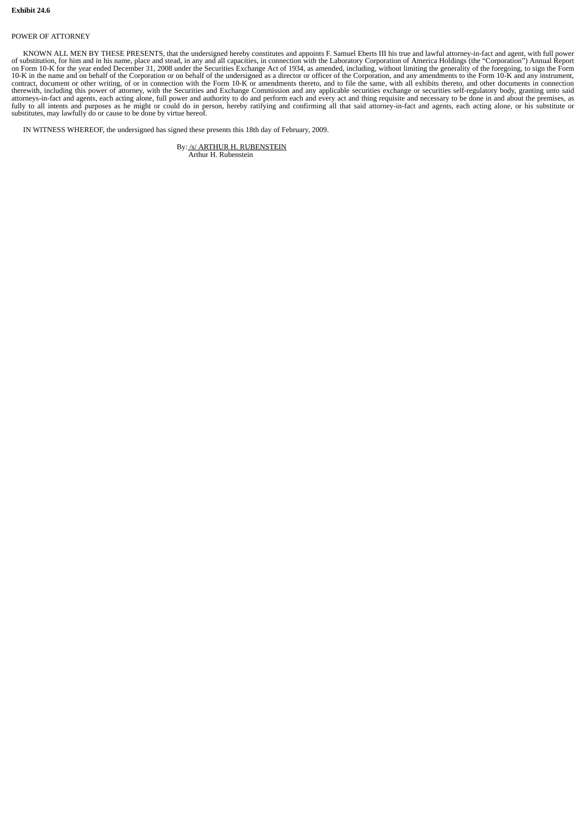KNOWN ALL MEN BY THESE PRESENTS, that the undersigned hereby constitutes and appoints F. Samuel Eberts III his true and lawful attorney-in-fact and agent, with full power of substitution, for him and in his name, place and therewith, including this power of attorney, with the Securities and Exchange Commission and any applicable securities exchange or securities self-regulatory body, granting unto said attorneys-in-fact and agents, each acting alone, full power and authority to do and perform each and every act and thing requisite and necessary to be done in and about the premises, as<br>fully to all intents and purposes as

IN WITNESS WHEREOF, the undersigned has signed these presents this 18th day of February, 2009.

By: /s/ ARTHUR H. RUBENSTEIN Arthur H. Rubenstein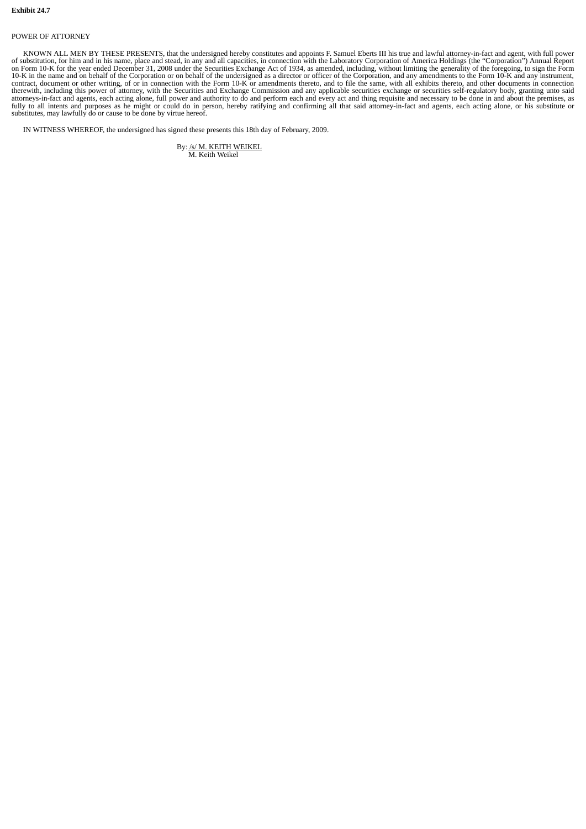KNOWN ALL MEN BY THESE PRESENTS, that the undersigned hereby constitutes and appoints F. Samuel Eberts III his true and lawful attorney-in-fact and agent, with full power of substitution, for him and in his name, place and therewith, including this power of attorney, with the Securities and Exchange Commission and any applicable securities exchange or securities self-regulatory body, granting unto said attorneys-in-fact and agents, each acting alone, full power and authority to do and perform each and every act and thing requisite and necessary to be done in and about the premises, as<br>fully to all intents and purposes as

IN WITNESS WHEREOF, the undersigned has signed these presents this 18th day of February, 2009.

By: /s/ M. KEITH WEIKEL M. Keith Weikel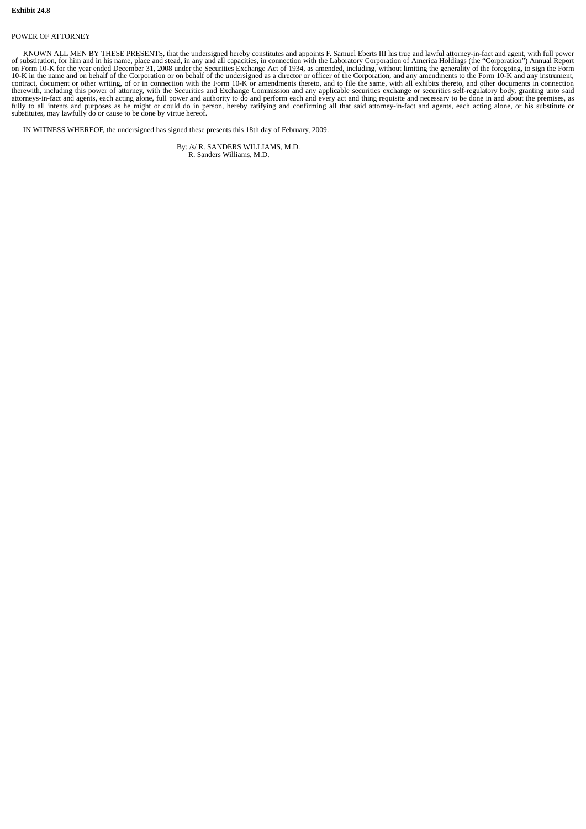KNOWN ALL MEN BY THESE PRESENTS, that the undersigned hereby constitutes and appoints F. Samuel Eberts III his true and lawful attorney-in-fact and agent, with full power of substitution, for him and in his name, place and therewith, including this power of attorney, with the Securities and Exchange Commission and any applicable securities exchange or securities self-regulatory body, granting unto said attorneys-in-fact and agents, each acting alone, full power and authority to do and perform each and every act and thing requisite and necessary to be done in and about the premises, as<br>fully to all intents and purposes as

IN WITNESS WHEREOF, the undersigned has signed these presents this 18th day of February, 2009.

By: /s/ R. SANDERS WILLIAMS, M.D. R. Sanders Williams, M.D.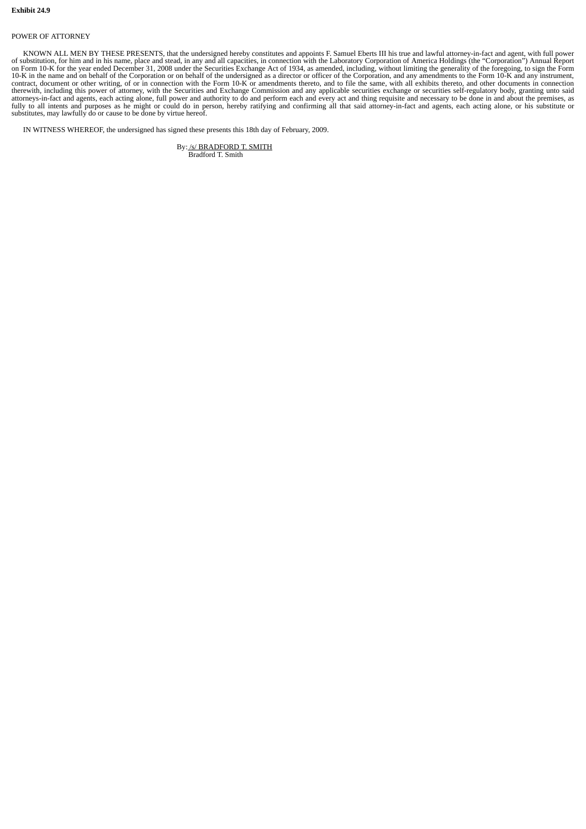KNOWN ALL MEN BY THESE PRESENTS, that the undersigned hereby constitutes and appoints F. Samuel Eberts III his true and lawful attorney-in-fact and agent, with full power of substitution, for him and in his name, place and therewith, including this power of attorney, with the Securities and Exchange Commission and any applicable securities exchange or securities self-regulatory body, granting unto said attorneys-in-fact and agents, each acting alone, full power and authority to do and perform each and every act and thing requisite and necessary to be done in and about the premises, as<br>fully to all intents and purposes as

IN WITNESS WHEREOF, the undersigned has signed these presents this 18th day of February, 2009.

By: /s/ BRADFORD T. SMITH Bradford T. Smith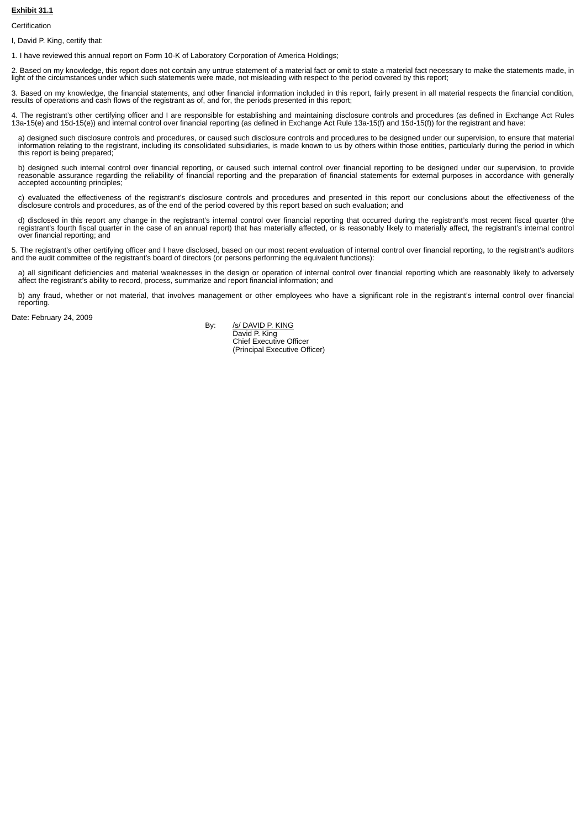# **Exhibit 31.1**

Certification

I, David P. King, certify that:

1. I have reviewed this annual report on Form 10-K of Laboratory Corporation of America Holdings;

2. Based on my knowledge, this report does not contain any untrue statement of a material fact or omit to state a material fact necessary to make the statements made, in<br>light of the circumstances under which such statemen

3. Based on my knowledge, the financial statements, and other financial information included in this report, fairly present in all material respects the financial condition, results of operations and cash flows of the registrant as of, and for, the periods presented in this report;

4. The registrant's other certifying officer and I are responsible for establishing and maintaining disclosure controls and procedures (as defined in Exchange Act Rules 13a-15(e) and 15d-15(e)) and internal control over financial reporting (as defined in Exchange Act Rule 13a-15(f) and 15d-15(f)) for the registrant and have:

a) designed such disclosure controls and procedures, or caused such disclosure controls and procedures to be designed under our supervision, to ensure that material information relating to the registrant, including its consolidated subsidiaries, is made known to us by others within those entities, particularly during the period in which this report is being prepared;

b) designed such internal control over financial reporting, or caused such internal control over financial reporting to be designed under our supervision, to provide<br>reasonable assurance regarding the reliability of financ accepted accounting principles;

c) evaluated the effectiveness of the registrant's disclosure controls and procedures and presented in this report our conclusions about the effectiveness of the disclosure controls and procedures, as of the end of the period covered by this report based on such evaluation; and

d) disclosed in this report any change in the registrant's internal control over financial reporting that occurred during the registrant's most recent fiscal quarter (the registrant's fourth fiscal quarter in the case of an annual report) that has materially affected, or is reasonably likely to materially affect, the registrant's internal control over financial reporting; and

5. The registrant's other certifying officer and I have disclosed, based on our most recent evaluation of internal control over financial reporting, to the registrant's auditors and the audit committee of the registrant's board of directors (or persons performing the equivalent functions):

a) all significant deficiencies and material weaknesses in the design or operation of internal control over financial reporting which are reasonably likely to adversely affect the registrant's ability to record, process, summarize and report financial information; and

b) any fraud, whether or not material, that involves management or other employees who have a significant role in the registrant's internal control over financial reporting.

Date: February 24, 2009

By: /s/ DAVID P. KING David P. King Chief Executive Officer (Principal Executive Officer)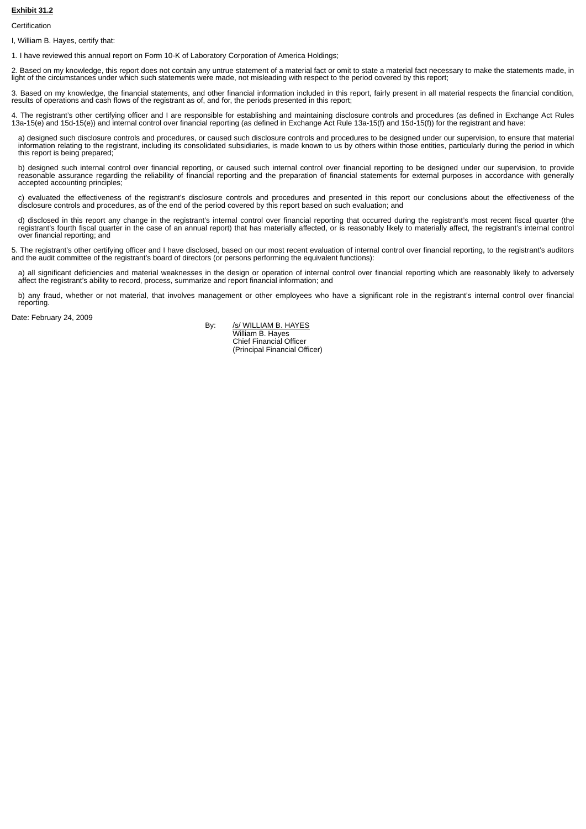# **Exhibit 31.2**

Certification

I, William B. Hayes, certify that:

1. I have reviewed this annual report on Form 10-K of Laboratory Corporation of America Holdings;

2. Based on my knowledge, this report does not contain any untrue statement of a material fact or omit to state a material fact necessary to make the statements made, in<br>light of the circumstances under which such statemen

3. Based on my knowledge, the financial statements, and other financial information included in this report, fairly present in all material respects the financial condition, results of operations and cash flows of the registrant as of, and for, the periods presented in this report;

4. The registrant's other certifying officer and I are responsible for establishing and maintaining disclosure controls and procedures (as defined in Exchange Act Rules 13a-15(e) and 15d-15(e)) and internal control over financial reporting (as defined in Exchange Act Rule 13a-15(f) and 15d-15(f)) for the registrant and have:

a) designed such disclosure controls and procedures, or caused such disclosure controls and procedures to be designed under our supervision, to ensure that material information relating to the registrant, including its consolidated subsidiaries, is made known to us by others within those entities, particularly during the period in which this report is being prepared;

b) designed such internal control over financial reporting, or caused such internal control over financial reporting to be designed under our supervision, to provide<br>reasonable assurance regarding the reliability of financ accepted accounting principles;

c) evaluated the effectiveness of the registrant's disclosure controls and procedures and presented in this report our conclusions about the effectiveness of the disclosure controls and procedures, as of the end of the period covered by this report based on such evaluation; and

d) disclosed in this report any change in the registrant's internal control over financial reporting that occurred during the registrant's most recent fiscal quarter (the registrant's fourth fiscal quarter in the case of an annual report) that has materially affected, or is reasonably likely to materially affect, the registrant's internal control over financial reporting; and

5. The registrant's other certifying officer and I have disclosed, based on our most recent evaluation of internal control over financial reporting, to the registrant's auditors and the audit committee of the registrant's board of directors (or persons performing the equivalent functions):

a) all significant deficiencies and material weaknesses in the design or operation of internal control over financial reporting which are reasonably likely to adversely affect the registrant's ability to record, process, summarize and report financial information; and

b) any fraud, whether or not material, that involves management or other employees who have a significant role in the registrant's internal control over financial reporting.

Date: February 24, 2009

By: /s/ WILLIAM B. HAYES William B. Hayes Chief Financial Officer (Principal Financial Officer)